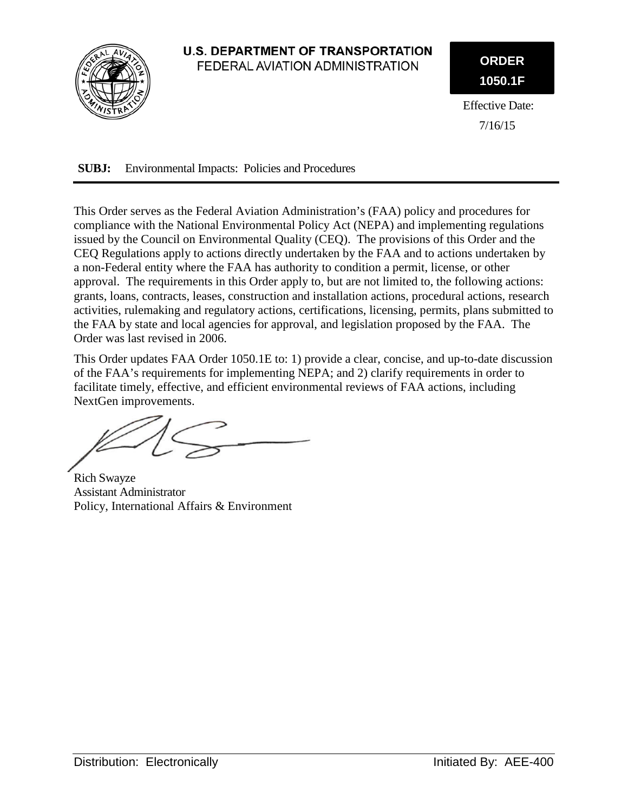

### **U.S. DEPARTMENT OF TRANSPORTATION** FEDERAL AVIATION ADMINISTRATION

**ORDER 1050.1F**

Effective Date: 7/16/15

**SUBJ:** Environmental Impacts: Policies and Procedures

This Order serves as the Federal Aviation Administration's (FAA) policy and procedures for compliance with the National Environmental Policy Act (NEPA) and implementing regulations issued by the Council on Environmental Quality (CEQ). The provisions of this Order and the CEQ Regulations apply to actions directly undertaken by the FAA and to actions undertaken by a non-Federal entity where the FAA has authority to condition a permit, license, or other approval. The requirements in this Order apply to, but are not limited to, the following actions: grants, loans, contracts, leases, construction and installation actions, procedural actions, research activities, rulemaking and regulatory actions, certifications, licensing, permits, plans submitted to the FAA by state and local agencies for approval, and legislation proposed by the FAA. The Order was last revised in 2006.

This Order updates FAA Order 1050.1E to: 1) provide a clear, concise, and up-to-date discussion of the FAA's requirements for implementing NEPA; and 2) clarify requirements in order to facilitate timely, effective, and efficient environmental reviews of FAA actions, including NextGen improvements.

Rich Swayze Assistant Administrator Policy, International Affairs & Environment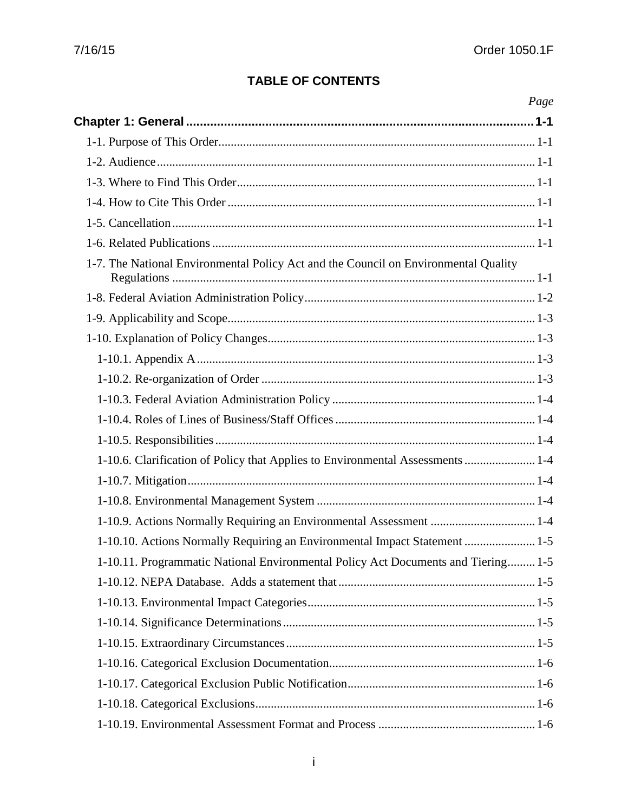## **TABLE OF CONTENTS**

| Page                                                                                |  |
|-------------------------------------------------------------------------------------|--|
|                                                                                     |  |
|                                                                                     |  |
|                                                                                     |  |
|                                                                                     |  |
|                                                                                     |  |
|                                                                                     |  |
|                                                                                     |  |
| 1-7. The National Environmental Policy Act and the Council on Environmental Quality |  |
|                                                                                     |  |
|                                                                                     |  |
|                                                                                     |  |
|                                                                                     |  |
|                                                                                     |  |
|                                                                                     |  |
|                                                                                     |  |
|                                                                                     |  |
| 1-10.6. Clarification of Policy that Applies to Environmental Assessments  1-4      |  |
|                                                                                     |  |
|                                                                                     |  |
| 1-10.9. Actions Normally Requiring an Environmental Assessment  1-4                 |  |
| 1-10.10. Actions Normally Requiring an Environmental Impact Statement  1-5          |  |
| 1-10.11. Programmatic National Environmental Policy Act Documents and Tiering 1-5   |  |
|                                                                                     |  |
|                                                                                     |  |
|                                                                                     |  |
|                                                                                     |  |
|                                                                                     |  |
|                                                                                     |  |
|                                                                                     |  |
|                                                                                     |  |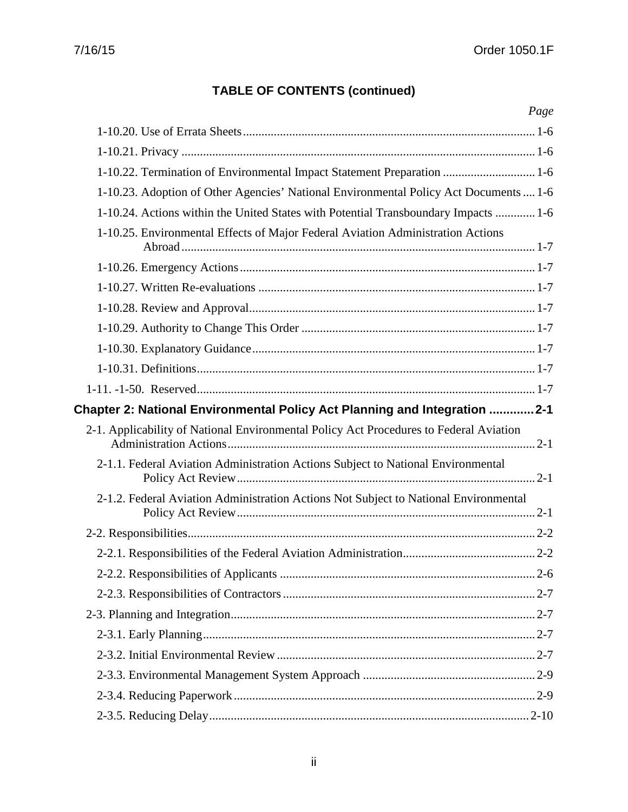| Page                                                                                   |
|----------------------------------------------------------------------------------------|
|                                                                                        |
|                                                                                        |
| 1-10.22. Termination of Environmental Impact Statement Preparation  1-6                |
| 1-10.23. Adoption of Other Agencies' National Environmental Policy Act Documents  1-6  |
| 1-10.24. Actions within the United States with Potential Transboundary Impacts  1-6    |
| 1-10.25. Environmental Effects of Major Federal Aviation Administration Actions        |
|                                                                                        |
|                                                                                        |
|                                                                                        |
|                                                                                        |
|                                                                                        |
|                                                                                        |
|                                                                                        |
| Chapter 2: National Environmental Policy Act Planning and Integration 2-1              |
| 2-1. Applicability of National Environmental Policy Act Procedures to Federal Aviation |
| 2-1.1. Federal Aviation Administration Actions Subject to National Environmental       |
| 2-1.2. Federal Aviation Administration Actions Not Subject to National Environmental   |
|                                                                                        |
|                                                                                        |
|                                                                                        |
|                                                                                        |
|                                                                                        |
|                                                                                        |
|                                                                                        |
|                                                                                        |
|                                                                                        |
|                                                                                        |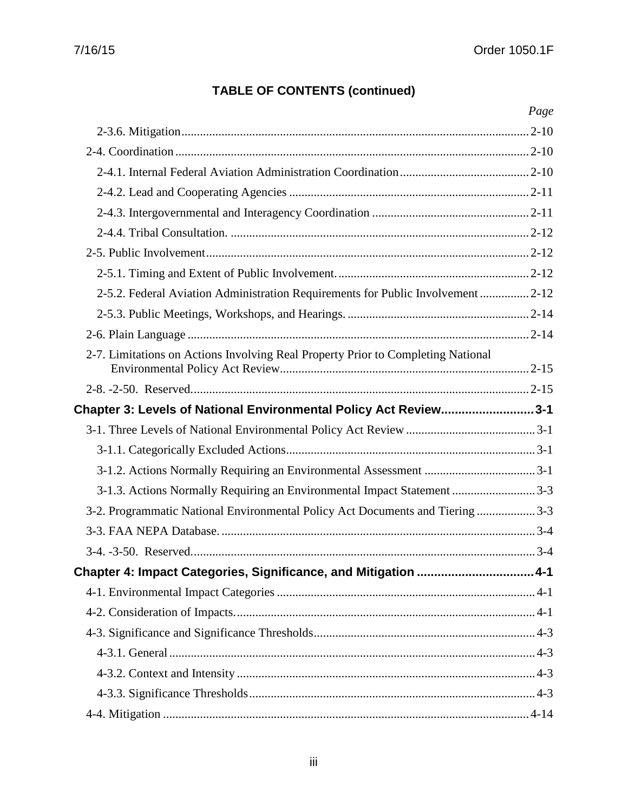|                                                                                  | Page |
|----------------------------------------------------------------------------------|------|
|                                                                                  |      |
|                                                                                  |      |
|                                                                                  |      |
|                                                                                  |      |
|                                                                                  |      |
|                                                                                  |      |
|                                                                                  |      |
|                                                                                  |      |
| 2-5.2. Federal Aviation Administration Requirements for Public Involvement  2-12 |      |
|                                                                                  |      |
|                                                                                  |      |
| 2-7. Limitations on Actions Involving Real Property Prior to Completing National |      |
|                                                                                  |      |
| Chapter 3: Levels of National Environmental Policy Act Review3-1                 |      |
|                                                                                  |      |
|                                                                                  |      |
|                                                                                  |      |
| 3-1.3. Actions Normally Requiring an Environmental Impact Statement 3-3          |      |
| 3-2. Programmatic National Environmental Policy Act Documents and Tiering  3-3   |      |
|                                                                                  |      |
|                                                                                  |      |
| Chapter 4: Impact Categories, Significance, and Mitigation  4-1                  |      |
|                                                                                  |      |
|                                                                                  |      |
|                                                                                  |      |
|                                                                                  |      |
|                                                                                  |      |
|                                                                                  |      |
|                                                                                  |      |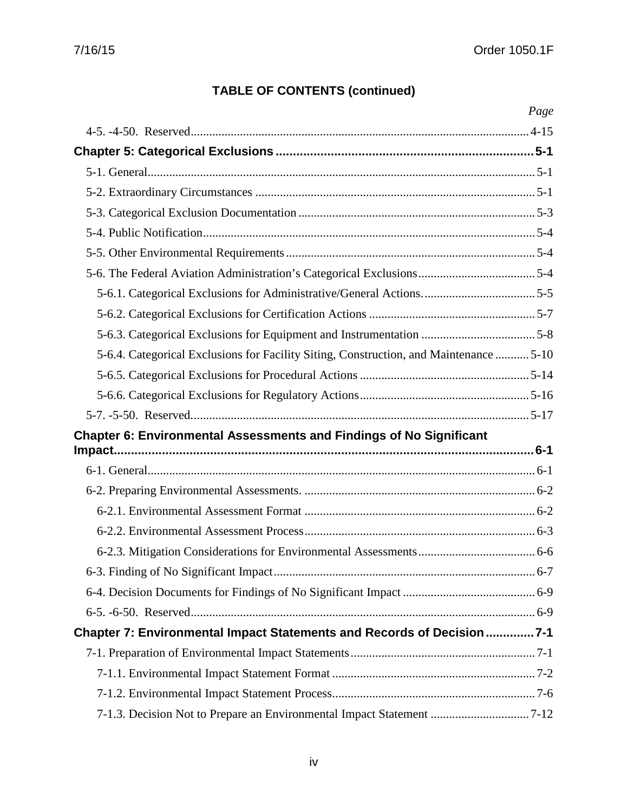|                                                                                        | Page |
|----------------------------------------------------------------------------------------|------|
|                                                                                        |      |
|                                                                                        |      |
|                                                                                        |      |
|                                                                                        |      |
|                                                                                        |      |
|                                                                                        |      |
|                                                                                        |      |
|                                                                                        |      |
|                                                                                        |      |
|                                                                                        |      |
|                                                                                        |      |
| 5-6.4. Categorical Exclusions for Facility Siting, Construction, and Maintenance  5-10 |      |
|                                                                                        |      |
|                                                                                        |      |
|                                                                                        |      |
| <b>Chapter 6: Environmental Assessments and Findings of No Significant</b>             |      |
|                                                                                        |      |
|                                                                                        |      |
|                                                                                        |      |
|                                                                                        |      |
|                                                                                        |      |
|                                                                                        |      |
|                                                                                        |      |
|                                                                                        |      |
|                                                                                        |      |
| Chapter 7: Environmental Impact Statements and Records of Decision7-1                  |      |
|                                                                                        |      |
|                                                                                        |      |
|                                                                                        |      |
| 7-1.3. Decision Not to Prepare an Environmental Impact Statement 7-12                  |      |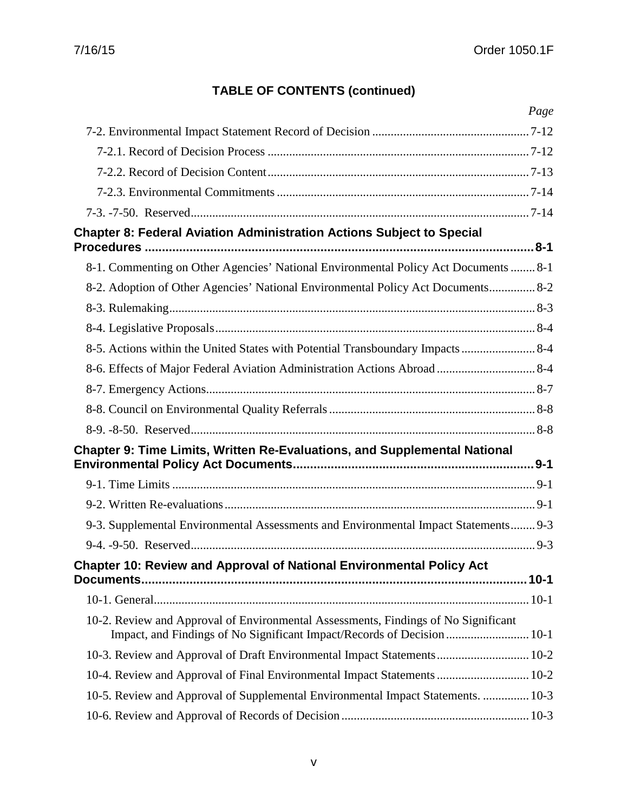|                                                                                                                                                               | Page |
|---------------------------------------------------------------------------------------------------------------------------------------------------------------|------|
|                                                                                                                                                               |      |
|                                                                                                                                                               |      |
|                                                                                                                                                               |      |
|                                                                                                                                                               |      |
|                                                                                                                                                               |      |
| <b>Chapter 8: Federal Aviation Administration Actions Subject to Special</b>                                                                                  |      |
| 8-1. Commenting on Other Agencies' National Environmental Policy Act Documents  8-1                                                                           |      |
| 8-2. Adoption of Other Agencies' National Environmental Policy Act Documents 8-2                                                                              |      |
|                                                                                                                                                               |      |
|                                                                                                                                                               |      |
| 8-5. Actions within the United States with Potential Transboundary Impacts  8-4                                                                               |      |
|                                                                                                                                                               |      |
|                                                                                                                                                               |      |
|                                                                                                                                                               |      |
|                                                                                                                                                               |      |
| Chapter 9: Time Limits, Written Re-Evaluations, and Supplemental National                                                                                     |      |
|                                                                                                                                                               |      |
|                                                                                                                                                               |      |
|                                                                                                                                                               |      |
| 9-3. Supplemental Environmental Assessments and Environmental Impact Statements 9-3                                                                           |      |
|                                                                                                                                                               |      |
| <b>Chapter 10: Review and Approval of National Environmental Policy Act</b>                                                                                   |      |
|                                                                                                                                                               |      |
| 10-2. Review and Approval of Environmental Assessments, Findings of No Significant<br>Impact, and Findings of No Significant Impact/Records of Decision  10-1 |      |
| 10-3. Review and Approval of Draft Environmental Impact Statements 10-2                                                                                       |      |
| 10-4. Review and Approval of Final Environmental Impact Statements  10-2                                                                                      |      |
| 10-5. Review and Approval of Supplemental Environmental Impact Statements.  10-3                                                                              |      |
|                                                                                                                                                               |      |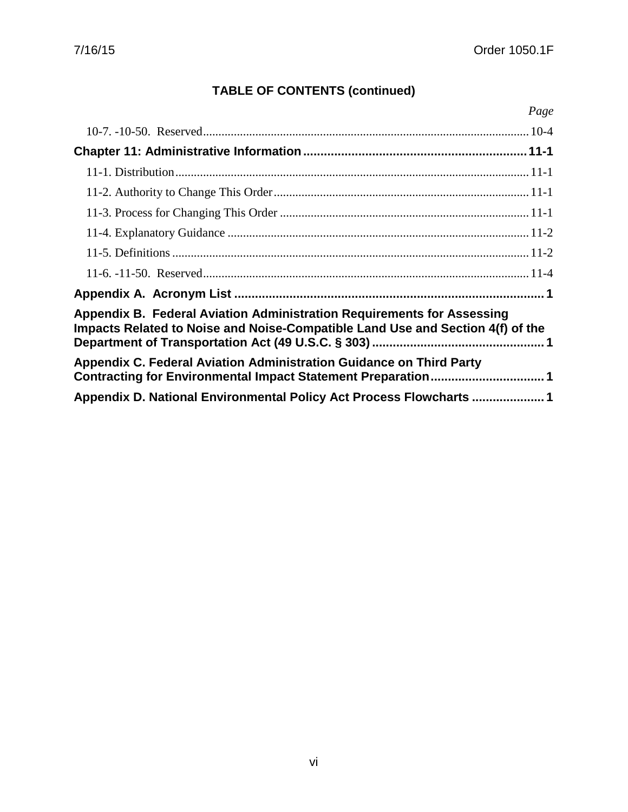| Page                                                                                                                                                     |
|----------------------------------------------------------------------------------------------------------------------------------------------------------|
|                                                                                                                                                          |
|                                                                                                                                                          |
|                                                                                                                                                          |
|                                                                                                                                                          |
|                                                                                                                                                          |
|                                                                                                                                                          |
|                                                                                                                                                          |
|                                                                                                                                                          |
|                                                                                                                                                          |
| Appendix B. Federal Aviation Administration Requirements for Assessing<br>Impacts Related to Noise and Noise-Compatible Land Use and Section 4(f) of the |
| Appendix C. Federal Aviation Administration Guidance on Third Party<br>Contracting for Environmental Impact Statement Preparation 1                      |
| Appendix D. National Environmental Policy Act Process Flowcharts 1                                                                                       |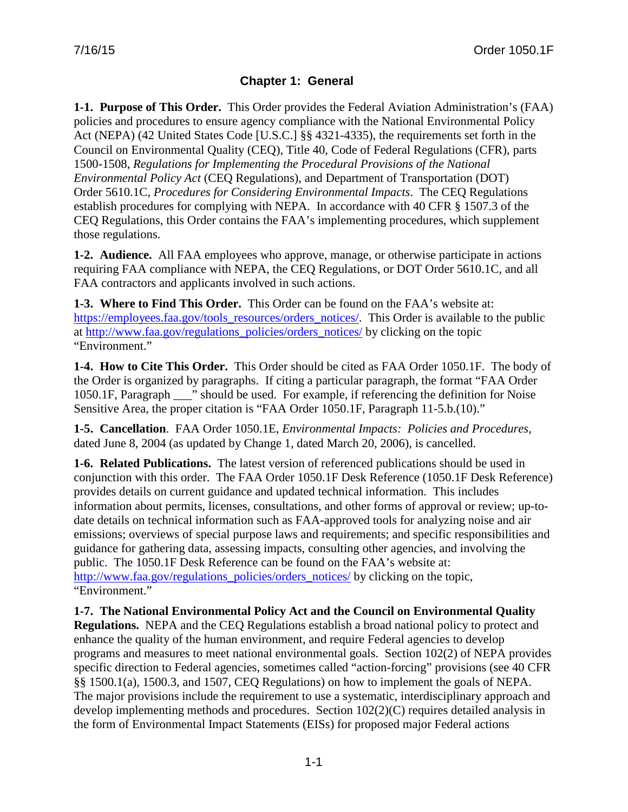## **Chapter 1: General**

<span id="page-7-1"></span><span id="page-7-0"></span>**1-1. Purpose of This Order.** This Order provides the Federal Aviation Administration's (FAA) policies and procedures to ensure agency compliance with the National Environmental Policy Act (NEPA) (42 United States Code [U.S.C.] §§ 4321-4335), the requirements set forth in the Council on Environmental Quality (CEQ), Title 40, Code of Federal Regulations (CFR), parts 1500-1508, *Regulations for Implementing the Procedural Provisions of the National Environmental Policy Act* (CEQ Regulations), and Department of Transportation (DOT) Order 5610.1C, *Procedures for Considering Environmental Impacts*. The CEQ Regulations establish procedures for complying with NEPA. In accordance with 40 CFR § 1507.3 of the CEQ Regulations, this Order contains the FAA's implementing procedures, which supplement those regulations.

<span id="page-7-2"></span>**1-2. Audience.** All FAA employees who approve, manage, or otherwise participate in actions requiring FAA compliance with NEPA, the CEQ Regulations, or DOT Order 5610.1C, and all FAA contractors and applicants involved in such actions.

<span id="page-7-3"></span>**1-3. Where to Find This Order.** This Order can be found on the FAA's website at: [https://employees.faa.gov/tools\\_resources/orders\\_notices/.](https://employees.faa.gov/tools_resources/orders_notices/) This Order is available to the public at [http://www.faa.gov/regulations\\_policies/orders\\_notices/](http://www.faa.gov/regulations_policies/orders_notices/) by clicking on the topic "Environment."

<span id="page-7-4"></span>**1-4. How to Cite This Order.** This Order should be cited as FAA Order 1050.1F. The body of the Order is organized by paragraphs. If citing a particular paragraph, the format "FAA Order 1050.1F, Paragraph \_\_\_" should be used. For example, if referencing the definition for Noise Sensitive Area, the proper citation is "FAA Order 1050.1F, Paragraph 11-5.b.(10)."

<span id="page-7-5"></span>**1-5. Cancellation**.FAA Order 1050.1E, *Environmental Impacts: Policies and Procedures,* dated June 8, 2004 (as updated by Change 1, dated March 20, 2006), is cancelled.

<span id="page-7-6"></span>**1-6. Related Publications.** The latest version of referenced publications should be used in conjunction with this order. The FAA Order 1050.1F Desk Reference (1050.1F Desk Reference) provides details on current guidance and updated technical information. This includes information about permits, licenses, consultations, and other forms of approval or review; up-todate details on technical information such as FAA-approved tools for analyzing noise and air emissions; overviews of special purpose laws and requirements; and specific responsibilities and guidance for gathering data, assessing impacts, consulting other agencies, and involving the public. The 1050.1F Desk Reference can be found on the FAA's website at: [http://www.faa.gov/regulations\\_policies/orders\\_notices/](http://www.faa.gov/regulations_policies/orders_notices/) by clicking on the topic, "Environment."

<span id="page-7-7"></span>**1-7. The National Environmental Policy Act and the Council on Environmental Quality Regulations.** NEPA and the CEQ Regulations establish a broad national policy to protect and enhance the quality of the human environment, and require Federal agencies to develop programs and measures to meet national environmental goals. Section 102(2) of NEPA provides specific direction to Federal agencies, sometimes called "action-forcing" provisions (see 40 CFR §§ 1500.1(a), 1500.3, and 1507, CEQ Regulations) on how to implement the goals of NEPA. The major provisions include the requirement to use a systematic, interdisciplinary approach and develop implementing methods and procedures. Section 102(2)(C) requires detailed analysis in the form of Environmental Impact Statements (EISs) for proposed major Federal actions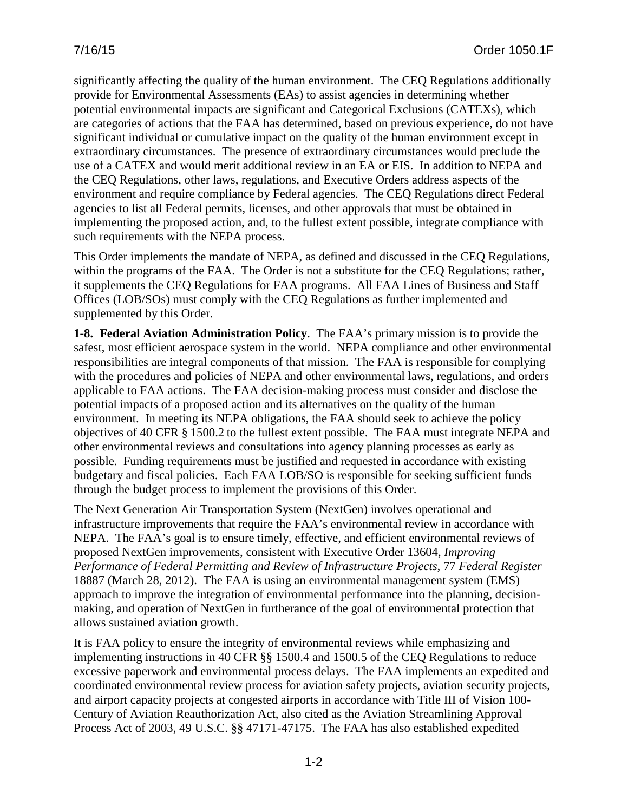significantly affecting the quality of the human environment. The CEQ Regulations additionally provide for Environmental Assessments (EAs) to assist agencies in determining whether potential environmental impacts are significant and Categorical Exclusions (CATEXs), which are categories of actions that the FAA has determined, based on previous experience, do not have significant individual or cumulative impact on the quality of the human environment except in extraordinary circumstances. The presence of extraordinary circumstances would preclude the use of a CATEX and would merit additional review in an EA or EIS. In addition to NEPA and the CEQ Regulations, other laws, regulations, and Executive Orders address aspects of the environment and require compliance by Federal agencies. The CEQ Regulations direct Federal agencies to list all Federal permits, licenses, and other approvals that must be obtained in implementing the proposed action, and, to the fullest extent possible, integrate compliance with such requirements with the NEPA process.

This Order implements the mandate of NEPA, as defined and discussed in the CEQ Regulations, within the programs of the FAA. The Order is not a substitute for the CEQ Regulations; rather, it supplements the CEQ Regulations for FAA programs. All FAA Lines of Business and Staff Offices (LOB/SOs) must comply with the CEQ Regulations as further implemented and supplemented by this Order.

<span id="page-8-0"></span>**1-8. Federal Aviation Administration Policy**.The FAA's primary mission is to provide the safest, most efficient aerospace system in the world. NEPA compliance and other environmental responsibilities are integral components of that mission. The FAA is responsible for complying with the procedures and policies of NEPA and other environmental laws, regulations, and orders applicable to FAA actions. The FAA decision-making process must consider and disclose the potential impacts of a proposed action and its alternatives on the quality of the human environment. In meeting its NEPA obligations, the FAA should seek to achieve the policy objectives of 40 CFR § 1500.2 to the fullest extent possible. The FAA must integrate NEPA and other environmental reviews and consultations into agency planning processes as early as possible. Funding requirements must be justified and requested in accordance with existing budgetary and fiscal policies. Each FAA LOB/SO is responsible for seeking sufficient funds through the budget process to implement the provisions of this Order.

The Next Generation Air Transportation System (NextGen) involves operational and infrastructure improvements that require the FAA's environmental review in accordance with NEPA. The FAA's goal is to ensure timely, effective, and efficient environmental reviews of proposed NextGen improvements, consistent with Executive Order 13604, *Improving Performance of Federal Permitting and Review of Infrastructure Projects*, 77 *Federal Register* 18887 (March 28, 2012). The FAA is using an environmental management system (EMS) approach to improve the integration of environmental performance into the planning, decisionmaking, and operation of NextGen in furtherance of the goal of environmental protection that allows sustained aviation growth.

It is FAA policy to ensure the integrity of environmental reviews while emphasizing and implementing instructions in 40 CFR §§ 1500.4 and 1500.5 of the CEQ Regulations to reduce excessive paperwork and environmental process delays. The FAA implements an expedited and coordinated environmental review process for aviation safety projects, aviation security projects, and airport capacity projects at congested airports in accordance with Title III of Vision 100- Century of Aviation Reauthorization Act, also cited as the Aviation Streamlining Approval Process Act of 2003, 49 U.S.C. §§ 47171-47175. The FAA has also established expedited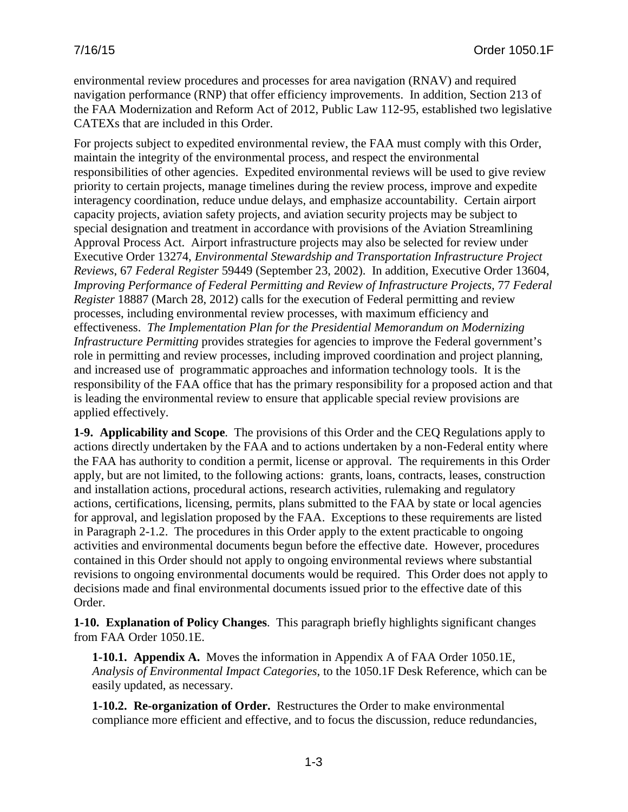environmental review procedures and processes for area navigation (RNAV) and required navigation performance (RNP) that offer efficiency improvements. In addition, Section 213 of the FAA Modernization and Reform Act of 2012, Public Law 112-95, established two legislative CATEXs that are included in this Order.

For projects subject to expedited environmental review, the FAA must comply with this Order, maintain the integrity of the environmental process, and respect the environmental responsibilities of other agencies. Expedited environmental reviews will be used to give review priority to certain projects, manage timelines during the review process, improve and expedite interagency coordination, reduce undue delays, and emphasize accountability. Certain airport capacity projects, aviation safety projects, and aviation security projects may be subject to special designation and treatment in accordance with provisions of the Aviation Streamlining Approval Process Act. Airport infrastructure projects may also be selected for review under Executive Order 13274, *Environmental Stewardship and Transportation Infrastructure Project Reviews*, 67 *Federal Register* 59449 (September 23, 2002). In addition, Executive Order 13604, *Improving Performance of Federal Permitting and Review of Infrastructure Projects,* 77 *Federal Register* 18887 (March 28, 2012) calls for the execution of Federal permitting and review processes, including environmental review processes, with maximum efficiency and effectiveness. *The Implementation Plan for the Presidential Memorandum on Modernizing Infrastructure Permitting* provides strategies for agencies to improve the Federal government's role in permitting and review processes, including improved coordination and project planning, and increased use of programmatic approaches and information technology tools. It is the responsibility of the FAA office that has the primary responsibility for a proposed action and that is leading the environmental review to ensure that applicable special review provisions are applied effectively.

<span id="page-9-0"></span>**1-9. Applicability and Scope**.The provisions of this Order and the CEQ Regulations apply to actions directly undertaken by the FAA and to actions undertaken by a non-Federal entity where the FAA has authority to condition a permit, license or approval. The requirements in this Order apply, but are not limited, to the following actions: grants, loans, contracts, leases, construction and installation actions, procedural actions, research activities, rulemaking and regulatory actions, certifications, licensing, permits, plans submitted to the FAA by state or local agencies for approval, and legislation proposed by the FAA. Exceptions to these requirements are listed in Paragraph 2-1.2. The procedures in this Order apply to the extent practicable to ongoing activities and environmental documents begun before the effective date. However, procedures contained in this Order should not apply to ongoing environmental reviews where substantial revisions to ongoing environmental documents would be required. This Order does not apply to decisions made and final environmental documents issued prior to the effective date of this Order.

<span id="page-9-1"></span>**1-10. Explanation of Policy Changes**. This paragraph briefly highlights significant changes from FAA Order 1050.1E.

<span id="page-9-2"></span>**1-10.1. Appendix A.** Moves the information in Appendix A of FAA Order 1050.1E, *Analysis of Environmental Impact Categories*, to the 1050.1F Desk Reference, which can be easily updated, as necessary.

<span id="page-9-3"></span>**1-10.2. Re-organization of Order.** Restructures the Order to make environmental compliance more efficient and effective, and to focus the discussion, reduce redundancies,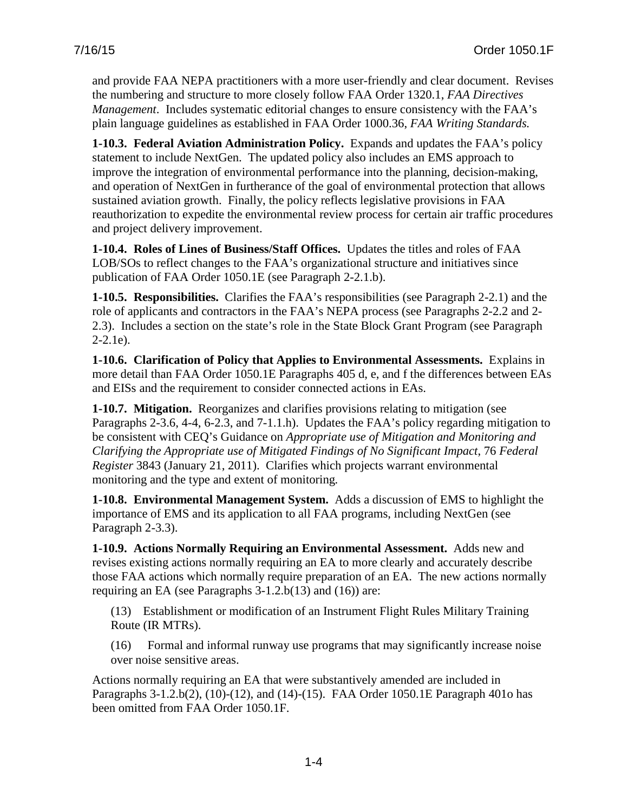and provide FAA NEPA practitioners with a more user-friendly and clear document. Revises the numbering and structure to more closely follow FAA Order 1320.1, *FAA Directives Management*. Includes systematic editorial changes to ensure consistency with the FAA's plain language guidelines as established in FAA Order 1000.36, *FAA Writing Standards.*

<span id="page-10-0"></span>**1-10.3. Federal Aviation Administration Policy.** Expands and updates the FAA's policy statement to include NextGen. The updated policy also includes an EMS approach to improve the integration of environmental performance into the planning, decision-making, and operation of NextGen in furtherance of the goal of environmental protection that allows sustained aviation growth. Finally, the policy reflects legislative provisions in FAA reauthorization to expedite the environmental review process for certain air traffic procedures and project delivery improvement.

<span id="page-10-1"></span>**1-10.4. Roles of Lines of Business/Staff Offices.** Updates the titles and roles of FAA LOB/SOs to reflect changes to the FAA's organizational structure and initiatives since publication of FAA Order 1050.1E (see Paragraph 2-2.1.b).

<span id="page-10-2"></span>**1-10.5. Responsibilities.** Clarifies the FAA's responsibilities (see Paragraph 2-2.1) and the role of applicants and contractors in the FAA's NEPA process (see Paragraphs 2-2.2 and 2- 2.3). Includes a section on the state's role in the State Block Grant Program (see Paragraph 2-2.1e).

<span id="page-10-3"></span>**1-10.6. Clarification of Policy that Applies to Environmental Assessments.** Explains in more detail than FAA Order 1050.1E Paragraphs 405 d, e, and f the differences between EAs and EISs and the requirement to consider connected actions in EAs.

<span id="page-10-4"></span>**1-10.7. Mitigation.** Reorganizes and clarifies provisions relating to mitigation (see Paragraphs 2-3.6, 4-4, 6-2.3, and 7-1.1.h). Updates the FAA's policy regarding mitigation to be consistent with CEQ's Guidance on *Appropriate use of Mitigation and Monitoring and Clarifying the Appropriate use of Mitigated Findings of No Significant Impact*, 76 *Federal Register* 3843 (January 21, 2011). Clarifies which projects warrant environmental monitoring and the type and extent of monitoring*.*

<span id="page-10-5"></span>**1-10.8. Environmental Management System.** Adds a discussion of EMS to highlight the importance of EMS and its application to all FAA programs, including NextGen (see Paragraph 2-3.3).

<span id="page-10-6"></span>**1-10.9. Actions Normally Requiring an Environmental Assessment.** Adds new and revises existing actions normally requiring an EA to more clearly and accurately describe those FAA actions which normally require preparation of an EA. The new actions normally requiring an EA (see Paragraphs 3-1.2.b(13) and (16)) are:

(13) Establishment or modification of an Instrument Flight Rules Military Training Route (IR MTRs).

(16) Formal and informal runway use programs that may significantly increase noise over noise sensitive areas.

Actions normally requiring an EA that were substantively amended are included in Paragraphs 3-1.2.b(2), (10)-(12), and (14)-(15). FAA Order 1050.1E Paragraph 401o has been omitted from FAA Order 1050.1F.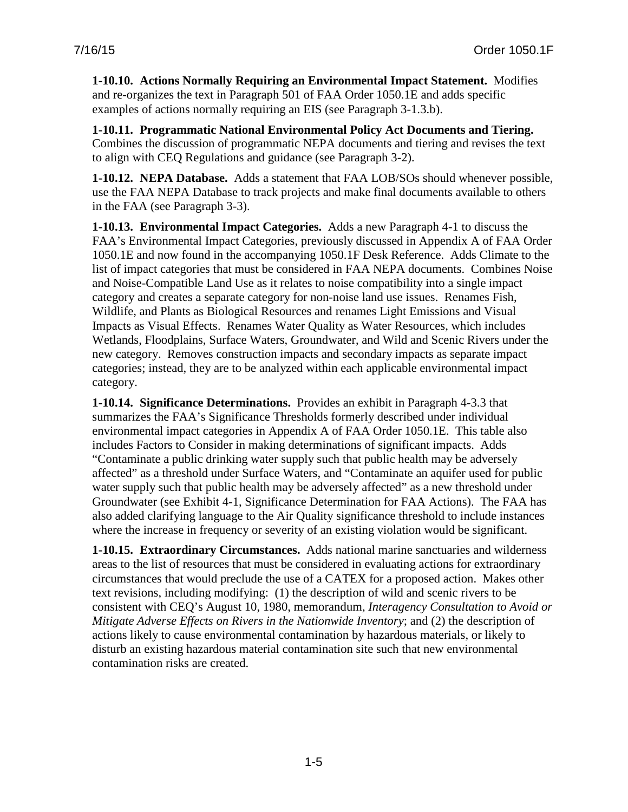<span id="page-11-0"></span>**1-10.10. Actions Normally Requiring an Environmental Impact Statement.** Modifies and re-organizes the text in Paragraph 501 of FAA Order 1050.1E and adds specific examples of actions normally requiring an EIS (see Paragraph 3-1.3.b).

<span id="page-11-1"></span>**1-10.11. Programmatic National Environmental Policy Act Documents and Tiering.**  Combines the discussion of programmatic NEPA documents and tiering and revises the text to align with CEQ Regulations and guidance (see Paragraph 3-2).

<span id="page-11-2"></span>**1-10.12. NEPA Database.** Adds a statement that FAA LOB/SOs should whenever possible, use the FAA NEPA Database to track projects and make final documents available to others in the FAA (see Paragraph 3-3).

<span id="page-11-3"></span>**1-10.13. Environmental Impact Categories.** Adds a new Paragraph 4-1 to discuss the FAA's Environmental Impact Categories, previously discussed in Appendix A of FAA Order 1050.1E and now found in the accompanying 1050.1F Desk Reference. Adds Climate to the list of impact categories that must be considered in FAA NEPA documents. Combines Noise and Noise-Compatible Land Use as it relates to noise compatibility into a single impact category and creates a separate category for non-noise land use issues. Renames Fish, Wildlife, and Plants as Biological Resources and renames Light Emissions and Visual Impacts as Visual Effects. Renames Water Quality as Water Resources, which includes Wetlands, Floodplains, Surface Waters, Groundwater, and Wild and Scenic Rivers under the new category. Removes construction impacts and secondary impacts as separate impact categories; instead, they are to be analyzed within each applicable environmental impact category.

<span id="page-11-4"></span>**1-10.14. Significance Determinations.** Provides an exhibit in Paragraph 4-3.3 that summarizes the FAA's Significance Thresholds formerly described under individual environmental impact categories in Appendix A of FAA Order 1050.1E. This table also includes Factors to Consider in making determinations of significant impacts. Adds "Contaminate a public drinking water supply such that public health may be adversely affected" as a threshold under Surface Waters, and "Contaminate an aquifer used for public water supply such that public health may be adversely affected" as a new threshold under Groundwater (see Exhibit 4-1, Significance Determination for FAA Actions). The FAA has also added clarifying language to the Air Quality significance threshold to include instances where the increase in frequency or severity of an existing violation would be significant.

<span id="page-11-5"></span>**1-10.15. Extraordinary Circumstances.** Adds national marine sanctuaries and wilderness areas to the list of resources that must be considered in evaluating actions for extraordinary circumstances that would preclude the use of a CATEX for a proposed action. Makes other text revisions, including modifying: (1) the description of wild and scenic rivers to be consistent with CEQ's August 10, 1980, memorandum, *Interagency Consultation to Avoid or Mitigate Adverse Effects on Rivers in the Nationwide Inventory*; and (2) the description of actions likely to cause environmental contamination by hazardous materials, or likely to disturb an existing hazardous material contamination site such that new environmental contamination risks are created.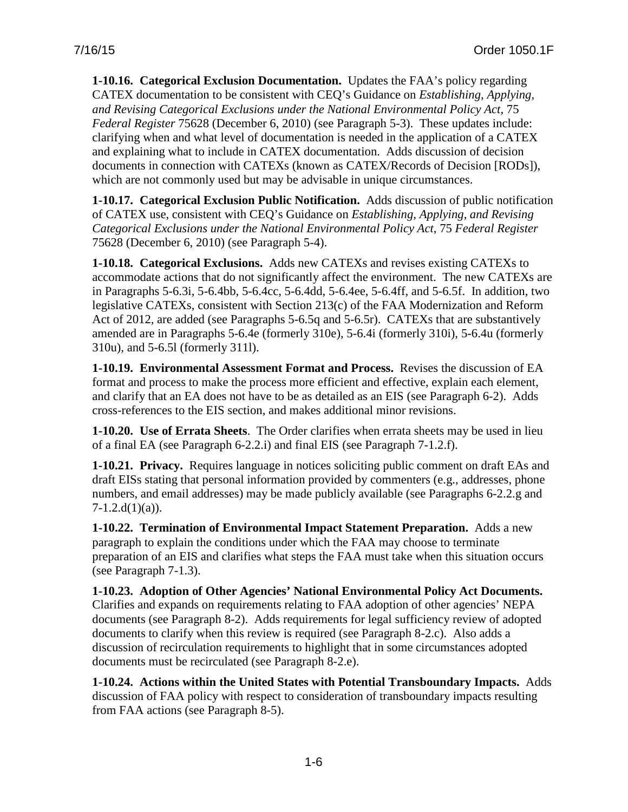<span id="page-12-0"></span>**1-10.16. Categorical Exclusion Documentation.** Updates the FAA's policy regarding CATEX documentation to be consistent with CEQ's Guidance on *Establishing, Applying, and Revising Categorical Exclusions under the National Environmental Policy Act*, 75 *Federal Register* 75628 (December 6, 2010) (see Paragraph 5-3). These updates include: clarifying when and what level of documentation is needed in the application of a CATEX and explaining what to include in CATEX documentation. Adds discussion of decision documents in connection with CATEXs (known as CATEX/Records of Decision [RODs]), which are not commonly used but may be advisable in unique circumstances.

<span id="page-12-1"></span>**1-10.17. Categorical Exclusion Public Notification.** Adds discussion of public notification of CATEX use, consistent with CEQ's Guidance on *Establishing, Applying, and Revising Categorical Exclusions under the National Environmental Policy Act*, 75 *Federal Register* 75628 (December 6, 2010) (see Paragraph 5-4).

<span id="page-12-2"></span>**1-10.18. Categorical Exclusions.** Adds new CATEXs and revises existing CATEXs to accommodate actions that do not significantly affect the environment. The new CATEXs are in Paragraphs 5-6.3i, 5-6.4bb, 5-6.4cc, 5-6.4dd, 5-6.4ee, 5-6.4ff, and 5-6.5f. In addition, two legislative CATEXs, consistent with Section 213(c) of the FAA Modernization and Reform Act of 2012*,* are added (see Paragraphs 5-6.5q and 5-6.5r). CATEXs that are substantively amended are in Paragraphs 5-6.4e (formerly 310e), 5-6.4i (formerly 310i), 5-6.4u (formerly 310u), and 5-6.5l (formerly 311l).

<span id="page-12-3"></span>**1-10.19. Environmental Assessment Format and Process.** Revises the discussion of EA format and process to make the process more efficient and effective, explain each element, and clarify that an EA does not have to be as detailed as an EIS (see Paragraph 6-2). Adds cross-references to the EIS section, and makes additional minor revisions.

<span id="page-12-4"></span>**1-10.20. Use of Errata Sheets**.The Order clarifies when errata sheets may be used in lieu of a final EA (see Paragraph 6-2.2.i) and final EIS (see Paragraph 7-1.2.f).

<span id="page-12-5"></span>**1-10.21. Privacy.** Requires language in notices soliciting public comment on draft EAs and draft EISs stating that personal information provided by commenters (e.g., addresses, phone numbers, and email addresses) may be made publicly available (see Paragraphs 6-2.2.g and  $7-1.2.d(1)(a)$ .

<span id="page-12-6"></span>**1-10.22. Termination of Environmental Impact Statement Preparation.** Adds a new paragraph to explain the conditions under which the FAA may choose to terminate preparation of an EIS and clarifies what steps the FAA must take when this situation occurs (see Paragraph 7-1.3).

<span id="page-12-7"></span>**1-10.23. Adoption of Other Agencies' National Environmental Policy Act Documents.**  Clarifies and expands on requirements relating to FAA adoption of other agencies' NEPA documents (see Paragraph 8-2). Adds requirements for legal sufficiency review of adopted documents to clarify when this review is required (see Paragraph 8-2.c). Also adds a discussion of recirculation requirements to highlight that in some circumstances adopted documents must be recirculated (see Paragraph 8-2.e).

<span id="page-12-8"></span>**1-10.24. Actions within the United States with Potential Transboundary Impacts.** Adds discussion of FAA policy with respect to consideration of transboundary impacts resulting from FAA actions (see Paragraph 8-5).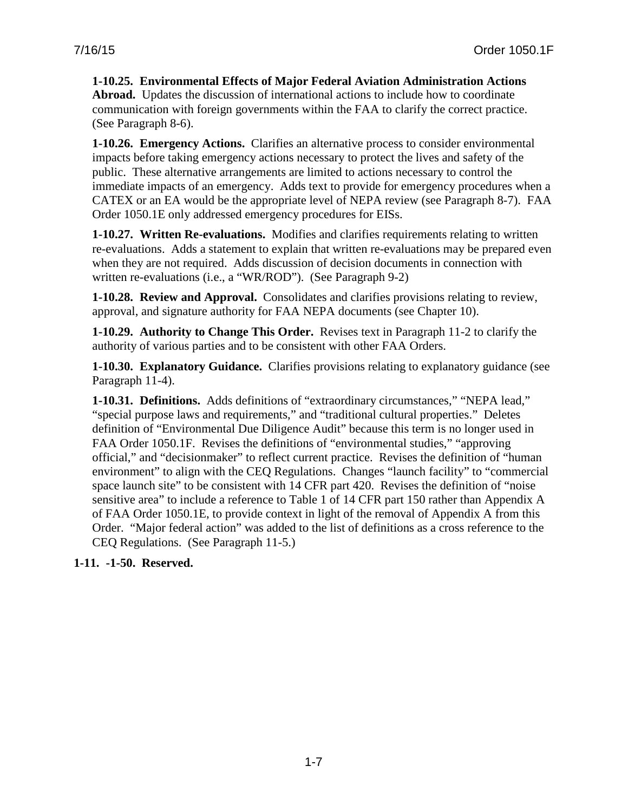#### <span id="page-13-0"></span>**1-10.25. Environmental Effects of Major Federal Aviation Administration Actions Abroad.** Updates the discussion of international actions to include how to coordinate communication with foreign governments within the FAA to clarify the correct practice. (See Paragraph 8-6).

<span id="page-13-1"></span>**1-10.26. Emergency Actions.** Clarifies an alternative process to consider environmental impacts before taking emergency actions necessary to protect the lives and safety of the public. These alternative arrangements are limited to actions necessary to control the immediate impacts of an emergency. Adds text to provide for emergency procedures when a CATEX or an EA would be the appropriate level of NEPA review (see Paragraph 8-7). FAA Order 1050.1E only addressed emergency procedures for EISs.

<span id="page-13-2"></span>**1-10.27. Written Re-evaluations.** Modifies and clarifies requirements relating to written re-evaluations. Adds a statement to explain that written re-evaluations may be prepared even when they are not required. Adds discussion of decision documents in connection with written re-evaluations (i.e., a "WR/ROD"). (See Paragraph 9-2)

<span id="page-13-3"></span>**1-10.28. Review and Approval.** Consolidates and clarifies provisions relating to review, approval, and signature authority for FAA NEPA documents (see Chapter 10).

<span id="page-13-4"></span>**1-10.29. Authority to Change This Order.** Revises text in Paragraph 11-2 to clarify the authority of various parties and to be consistent with other FAA Orders.

<span id="page-13-5"></span>**1-10.30. Explanatory Guidance.** Clarifies provisions relating to explanatory guidance (see Paragraph 11-4).

<span id="page-13-6"></span>**1-10.31. Definitions.** Adds definitions of "extraordinary circumstances," "NEPA lead," "special purpose laws and requirements," and "traditional cultural properties." Deletes definition of "Environmental Due Diligence Audit" because this term is no longer used in FAA Order 1050.1F. Revises the definitions of "environmental studies," "approving official," and "decisionmaker" to reflect current practice. Revises the definition of "human environment" to align with the CEQ Regulations. Changes "launch facility" to "commercial space launch site" to be consistent with 14 CFR part 420. Revises the definition of "noise" sensitive area" to include a reference to Table 1 of 14 CFR part 150 rather than Appendix A of FAA Order 1050.1E, to provide context in light of the removal of Appendix A from this Order. "Major federal action" was added to the list of definitions as a cross reference to the CEQ Regulations. (See Paragraph 11-5.)

<span id="page-13-7"></span>**1-11. -1-50. Reserved.**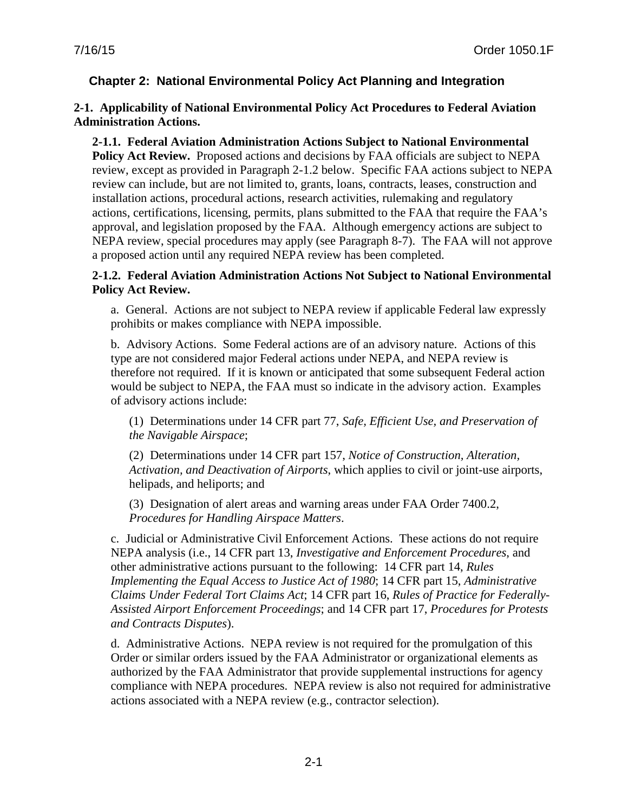## <span id="page-14-0"></span>**Chapter 2: National Environmental Policy Act Planning and Integration**

#### <span id="page-14-1"></span>**2-1. Applicability of National Environmental Policy Act Procedures to Federal Aviation Administration Actions.**

## <span id="page-14-2"></span>**2-1.1. Federal Aviation Administration Actions Subject to National Environmental**

**Policy Act Review.** Proposed actions and decisions by FAA officials are subject to NEPA review, except as provided in Paragraph 2-1.2 below. Specific FAA actions subject to NEPA review can include, but are not limited to, grants, loans, contracts, leases, construction and installation actions, procedural actions, research activities, rulemaking and regulatory actions, certifications, licensing, permits, plans submitted to the FAA that require the FAA's approval, and legislation proposed by the FAA. Although emergency actions are subject to NEPA review, special procedures may apply (see Paragraph 8-7). The FAA will not approve a proposed action until any required NEPA review has been completed.

#### <span id="page-14-3"></span>**2-1.2. Federal Aviation Administration Actions Not Subject to National Environmental Policy Act Review.**

a. General. Actions are not subject to NEPA review if applicable Federal law expressly prohibits or makes compliance with NEPA impossible.

b. Advisory Actions. Some Federal actions are of an advisory nature. Actions of this type are not considered major Federal actions under NEPA, and NEPA review is therefore not required. If it is known or anticipated that some subsequent Federal action would be subject to NEPA, the FAA must so indicate in the advisory action. Examples of advisory actions include:

(1) Determinations under 14 CFR part 77, *Safe, Efficient Use, and Preservation of the Navigable Airspace*;

(2) Determinations under 14 CFR part 157, *Notice of Construction, Alteration, Activation, and Deactivation of Airports*, which applies to civil or joint-use airports, helipads, and heliports; and

(3) Designation of alert areas and warning areas under [FAA Order 7400.2,](http://www.faa.gov/documentLibrary/media/Order/7400.2G.pdf)  *[Procedures for Handling Airspace Matters](http://www.faa.gov/documentLibrary/media/Order/7400.2G.pdf)*.

c. Judicial or Administrative Civil Enforcement Actions. These actions do not require NEPA analysis (i.e., 14 CFR part 13, *Investigative and Enforcement Procedures*, and other administrative actions pursuant to the following: 14 CFR part 14, *Rules Implementing the Equal Access to Justice Act of 1980*; 14 CFR part 15, *Administrative Claims Under Federal Tort Claims Act*; 14 CFR part 16, *Rules of Practice for Federally-Assisted Airport Enforcement Proceedings*; and 14 CFR part 17, *Procedures for Protests and Contracts Disputes*).

d. Administrative Actions. NEPA review is not required for the promulgation of this Order or similar orders issued by the FAA Administrator or organizational elements as authorized by the FAA Administrator that provide supplemental instructions for agency compliance with NEPA procedures. NEPA review is also not required for administrative actions associated with a NEPA review (e.g., contractor selection).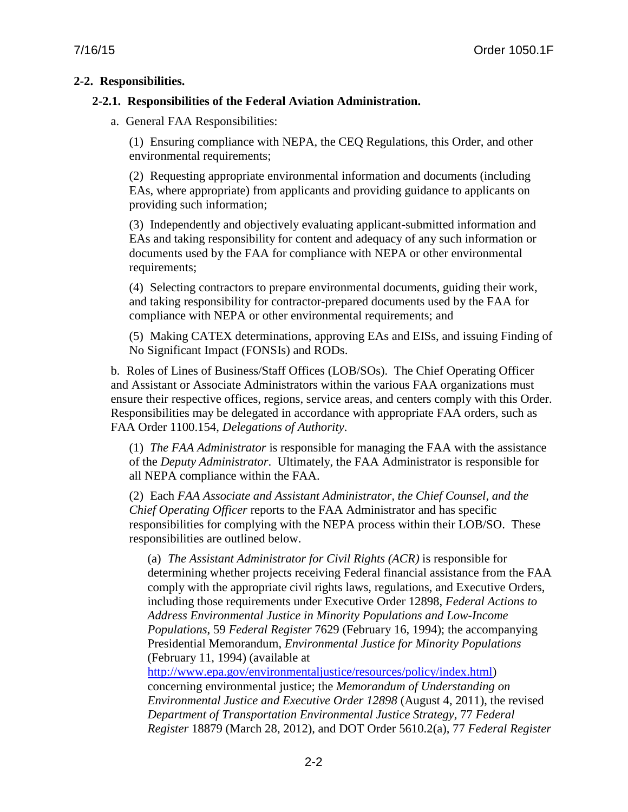#### <span id="page-15-1"></span><span id="page-15-0"></span>**2-2. Responsibilities.**

#### **2-2.1. Responsibilities of the Federal Aviation Administration.**

a. General FAA Responsibilities:

(1) Ensuring compliance with NEPA, the CEQ Regulations, this Order, and other environmental requirements;

(2) Requesting appropriate environmental information and documents (including EAs, where appropriate) from applicants and providing guidance to applicants on providing such information;

(3) Independently and objectively evaluating applicant-submitted information and EAs and taking responsibility for content and adequacy of any such information or documents used by the FAA for compliance with NEPA or other environmental requirements;

(4) Selecting contractors to prepare environmental documents, guiding their work, and taking responsibility for contractor-prepared documents used by the FAA for compliance with NEPA or other environmental requirements; and

(5) Making CATEX determinations, approving EAs and EISs, and issuing Finding of No Significant Impact (FONSIs) and RODs.

b. Roles of Lines of Business/Staff Offices (LOB/SOs).The Chief Operating Officer and Assistant or Associate Administrators within the various FAA organizations must ensure their respective offices, regions, service areas, and centers comply with this Order. Responsibilities may be delegated in accordance with appropriate FAA orders, such as FAA Order 1100.154, *Delegations of Authority*.

(1) *The FAA Administrator* is responsible for managing the FAA with the assistance of the *Deputy Administrator*. Ultimately, the FAA Administrator is responsible for all NEPA compliance within the FAA.

(2) Each *FAA Associate and Assistant Administrator, the Chief Counsel, and the Chief Operating Officer* reports to the FAA Administrator and has specific responsibilities for complying with the NEPA process within their LOB/SO. These responsibilities are outlined below.

(a) *The Assistant Administrator for Civil Rights (ACR)* is responsible for determining whether projects receiving Federal financial assistance from the FAA comply with the appropriate civil rights laws, regulations, and Executive Orders, including those requirements under Executive Order 12898, *Federal Actions to Address Environmental Justice in Minority Populations and Low-Income Populations*, 59 *Federal Register* 7629 (February 16, 1994); the accompanying Presidential Memorandum, *Environmental Justice for Minority Populations* (February 11, 1994) (available at

[http://www.epa.gov/environmentaljustice/resources/policy/index.html\)](http://www.epa.gov/environmentaljustice/resources/policy/index.html) concerning environmental justice; the *Memorandum of Understanding on Environmental Justice and Executive Order 12898* (August 4, 2011), the revised *Department of Transportation Environmental Justice Strategy,* 77 *Federal Register* 18879 (March 28, 2012), and DOT Order 5610.2(a), 77 *Federal Register*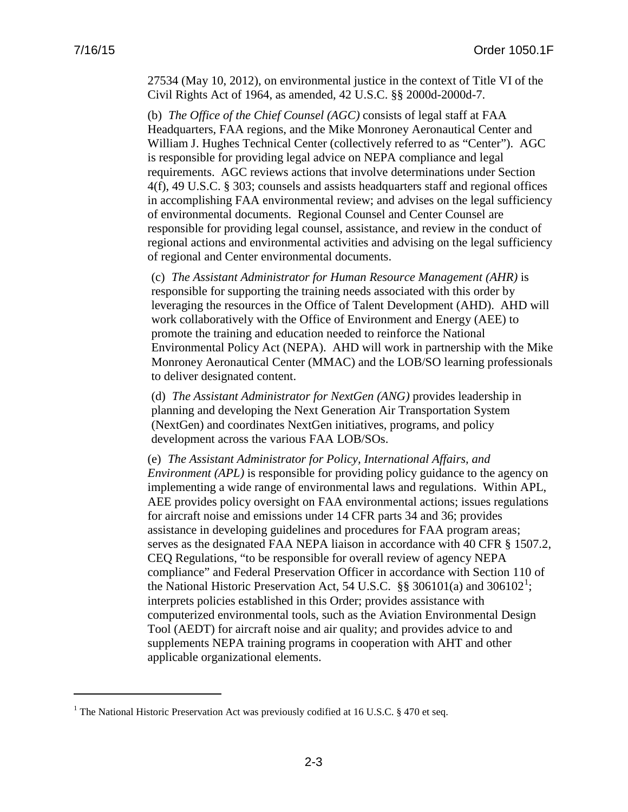$\overline{a}$ 

27534 (May 10, 2012), on environmental justice in the context of Title VI of the Civil Rights Act of 1964, as amended, 42 U.S.C. §§ 2000d-2000d-7.

(b) *The Office of the Chief Counsel (AGC)* consists of legal staff at FAA Headquarters, FAA regions, and the Mike Monroney Aeronautical Center and William J. Hughes Technical Center (collectively referred to as "Center"). AGC is responsible for providing legal advice on NEPA compliance and legal requirements. AGC reviews actions that involve determinations under Section 4(f), 49 U.S.C. § 303; counsels and assists headquarters staff and regional offices in accomplishing FAA environmental review; and advises on the legal sufficiency of environmental documents. Regional Counsel and Center Counsel are responsible for providing legal counsel, assistance, and review in the conduct of regional actions and environmental activities and advising on the legal sufficiency of regional and Center environmental documents.

(c) *The Assistant Administrator for Human Resource Management (AHR)* is responsible for supporting the training needs associated with this order by leveraging the resources in the Office of Talent Development (AHD). AHD will work collaboratively with the Office of Environment and Energy (AEE) to promote the training and education needed to reinforce the National Environmental Policy Act (NEPA). AHD will work in partnership with the Mike Monroney Aeronautical Center (MMAC) and the LOB/SO learning professionals to deliver designated content.

(d) *The Assistant Administrator for NextGen (ANG)* provides leadership in planning and developing the Next Generation Air Transportation System (NextGen) and coordinates NextGen initiatives, programs, and policy development across the various FAA LOB/SOs.

(e) *The Assistant Administrator for Policy, International Affairs, and Environment (APL)* is responsible for providing policy guidance to the agency on implementing a wide range of environmental laws and regulations. Within APL, AEE provides policy oversight on FAA environmental actions; issues regulations for aircraft noise and emissions under 14 CFR parts 34 and 36; provides assistance in developing guidelines and procedures for FAA program areas; serves as the designated FAA NEPA liaison in accordance with 40 CFR § 1507.2, CEQ Regulations, "to be responsible for overall review of agency NEPA compliance" and Federal Preservation Officer in accordance with Section 110 of the National Historic Preservation Act, 54 U.S.C. §§ 306[1](#page-16-0)01(a) and 306102<sup>1</sup>; interprets policies established in this Order; provides assistance with computerized environmental tools, such as the Aviation Environmental Design Tool (AEDT) for aircraft noise and air quality; and provides advice to and supplements NEPA training programs in cooperation with AHT and other applicable organizational elements.

<span id="page-16-0"></span><sup>&</sup>lt;sup>1</sup> The National Historic Preservation Act was previously codified at 16 U.S.C. § 470 et seq.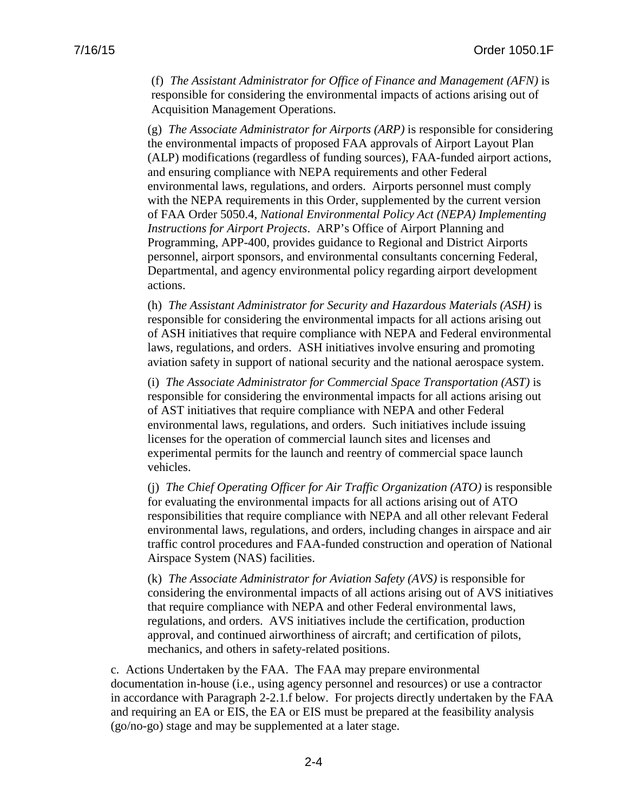(f) *The Assistant Administrator for Office of Finance and Management (AFN)* is responsible for considering the environmental impacts of actions arising out of Acquisition Management Operations.

(g) *The Associate Administrator for Airports (ARP)* is responsible for considering the environmental impacts of proposed FAA approvals of Airport Layout Plan (ALP) modifications (regardless of funding sources), FAA-funded airport actions, and ensuring compliance with NEPA requirements and other Federal environmental laws, regulations, and orders. Airports personnel must comply with the NEPA requirements in this Order, supplemented by the current version of FAA Order 5050.4, *National Environmental Policy Act (NEPA) Implementing Instructions for Airport Projects*. ARP's Office of Airport Planning and Programming, APP-400, provides guidance to Regional and District Airports personnel, airport sponsors, and environmental consultants concerning Federal, Departmental, and agency environmental policy regarding airport development actions.

(h) *The Assistant Administrator for Security and Hazardous Materials (ASH)* is responsible for considering the environmental impacts for all actions arising out of ASH initiatives that require compliance with NEPA and Federal environmental laws, regulations, and orders. ASH initiatives involve ensuring and promoting aviation safety in support of national security and the national aerospace system.

(i) *The Associate Administrator for Commercial Space Transportation (AST)* is responsible for considering the environmental impacts for all actions arising out of AST initiatives that require compliance with NEPA and other Federal environmental laws, regulations, and orders. Such initiatives include issuing licenses for the operation of commercial launch sites and licenses and experimental permits for the launch and reentry of commercial space launch vehicles.

(j) *The Chief Operating Officer for Air Traffic Organization (ATO)* is responsible for evaluating the environmental impacts for all actions arising out of ATO responsibilities that require compliance with NEPA and all other relevant Federal environmental laws, regulations, and orders, including changes in airspace and air traffic control procedures and FAA-funded construction and operation of National Airspace System (NAS) facilities.

(k) *The Associate Administrator for Aviation Safety (AVS)* is responsible for considering the environmental impacts of all actions arising out of AVS initiatives that require compliance with NEPA and other Federal environmental laws, regulations, and orders. AVS initiatives include the certification, production approval, and continued airworthiness of aircraft; and certification of pilots, mechanics, and others in safety-related positions.

c. Actions Undertaken by the FAA. The FAA may prepare environmental documentation in-house (i.e., using agency personnel and resources) or use a contractor in accordance with Paragraph 2-2.1.f below. For projects directly undertaken by the FAA and requiring an EA or EIS, the EA or EIS must be prepared at the feasibility analysis (go/no-go) stage and may be supplemented at a later stage.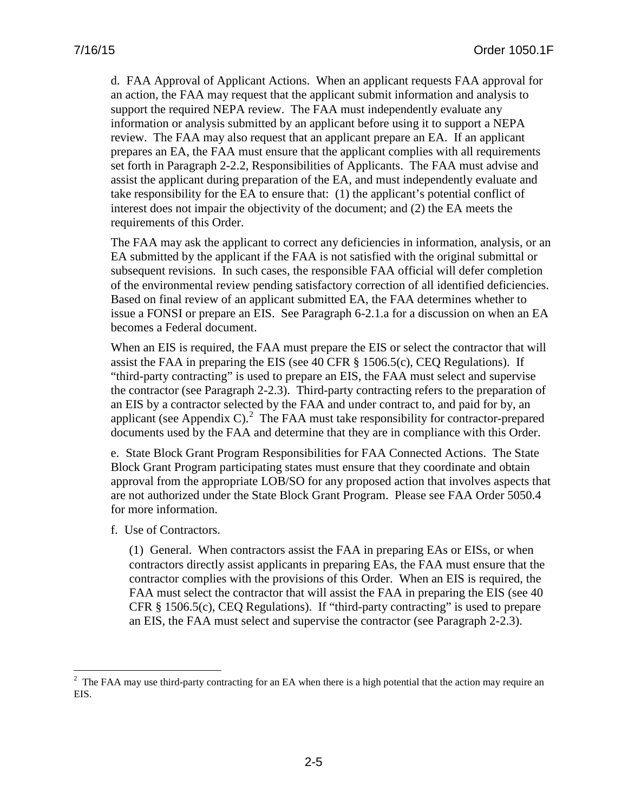d. FAA Approval of Applicant Actions. When an applicant requests FAA approval for an action, the FAA may request that the applicant submit information and analysis to support the required NEPA review. The FAA must independently evaluate any information or analysis submitted by an applicant before using it to support a NEPA review. The FAA may also request that an applicant prepare an EA. If an applicant prepares an EA, the FAA must ensure that the applicant complies with all requirements set forth in Paragraph 2-2.2, Responsibilities of Applicants. The FAA must advise and assist the applicant during preparation of the EA, and must independently evaluate and take responsibility for the EA to ensure that: (1) the applicant's potential conflict of interest does not impair the objectivity of the document; and (2) the EA meets the requirements of this Order.

The FAA may ask the applicant to correct any deficiencies in information, analysis, or an EA submitted by the applicant if the FAA is not satisfied with the original submittal or subsequent revisions. In such cases, the responsible FAA official will defer completion of the environmental review pending satisfactory correction of all identified deficiencies. Based on final review of an applicant submitted EA, the FAA determines whether to issue a FONSI or prepare an EIS. See Paragraph 6-2.1.a for a discussion on when an EA becomes a Federal document.

When an EIS is required, the FAA must prepare the EIS or select the contractor that will assist the FAA in preparing the EIS (see 40 CFR  $\S$  1506.5(c), CEQ Regulations). If "third-party contracting" is used to prepare an EIS, the FAA must select and supervise the contractor (see Paragraph 2-2.3). Third-party contracting refers to the preparation of an EIS by a contractor selected by the FAA and under contract to, and paid for by, an applicant (see Appendix C).<sup>[2](#page-18-0)</sup> The FAA must take responsibility for contractor-prepared documents used by the FAA and determine that they are in compliance with this Order.

e. State Block Grant Program Responsibilities for FAA Connected Actions. The State Block Grant Program participating states must ensure that they coordinate and obtain approval from the appropriate LOB/SO for any proposed action that involves aspects that are not authorized under the State Block Grant Program. Please see FAA Order 5050.4 for more information.

f. Use of Contractors.

 $\overline{a}$ 

(1) General. When contractors assist the FAA in preparing EAs or EISs, or when contractors directly assist applicants in preparing EAs, the FAA must ensure that the contractor complies with the provisions of this Order. When an EIS is required, the FAA must select the contractor that will assist the FAA in preparing the EIS (see 40 CFR § 1506.5(c), CEQ Regulations). If "third-party contracting" is used to prepare an EIS, the FAA must select and supervise the contractor (see Paragraph 2-2.3).

<span id="page-18-0"></span> $2$  The FAA may use third-party contracting for an EA when there is a high potential that the action may require an EIS.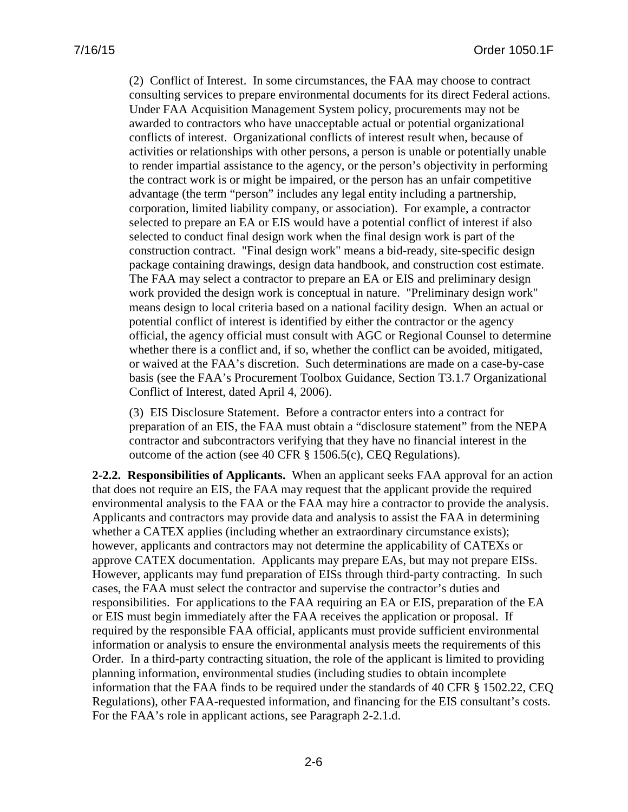(2) Conflict of Interest. In some circumstances, the FAA may choose to contract consulting services to prepare environmental documents for its direct Federal actions. Under FAA Acquisition Management System policy, procurements may not be awarded to contractors who have unacceptable actual or potential organizational conflicts of interest. Organizational conflicts of interest result when, because of activities or relationships with other persons, a person is unable or potentially unable to render impartial assistance to the agency, or the person's objectivity in performing the contract work is or might be impaired, or the person has an unfair competitive advantage (the term "person" includes any legal entity including a partnership, corporation, limited liability company, or association). For example, a contractor selected to prepare an EA or EIS would have a potential conflict of interest if also selected to conduct final design work when the final design work is part of the construction contract. "Final design work" means a bid-ready, site-specific design package containing drawings, design data handbook, and construction cost estimate. The FAA may select a contractor to prepare an EA or EIS and preliminary design work provided the design work is conceptual in nature. "Preliminary design work" means design to local criteria based on a national facility design. When an actual or potential conflict of interest is identified by either the contractor or the agency official, the agency official must consult with AGC or Regional Counsel to determine whether there is a conflict and, if so, whether the conflict can be avoided, mitigated, or waived at the FAA's discretion. Such determinations are made on a case-by-case basis (see the FAA's Procurement Toolbox Guidance, Section T3.1.7 Organizational Conflict of Interest, dated April 4, 2006).

(3) EIS Disclosure Statement. Before a contractor enters into a contract for preparation of an EIS, the FAA must obtain a "disclosure statement" from the NEPA contractor and subcontractors verifying that they have no financial interest in the outcome of the action (see 40 CFR § 1506.5(c), CEQ Regulations).

<span id="page-19-0"></span>**2-2.2. Responsibilities of Applicants.** When an applicant seeks FAA approval for an action that does not require an EIS, the FAA may request that the applicant provide the required environmental analysis to the FAA or the FAA may hire a contractor to provide the analysis. Applicants and contractors may provide data and analysis to assist the FAA in determining whether a CATEX applies (including whether an extraordinary circumstance exists); however, applicants and contractors may not determine the applicability of CATEXs or approve CATEX documentation. Applicants may prepare EAs, but may not prepare EISs. However, applicants may fund preparation of EISs through third-party contracting. In such cases, the FAA must select the contractor and supervise the contractor's duties and responsibilities. For applications to the FAA requiring an EA or EIS, preparation of the EA or EIS must begin immediately after the FAA receives the application or proposal. If required by the responsible FAA official, applicants must provide sufficient environmental information or analysis to ensure the environmental analysis meets the requirements of this Order. In a third-party contracting situation, the role of the applicant is limited to providing planning information, environmental studies (including studies to obtain incomplete information that the FAA finds to be required under the standards of 40 CFR § 1502.22, CEQ Regulations), other FAA-requested information, and financing for the EIS consultant's costs. For the FAA's role in applicant actions, see Paragraph 2-2.1.d.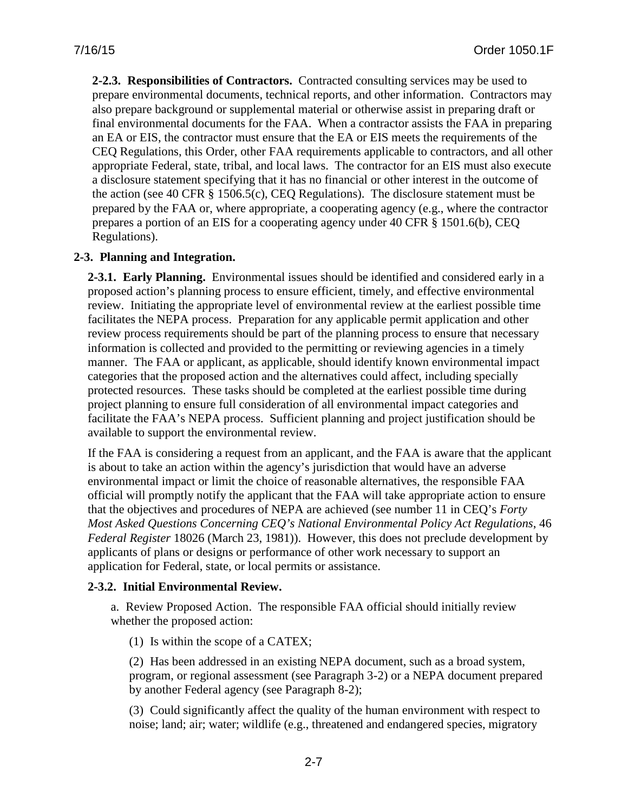<span id="page-20-0"></span>**2-2.3. Responsibilities of Contractors.** Contracted consulting services may be used to prepare environmental documents, technical reports, and other information. Contractors may also prepare background or supplemental material or otherwise assist in preparing draft or final environmental documents for the FAA. When a contractor assists the FAA in preparing an EA or EIS, the contractor must ensure that the EA or EIS meets the requirements of the CEQ Regulations, this Order, other FAA requirements applicable to contractors, and all other appropriate Federal, state, tribal, and local laws. The contractor for an EIS must also execute a disclosure statement specifying that it has no financial or other interest in the outcome of the action (see 40 CFR § 1506.5(c), CEQ Regulations). The disclosure statement must be prepared by the FAA or, where appropriate, a cooperating agency (e.g., where the contractor prepares a portion of an EIS for a cooperating agency under 40 CFR § 1501.6(b), CEQ Regulations).

### <span id="page-20-1"></span>**2-3. Planning and Integration.**

<span id="page-20-2"></span>**2-3.1. Early Planning.** Environmental issues should be identified and considered early in a proposed action's planning process to ensure efficient, timely, and effective environmental review. Initiating the appropriate level of environmental review at the earliest possible time facilitates the NEPA process. Preparation for any applicable permit application and other review process requirements should be part of the planning process to ensure that necessary information is collected and provided to the permitting or reviewing agencies in a timely manner. The FAA or applicant, as applicable, should identify known environmental impact categories that the proposed action and the alternatives could affect, including specially protected resources. These tasks should be completed at the earliest possible time during project planning to ensure full consideration of all environmental impact categories and facilitate the FAA's NEPA process. Sufficient planning and project justification should be available to support the environmental review.

If the FAA is considering a request from an applicant, and the FAA is aware that the applicant is about to take an action within the agency's jurisdiction that would have an adverse environmental impact or limit the choice of reasonable alternatives, the responsible FAA official will promptly notify the applicant that the FAA will take appropriate action to ensure that the objectives and procedures of NEPA are achieved (see number 11 in CEQ's *Forty Most Asked Questions Concerning CEQ's National Environmental Policy Act Regulations*, 46 *Federal Register* 18026 (March 23, 1981)). However, this does not preclude development by applicants of plans or designs or performance of other work necessary to support an application for Federal, state, or local permits or assistance.

### <span id="page-20-3"></span>**2-3.2. Initial Environmental Review.**

a. Review Proposed Action. The responsible FAA official should initially review whether the proposed action:

(1) Is within the scope of a CATEX;

(2) Has been addressed in an existing NEPA document, such as a broad system, program, or regional assessment (see Paragraph 3-2) or a NEPA document prepared by another Federal agency (see Paragraph 8-2);

(3) Could significantly affect the quality of the human environment with respect to noise; land; air; water; wildlife (e.g., threatened and endangered species, migratory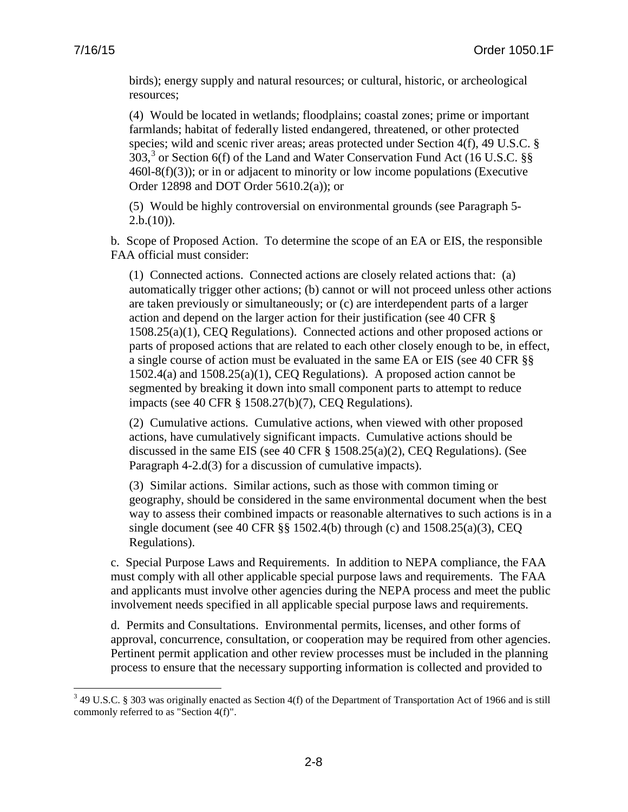$\overline{a}$ 

birds); energy supply and natural resources; or cultural, historic, or archeological resources;

(4) Would be located in wetlands; floodplains; coastal zones; prime or important farmlands; habitat of federally listed endangered, threatened, or other protected species; wild and scenic river areas; areas protected under Section 4(f), 49 U.S.C. §  $303$  $303$ ,<sup>3</sup> or Section 6(f) of the Land and Water Conservation Fund Act (16 U.S.C. §§  $460l-8(f)(3)$ ; or in or adjacent to minority or low income populations (Executive Order 12898 and DOT Order 5610.2(a)); or

(5) Would be highly controversial on environmental grounds (see Paragraph 5-  $2.b.(10)$ ).

b. Scope of Proposed Action. To determine the scope of an EA or EIS, the responsible FAA official must consider:

(1) Connected actions. Connected actions are closely related actions that: (a) automatically trigger other actions; (b) cannot or will not proceed unless other actions are taken previously or simultaneously; or (c) are interdependent parts of a larger action and depend on the larger action for their justification (see 40 CFR § 1508.25(a)(1), CEQ Regulations). Connected actions and other proposed actions or parts of proposed actions that are related to each other closely enough to be, in effect, a single course of action must be evaluated in the same EA or EIS (see 40 CFR §§ 1502.4(a) and 1508.25(a)(1), CEQ Regulations). A proposed action cannot be segmented by breaking it down into small component parts to attempt to reduce impacts (see 40 CFR § 1508.27(b)(7), CEQ Regulations).

(2) Cumulative actions. Cumulative actions, when viewed with other proposed actions, have cumulatively significant impacts. Cumulative actions should be discussed in the same EIS (see 40 CFR § 1508.25(a)(2), CEQ Regulations). (See Paragraph 4-2.d(3) for a discussion of cumulative impacts).

(3) Similar actions. Similar actions, such as those with common timing or geography, should be considered in the same environmental document when the best way to assess their combined impacts or reasonable alternatives to such actions is in a single document (see 40 CFR  $\S$ § 1502.4(b) through (c) and 1508.25(a)(3), CEQ Regulations).

c. Special Purpose Laws and Requirements. In addition to NEPA compliance, the FAA must comply with all other applicable special purpose laws and requirements. The FAA and applicants must involve other agencies during the NEPA process and meet the public involvement needs specified in all applicable special purpose laws and requirements.

d. Permits and Consultations. Environmental permits, licenses, and other forms of approval, concurrence, consultation, or cooperation may be required from other agencies. Pertinent permit application and other review processes must be included in the planning process to ensure that the necessary supporting information is collected and provided to

<span id="page-21-0"></span> $3$  49 U.S.C. § 303 was originally enacted as Section 4(f) of the Department of Transportation Act of 1966 and is still commonly referred to as "Section 4(f)".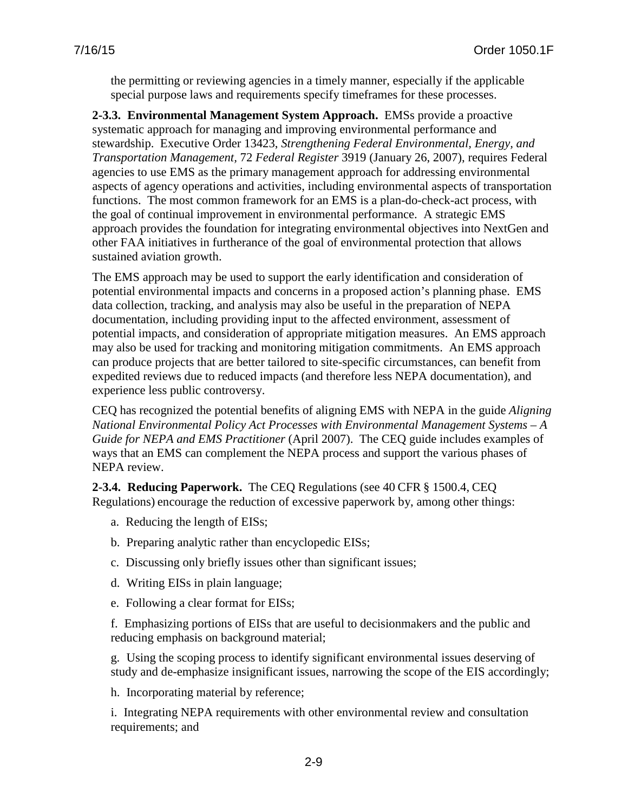the permitting or reviewing agencies in a timely manner, especially if the applicable special purpose laws and requirements specify timeframes for these processes.

<span id="page-22-0"></span>**2-3.3. Environmental Management System Approach.** EMSs provide a proactive systematic approach for managing and improving environmental performance and stewardship. Executive Order 13423, *Strengthening Federal Environmental, Energy, and Transportation Management,* 72 *Federal Register* 3919 (January 26, 2007), requires Federal agencies to use EMS as the primary management approach for addressing environmental aspects of agency operations and activities, including environmental aspects of transportation functions. The most common framework for an EMS is a plan-do-check-act process, with the goal of continual improvement in environmental performance. A strategic EMS approach provides the foundation for integrating environmental objectives into NextGen and other FAA initiatives in furtherance of the goal of environmental protection that allows sustained aviation growth.

The EMS approach may be used to support the early identification and consideration of potential environmental impacts and concerns in a proposed action's planning phase. EMS data collection, tracking, and analysis may also be useful in the preparation of NEPA documentation, including providing input to the affected environment, assessment of potential impacts, and consideration of appropriate mitigation measures. An EMS approach may also be used for tracking and monitoring mitigation commitments. An EMS approach can produce projects that are better tailored to site-specific circumstances, can benefit from expedited reviews due to reduced impacts (and therefore less NEPA documentation), and experience less public controversy.

CEQ has recognized the potential benefits of aligning EMS with NEPA in the guide *Aligning National Environmental Policy Act Processes with Environmental Management Systems – A Guide for NEPA and EMS Practitioner* (April 2007). The CEQ guide includes examples of ways that an EMS can complement the NEPA process and support the various phases of NEPA review.

<span id="page-22-1"></span>**2-3.4. Reducing Paperwork.** The CEQ Regulations (see 40 CFR § 1500.4, CEQ Regulations) encourage the reduction of excessive paperwork by, among other things:

- a. Reducing the length of EISs;
- b. Preparing analytic rather than encyclopedic EISs;
- c. Discussing only briefly issues other than significant issues;
- d. Writing EISs in plain language;
- e. Following a clear format for EISs;

f. Emphasizing portions of EISs that are useful to decisionmakers and the public and reducing emphasis on background material;

g. Using the scoping process to identify significant environmental issues deserving of study and de-emphasize insignificant issues, narrowing the scope of the EIS accordingly;

h. Incorporating material by reference;

i. Integrating NEPA requirements with other environmental review and consultation requirements; and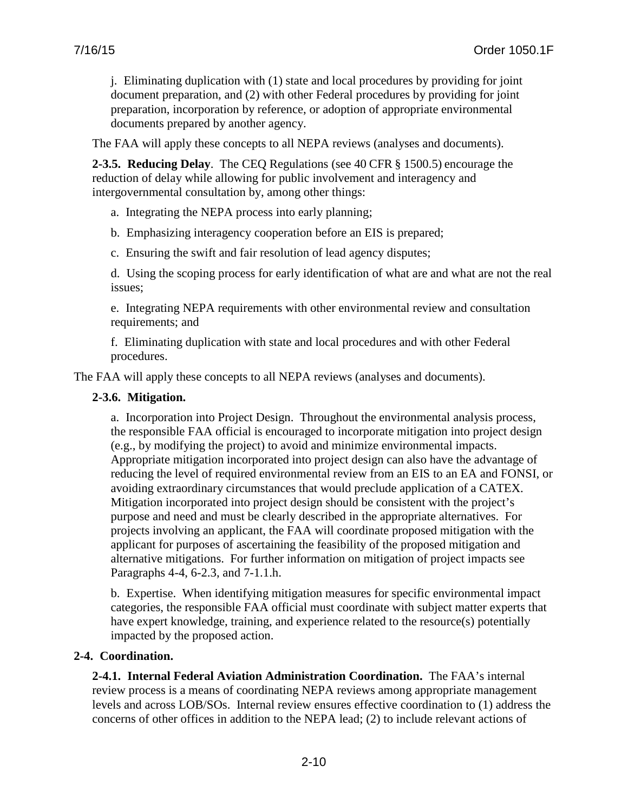j. Eliminating duplication with (1) state and local procedures by providing for joint document preparation, and (2) with other Federal procedures by providing for joint preparation, incorporation by reference, or adoption of appropriate environmental documents prepared by another agency.

The FAA will apply these concepts to all NEPA reviews (analyses and documents).

<span id="page-23-0"></span>**2-3.5. Reducing Delay**. The CEQ Regulations (see 40 CFR § 1500.5) encourage the reduction of delay while allowing for public involvement and interagency and intergovernmental consultation by, among other things:

a. Integrating the NEPA process into early planning;

b. Emphasizing interagency cooperation before an EIS is prepared;

c. Ensuring the swift and fair resolution of lead agency disputes;

d. Using the scoping process for early identification of what are and what are not the real issues;

e. Integrating NEPA requirements with other environmental review and consultation requirements; and

f. Eliminating duplication with state and local procedures and with other Federal procedures.

<span id="page-23-1"></span>The FAA will apply these concepts to all NEPA reviews (analyses and documents).

#### **2-3.6. Mitigation.**

a. Incorporation into Project Design. Throughout the environmental analysis process, the responsible FAA official is encouraged to incorporate mitigation into project design (e.g., by modifying the project) to avoid and minimize environmental impacts. Appropriate mitigation incorporated into project design can also have the advantage of reducing the level of required environmental review from an EIS to an EA and FONSI, or avoiding extraordinary circumstances that would preclude application of a CATEX. Mitigation incorporated into project design should be consistent with the project's purpose and need and must be clearly described in the appropriate alternatives. For projects involving an applicant, the FAA will coordinate proposed mitigation with the applicant for purposes of ascertaining the feasibility of the proposed mitigation and alternative mitigations. For further information on mitigation of project impacts see Paragraphs 4-4, 6-2.3, and 7-1.1.h.

b. Expertise. When identifying mitigation measures for specific environmental impact categories, the responsible FAA official must coordinate with subject matter experts that have expert knowledge, training, and experience related to the resource(s) potentially impacted by the proposed action.

#### <span id="page-23-3"></span><span id="page-23-2"></span>**2-4. Coordination.**

**2-4.1. Internal Federal Aviation Administration Coordination.** The FAA's internal review process is a means of coordinating NEPA reviews among appropriate management levels and across LOB/SOs. Internal review ensures effective coordination to (1) address the concerns of other offices in addition to the NEPA lead; (2) to include relevant actions of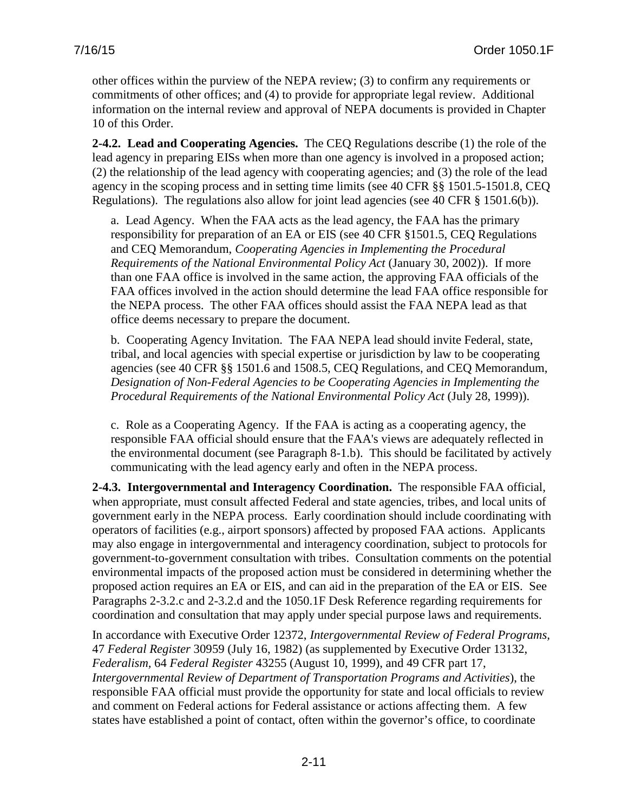other offices within the purview of the NEPA review; (3) to confirm any requirements or commitments of other offices; and (4) to provide for appropriate legal review. Additional information on the internal review and approval of NEPA documents is provided in Chapter 10 of this Order.

<span id="page-24-0"></span>**2-4.2. Lead and Cooperating Agencies.** The CEQ Regulations describe (1) the role of the lead agency in preparing EISs when more than one agency is involved in a proposed action; (2) the relationship of the lead agency with cooperating agencies; and (3) the role of the lead agency in the scoping process and in setting time limits (see 40 CFR §§ 1501.5-1501.8, CEQ Regulations). The regulations also allow for joint lead agencies (see 40 CFR § 1501.6(b)).

a. Lead Agency. When the FAA acts as the lead agency, the FAA has the primary responsibility for preparation of an EA or EIS (see 40 CFR §1501.5, CEQ Regulations and CEQ Memorandum, *Cooperating Agencies in Implementing the Procedural Requirements of the National Environmental Policy Act* (January 30, 2002)). If more than one FAA office is involved in the same action, the approving FAA officials of the FAA offices involved in the action should determine the lead FAA office responsible for the NEPA process. The other FAA offices should assist the FAA NEPA lead as that office deems necessary to prepare the document.

b. Cooperating Agency Invitation. The FAA NEPA lead should invite Federal, state, tribal, and local agencies with special expertise or jurisdiction by law to be cooperating agencies (see 40 CFR §§ 1501.6 and 1508.5, CEQ Regulations, and CEQ Memorandum, *Designation of Non-Federal Agencies to be Cooperating Agencies in Implementing the Procedural Requirements of the National Environmental Policy Act* (July 28, 1999)).

c. Role as a Cooperating Agency. If the FAA is acting as a cooperating agency, the responsible FAA official should ensure that the FAA's views are adequately reflected in the environmental document (see Paragraph 8-1.b). This should be facilitated by actively communicating with the lead agency early and often in the NEPA process.

<span id="page-24-1"></span>**2-4.3. Intergovernmental and Interagency Coordination.** The responsible FAA official, when appropriate, must consult affected Federal and state agencies, tribes, and local units of government early in the NEPA process. Early coordination should include coordinating with operators of facilities (e.g., airport sponsors) affected by proposed FAA actions. Applicants may also engage in intergovernmental and interagency coordination, subject to protocols for government-to-government consultation with tribes. Consultation comments on the potential environmental impacts of the proposed action must be considered in determining whether the proposed action requires an EA or EIS, and can aid in the preparation of the EA or EIS. See Paragraphs 2-3.2.c and 2-3.2.d and the 1050.1F Desk Reference regarding requirements for coordination and consultation that may apply under special purpose laws and requirements.

In accordance with Executive Order 12372, *Intergovernmental Review of Federal Programs,* 47 *Federal Register* 30959 (July 16, 1982) (as supplemented by Executive Order 13132, *Federalism,* 64 *Federal Register* 43255 (August 10, 1999), and 49 CFR part 17, *Intergovernmental Review of Department of Transportation Programs and Activities*), the responsible FAA official must provide the opportunity for state and local officials to review and comment on Federal actions for Federal assistance or actions affecting them. A few states have established a point of contact, often within the governor's office, to coordinate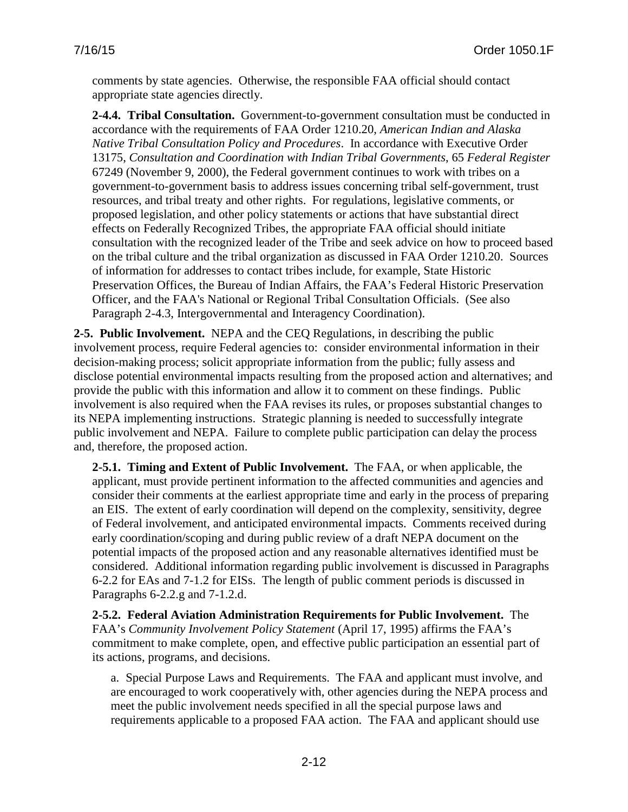comments by state agencies. Otherwise, the responsible FAA official should contact appropriate state agencies directly.

<span id="page-25-0"></span>**2-4.4. Tribal Consultation.** Government-to-government consultation must be conducted in accordance with the requirements of FAA Order 1210.20, *American Indian and Alaska Native Tribal Consultation Policy and Procedures*. In accordance with Executive Order 13175, *Consultation and Coordination with Indian Tribal Governments*, 65 *Federal Register* 67249 (November 9, 2000), the Federal government continues to work with tribes on a government-to-government basis to address issues concerning tribal self-government, trust resources, and tribal treaty and other rights. For regulations, legislative comments, or proposed legislation, and other policy statements or actions that have substantial direct effects on Federally Recognized Tribes, the appropriate FAA official should initiate consultation with the recognized leader of the Tribe and seek advice on how to proceed based on the tribal culture and the tribal organization as discussed in FAA Order 1210.20. Sources of information for addresses to contact tribes include, for example, State Historic Preservation Offices, the Bureau of Indian Affairs, the FAA's Federal Historic Preservation Officer, and the FAA's National or Regional Tribal Consultation Officials. (See also Paragraph 2-4.3, Intergovernmental and Interagency Coordination).

<span id="page-25-1"></span>**2-5. Public Involvement.** NEPA and the CEQ Regulations, in describing the public involvement process, require Federal agencies to: consider environmental information in their decision-making process; solicit appropriate information from the public; fully assess and disclose potential environmental impacts resulting from the proposed action and alternatives; and provide the public with this information and allow it to comment on these findings. Public involvement is also required when the FAA revises its rules, or proposes substantial changes to its NEPA implementing instructions. Strategic planning is needed to successfully integrate public involvement and NEPA. Failure to complete public participation can delay the process and, therefore, the proposed action.

<span id="page-25-2"></span>**2-5.1. Timing and Extent of Public Involvement.** The FAA, or when applicable, the applicant, must provide pertinent information to the affected communities and agencies and consider their comments at the earliest appropriate time and early in the process of preparing an EIS. The extent of early coordination will depend on the complexity, sensitivity, degree of Federal involvement, and anticipated environmental impacts. Comments received during early coordination/scoping and during public review of a draft NEPA document on the potential impacts of the proposed action and any reasonable alternatives identified must be considered. Additional information regarding public involvement is discussed in Paragraphs 6-2.2 for EAs and 7-1.2 for EISs. The length of public comment periods is discussed in Paragraphs 6-2.2.g and 7-1.2.d.

<span id="page-25-3"></span>**2-5.2. Federal Aviation Administration Requirements for Public Involvement.** The FAA's *[Community Involvement Policy Statement](http://www.faa.gov/air_traffic/publications/atpubs/AIR/airapp10.html)* (April 17, 1995) affirms the FAA's commitment to make complete, open, and effective public participation an essential part of its actions, programs, and decisions.

a. Special Purpose Laws and Requirements. The FAA and applicant must involve, and are encouraged to work cooperatively with, other agencies during the NEPA process and meet the public involvement needs specified in all the special purpose laws and requirements applicable to a proposed FAA action. The FAA and applicant should use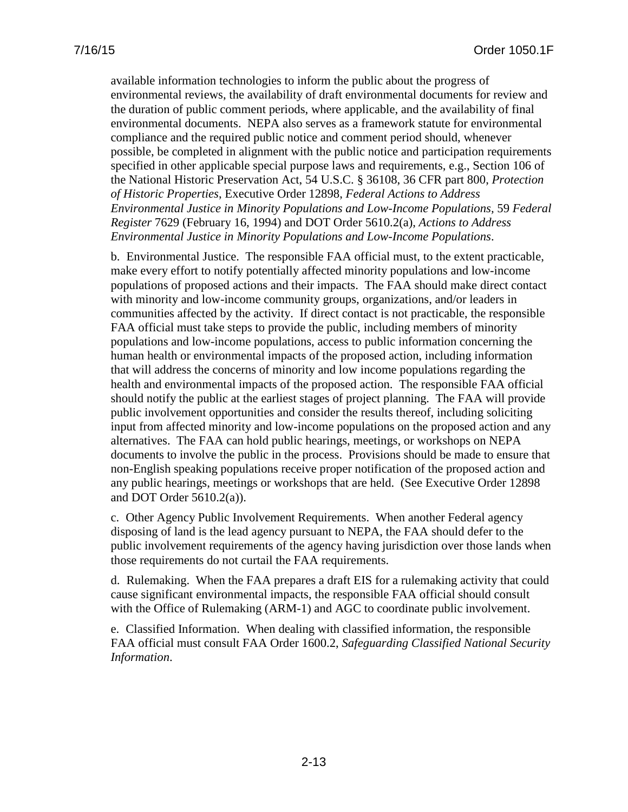available information technologies to inform the public about the progress of environmental reviews, the availability of draft environmental documents for review and the duration of public comment periods, where applicable, and the availability of final environmental documents. NEPA also serves as a framework statute for environmental compliance and the required public notice and comment period should, whenever possible, be completed in alignment with the public notice and participation requirements specified in other applicable special purpose laws and requirements, e.g., Section 106 of the National Historic Preservation Act, 54 U.S.C. § 36108, 36 CFR part 800, *Protection of Historic Properties*, Executive Order 12898, *Federal Actions to Address Environmental Justice in Minority Populations and Low-Income Populations,* 59 *Federal Register* 7629 (February 16, 1994) and DOT Order 5610.2(a), *Actions to Address Environmental Justice in Minority Populations and Low-Income Populations*.

b. Environmental Justice. The responsible FAA official must, to the extent practicable, make every effort to notify potentially affected minority populations and low-income populations of proposed actions and their impacts. The FAA should make direct contact with minority and low-income community groups, organizations, and/or leaders in communities affected by the activity. If direct contact is not practicable, the responsible FAA official must take steps to provide the public, including members of minority populations and low-income populations, access to public information concerning the human health or environmental impacts of the proposed action, including information that will address the concerns of minority and low income populations regarding the health and environmental impacts of the proposed action. The responsible FAA official should notify the public at the earliest stages of project planning. The FAA will provide public involvement opportunities and consider the results thereof, including soliciting input from affected minority and low-income populations on the proposed action and any alternatives. The FAA can hold public hearings, meetings, or workshops on NEPA documents to involve the public in the process. Provisions should be made to ensure that non-English speaking populations receive proper notification of the proposed action and any public hearings, meetings or workshops that are held. (See Executive Order 12898 and DOT Order 5610.2(a)).

c. Other Agency Public Involvement Requirements. When another Federal agency disposing of land is the lead agency pursuant to NEPA, the FAA should defer to the public involvement requirements of the agency having jurisdiction over those lands when those requirements do not curtail the FAA requirements.

d. Rulemaking. When the FAA prepares a draft EIS for a rulemaking activity that could cause significant environmental impacts, the responsible FAA official should consult with the Office of Rulemaking (ARM-1) and AGC to coordinate public involvement.

<span id="page-26-0"></span>e. Classified Information. When dealing with classified information, the responsible FAA official must consult FAA Order 1600.2, *[Safeguarding Classified National Security](http://rgl.faa.gov/Regulatory_and_Guidance_Library/rgOrders.nsf/0/20062dd5aea506728625759e005c829e/$FILE/ND1600-2E.pdf)  [Information](http://rgl.faa.gov/Regulatory_and_Guidance_Library/rgOrders.nsf/0/20062dd5aea506728625759e005c829e/$FILE/ND1600-2E.pdf)*.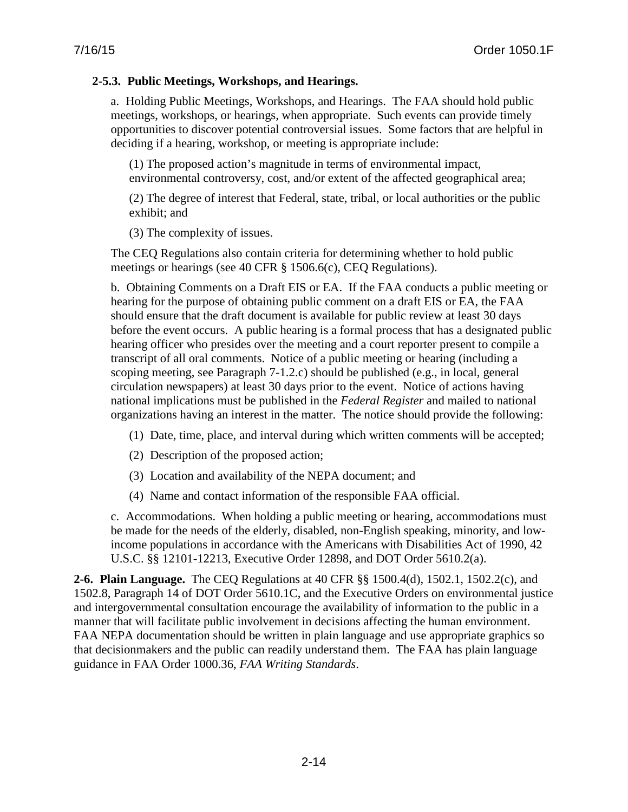#### **2-5.3. Public Meetings, Workshops, and Hearings.**

a. Holding Public Meetings, Workshops, and Hearings. The FAA should hold public meetings, workshops, or hearings, when appropriate. Such events can provide timely opportunities to discover potential controversial issues. Some factors that are helpful in deciding if a hearing, workshop, or meeting is appropriate include:

(1) The proposed action's magnitude in terms of environmental impact, environmental controversy, cost, and/or extent of the affected geographical area;

(2) The degree of interest that Federal, state, tribal, or local authorities or the public exhibit; and

(3) The complexity of issues.

The CEQ Regulations also contain criteria for determining whether to hold public meetings or hearings (see 40 CFR § 1506.6(c), CEQ Regulations).

b. Obtaining Comments on a Draft EIS or EA. If the FAA conducts a public meeting or hearing for the purpose of obtaining public comment on a draft EIS or EA, the FAA should ensure that the draft document is available for public review at least 30 days before the event occurs. A public hearing is a formal process that has a designated public hearing officer who presides over the meeting and a court reporter present to compile a transcript of all oral comments. Notice of a public meeting or hearing (including a scoping meeting, see Paragraph 7-1.2.c) should be published (e.g., in local, general circulation newspapers) at least 30 days prior to the event. Notice of actions having national implications must be published in the *Federal Register* and mailed to national organizations having an interest in the matter. The notice should provide the following:

- (1) Date, time, place, and interval during which written comments will be accepted;
- (2) Description of the proposed action;
- (3) Location and availability of the NEPA document; and
- (4) Name and contact information of the responsible FAA official.

c. Accommodations. When holding a public meeting or hearing, accommodations must be made for the needs of the elderly, disabled, non-English speaking, minority, and lowincome populations in accordance with the Americans with Disabilities Act of 1990, 42 U.S.C. §§ 12101-12213, Executive Order 12898, and DOT Order 5610.2(a).

<span id="page-27-0"></span>**2-6. Plain Language.** The CEQ Regulations at 40 CFR §§ 1500.4(d), 1502.1, 1502.2(c), and 1502.8, Paragraph 14 of DOT Order 5610.1C, and the Executive Orders on environmental justice and intergovernmental consultation encourage the availability of information to the public in a manner that will facilitate public involvement in decisions affecting the human environment. FAA NEPA documentation should be written in plain language and use appropriate graphics so that decisionmakers and the public can readily understand them. The FAA has plain language guidance in FAA Order 1000.36, *FAA Writing Standards*.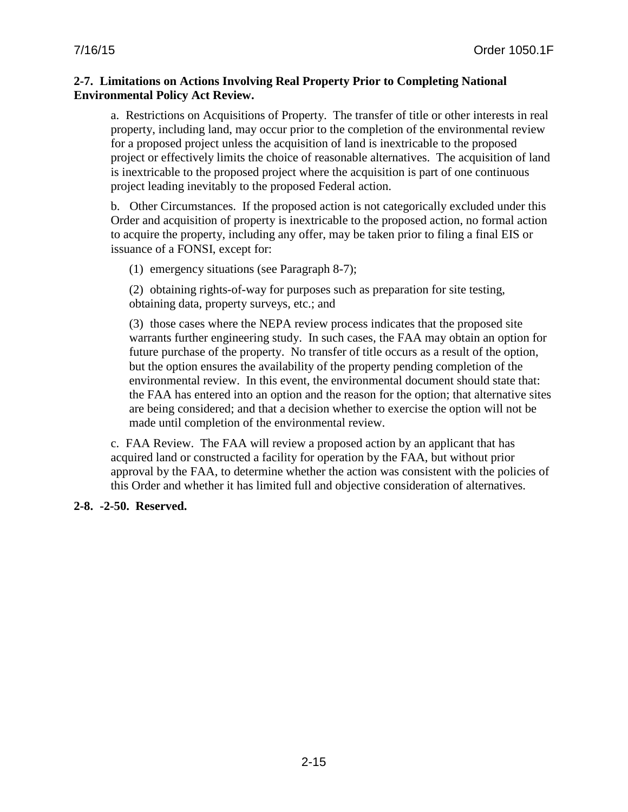#### <span id="page-28-0"></span>**2-7. Limitations on Actions Involving Real Property Prior to Completing National Environmental Policy Act Review.**

a. Restrictions on Acquisitions of Property. The transfer of title or other interests in real property, including land, may occur prior to the completion of the environmental review for a proposed project unless the acquisition of land is inextricable to the proposed project or effectively limits the choice of reasonable alternatives. The acquisition of land is inextricable to the proposed project where the acquisition is part of one continuous project leading inevitably to the proposed Federal action.

b. Other Circumstances. If the proposed action is not categorically excluded under this Order and acquisition of property is inextricable to the proposed action, no formal action to acquire the property, including any offer, may be taken prior to filing a final EIS or issuance of a FONSI, except for:

(1) emergency situations (see Paragraph 8-7);

(2) obtaining rights-of-way for purposes such as preparation for site testing, obtaining data, property surveys, etc.; and

(3) those cases where the NEPA review process indicates that the proposed site warrants further engineering study. In such cases, the FAA may obtain an option for future purchase of the property. No transfer of title occurs as a result of the option, but the option ensures the availability of the property pending completion of the environmental review. In this event, the environmental document should state that: the FAA has entered into an option and the reason for the option; that alternative sites are being considered; and that a decision whether to exercise the option will not be made until completion of the environmental review.

c. FAA Review. The FAA will review a proposed action by an applicant that has acquired land or constructed a facility for operation by the FAA, but without prior approval by the FAA, to determine whether the action was consistent with the policies of this Order and whether it has limited full and objective consideration of alternatives.

### <span id="page-28-1"></span>**2-8. -2-50. Reserved.**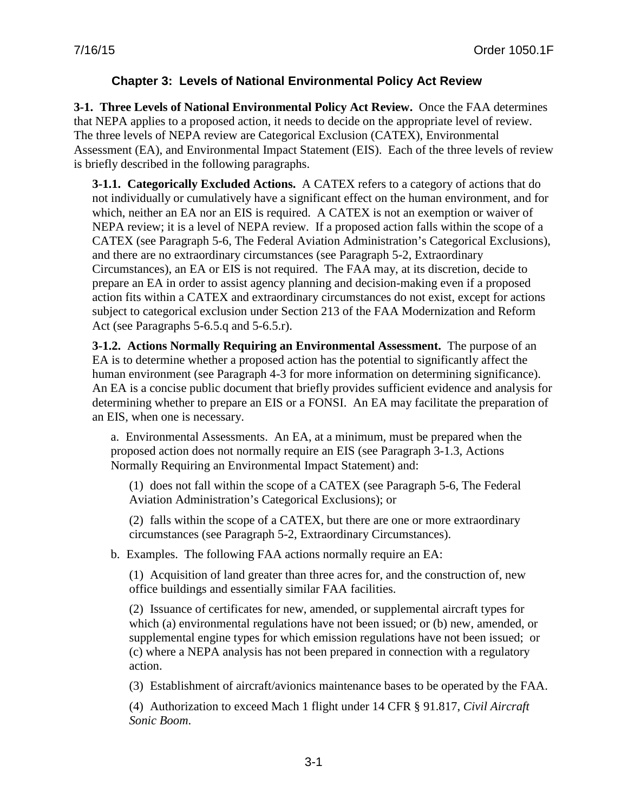## **Chapter 3: Levels of National Environmental Policy Act Review**

<span id="page-29-1"></span><span id="page-29-0"></span>**3-1. Three Levels of National Environmental Policy Act Review.** Once the FAA determines that NEPA applies to a proposed action, it needs to decide on the appropriate level of review. The three levels of NEPA review are Categorical Exclusion (CATEX), Environmental Assessment (EA), and Environmental Impact Statement (EIS). Each of the three levels of review is briefly described in the following paragraphs.

<span id="page-29-2"></span>**3-1.1. Categorically Excluded Actions.** A CATEX refers to a category of actions that do not individually or cumulatively have a significant effect on the human environment, and for which, neither an EA nor an EIS is required. A CATEX is not an exemption or waiver of NEPA review; it is a level of NEPA review. If a proposed action falls within the scope of a CATEX (see Paragraph 5-6, The Federal Aviation Administration's Categorical Exclusions), and there are no extraordinary circumstances (see Paragraph 5-2, Extraordinary Circumstances), an EA or EIS is not required. The FAA may, at its discretion, decide to prepare an EA in order to assist agency planning and decision-making even if a proposed action fits within a CATEX and extraordinary circumstances do not exist, except for actions subject to categorical exclusion under Section 213 of the FAA Modernization and Reform Act (see Paragraphs 5-6.5.q and 5-6.5.r).

<span id="page-29-3"></span>**3-1.2. Actions Normally Requiring an Environmental Assessment.** The purpose of an EA is to determine whether a proposed action has the potential to significantly affect the human environment (see Paragraph 4-3 for more information on determining significance). An EA is a concise public document that briefly provides sufficient evidence and analysis for determining whether to prepare an EIS or a FONSI. An EA may facilitate the preparation of an EIS, when one is necessary.

a. Environmental Assessments. An EA, at a minimum, must be prepared when the proposed action does not normally require an EIS (see Paragraph 3-1.3, Actions Normally Requiring an Environmental Impact Statement) and:

(1) does not fall within the scope of a CATEX (see Paragraph 5-6, The Federal Aviation Administration's Categorical Exclusions); or

(2) falls within the scope of a CATEX, but there are one or more extraordinary circumstances (see Paragraph 5-2, Extraordinary Circumstances).

b. Examples. The following FAA actions normally require an EA:

(1) Acquisition of land greater than three acres for, and the construction of, new office buildings and essentially similar FAA facilities.

(2) Issuance of certificates for new, amended, or supplemental aircraft types for which (a) environmental regulations have not been issued; or (b) new, amended, or supplemental engine types for which emission regulations have not been issued; or (c) where a NEPA analysis has not been prepared in connection with a regulatory action.

(3) Establishment of aircraft/avionics maintenance bases to be operated by the FAA.

(4) Authorization to exceed Mach 1 flight under 14 CFR § 91.817, *Civil Aircraft Sonic Boom*.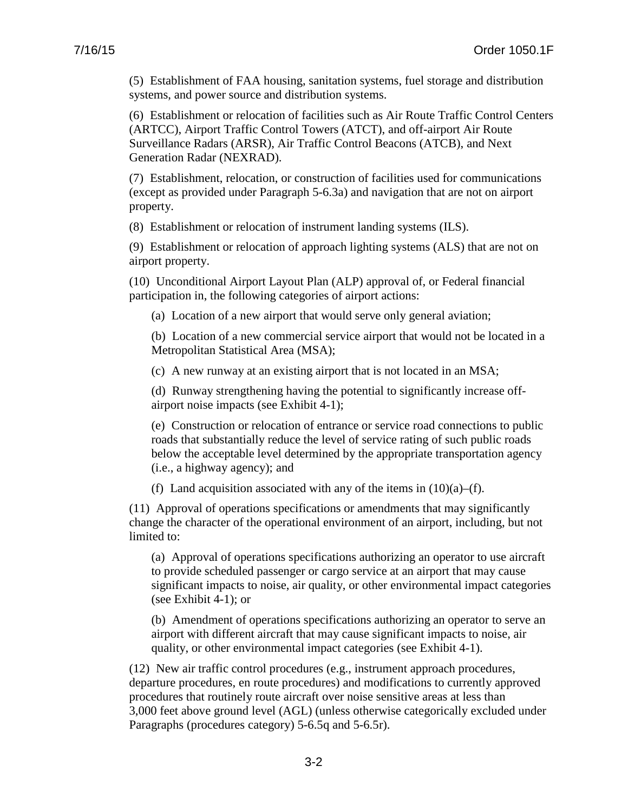(5) Establishment of FAA housing, sanitation systems, fuel storage and distribution systems, and power source and distribution systems.

(6) Establishment or relocation of facilities such as Air Route Traffic Control Centers (ARTCC), Airport Traffic Control Towers (ATCT), and off-airport Air Route Surveillance Radars (ARSR), Air Traffic Control Beacons (ATCB), and Next Generation Radar (NEXRAD).

(7) Establishment, relocation, or construction of facilities used for communications (except as provided under Paragraph 5-6.3a) and navigation that are not on airport property.

(8) Establishment or relocation of instrument landing systems (ILS).

(9) Establishment or relocation of approach lighting systems (ALS) that are not on airport property.

(10) Unconditional Airport Layout Plan (ALP) approval of, or Federal financial participation in, the following categories of airport actions:

(a) Location of a new airport that would serve only general aviation;

(b) Location of a new commercial service airport that would not be located in a Metropolitan Statistical Area (MSA);

(c) A new runway at an existing airport that is not located in an MSA;

(d) Runway strengthening having the potential to significantly increase offairport noise impacts (see Exhibit 4-1);

(e) Construction or relocation of entrance or service road connections to public roads that substantially reduce the level of service rating of such public roads below the acceptable level determined by the appropriate transportation agency (i.e., a highway agency); and

(f) Land acquisition associated with any of the items in  $(10)(a)$ –(f).

(11) Approval of operations specifications or amendments that may significantly change the character of the operational environment of an airport, including, but not limited to:

(a) Approval of operations specifications authorizing an operator to use aircraft to provide scheduled passenger or cargo service at an airport that may cause significant impacts to noise, air quality, or other environmental impact categories (see Exhibit 4-1); or

(b) Amendment of operations specifications authorizing an operator to serve an airport with different aircraft that may cause significant impacts to noise, air quality, or other environmental impact categories (see Exhibit 4-1).

(12) New air traffic control procedures (e.g., instrument approach procedures, departure procedures, en route procedures) and modifications to currently approved procedures that routinely route aircraft over noise sensitive areas at less than 3,000 feet above ground level (AGL) (unless otherwise categorically excluded under Paragraphs (procedures category) 5-6.5q and 5-6.5r).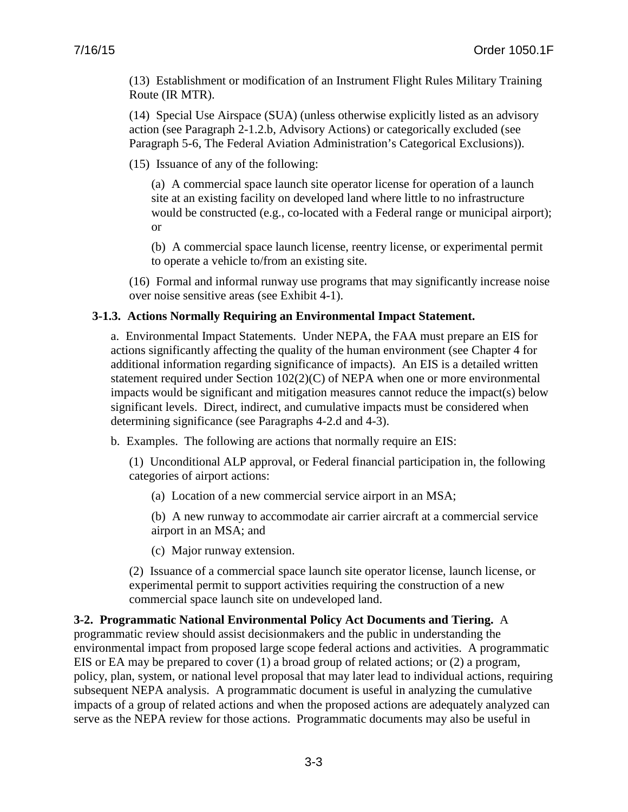(13) Establishment or modification of an Instrument Flight Rules Military Training Route (IR MTR).

(14) Special Use Airspace (SUA) (unless otherwise explicitly listed as an advisory action (see Paragraph 2-1.2.b, Advisory Actions) or categorically excluded (see Paragraph 5-6, The Federal Aviation Administration's Categorical Exclusions)).

(15) Issuance of any of the following:

(a) A commercial space launch site operator license for operation of a launch site at an existing facility on developed land where little to no infrastructure would be constructed (e.g., co-located with a Federal range or municipal airport); or

(b) A commercial space launch license, reentry license, or experimental permit to operate a vehicle to/from an existing site.

(16) Formal and informal runway use programs that may significantly increase noise over noise sensitive areas (see Exhibit 4-1).

## <span id="page-31-0"></span>**3-1.3. Actions Normally Requiring an Environmental Impact Statement.**

a. Environmental Impact Statements. Under NEPA, the FAA must prepare an EIS for actions significantly affecting the quality of the human environment (see Chapter 4 for additional information regarding significance of impacts). An EIS is a detailed written statement required under Section 102(2)(C) of NEPA when one or more environmental impacts would be significant and mitigation measures cannot reduce the impact(s) below significant levels. Direct, indirect, and cumulative impacts must be considered when determining significance (see Paragraphs 4-2.d and 4-3).

b. Examples. The following are actions that normally require an EIS:

(1) Unconditional ALP approval, or Federal financial participation in, the following categories of airport actions:

(a) Location of a new commercial service airport in an MSA;

(b) A new runway to accommodate air carrier aircraft at a commercial service airport in an MSA; and

(c) Major runway extension.

(2) Issuance of a commercial space launch site operator license, launch license, or experimental permit to support activities requiring the construction of a new commercial space launch site on undeveloped land.

<span id="page-31-1"></span>**3-2. Programmatic National Environmental Policy Act Documents and Tiering.** A programmatic review should assist decisionmakers and the public in understanding the environmental impact from proposed large scope federal actions and activities. A programmatic EIS or EA may be prepared to cover (1) a broad group of related actions; or (2) a program, policy, plan, system, or national level proposal that may later lead to individual actions, requiring subsequent NEPA analysis. A programmatic document is useful in analyzing the cumulative impacts of a group of related actions and when the proposed actions are adequately analyzed can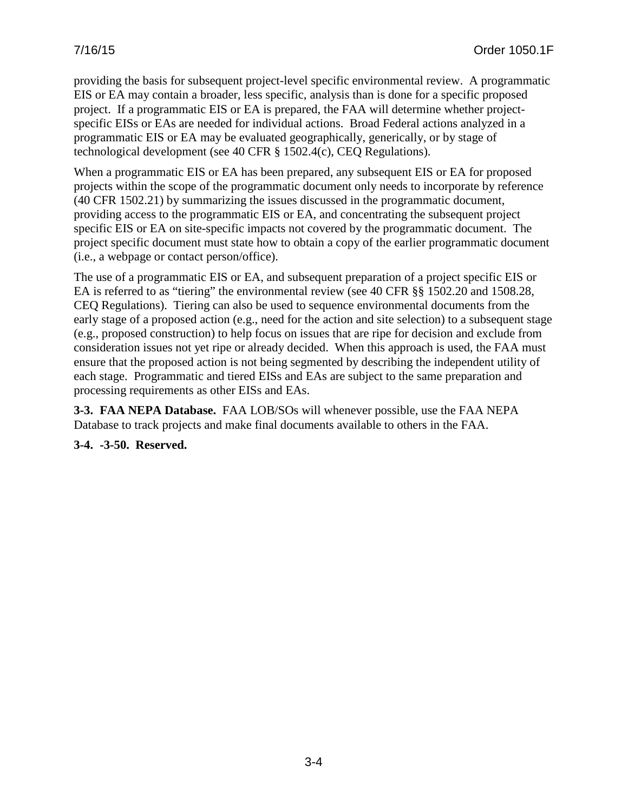providing the basis for subsequent project-level specific environmental review. A programmatic EIS or EA may contain a broader, less specific, analysis than is done for a specific proposed project. If a programmatic EIS or EA is prepared, the FAA will determine whether projectspecific EISs or EAs are needed for individual actions. Broad Federal actions analyzed in a programmatic EIS or EA may be evaluated geographically, generically, or by stage of technological development (see 40 CFR § 1502.4(c), CEQ Regulations).

When a programmatic EIS or EA has been prepared, any subsequent EIS or EA for proposed projects within the scope of the programmatic document only needs to incorporate by reference (40 CFR 1502.21) by summarizing the issues discussed in the programmatic document, providing access to the programmatic EIS or EA, and concentrating the subsequent project specific EIS or EA on site-specific impacts not covered by the programmatic document. The project specific document must state how to obtain a copy of the earlier programmatic document (i.e., a webpage or contact person/office).

The use of a programmatic EIS or EA, and subsequent preparation of a project specific EIS or EA is referred to as "tiering" the environmental review (see 40 CFR §§ 1502.20 and 1508.28, CEQ Regulations). Tiering can also be used to sequence environmental documents from the early stage of a proposed action (e.g., need for the action and site selection) to a subsequent stage (e.g., proposed construction) to help focus on issues that are ripe for decision and exclude from consideration issues not yet ripe or already decided. When this approach is used, the FAA must ensure that the proposed action is not being segmented by describing the independent utility of each stage. Programmatic and tiered EISs and EAs are subject to the same preparation and processing requirements as other EISs and EAs.

<span id="page-32-0"></span>**3-3. FAA NEPA Database.** FAA LOB/SOs will whenever possible, use the FAA NEPA Database to track projects and make final documents available to others in the FAA.

### <span id="page-32-1"></span>**3-4. -3-50. Reserved.**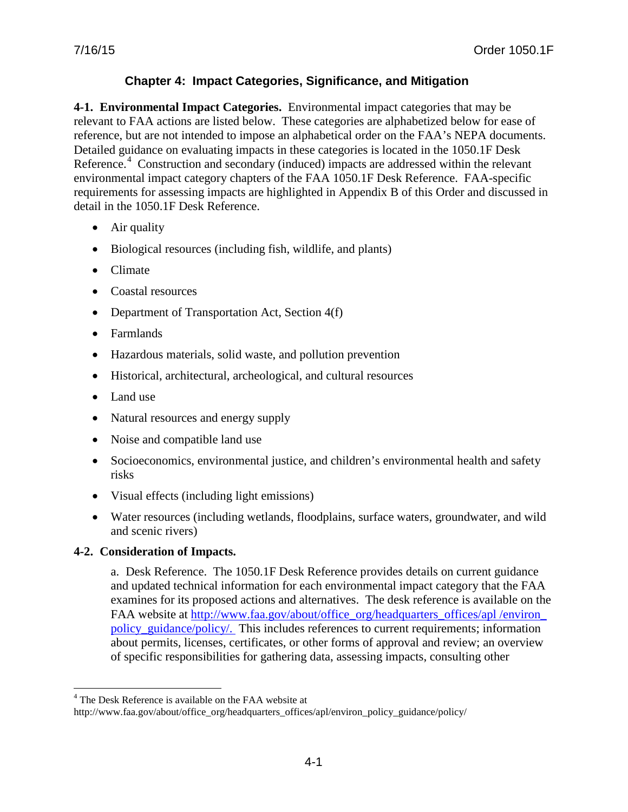## **Chapter 4: Impact Categories, Significance, and Mitigation**

<span id="page-33-1"></span><span id="page-33-0"></span>**4-1. Environmental Impact Categories.** Environmental impact categories that may be relevant to FAA actions are listed below. These categories are alphabetized below for ease of reference, but are not intended to impose an alphabetical order on the FAA's NEPA documents. Detailed guidance on evaluating impacts in these categories is located in the 1050.1F Desk Reference.<sup>[4](#page-33-3)</sup> Construction and secondary (induced) impacts are addressed within the relevant environmental impact category chapters of the FAA 1050.1F Desk Reference. FAA-specific requirements for assessing impacts are highlighted in Appendix B of this Order and discussed in detail in the 1050.1F Desk Reference.

- Air quality
- Biological resources (including fish, wildlife, and plants)
- Climate
- Coastal resources
- Department of Transportation Act, Section 4(f)
- Farmlands
- Hazardous materials, solid waste, and pollution prevention
- Historical, architectural, archeological, and cultural resources
- Land use
- Natural resources and energy supply
- Noise and compatible land use
- Socioeconomics, environmental justice, and children's environmental health and safety risks
- Visual effects (including light emissions)
- Water resources (including wetlands, floodplains, surface waters, groundwater, and wild and scenic rivers)

### <span id="page-33-2"></span>**4-2. Consideration of Impacts.**

 $\overline{a}$ 

a. Desk Reference. The 1050.1F Desk Reference provides details on current guidance and updated technical information for each environmental impact category that the FAA examines for its proposed actions and alternatives. The desk reference is available on the FAA website at http://www.faa.gov/about/office\_org/headquarters\_offices/apl /environ [policy\\_guidance/policy/.](http://www.faa.gov/about/office_org/headquarters_offices/apl/environ_policy_guidance/policy/) This includes references to current requirements; information about permits, licenses, certificates, or other forms of approval and review; an overview of specific responsibilities for gathering data, assessing impacts, consulting other

<sup>&</sup>lt;sup>4</sup> The Desk Reference is available on the FAA website at

<span id="page-33-3"></span>http://www.faa.gov/about/office\_org/headquarters\_offices/apl/environ\_policy\_guidance/policy/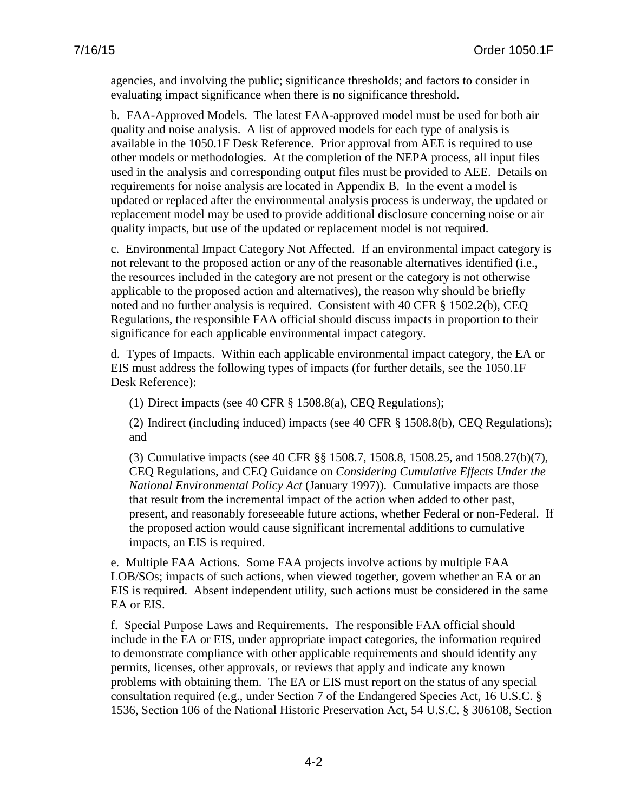agencies, and involving the public; significance thresholds; and factors to consider in evaluating impact significance when there is no significance threshold.

b. FAA-Approved Models. The latest FAA-approved model must be used for both air quality and noise analysis. A list of approved models for each type of analysis is available in the 1050.1F Desk Reference. Prior approval from AEE is required to use other models or methodologies. At the completion of the NEPA process, all input files used in the analysis and corresponding output files must be provided to AEE. Details on requirements for noise analysis are located in Appendix B. In the event a model is updated or replaced after the environmental analysis process is underway, the updated or replacement model may be used to provide additional disclosure concerning noise or air quality impacts, but use of the updated or replacement model is not required.

c. Environmental Impact Category Not Affected. If an environmental impact category is not relevant to the proposed action or any of the reasonable alternatives identified (i.e., the resources included in the category are not present or the category is not otherwise applicable to the proposed action and alternatives), the reason why should be briefly noted and no further analysis is required. Consistent with 40 CFR § 1502.2(b), CEQ Regulations, the responsible FAA official should discuss impacts in proportion to their significance for each applicable environmental impact category.

d. Types of Impacts. Within each applicable environmental impact category, the EA or EIS must address the following types of impacts (for further details, see the 1050.1F Desk Reference):

(1) Direct impacts (see 40 CFR § 1508.8(a), CEQ Regulations);

(2) Indirect (including induced) impacts (see 40 CFR § 1508.8(b), CEQ Regulations); and

(3) Cumulative impacts (see 40 CFR §§ 1508.7, 1508.8, 1508.25, and 1508.27(b)(7), CEQ Regulations, and CEQ Guidance on *Considering Cumulative Effects Under the National Environmental Policy Act* (January 1997)). Cumulative impacts are those that result from the incremental impact of the action when added to other past, present, and reasonably foreseeable future actions, whether Federal or non-Federal. If the proposed action would cause significant incremental additions to cumulative impacts, an EIS is required.

e. Multiple FAA Actions. Some FAA projects involve actions by multiple FAA LOB/SOs; impacts of such actions, when viewed together, govern whether an EA or an EIS is required. Absent independent utility, such actions must be considered in the same EA or EIS.

f. Special Purpose Laws and Requirements. The responsible FAA official should include in the EA or EIS, under appropriate impact categories, the information required to demonstrate compliance with other applicable requirements and should identify any permits, licenses, other approvals, or reviews that apply and indicate any known problems with obtaining them. The EA or EIS must report on the status of any special consultation required (e.g., under Section 7 of the Endangered Species Act, 16 U.S.C. § 1536, Section 106 of the National Historic Preservation Act, 54 U.S.C. § 306108, Section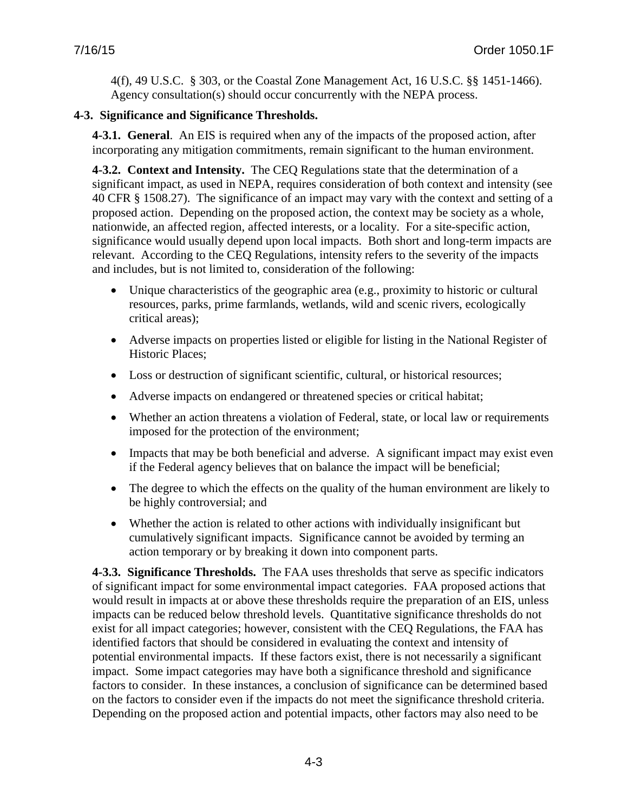4(f), 49 U.S.C. § 303, or the Coastal Zone Management Act, 16 U.S.C. §§ 1451-1466). Agency consultation(s) should occur concurrently with the NEPA process.

### <span id="page-35-1"></span><span id="page-35-0"></span>**4-3. Significance and Significance Thresholds.**

**4-3.1. General**. An EIS is required when any of the impacts of the proposed action, after incorporating any mitigation commitments, remain significant to the human environment.

<span id="page-35-2"></span>**4-3.2. Context and Intensity.** The CEQ Regulations state that the determination of a significant impact, as used in NEPA, requires consideration of both context and intensity (see 40 CFR § 1508.27). The significance of an impact may vary with the context and setting of a proposed action. Depending on the proposed action, the context may be society as a whole, nationwide, an affected region, affected interests, or a locality. For a site-specific action, significance would usually depend upon local impacts. Both short and long-term impacts are relevant. According to the CEQ Regulations, intensity refers to the severity of the impacts and includes, but is not limited to, consideration of the following:

- Unique characteristics of the geographic area (e.g., proximity to historic or cultural resources, parks, prime farmlands, wetlands, wild and scenic rivers, ecologically critical areas);
- Adverse impacts on properties listed or eligible for listing in the National Register of Historic Places;
- Loss or destruction of significant scientific, cultural, or historical resources;
- Adverse impacts on endangered or threatened species or critical habitat;
- Whether an action threatens a violation of Federal, state, or local law or requirements imposed for the protection of the environment;
- Impacts that may be both beneficial and adverse. A significant impact may exist even if the Federal agency believes that on balance the impact will be beneficial;
- The degree to which the effects on the quality of the human environment are likely to be highly controversial; and
- Whether the action is related to other actions with individually insignificant but cumulatively significant impacts. Significance cannot be avoided by terming an action temporary or by breaking it down into component parts.

<span id="page-35-3"></span>**4-3.3. Significance Thresholds.** The FAA uses thresholds that serve as specific indicators of significant impact for some environmental impact categories. FAA proposed actions that would result in impacts at or above these thresholds require the preparation of an EIS, unless impacts can be reduced below threshold levels. Quantitative significance thresholds do not exist for all impact categories; however, consistent with the CEQ Regulations, the FAA has identified factors that should be considered in evaluating the context and intensity of potential environmental impacts. If these factors exist, there is not necessarily a significant impact. Some impact categories may have both a significance threshold and significance factors to consider. In these instances, a conclusion of significance can be determined based on the factors to consider even if the impacts do not meet the significance threshold criteria. Depending on the proposed action and potential impacts, other factors may also need to be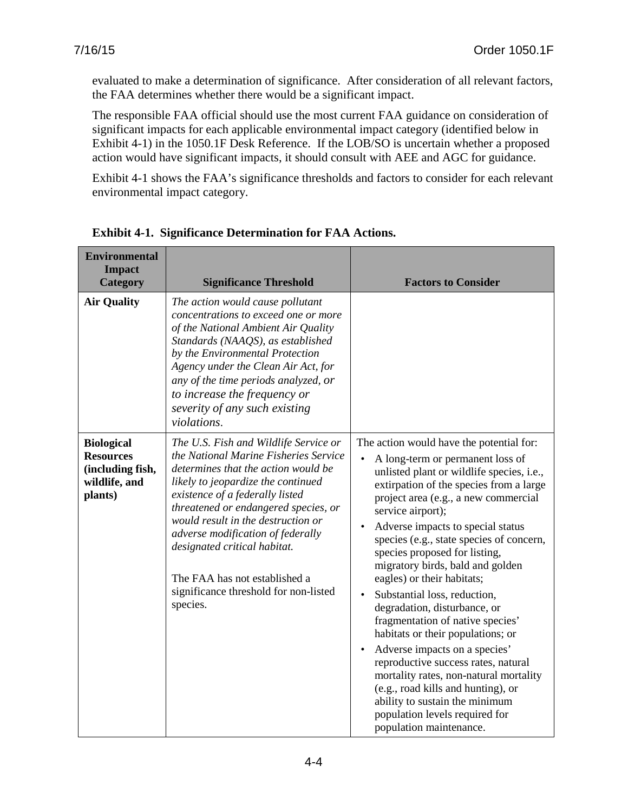evaluated to make a determination of significance. After consideration of all relevant factors, the FAA determines whether there would be a significant impact.

The responsible FAA official should use the most current FAA guidance on consideration of significant impacts for each applicable environmental impact category (identified below in Exhibit 4-1) in the 1050.1F Desk Reference. If the LOB/SO is uncertain whether a proposed action would have significant impacts, it should consult with AEE and AGC for guidance.

Exhibit 4-1 shows the FAA's significance thresholds and factors to consider for each relevant environmental impact category.

| <b>Environmental</b><br><b>Impact</b><br><b>Category</b>                              | <b>Significance Threshold</b>                                                                                                                                                                                                                                                                                                                                                                                                           | <b>Factors to Consider</b>                                                                                                                                                                                                                                                                                                                                                                                                                                                                                                                                                                                                                                                                                                                                                                                                                      |
|---------------------------------------------------------------------------------------|-----------------------------------------------------------------------------------------------------------------------------------------------------------------------------------------------------------------------------------------------------------------------------------------------------------------------------------------------------------------------------------------------------------------------------------------|-------------------------------------------------------------------------------------------------------------------------------------------------------------------------------------------------------------------------------------------------------------------------------------------------------------------------------------------------------------------------------------------------------------------------------------------------------------------------------------------------------------------------------------------------------------------------------------------------------------------------------------------------------------------------------------------------------------------------------------------------------------------------------------------------------------------------------------------------|
| <b>Air Quality</b>                                                                    | The action would cause pollutant<br>concentrations to exceed one or more<br>of the National Ambient Air Quality<br>Standards (NAAQS), as established<br>by the Environmental Protection<br>Agency under the Clean Air Act, for<br>any of the time periods analyzed, or<br>to increase the frequency or<br>severity of any such existing<br>violations.                                                                                  |                                                                                                                                                                                                                                                                                                                                                                                                                                                                                                                                                                                                                                                                                                                                                                                                                                                 |
| <b>Biological</b><br><b>Resources</b><br>(including fish,<br>wildlife, and<br>plants) | The U.S. Fish and Wildlife Service or<br>the National Marine Fisheries Service<br>determines that the action would be<br>likely to jeopardize the continued<br>existence of a federally listed<br>threatened or endangered species, or<br>would result in the destruction or<br>adverse modification of federally<br>designated critical habitat.<br>The FAA has not established a<br>significance threshold for non-listed<br>species. | The action would have the potential for:<br>A long-term or permanent loss of<br>unlisted plant or wildlife species, i.e.,<br>extirpation of the species from a large<br>project area (e.g., a new commercial<br>service airport);<br>Adverse impacts to special status<br>$\bullet$<br>species (e.g., state species of concern,<br>species proposed for listing,<br>migratory birds, bald and golden<br>eagles) or their habitats;<br>Substantial loss, reduction,<br>degradation, disturbance, or<br>fragmentation of native species'<br>habitats or their populations; or<br>Adverse impacts on a species'<br>$\bullet$<br>reproductive success rates, natural<br>mortality rates, non-natural mortality<br>(e.g., road kills and hunting), or<br>ability to sustain the minimum<br>population levels required for<br>population maintenance. |

**Exhibit 4-1. Significance Determination for FAA Actions.**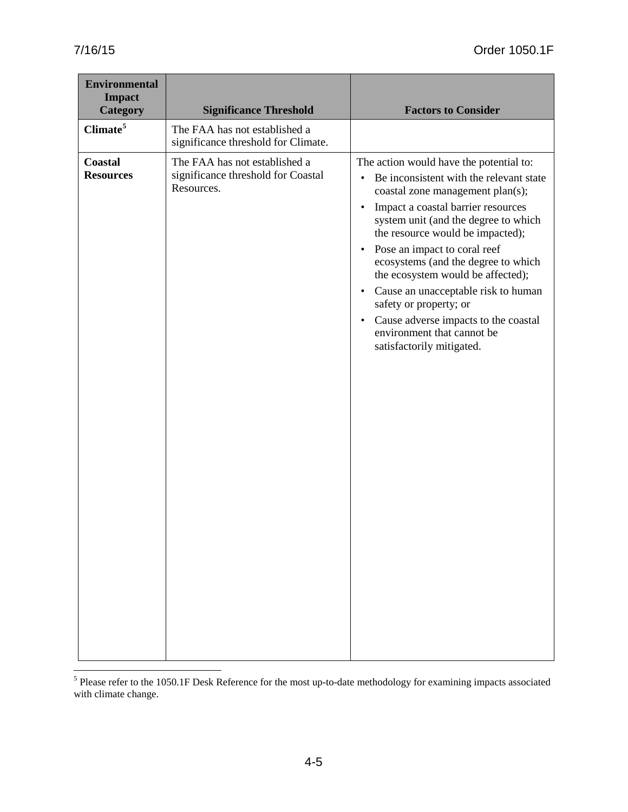| <b>Environmental</b><br><b>Impact</b><br><b>Category</b> | <b>Significance Threshold</b>                                                     | <b>Factors to Consider</b>                                                                                                                                                                                                                                                                                                                                                                                                                                                                                                                                                                |
|----------------------------------------------------------|-----------------------------------------------------------------------------------|-------------------------------------------------------------------------------------------------------------------------------------------------------------------------------------------------------------------------------------------------------------------------------------------------------------------------------------------------------------------------------------------------------------------------------------------------------------------------------------------------------------------------------------------------------------------------------------------|
| Climate <sup>5</sup>                                     | The FAA has not established a<br>significance threshold for Climate.              |                                                                                                                                                                                                                                                                                                                                                                                                                                                                                                                                                                                           |
| Coastal<br><b>Resources</b>                              | The FAA has not established a<br>significance threshold for Coastal<br>Resources. | The action would have the potential to:<br>Be inconsistent with the relevant state<br>$\bullet$<br>coastal zone management plan(s);<br>Impact a coastal barrier resources<br>$\bullet$<br>system unit (and the degree to which<br>the resource would be impacted);<br>Pose an impact to coral reef<br>$\bullet$<br>ecosystems (and the degree to which<br>the ecosystem would be affected);<br>Cause an unacceptable risk to human<br>$\bullet$<br>safety or property; or<br>Cause adverse impacts to the coastal<br>$\bullet$<br>environment that cannot be<br>satisfactorily mitigated. |

<span id="page-37-0"></span> $<sup>5</sup>$  Please refer to the 1050.1F Desk Reference for the most up-to-date methodology for examining impacts associated</sup> with climate change.  $\overline{a}$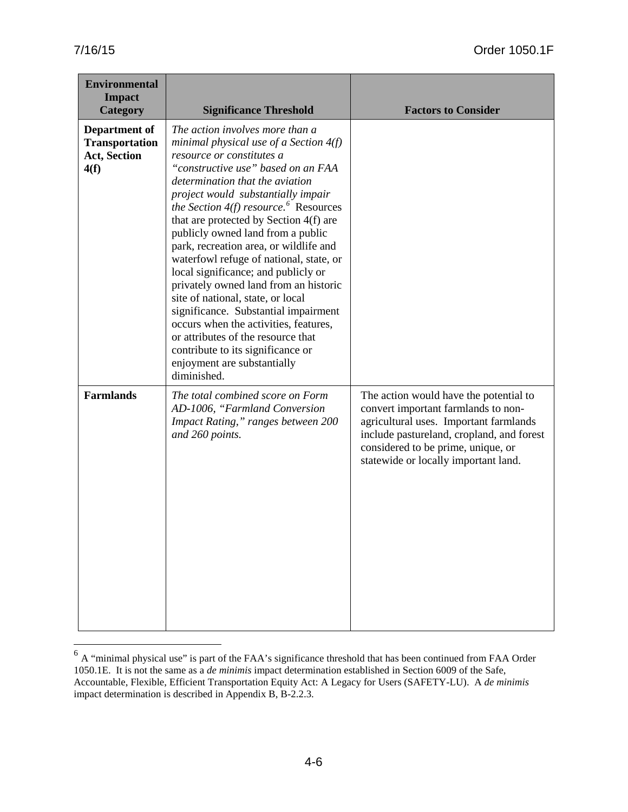$\overline{a}$ 

| <b>Environmental</b><br><b>Impact</b><br>Category                     | <b>Significance Threshold</b>                                                                                                                                                                                                                                                                                                                                                                                                                                                                                                                                                                                                                                                                                                                                        | <b>Factors to Consider</b>                                                                                                                                                                                                                         |
|-----------------------------------------------------------------------|----------------------------------------------------------------------------------------------------------------------------------------------------------------------------------------------------------------------------------------------------------------------------------------------------------------------------------------------------------------------------------------------------------------------------------------------------------------------------------------------------------------------------------------------------------------------------------------------------------------------------------------------------------------------------------------------------------------------------------------------------------------------|----------------------------------------------------------------------------------------------------------------------------------------------------------------------------------------------------------------------------------------------------|
| Department of<br><b>Transportation</b><br><b>Act, Section</b><br>4(f) | The action involves more than a<br>minimal physical use of a Section $4(f)$<br>resource or constitutes a<br>"constructive use" based on an FAA<br>determination that the aviation<br>project would substantially impair<br>the Section $4(f)$ resource. Resources<br>that are protected by Section 4(f) are<br>publicly owned land from a public<br>park, recreation area, or wildlife and<br>waterfowl refuge of national, state, or<br>local significance; and publicly or<br>privately owned land from an historic<br>site of national, state, or local<br>significance. Substantial impairment<br>occurs when the activities, features,<br>or attributes of the resource that<br>contribute to its significance or<br>enjoyment are substantially<br>diminished. |                                                                                                                                                                                                                                                    |
| <b>Farmlands</b>                                                      | The total combined score on Form<br>AD-1006, "Farmland Conversion<br>Impact Rating," ranges between 200<br>and 260 points.                                                                                                                                                                                                                                                                                                                                                                                                                                                                                                                                                                                                                                           | The action would have the potential to<br>convert important farmlands to non-<br>agricultural uses. Important farmlands<br>include pastureland, cropland, and forest<br>considered to be prime, unique, or<br>statewide or locally important land. |

<span id="page-38-0"></span> $6$  A "minimal physical use" is part of the FAA's significance threshold that has been continued from FAA Order 1050.1E. It is not the same as a *de minimis* impact determination established in Section 6009 of the Safe, Accountable, Flexible, Efficient Transportation Equity Act: A Legacy for Users (SAFETY-LU). A *de minimis* impact determination is described in Appendix B, B-2.2.3.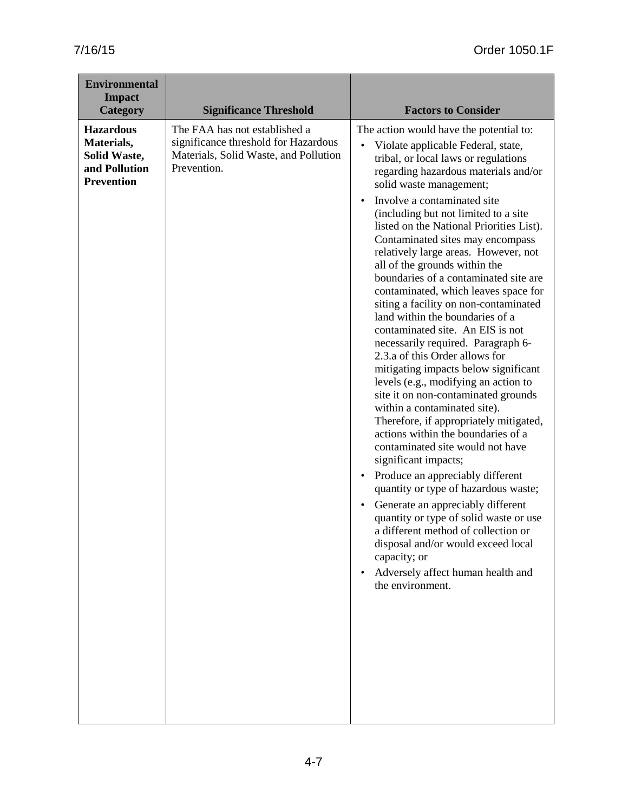| <b>Environmental</b><br><b>Impact</b><br><b>Category</b>                                    | <b>Significance Threshold</b>                                                                                                 | <b>Factors to Consider</b>                                                                                                                                                                                                                                                                                                                                                                                                                                                                                                                                                                                                                                                                                                                                                                                                                                                                                                                                                                                                                                                                                                                                                                                                                                                                                                                                                             |
|---------------------------------------------------------------------------------------------|-------------------------------------------------------------------------------------------------------------------------------|----------------------------------------------------------------------------------------------------------------------------------------------------------------------------------------------------------------------------------------------------------------------------------------------------------------------------------------------------------------------------------------------------------------------------------------------------------------------------------------------------------------------------------------------------------------------------------------------------------------------------------------------------------------------------------------------------------------------------------------------------------------------------------------------------------------------------------------------------------------------------------------------------------------------------------------------------------------------------------------------------------------------------------------------------------------------------------------------------------------------------------------------------------------------------------------------------------------------------------------------------------------------------------------------------------------------------------------------------------------------------------------|
| <b>Hazardous</b><br>Materials,<br><b>Solid Waste,</b><br>and Pollution<br><b>Prevention</b> | The FAA has not established a<br>significance threshold for Hazardous<br>Materials, Solid Waste, and Pollution<br>Prevention. | The action would have the potential to:<br>$\bullet$<br>Violate applicable Federal, state,<br>tribal, or local laws or regulations<br>regarding hazardous materials and/or<br>solid waste management;<br>Involve a contaminated site<br>$\bullet$<br>(including but not limited to a site<br>listed on the National Priorities List).<br>Contaminated sites may encompass<br>relatively large areas. However, not<br>all of the grounds within the<br>boundaries of a contaminated site are<br>contaminated, which leaves space for<br>siting a facility on non-contaminated<br>land within the boundaries of a<br>contaminated site. An EIS is not<br>necessarily required. Paragraph 6-<br>2.3.a of this Order allows for<br>mitigating impacts below significant<br>levels (e.g., modifying an action to<br>site it on non-contaminated grounds<br>within a contaminated site).<br>Therefore, if appropriately mitigated,<br>actions within the boundaries of a<br>contaminated site would not have<br>significant impacts;<br>Produce an appreciably different<br>$\bullet$<br>quantity or type of hazardous waste;<br>Generate an appreciably different<br>$\bullet$<br>quantity or type of solid waste or use<br>a different method of collection or<br>disposal and/or would exceed local<br>capacity; or<br>Adversely affect human health and<br>$\bullet$<br>the environment. |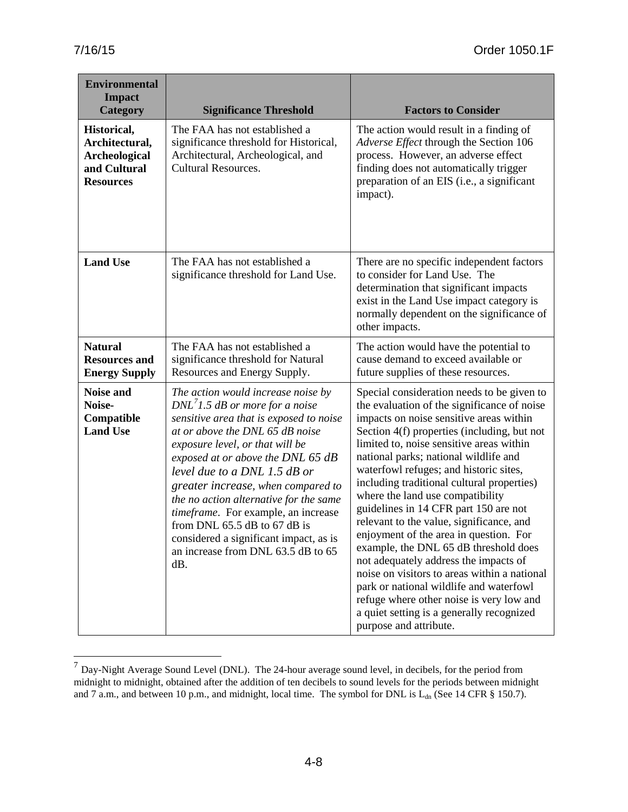$\overline{a}$ 

| <b>Environmental</b><br><b>Impact</b><br><b>Category</b>                           | <b>Significance Threshold</b>                                                                                                                                                                                                                                                                                                                                                                                                                                                                                | <b>Factors to Consider</b>                                                                                                                                                                                                                                                                                                                                                                                                                                                                                                                                                                                                                                                                                                                                                                                                          |
|------------------------------------------------------------------------------------|--------------------------------------------------------------------------------------------------------------------------------------------------------------------------------------------------------------------------------------------------------------------------------------------------------------------------------------------------------------------------------------------------------------------------------------------------------------------------------------------------------------|-------------------------------------------------------------------------------------------------------------------------------------------------------------------------------------------------------------------------------------------------------------------------------------------------------------------------------------------------------------------------------------------------------------------------------------------------------------------------------------------------------------------------------------------------------------------------------------------------------------------------------------------------------------------------------------------------------------------------------------------------------------------------------------------------------------------------------------|
| Historical,<br>Architectural,<br>Archeological<br>and Cultural<br><b>Resources</b> | The FAA has not established a<br>significance threshold for Historical,<br>Architectural, Archeological, and<br><b>Cultural Resources.</b>                                                                                                                                                                                                                                                                                                                                                                   | The action would result in a finding of<br>Adverse Effect through the Section 106<br>process. However, an adverse effect<br>finding does not automatically trigger<br>preparation of an EIS (i.e., a significant<br>impact).                                                                                                                                                                                                                                                                                                                                                                                                                                                                                                                                                                                                        |
| <b>Land Use</b>                                                                    | The FAA has not established a<br>significance threshold for Land Use.                                                                                                                                                                                                                                                                                                                                                                                                                                        | There are no specific independent factors<br>to consider for Land Use. The<br>determination that significant impacts<br>exist in the Land Use impact category is<br>normally dependent on the significance of<br>other impacts.                                                                                                                                                                                                                                                                                                                                                                                                                                                                                                                                                                                                     |
| <b>Natural</b><br><b>Resources and</b><br><b>Energy Supply</b>                     | The FAA has not established a<br>significance threshold for Natural<br>Resources and Energy Supply.                                                                                                                                                                                                                                                                                                                                                                                                          | The action would have the potential to<br>cause demand to exceed available or<br>future supplies of these resources.                                                                                                                                                                                                                                                                                                                                                                                                                                                                                                                                                                                                                                                                                                                |
| <b>Noise and</b><br>Noise-<br>Compatible<br><b>Land Use</b>                        | The action would increase noise by<br>$DNL71.5$ dB or more for a noise<br>sensitive area that is exposed to noise<br>at or above the DNL 65 dB noise<br>exposure level, or that will be<br>exposed at or above the DNL 65 dB<br>level due to a DNL $1.5$ dB or<br>greater increase, when compared to<br>the no action alternative for the same<br>timeframe. For example, an increase<br>from DNL 65.5 dB to 67 dB is<br>considered a significant impact, as is<br>an increase from DNL 63.5 dB to 65<br>dB. | Special consideration needs to be given to<br>the evaluation of the significance of noise<br>impacts on noise sensitive areas within<br>Section 4(f) properties (including, but not<br>limited to, noise sensitive areas within<br>national parks; national wildlife and<br>waterfowl refuges; and historic sites,<br>including traditional cultural properties)<br>where the land use compatibility<br>guidelines in 14 CFR part 150 are not<br>relevant to the value, significance, and<br>enjoyment of the area in question. For<br>example, the DNL 65 dB threshold does<br>not adequately address the impacts of<br>noise on visitors to areas within a national<br>park or national wildlife and waterfowl<br>refuge where other noise is very low and<br>a quiet setting is a generally recognized<br>purpose and attribute. |

<span id="page-40-0"></span> $<sup>7</sup>$  Day-Night Average Sound Level (DNL). The 24-hour average sound level, in decibels, for the period from</sup> midnight to midnight, obtained after the addition of ten decibels to sound levels for the periods between midnight and 7 a.m., and between 10 p.m., and midnight, local time. The symbol for DNL is  $L_{dn}$  (See 14 CFR § 150.7).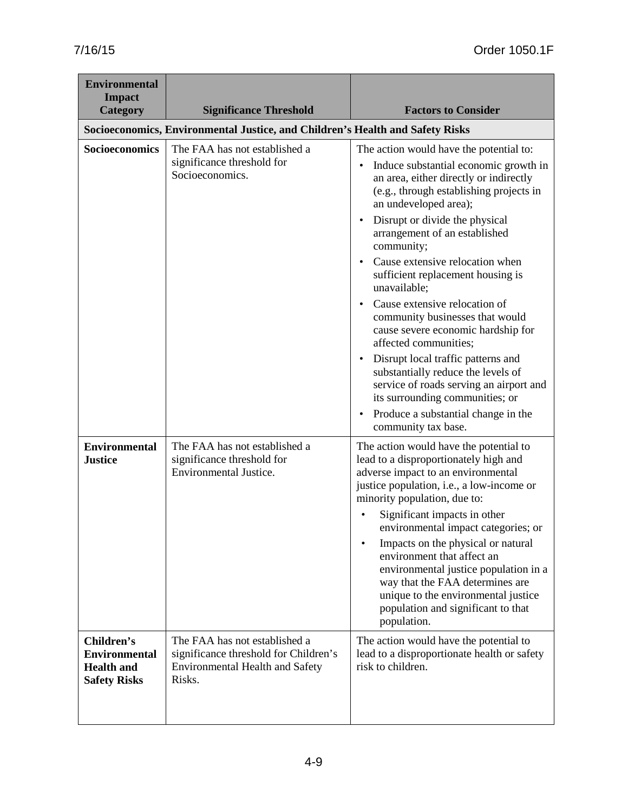| <b>Environmental</b><br><b>Impact</b>                                          |                                                                                                                            |                                                                                                                                                                                                                                                                                                                                                                                                                                                                                                                       |
|--------------------------------------------------------------------------------|----------------------------------------------------------------------------------------------------------------------------|-----------------------------------------------------------------------------------------------------------------------------------------------------------------------------------------------------------------------------------------------------------------------------------------------------------------------------------------------------------------------------------------------------------------------------------------------------------------------------------------------------------------------|
| <b>Category</b>                                                                | <b>Significance Threshold</b>                                                                                              | <b>Factors to Consider</b>                                                                                                                                                                                                                                                                                                                                                                                                                                                                                            |
|                                                                                | Socioeconomics, Environmental Justice, and Children's Health and Safety Risks                                              |                                                                                                                                                                                                                                                                                                                                                                                                                                                                                                                       |
| Socioeconomics<br>Socioeconomics.                                              | The FAA has not established a<br>significance threshold for                                                                | The action would have the potential to:<br>Induce substantial economic growth in<br>$\bullet$<br>an area, either directly or indirectly<br>(e.g., through establishing projects in<br>an undeveloped area);<br>Disrupt or divide the physical<br>$\bullet$<br>arrangement of an established<br>community;                                                                                                                                                                                                             |
|                                                                                |                                                                                                                            | Cause extensive relocation when<br>sufficient replacement housing is<br>unavailable;                                                                                                                                                                                                                                                                                                                                                                                                                                  |
|                                                                                |                                                                                                                            | Cause extensive relocation of<br>$\bullet$<br>community businesses that would<br>cause severe economic hardship for<br>affected communities;                                                                                                                                                                                                                                                                                                                                                                          |
|                                                                                |                                                                                                                            | Disrupt local traffic patterns and<br>$\bullet$<br>substantially reduce the levels of<br>service of roads serving an airport and<br>its surrounding communities; or<br>Produce a substantial change in the<br>$\bullet$                                                                                                                                                                                                                                                                                               |
|                                                                                |                                                                                                                            | community tax base.                                                                                                                                                                                                                                                                                                                                                                                                                                                                                                   |
| <b>Environmental</b><br><b>Justice</b>                                         | The FAA has not established a<br>significance threshold for<br><b>Environmental Justice.</b>                               | The action would have the potential to<br>lead to a disproportionately high and<br>adverse impact to an environmental<br>justice population, i.e., a low-income or<br>minority population, due to:<br>Significant impacts in other<br>environmental impact categories; or<br>Impacts on the physical or natural<br>environment that affect an<br>environmental justice population in a<br>way that the FAA determines are<br>unique to the environmental justice<br>population and significant to that<br>population. |
| Children's<br><b>Environmental</b><br><b>Health and</b><br><b>Safety Risks</b> | The FAA has not established a<br>significance threshold for Children's<br><b>Environmental Health and Safety</b><br>Risks. | The action would have the potential to<br>lead to a disproportionate health or safety<br>risk to children.                                                                                                                                                                                                                                                                                                                                                                                                            |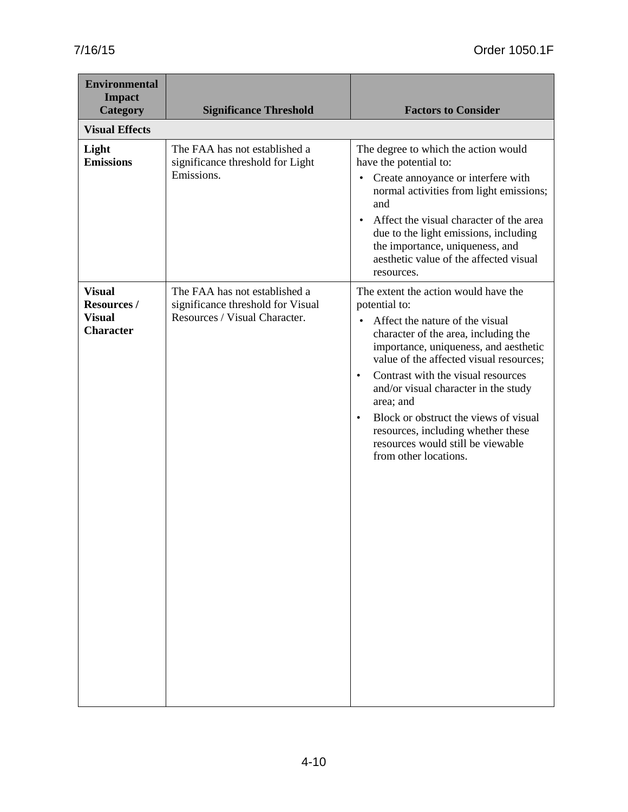| <b>Environmental</b><br><b>Impact</b><br><b>Category</b>                 | <b>Significance Threshold</b>                                                                       | <b>Factors to Consider</b>                                                                                                                                                                                                                                                                                                                                                                                                                                                                          |
|--------------------------------------------------------------------------|-----------------------------------------------------------------------------------------------------|-----------------------------------------------------------------------------------------------------------------------------------------------------------------------------------------------------------------------------------------------------------------------------------------------------------------------------------------------------------------------------------------------------------------------------------------------------------------------------------------------------|
| <b>Visual Effects</b>                                                    |                                                                                                     |                                                                                                                                                                                                                                                                                                                                                                                                                                                                                                     |
| Light<br><b>Emissions</b>                                                | The FAA has not established a<br>significance threshold for Light<br>Emissions.                     | The degree to which the action would<br>have the potential to:<br>Create annoyance or interfere with<br>$\bullet$<br>normal activities from light emissions;<br>and<br>Affect the visual character of the area<br>$\bullet$<br>due to the light emissions, including<br>the importance, uniqueness, and<br>aesthetic value of the affected visual<br>resources.                                                                                                                                     |
| <b>Visual</b><br><b>Resources /</b><br><b>Visual</b><br><b>Character</b> | The FAA has not established a<br>significance threshold for Visual<br>Resources / Visual Character. | The extent the action would have the<br>potential to:<br>Affect the nature of the visual<br>$\bullet$<br>character of the area, including the<br>importance, uniqueness, and aesthetic<br>value of the affected visual resources;<br>Contrast with the visual resources<br>$\bullet$<br>and/or visual character in the study<br>area; and<br>Block or obstruct the views of visual<br>$\bullet$<br>resources, including whether these<br>resources would still be viewable<br>from other locations. |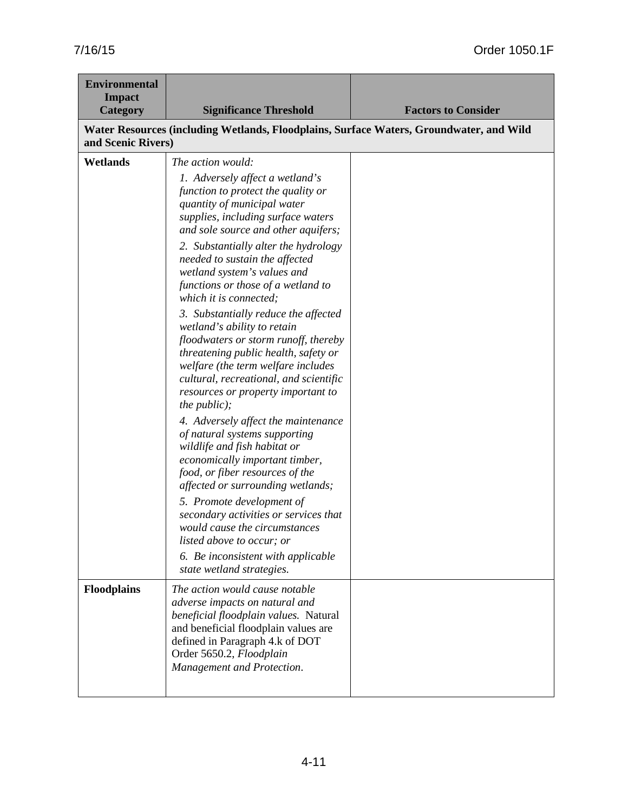| <b>Environmental</b><br><b>Impact</b><br>Category | <b>Significance Threshold</b>                                                                                                                                                                                                                                                                                                                                                                                                                                                                                                                                                                                                                                                                                                                                                                                                                                                                                                                                                                                                                                                                           | <b>Factors to Consider</b> |
|---------------------------------------------------|---------------------------------------------------------------------------------------------------------------------------------------------------------------------------------------------------------------------------------------------------------------------------------------------------------------------------------------------------------------------------------------------------------------------------------------------------------------------------------------------------------------------------------------------------------------------------------------------------------------------------------------------------------------------------------------------------------------------------------------------------------------------------------------------------------------------------------------------------------------------------------------------------------------------------------------------------------------------------------------------------------------------------------------------------------------------------------------------------------|----------------------------|
| and Scenic Rivers)                                | Water Resources (including Wetlands, Floodplains, Surface Waters, Groundwater, and Wild                                                                                                                                                                                                                                                                                                                                                                                                                                                                                                                                                                                                                                                                                                                                                                                                                                                                                                                                                                                                                 |                            |
| Wetlands                                          | The action would:<br>1. Adversely affect a wetland's<br>function to protect the quality or<br>quantity of municipal water<br>supplies, including surface waters<br>and sole source and other aquifers;<br>2. Substantially alter the hydrology<br>needed to sustain the affected<br>wetland system's values and<br>functions or those of a wetland to<br>which it is connected;<br>3. Substantially reduce the affected<br>wetland's ability to retain<br>floodwaters or storm runoff, thereby<br>threatening public health, safety or<br>welfare (the term welfare includes<br>cultural, recreational, and scientific<br>resources or property important to<br>the $public);$<br>4. Adversely affect the maintenance<br>of natural systems supporting<br>wildlife and fish habitat or<br>economically important timber,<br>food, or fiber resources of the<br>affected or surrounding wetlands;<br>5. Promote development of<br>secondary activities or services that<br>would cause the circumstances<br>listed above to occur; or<br>6. Be inconsistent with applicable<br>state wetland strategies. |                            |
| <b>Floodplains</b>                                | The action would cause notable<br>adverse impacts on natural and<br>beneficial floodplain values. Natural<br>and beneficial floodplain values are<br>defined in Paragraph 4.k of DOT<br>Order 5650.2, Floodplain<br>Management and Protection.                                                                                                                                                                                                                                                                                                                                                                                                                                                                                                                                                                                                                                                                                                                                                                                                                                                          |                            |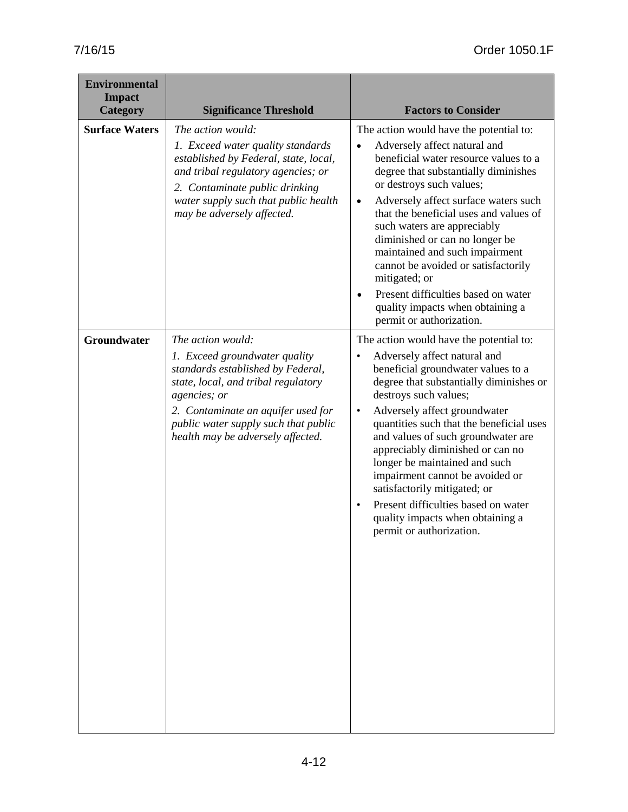| <b>Environmental</b><br><b>Impact</b><br><b>Category</b> | <b>Significance Threshold</b>                                                                                                                                                                                                                                     | <b>Factors to Consider</b>                                                                                                                                                                                                                                                                                                                                                                                                                                                                                                                                                      |
|----------------------------------------------------------|-------------------------------------------------------------------------------------------------------------------------------------------------------------------------------------------------------------------------------------------------------------------|---------------------------------------------------------------------------------------------------------------------------------------------------------------------------------------------------------------------------------------------------------------------------------------------------------------------------------------------------------------------------------------------------------------------------------------------------------------------------------------------------------------------------------------------------------------------------------|
| <b>Surface Waters</b>                                    | The action would:<br>1. Exceed water quality standards<br>established by Federal, state, local,<br>and tribal regulatory agencies; or<br>2. Contaminate public drinking<br>water supply such that public health<br>may be adversely affected.                     | The action would have the potential to:<br>Adversely affect natural and<br>$\bullet$<br>beneficial water resource values to a<br>degree that substantially diminishes<br>or destroys such values;<br>Adversely affect surface waters such<br>$\bullet$<br>that the beneficial uses and values of<br>such waters are appreciably<br>diminished or can no longer be<br>maintained and such impairment<br>cannot be avoided or satisfactorily<br>mitigated; or<br>Present difficulties based on water<br>$\bullet$<br>quality impacts when obtaining a<br>permit or authorization. |
| <b>Groundwater</b>                                       | The action would:<br>1. Exceed groundwater quality<br>standards established by Federal,<br>state, local, and tribal regulatory<br>agencies; or<br>2. Contaminate an aquifer used for<br>public water supply such that public<br>health may be adversely affected. | The action would have the potential to:<br>Adversely affect natural and<br>beneficial groundwater values to a<br>degree that substantially diminishes or<br>destroys such values;<br>Adversely affect groundwater<br>$\bullet$<br>quantities such that the beneficial uses<br>and values of such groundwater are<br>appreciably diminished or can no<br>longer be maintained and such<br>impairment cannot be avoided or<br>satisfactorily mitigated; or<br>Present difficulties based on water<br>quality impacts when obtaining a<br>permit or authorization.                 |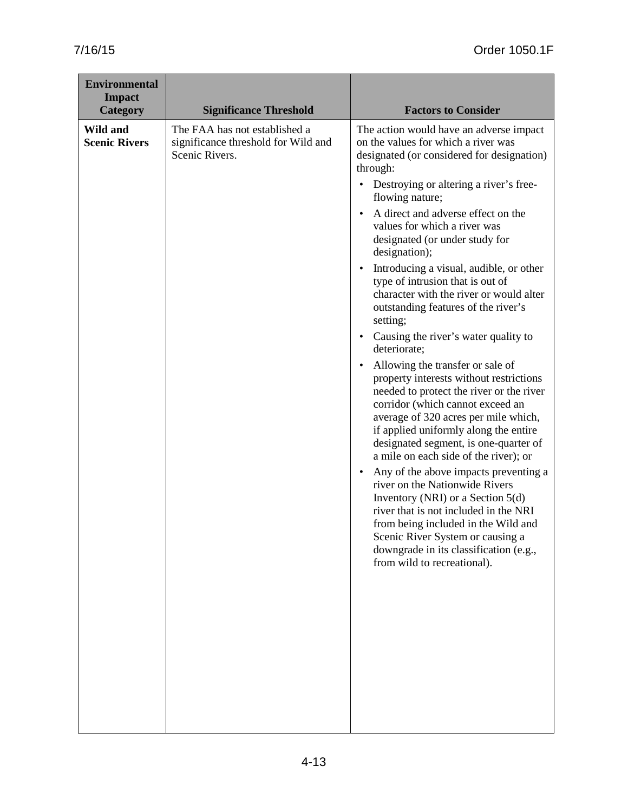| <b>Environmental</b><br><b>Impact</b><br><b>Category</b> | <b>Significance Threshold</b>                                                          | <b>Factors to Consider</b>                                                                                                                                                                                                                                                                                                                                                                                                                                                                                                                                                                                                                                                                                                                                                                                                                                                                                                                                                                                                                                                                                                                                                                                                                                                            |
|----------------------------------------------------------|----------------------------------------------------------------------------------------|---------------------------------------------------------------------------------------------------------------------------------------------------------------------------------------------------------------------------------------------------------------------------------------------------------------------------------------------------------------------------------------------------------------------------------------------------------------------------------------------------------------------------------------------------------------------------------------------------------------------------------------------------------------------------------------------------------------------------------------------------------------------------------------------------------------------------------------------------------------------------------------------------------------------------------------------------------------------------------------------------------------------------------------------------------------------------------------------------------------------------------------------------------------------------------------------------------------------------------------------------------------------------------------|
| Wild and<br><b>Scenic Rivers</b>                         | The FAA has not established a<br>significance threshold for Wild and<br>Scenic Rivers. | The action would have an adverse impact<br>on the values for which a river was<br>designated (or considered for designation)<br>through:<br>• Destroying or altering a river's free-<br>flowing nature;<br>A direct and adverse effect on the<br>$\bullet$<br>values for which a river was<br>designated (or under study for<br>designation);<br>Introducing a visual, audible, or other<br>$\bullet$<br>type of intrusion that is out of<br>character with the river or would alter<br>outstanding features of the river's<br>setting;<br>Causing the river's water quality to<br>$\bullet$<br>deteriorate;<br>Allowing the transfer or sale of<br>$\bullet$<br>property interests without restrictions<br>needed to protect the river or the river<br>corridor (which cannot exceed an<br>average of 320 acres per mile which,<br>if applied uniformly along the entire<br>designated segment, is one-quarter of<br>a mile on each side of the river); or<br>Any of the above impacts preventing a<br>$\bullet$<br>river on the Nationwide Rivers<br>Inventory (NRI) or a Section 5(d)<br>river that is not included in the NRI<br>from being included in the Wild and<br>Scenic River System or causing a<br>downgrade in its classification (e.g.,<br>from wild to recreational). |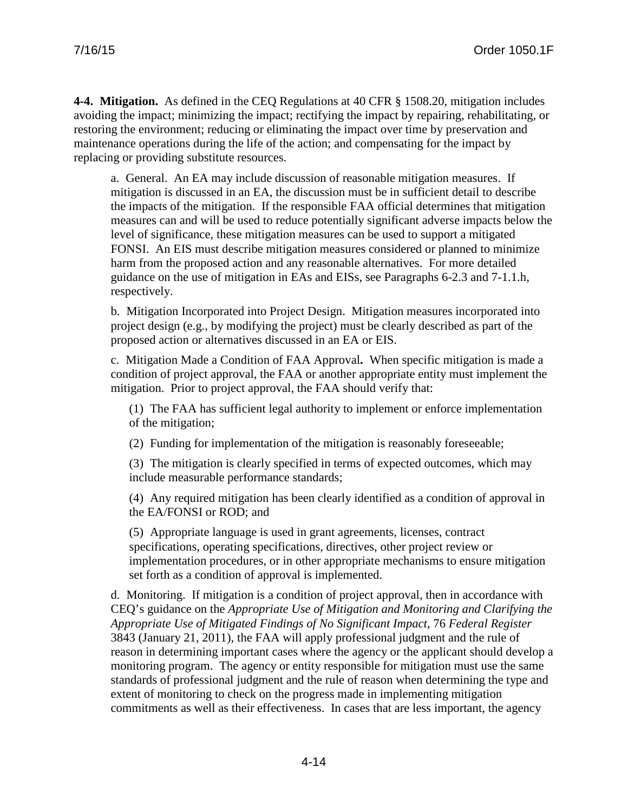**4-4. Mitigation.** As defined in the CEQ Regulations at 40 CFR § 1508.20, mitigation includes avoiding the impact; minimizing the impact; rectifying the impact by repairing, rehabilitating, or restoring the environment; reducing or eliminating the impact over time by preservation and maintenance operations during the life of the action; and compensating for the impact by replacing or providing substitute resources.

a. General. An EA may include discussion of reasonable mitigation measures. If mitigation is discussed in an EA, the discussion must be in sufficient detail to describe the impacts of the mitigation. If the responsible FAA official determines that mitigation measures can and will be used to reduce potentially significant adverse impacts below the level of significance, these mitigation measures can be used to support a mitigated FONSI. An EIS must describe mitigation measures considered or planned to minimize harm from the proposed action and any reasonable alternatives. For more detailed guidance on the use of mitigation in EAs and EISs, see Paragraphs 6-2.3 and 7-1.1.h, respectively.

b. Mitigation Incorporated into Project Design.Mitigation measures incorporated into project design (e.g., by modifying the project) must be clearly described as part of the proposed action or alternatives discussed in an EA or EIS.

c. Mitigation Made a Condition of FAA Approval**.** When specific mitigation is made a condition of project approval, the FAA or another appropriate entity must implement the mitigation. Prior to project approval, the FAA should verify that:

(1) The FAA has sufficient legal authority to implement or enforce implementation of the mitigation;

(2) Funding for implementation of the mitigation is reasonably foreseeable;

(3) The mitigation is clearly specified in terms of expected outcomes, which may include measurable performance standards;

(4) Any required mitigation has been clearly identified as a condition of approval in the EA/FONSI or ROD; and

(5) Appropriate language is used in grant agreements, licenses, contract specifications, operating specifications, directives, other project review or implementation procedures, or in other appropriate mechanisms to ensure mitigation set forth as a condition of approval is implemented.

d. Monitoring. If mitigation is a condition of project approval, then in accordance with CEQ's guidance on the *Appropriate Use of Mitigation and Monitoring and Clarifying the Appropriate Use of Mitigated Findings of No Significant Impact*, 76 *Federal Register* 3843 (January 21, 2011), the FAA will apply professional judgment and the rule of reason in determining important cases where the agency or the applicant should develop a monitoring program. The agency or entity responsible for mitigation must use the same standards of professional judgment and the rule of reason when determining the type and extent of monitoring to check on the progress made in implementing mitigation commitments as well as their effectiveness. In cases that are less important, the agency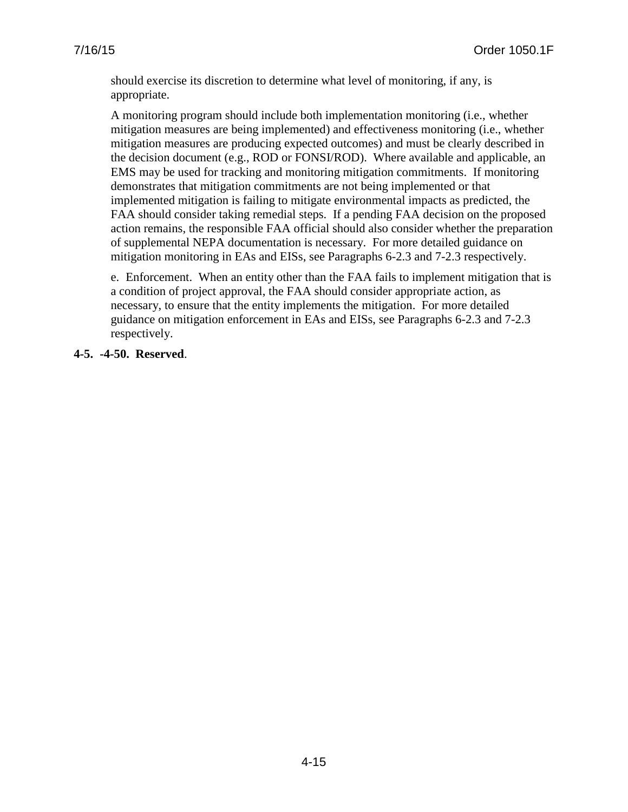should exercise its discretion to determine what level of monitoring, if any, is appropriate.

A monitoring program should include both implementation monitoring (i.e., whether mitigation measures are being implemented) and effectiveness monitoring (i.e., whether mitigation measures are producing expected outcomes) and must be clearly described in the decision document (e.g., ROD or FONSI/ROD). Where available and applicable, an EMS may be used for tracking and monitoring mitigation commitments. If monitoring demonstrates that mitigation commitments are not being implemented or that implemented mitigation is failing to mitigate environmental impacts as predicted, the FAA should consider taking remedial steps. If a pending FAA decision on the proposed action remains, the responsible FAA official should also consider whether the preparation of supplemental NEPA documentation is necessary. For more detailed guidance on mitigation monitoring in EAs and EISs, see Paragraphs 6-2.3 and 7-2.3 respectively.

e. Enforcement. When an entity other than the FAA fails to implement mitigation that is a condition of project approval, the FAA should consider appropriate action, as necessary, to ensure that the entity implements the mitigation. For more detailed guidance on mitigation enforcement in EAs and EISs, see Paragraphs 6-2.3 and 7-2.3 respectively.

## **4-5. -4-50. Reserved**.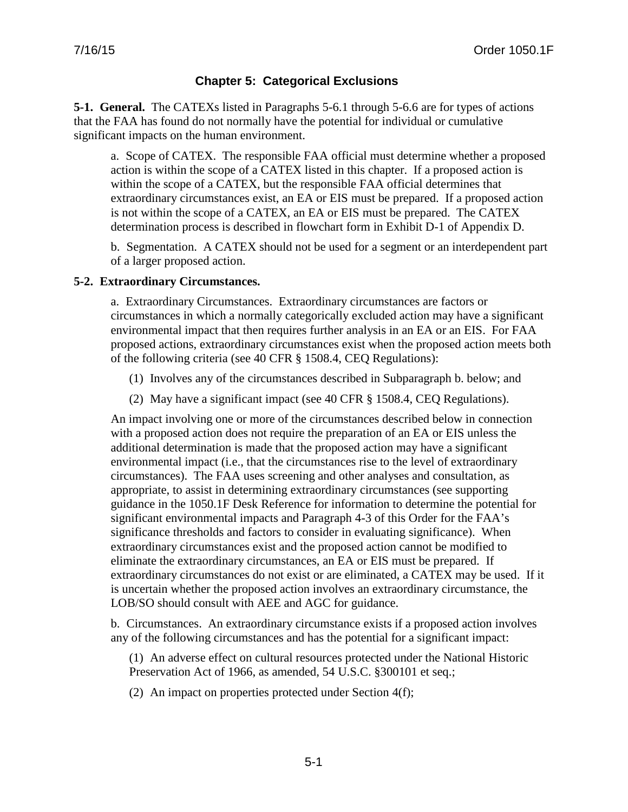# **Chapter 5: Categorical Exclusions**

**5-1. General.** The CATEXs listed in Paragraphs 5-6.1 through 5-6.6 are for types of actions that the FAA has found do not normally have the potential for individual or cumulative significant impacts on the human environment.

a. Scope of CATEX. The responsible FAA official must determine whether a proposed action is within the scope of a CATEX listed in this chapter. If a proposed action is within the scope of a CATEX, but the responsible FAA official determines that extraordinary circumstances exist, an EA or EIS must be prepared. If a proposed action is not within the scope of a CATEX, an EA or EIS must be prepared. The CATEX determination process is described in flowchart form in Exhibit D-1 of Appendix D.

b. Segmentation. A CATEX should not be used for a segment or an interdependent part of a larger proposed action.

## **5-2. Extraordinary Circumstances.**

a. Extraordinary Circumstances. Extraordinary circumstances are factors or circumstances in which a normally categorically excluded action may have a significant environmental impact that then requires further analysis in an EA or an EIS. For FAA proposed actions, extraordinary circumstances exist when the proposed action meets both of the following criteria (see 40 CFR § 1508.4, CEQ Regulations):

- (1) Involves any of the circumstances described in Subparagraph b. below; and
- (2) May have a significant impact (see 40 CFR § 1508.4, CEQ Regulations).

An impact involving one or more of the circumstances described below in connection with a proposed action does not require the preparation of an EA or EIS unless the additional determination is made that the proposed action may have a significant environmental impact (i.e., that the circumstances rise to the level of extraordinary circumstances). The FAA uses screening and other analyses and consultation, as appropriate, to assist in determining extraordinary circumstances (see supporting guidance in the 1050.1F Desk Reference for information to determine the potential for significant environmental impacts and Paragraph 4-3 of this Order for the FAA's significance thresholds and factors to consider in evaluating significance). When extraordinary circumstances exist and the proposed action cannot be modified to eliminate the extraordinary circumstances, an EA or EIS must be prepared. If extraordinary circumstances do not exist or are eliminated, a CATEX may be used. If it is uncertain whether the proposed action involves an extraordinary circumstance, the LOB/SO should consult with AEE and AGC for guidance.

b. Circumstances. An extraordinary circumstance exists if a proposed action involves any of the following circumstances and has the potential for a significant impact:

(1) An adverse effect on cultural resources protected under the National Historic Preservation Act of 1966, as amended, 54 U.S.C. §300101 et seq.;

(2) An impact on properties protected under Section 4(f);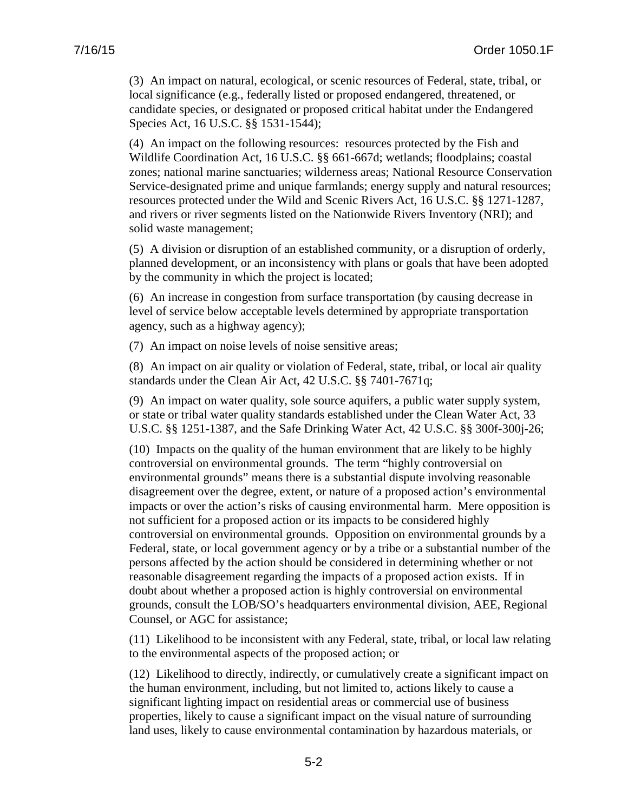(3) An impact on natural, ecological, or scenic resources of Federal, state, tribal, or local significance (e.g., federally listed or proposed endangered, threatened, or candidate species, or designated or proposed critical habitat under the Endangered Species Act, 16 U.S.C. §§ 1531-1544);

(4) An impact on the following resources: resources protected by the Fish and Wildlife Coordination Act, 16 U.S.C. §§ 661-667d; wetlands; floodplains; coastal zones; national marine sanctuaries; wilderness areas; National Resource Conservation Service-designated prime and unique farmlands; energy supply and natural resources; resources protected under the Wild and Scenic Rivers Act, 16 U.S.C. §§ 1271-1287, and rivers or river segments listed on the Nationwide Rivers Inventory (NRI); and solid waste management;

(5) A division or disruption of an established community, or a disruption of orderly, planned development, or an inconsistency with plans or goals that have been adopted by the community in which the project is located;

(6) An increase in congestion from surface transportation (by causing decrease in level of service below acceptable levels determined by appropriate transportation agency, such as a highway agency);

(7) An impact on noise levels of noise sensitive areas;

(8) An impact on air quality or violation of Federal, state, tribal, or local air quality standards under the Clean Air Act, 42 U.S.C. §§ 7401-7671q;

(9) An impact on water quality, sole source aquifers, a public water supply system, or state or tribal water quality standards established under the Clean Water Act, 33 U.S.C. §§ 1251-1387, and the Safe Drinking Water Act, 42 U.S.C. §§ 300f-300j-26;

(10) Impacts on the quality of the human environment that are likely to be highly controversial on environmental grounds. The term "highly controversial on environmental grounds" means there is a substantial dispute involving reasonable disagreement over the degree, extent, or nature of a proposed action's environmental impacts or over the action's risks of causing environmental harm. Mere opposition is not sufficient for a proposed action or its impacts to be considered highly controversial on environmental grounds. Opposition on environmental grounds by a Federal, state, or local government agency or by a tribe or a substantial number of the persons affected by the action should be considered in determining whether or not reasonable disagreement regarding the impacts of a proposed action exists. If in doubt about whether a proposed action is highly controversial on environmental grounds, consult the LOB/SO's headquarters environmental division, AEE, Regional Counsel, or AGC for assistance;

(11) Likelihood to be inconsistent with any Federal, state, tribal, or local law relating to the environmental aspects of the proposed action; or

(12) Likelihood to directly, indirectly, or cumulatively create a significant impact on the human environment, including, but not limited to, actions likely to cause a significant lighting impact on residential areas or commercial use of business properties, likely to cause a significant impact on the visual nature of surrounding land uses, likely to cause environmental contamination by hazardous materials, or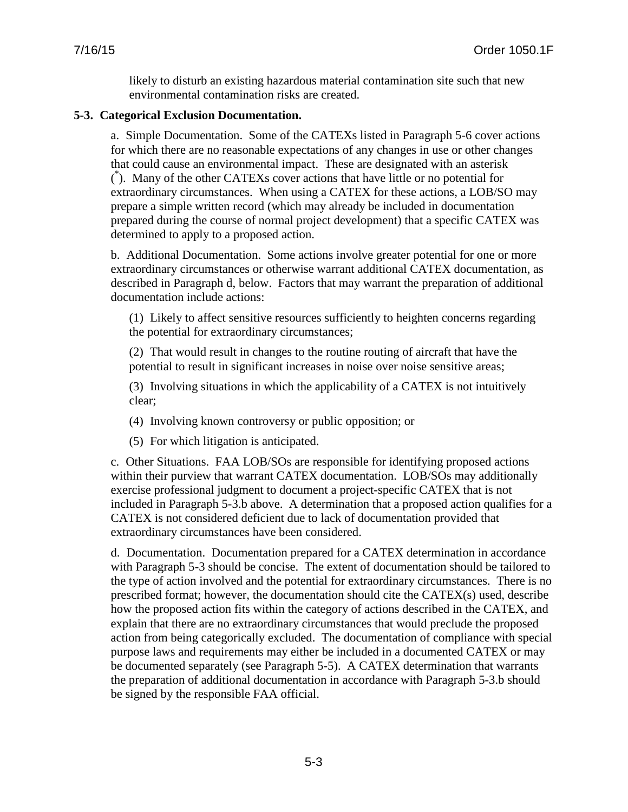likely to disturb an existing hazardous material contamination site such that new environmental contamination risks are created.

#### **5-3. Categorical Exclusion Documentation.**

a. Simple Documentation. Some of the CATEXs listed in Paragraph 5-6 cover actions for which there are no reasonable expectations of any changes in use or other changes that could cause an environmental impact. These are designated with an asterisk ( \* ). Many of the other CATEXs cover actions that have little or no potential for extraordinary circumstances. When using a CATEX for these actions, a LOB/SO may prepare a simple written record (which may already be included in documentation prepared during the course of normal project development) that a specific CATEX was determined to apply to a proposed action.

b. Additional Documentation. Some actions involve greater potential for one or more extraordinary circumstances or otherwise warrant additional CATEX documentation, as described in Paragraph d, below. Factors that may warrant the preparation of additional documentation include actions:

(1) Likely to affect sensitive resources sufficiently to heighten concerns regarding the potential for extraordinary circumstances;

(2) That would result in changes to the routine routing of aircraft that have the potential to result in significant increases in noise over noise sensitive areas;

(3) Involving situations in which the applicability of a CATEX is not intuitively clear;

- (4) Involving known controversy or public opposition; or
- (5) For which litigation is anticipated.

c. Other Situations. FAA LOB/SOs are responsible for identifying proposed actions within their purview that warrant CATEX documentation. LOB/SOs may additionally exercise professional judgment to document a project-specific CATEX that is not included in Paragraph 5-3.b above. A determination that a proposed action qualifies for a CATEX is not considered deficient due to lack of documentation provided that extraordinary circumstances have been considered.

d. Documentation. Documentation prepared for a CATEX determination in accordance with Paragraph 5-3 should be concise. The extent of documentation should be tailored to the type of action involved and the potential for extraordinary circumstances. There is no prescribed format; however, the documentation should cite the CATEX(s) used, describe how the proposed action fits within the category of actions described in the CATEX, and explain that there are no extraordinary circumstances that would preclude the proposed action from being categorically excluded. The documentation of compliance with special purpose laws and requirements may either be included in a documented CATEX or may be documented separately (see Paragraph 5-5). A CATEX determination that warrants the preparation of additional documentation in accordance with Paragraph 5-3.b should be signed by the responsible FAA official.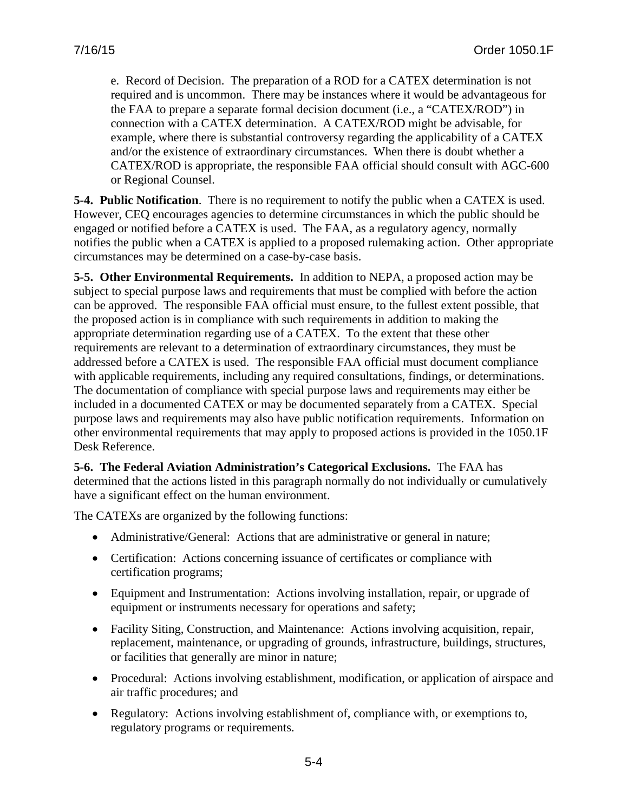e. Record of Decision. The preparation of a ROD for a CATEX determination is not required and is uncommon. There may be instances where it would be advantageous for the FAA to prepare a separate formal decision document (i.e., a "CATEX/ROD") in connection with a CATEX determination. A CATEX/ROD might be advisable, for example, where there is substantial controversy regarding the applicability of a CATEX and/or the existence of extraordinary circumstances. When there is doubt whether a CATEX/ROD is appropriate, the responsible FAA official should consult with AGC-600 or Regional Counsel.

**5-4. Public Notification**. There is no requirement to notify the public when a CATEX is used. However, CEQ encourages agencies to determine circumstances in which the public should be engaged or notified before a CATEX is used. The FAA, as a regulatory agency, normally notifies the public when a CATEX is applied to a proposed rulemaking action. Other appropriate circumstances may be determined on a case-by-case basis.

**5-5. Other Environmental Requirements.** In addition to NEPA, a proposed action may be subject to special purpose laws and requirements that must be complied with before the action can be approved. The responsible FAA official must ensure, to the fullest extent possible, that the proposed action is in compliance with such requirements in addition to making the appropriate determination regarding use of a CATEX. To the extent that these other requirements are relevant to a determination of extraordinary circumstances, they must be addressed before a CATEX is used. The responsible FAA official must document compliance with applicable requirements, including any required consultations, findings, or determinations. The documentation of compliance with special purpose laws and requirements may either be included in a documented CATEX or may be documented separately from a CATEX. Special purpose laws and requirements may also have public notification requirements. Information on other environmental requirements that may apply to proposed actions is provided in the 1050.1F Desk Reference.

**5-6. The Federal Aviation Administration's Categorical Exclusions.** The FAA has determined that the actions listed in this paragraph normally do not individually or cumulatively have a significant effect on the human environment.

The CATEXs are organized by the following functions:

- Administrative/General: Actions that are administrative or general in nature;
- Certification: Actions concerning issuance of certificates or compliance with certification programs;
- Equipment and Instrumentation: Actions involving installation, repair, or upgrade of equipment or instruments necessary for operations and safety;
- Facility Siting, Construction, and Maintenance: Actions involving acquisition, repair, replacement, maintenance, or upgrading of grounds, infrastructure, buildings, structures, or facilities that generally are minor in nature;
- Procedural: Actions involving establishment, modification, or application of airspace and air traffic procedures; and
- Regulatory: Actions involving establishment of, compliance with, or exemptions to, regulatory programs or requirements.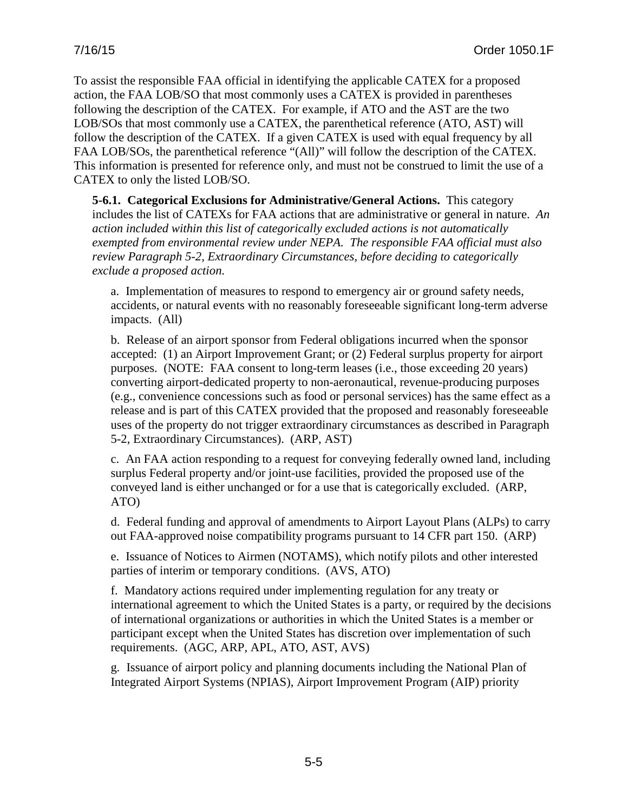To assist the responsible FAA official in identifying the applicable CATEX for a proposed action, the FAA LOB/SO that most commonly uses a CATEX is provided in parentheses following the description of the CATEX. For example, if ATO and the AST are the two LOB/SOs that most commonly use a CATEX, the parenthetical reference (ATO, AST) will follow the description of the CATEX. If a given CATEX is used with equal frequency by all FAA LOB/SOs, the parenthetical reference "(All)" will follow the description of the CATEX. This information is presented for reference only, and must not be construed to limit the use of a CATEX to only the listed LOB/SO.

**5-6.1. Categorical Exclusions for Administrative/General Actions.** This category includes the list of CATEXs for FAA actions that are administrative or general in nature. *An action included within this list of categorically excluded actions is not automatically exempted from environmental review under NEPA. The responsible FAA official must also review Paragraph 5-2, Extraordinary Circumstances, before deciding to categorically exclude a proposed action.*

a. Implementation of measures to respond to emergency air or ground safety needs, accidents, or natural events with no reasonably foreseeable significant long-term adverse impacts. (All)

b. Release of an airport sponsor from Federal obligations incurred when the sponsor accepted: (1) an Airport Improvement Grant; or (2) Federal surplus property for airport purposes. (NOTE: FAA consent to long-term leases (i.e., those exceeding 20 years) converting airport-dedicated property to non-aeronautical, revenue-producing purposes (e.g., convenience concessions such as food or personal services) has the same effect as a release and is part of this CATEX provided that the proposed and reasonably foreseeable uses of the property do not trigger extraordinary circumstances as described in Paragraph 5-2, Extraordinary Circumstances). (ARP, AST)

c. An FAA action responding to a request for conveying federally owned land, including surplus Federal property and/or joint-use facilities, provided the proposed use of the conveyed land is either unchanged or for a use that is categorically excluded. (ARP, ATO)

d. Federal funding and approval of amendments to Airport Layout Plans (ALPs) to carry out FAA-approved noise compatibility programs pursuant to 14 CFR part 150. (ARP)

e. Issuance of Notices to Airmen (NOTAMS), which notify pilots and other interested parties of interim or temporary conditions. (AVS, ATO)

f. Mandatory actions required under implementing regulation for any treaty or international agreement to which the United States is a party, or required by the decisions of international organizations or authorities in which the United States is a member or participant except when the United States has discretion over implementation of such requirements. (AGC, ARP, APL, ATO, AST, AVS)

g. Issuance of airport policy and planning documents including the National Plan of Integrated Airport Systems (NPIAS), Airport Improvement Program (AIP) priority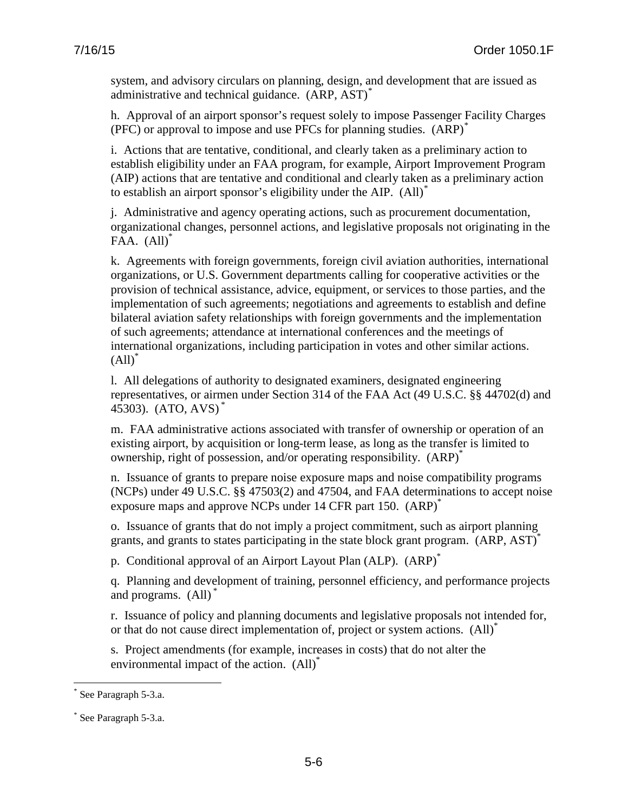system, and advisory circulars on planning, design, and development that are issued as administrative and technical guidance. (ARP, AST)<sup>[\\*](#page-53-0)</sup>

h. Approval of an airport sponsor's request solely to impose Passenger Facility Charges (PFC) or approval to impose and use PFCs for planning studies. (ARP)<sup>[\\*](#page-53-1)</sup>

i. Actions that are tentative, conditional, and clearly taken as a preliminary action to establish eligibility under an FAA program, for example, Airport Improvement Program (AIP) actions that are tentative and conditional and clearly taken as a preliminary action to establish an airport sponsor's eligibility under the AIP.  $(AII)^*$  $(AII)^*$ 

j. Administrative and agency operating actions, such as procurement documentation, organizational changes, personnel actions, and legislative proposals not originating in the FAA.  $(All)$ <sup>\*</sup>

k. Agreements with foreign governments, foreign civil aviation authorities, international organizations, or U.S. Government departments calling for cooperative activities or the provision of technical assistance, advice, equipment, or services to those parties, and the implementation of such agreements; negotiations and agreements to establish and define bilateral aviation safety relationships with foreign governments and the implementation of such agreements; attendance at international conferences and the meetings of international organizations, including participation in votes and other similar actions.  $(All)$ <sup>\*</sup>

l. All delegations of authority to designated examiners, designated engineering representatives, or airmen under Section 314 of the FAA Act (49 U.S.C. §§ 44702(d) and 45303). (ATO, AVS) \*

m. FAA administrative actions associated with transfer of ownership or operation of an existing airport, by acquisition or long-term lease, as long as the transfer is limited to ownership, right of possession, and/or operating responsibility. (ARP)\*

n. Issuance of grants to prepare noise exposure maps and noise compatibility programs (NCPs) under 49 U.S.C. §§ 47503(2) and 47504, and FAA determinations to accept noise exposure maps and approve NCPs under 14 CFR part 150. (ARP)<sup>\*</sup>

o. Issuance of grants that do not imply a project commitment, such as airport planning grants, and grants to states participating in the state block grant program. (ARP, AST)<sup>\*</sup>

p. Conditional approval of an Airport Layout Plan (ALP). (ARP)<sup>\*</sup>

q. Planning and development of training, personnel efficiency, and performance projects and programs. (All) \*

r. Issuance of policy and planning documents and legislative proposals not intended for, or that do not cause direct implementation of, project or system actions. (All)\*

s. Project amendments (for example, increases in costs) that do not alter the environmental impact of the action. (All)<sup>\*</sup>

<span id="page-53-0"></span>See Paragraph 5-3.a.  $\overline{a}$ 

<span id="page-53-2"></span><span id="page-53-1"></span><sup>\*</sup> See Paragraph 5-3.a.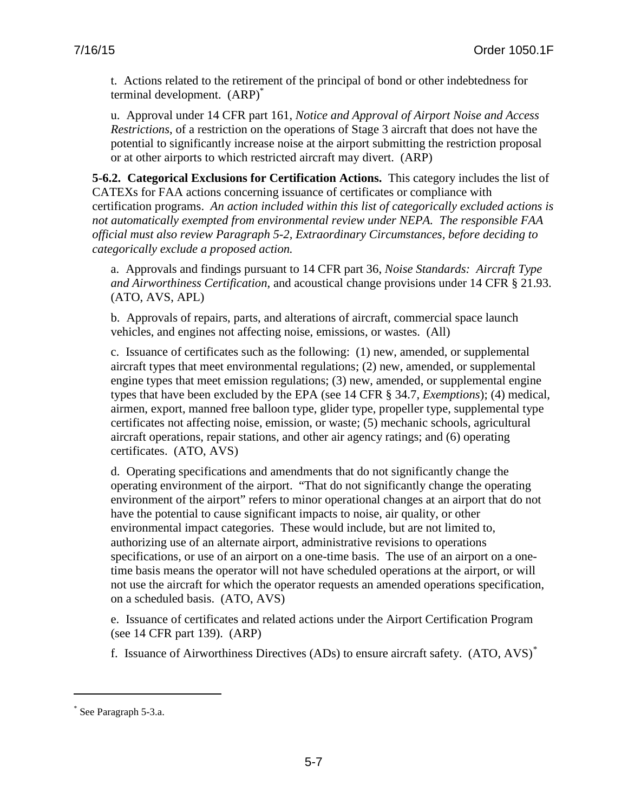t. Actions related to the retirement of the principal of bond or other indebtedness for terminal development. (ARP)\*

u. Approval under 14 CFR part 161, *Notice and Approval of Airport Noise and Access Restrictions*, of a restriction on the operations of Stage 3 aircraft that does not have the potential to significantly increase noise at the airport submitting the restriction proposal or at other airports to which restricted aircraft may divert. (ARP)

**5-6.2. Categorical Exclusions for Certification Actions.** This category includes the list of CATEXs for FAA actions concerning issuance of certificates or compliance with certification programs. *An action included within this list of categorically excluded actions is not automatically exempted from environmental review under NEPA. The responsible FAA official must also review Paragraph 5-2, Extraordinary Circumstances, before deciding to categorically exclude a proposed action.* 

a. Approvals and findings pursuant to 14 CFR part 36, *Noise Standards: Aircraft Type and Airworthiness Certification*, and acoustical change provisions under 14 CFR § 21.93. (ATO, AVS, APL)

b. Approvals of repairs, parts, and alterations of aircraft, commercial space launch vehicles, and engines not affecting noise, emissions, or wastes. (All)

c. Issuance of certificates such as the following: (1) new, amended, or supplemental aircraft types that meet environmental regulations; (2) new, amended, or supplemental engine types that meet emission regulations; (3) new, amended, or supplemental engine types that have been excluded by the EPA (see 14 CFR § 34.7, *Exemptions*); (4) medical, airmen, export, manned free balloon type, glider type, propeller type, supplemental type certificates not affecting noise, emission, or waste; (5) mechanic schools, agricultural aircraft operations, repair stations, and other air agency ratings; and (6) operating certificates. (ATO, AVS)

d. Operating specifications and amendments that do not significantly change the operating environment of the airport. "That do not significantly change the operating environment of the airport" refers to minor operational changes at an airport that do not have the potential to cause significant impacts to noise, air quality, or other environmental impact categories. These would include, but are not limited to, authorizing use of an alternate airport, administrative revisions to operations specifications, or use of an airport on a one-time basis. The use of an airport on a onetime basis means the operator will not have scheduled operations at the airport, or will not use the aircraft for which the operator requests an amended operations specification, on a scheduled basis. (ATO, AVS)

e. Issuance of certificates and related actions under the Airport Certification Program (see 14 CFR part 139). (ARP)

f. Issuance of Airworthiness Directives (ADs) to ensure aircraft safety. (ATO, AVS)[\\*](#page-54-0)

 $\overline{a}$ 

<span id="page-54-0"></span><sup>\*</sup> See Paragraph 5-3.a.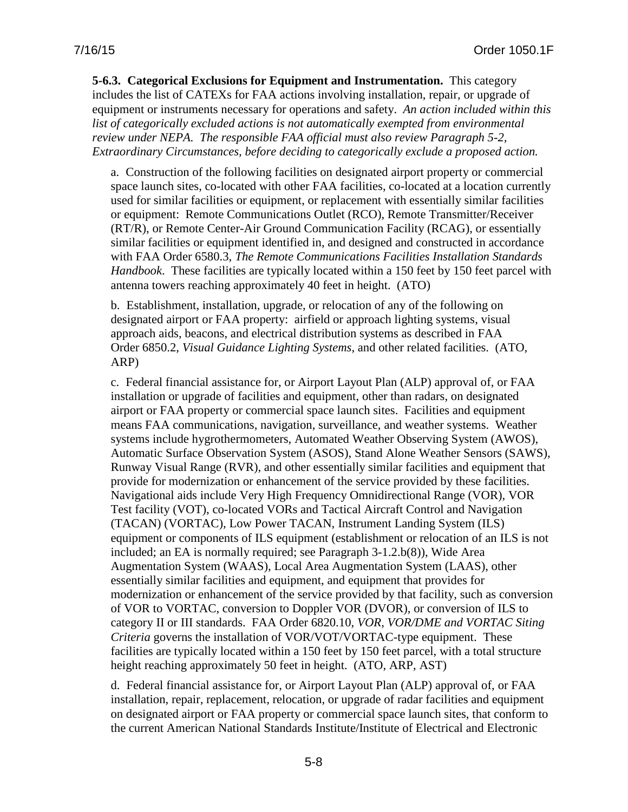**5-6.3. Categorical Exclusions for Equipment and Instrumentation.** This category includes the list of CATEXs for FAA actions involving installation, repair, or upgrade of equipment or instruments necessary for operations and safety.*An action included within this list of categorically excluded actions is not automatically exempted from environmental review under NEPA. The responsible FAA official must also review Paragraph 5-2, Extraordinary Circumstances, before deciding to categorically exclude a proposed action.*

a. Construction of the following facilities on designated airport property or commercial space launch sites, co-located with other FAA facilities, co-located at a location currently used for similar facilities or equipment, or replacement with essentially similar facilities or equipment: Remote Communications Outlet (RCO), Remote Transmitter/Receiver (RT/R), or Remote Center-Air Ground Communication Facility (RCAG), or essentially similar facilities or equipment identified in, and designed and constructed in accordance with FAA Order 6580.3, *The Remote Communications Facilities Installation Standards Handbook*. These facilities are typically located within a 150 feet by 150 feet parcel with antenna towers reaching approximately 40 feet in height. (ATO)

b. Establishment, installation, upgrade, or relocation of any of the following on designated airport or FAA property: airfield or approach lighting systems, visual approach aids, beacons, and electrical distribution systems as described in FAA Order 6850.2, *Visual Guidance Lighting Systems*, and other related facilities. (ATO, ARP)

c. Federal financial assistance for, or Airport Layout Plan (ALP) approval of, or FAA installation or upgrade of facilities and equipment, other than radars, on designated airport or FAA property or commercial space launch sites. Facilities and equipment means FAA communications, navigation, surveillance, and weather systems. Weather systems include hygrothermometers, Automated Weather Observing System (AWOS), Automatic Surface Observation System (ASOS), Stand Alone Weather Sensors (SAWS), Runway Visual Range (RVR), and other essentially similar facilities and equipment that provide for modernization or enhancement of the service provided by these facilities. Navigational aids include Very High Frequency Omnidirectional Range (VOR), VOR Test facility (VOT), co-located VORs and Tactical Aircraft Control and Navigation (TACAN) (VORTAC), Low Power TACAN, Instrument Landing System (ILS) equipment or components of ILS equipment (establishment or relocation of an ILS is not included; an EA is normally required; see Paragraph 3-1.2.b(8)), Wide Area Augmentation System (WAAS), Local Area Augmentation System (LAAS), other essentially similar facilities and equipment, and equipment that provides for modernization or enhancement of the service provided by that facility, such as conversion of VOR to VORTAC, conversion to Doppler VOR (DVOR), or conversion of ILS to category II or III standards. FAA Order 6820.10, *VOR, VOR/DME and VORTAC Siting Criteria* governs the installation of VOR/VOT/VORTAC-type equipment. These facilities are typically located within a 150 feet by 150 feet parcel, with a total structure height reaching approximately 50 feet in height. (ATO, ARP, AST)

d. Federal financial assistance for, or Airport Layout Plan (ALP) approval of, or FAA installation, repair, replacement, relocation, or upgrade of radar facilities and equipment on designated airport or FAA property or commercial space launch sites, that conform to the current American National Standards Institute/Institute of Electrical and Electronic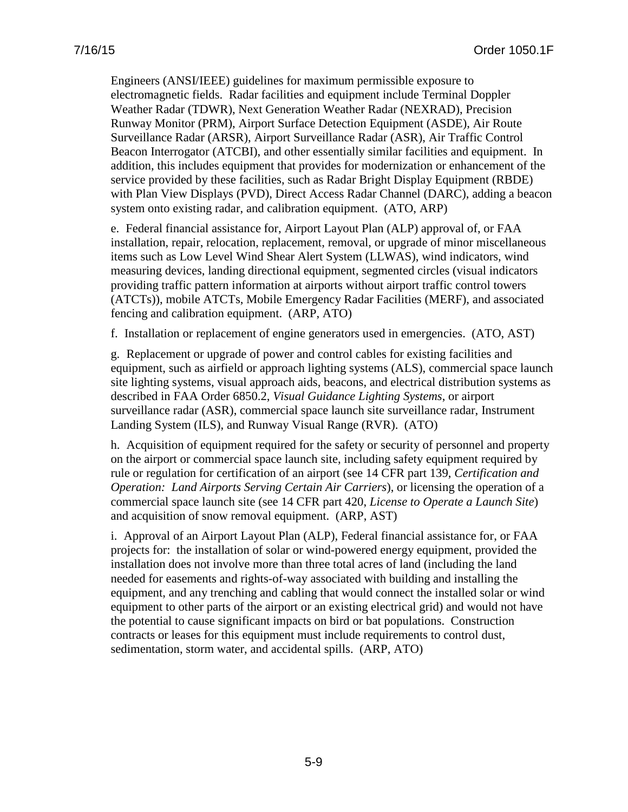Engineers (ANSI/IEEE) guidelines for maximum permissible exposure to electromagnetic fields. Radar facilities and equipment include Terminal Doppler Weather Radar (TDWR), Next Generation Weather Radar (NEXRAD), Precision Runway Monitor (PRM), Airport Surface Detection Equipment (ASDE), Air Route Surveillance Radar (ARSR), Airport Surveillance Radar (ASR), Air Traffic Control Beacon Interrogator (ATCBI), and other essentially similar facilities and equipment. In addition, this includes equipment that provides for modernization or enhancement of the service provided by these facilities, such as Radar Bright Display Equipment (RBDE) with Plan View Displays (PVD), Direct Access Radar Channel (DARC), adding a beacon system onto existing radar, and calibration equipment. (ATO, ARP)

e. Federal financial assistance for, Airport Layout Plan (ALP) approval of, or FAA installation, repair, relocation, replacement, removal, or upgrade of minor miscellaneous items such as Low Level Wind Shear Alert System (LLWAS), wind indicators, wind measuring devices, landing directional equipment, segmented circles (visual indicators providing traffic pattern information at airports without airport traffic control towers (ATCTs)), mobile ATCTs, Mobile Emergency Radar Facilities (MERF), and associated fencing and calibration equipment. (ARP, ATO)

f. Installation or replacement of engine generators used in emergencies. (ATO, AST)

g. Replacement or upgrade of power and control cables for existing facilities and equipment, such as airfield or approach lighting systems (ALS), commercial space launch site lighting systems, visual approach aids, beacons, and electrical distribution systems as described in FAA Order 6850.2, *Visual Guidance Lighting Systems*, or airport surveillance radar (ASR), commercial space launch site surveillance radar, Instrument Landing System (ILS), and Runway Visual Range (RVR). (ATO)

h. Acquisition of equipment required for the safety or security of personnel and property on the airport or commercial space launch site, including safety equipment required by rule or regulation for certification of an airport (see 14 CFR part 139, *Certification and Operation: Land Airports Serving Certain Air Carriers*), or licensing the operation of a commercial space launch site (see 14 CFR part 420, *License to Operate a Launch Site*) and acquisition of snow removal equipment. (ARP, AST)

i. Approval of an Airport Layout Plan (ALP), Federal financial assistance for, or FAA projects for: the installation of solar or wind-powered energy equipment, provided the installation does not involve more than three total acres of land (including the land needed for easements and rights-of-way associated with building and installing the equipment, and any trenching and cabling that would connect the installed solar or wind equipment to other parts of the airport or an existing electrical grid) and would not have the potential to cause significant impacts on bird or bat populations. Construction contracts or leases for this equipment must include requirements to control dust, sedimentation, storm water, and accidental spills. (ARP, ATO)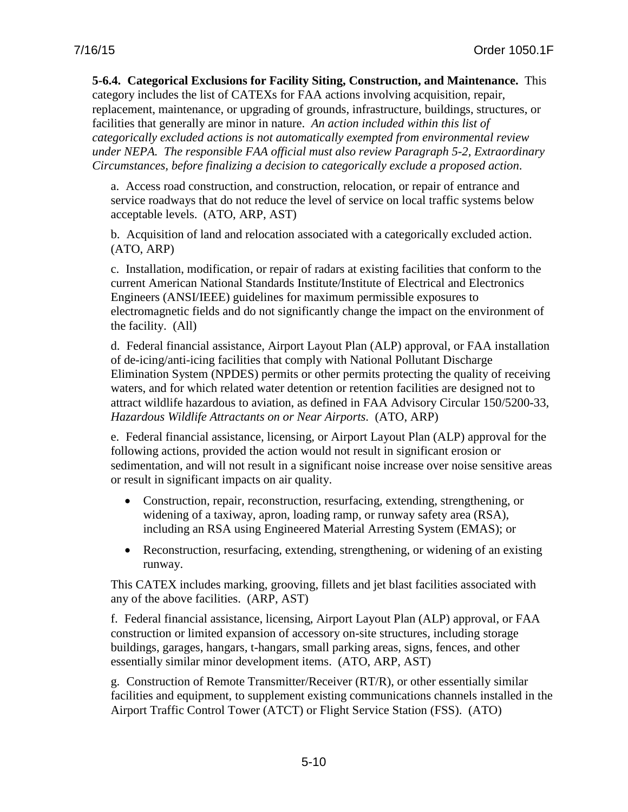**5-6.4. Categorical Exclusions for Facility Siting, Construction, and Maintenance.** This category includes the list of CATEXs for FAA actions involving acquisition, repair, replacement, maintenance, or upgrading of grounds, infrastructure, buildings, structures, or facilities that generally are minor in nature. *An action included within this list of categorically excluded actions is not automatically exempted from environmental review under NEPA. The responsible FAA official must also review Paragraph 5-2, Extraordinary Circumstances, before finalizing a decision to categorically exclude a proposed action*.

a. Access road construction, and construction, relocation, or repair of entrance and service roadways that do not reduce the level of service on local traffic systems below acceptable levels. (ATO, ARP, AST)

b. Acquisition of land and relocation associated with a categorically excluded action. (ATO, ARP)

c. Installation, modification, or repair of radars at existing facilities that conform to the current American National Standards Institute/Institute of Electrical and Electronics Engineers (ANSI/IEEE) guidelines for maximum permissible exposures to electromagnetic fields and do not significantly change the impact on the environment of the facility. (All)

d. Federal financial assistance, Airport Layout Plan (ALP) approval, or FAA installation of de-icing/anti-icing facilities that comply with National Pollutant Discharge Elimination System (NPDES) permits or other permits protecting the quality of receiving waters, and for which related water detention or retention facilities are designed not to attract wildlife hazardous to aviation, as defined in FAA Advisory Circular 150/5200-33, *Hazardous Wildlife Attractants on or Near Airports*. (ATO, ARP)

e. Federal financial assistance, licensing, or Airport Layout Plan (ALP) approval for the following actions, provided the action would not result in significant erosion or sedimentation, and will not result in a significant noise increase over noise sensitive areas or result in significant impacts on air quality.

- Construction, repair, reconstruction, resurfacing, extending, strengthening, or widening of a taxiway, apron, loading ramp, or runway safety area (RSA), including an RSA using Engineered Material Arresting System (EMAS); or
- Reconstruction, resurfacing, extending, strengthening, or widening of an existing runway.

This CATEX includes marking, grooving, fillets and jet blast facilities associated with any of the above facilities. (ARP, AST)

f. Federal financial assistance, licensing, Airport Layout Plan (ALP) approval, or FAA construction or limited expansion of accessory on-site structures, including storage buildings, garages, hangars, t-hangars, small parking areas, signs, fences, and other essentially similar minor development items. (ATO, ARP, AST)

g. Construction of Remote Transmitter/Receiver (RT/R), or other essentially similar facilities and equipment, to supplement existing communications channels installed in the Airport Traffic Control Tower (ATCT) or Flight Service Station (FSS). (ATO)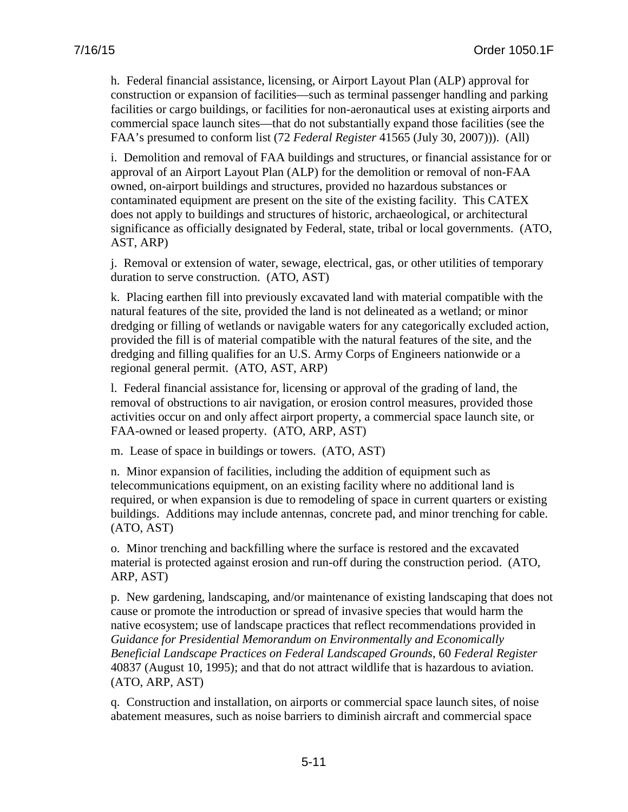h. Federal financial assistance, licensing, or Airport Layout Plan (ALP) approval for construction or expansion of facilities—such as terminal passenger handling and parking facilities or cargo buildings, or facilities for non-aeronautical uses at existing airports and commercial space launch sites—that do not substantially expand those facilities (see the FAA's presumed to conform list (72 *Federal Register* 41565 (July 30, 2007))). (All)

i. Demolition and removal of FAA buildings and structures, or financial assistance for or approval of an Airport Layout Plan (ALP) for the demolition or removal of non-FAA owned, on-airport buildings and structures, provided no hazardous substances or contaminated equipment are present on the site of the existing facility. This CATEX does not apply to buildings and structures of historic, archaeological, or architectural significance as officially designated by Federal, state, tribal or local governments. (ATO, AST, ARP)

j. Removal or extension of water, sewage, electrical, gas, or other utilities of temporary duration to serve construction. (ATO, AST)

k. Placing earthen fill into previously excavated land with material compatible with the natural features of the site, provided the land is not delineated as a wetland; or minor dredging or filling of wetlands or navigable waters for any categorically excluded action, provided the fill is of material compatible with the natural features of the site, and the dredging and filling qualifies for an U.S. Army Corps of Engineers nationwide or a regional general permit. (ATO, AST, ARP)

l. Federal financial assistance for, licensing or approval of the grading of land, the removal of obstructions to air navigation, or erosion control measures, provided those activities occur on and only affect airport property, a commercial space launch site, or FAA-owned or leased property. (ATO, ARP, AST)

m. Lease of space in buildings or towers. (ATO, AST)

n. Minor expansion of facilities, including the addition of equipment such as telecommunications equipment, on an existing facility where no additional land is required, or when expansion is due to remodeling of space in current quarters or existing buildings. Additions may include antennas, concrete pad, and minor trenching for cable. (ATO, AST)

o. Minor trenching and backfilling where the surface is restored and the excavated material is protected against erosion and run-off during the construction period. (ATO, ARP, AST)

p. New gardening, landscaping, and/or maintenance of existing landscaping that does not cause or promote the introduction or spread of invasive species that would harm the native ecosystem; use of landscape practices that reflect recommendations provided in *Guidance for Presidential Memorandum on Environmentally and Economically Beneficial Landscape Practices on Federal Landscaped Grounds*, 60 *Federal Register* 40837 (August 10, 1995); and that do not attract wildlife that is hazardous to aviation. (ATO, ARP, AST)

q. Construction and installation, on airports or commercial space launch sites, of noise abatement measures, such as noise barriers to diminish aircraft and commercial space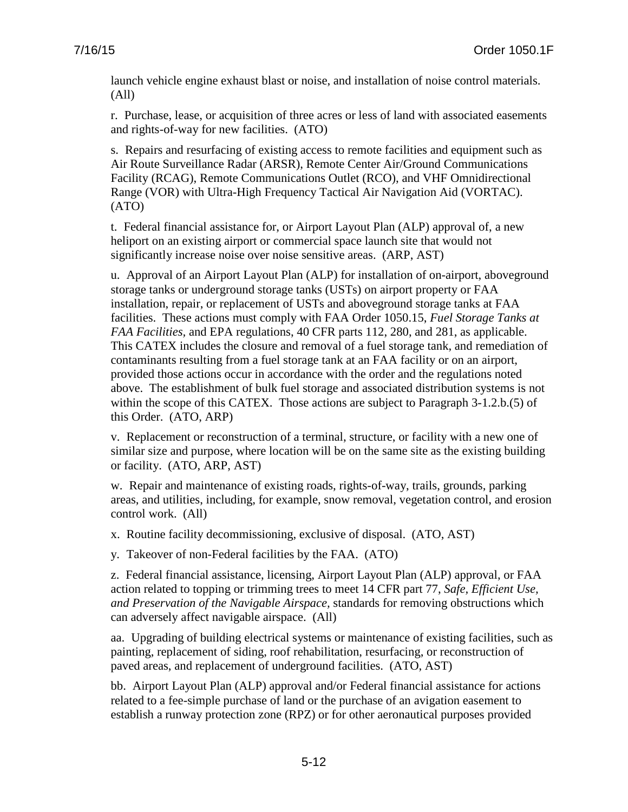launch vehicle engine exhaust blast or noise, and installation of noise control materials. (All)

r. Purchase, lease, or acquisition of three acres or less of land with associated easements and rights-of-way for new facilities. (ATO)

s. Repairs and resurfacing of existing access to remote facilities and equipment such as Air Route Surveillance Radar (ARSR), Remote Center Air/Ground Communications Facility (RCAG), Remote Communications Outlet (RCO), and VHF Omnidirectional Range (VOR) with Ultra-High Frequency Tactical Air Navigation Aid (VORTAC). (ATO)

t. Federal financial assistance for, or Airport Layout Plan (ALP) approval of, a new heliport on an existing airport or commercial space launch site that would not significantly increase noise over noise sensitive areas. (ARP, AST)

u. Approval of an Airport Layout Plan (ALP) for installation of on-airport, aboveground storage tanks or underground storage tanks (USTs) on airport property or FAA installation, repair, or replacement of USTs and aboveground storage tanks at FAA facilities. These actions must comply with FAA Order 1050.15, *Fuel Storage Tanks at FAA Facilities,* and EPA regulations, 40 CFR parts 112, 280, and 281, as applicable. This CATEX includes the closure and removal of a fuel storage tank, and remediation of contaminants resulting from a fuel storage tank at an FAA facility or on an airport, provided those actions occur in accordance with the order and the regulations noted above. The establishment of bulk fuel storage and associated distribution systems is not within the scope of this CATEX. Those actions are subject to Paragraph 3-1.2.b.(5) of this Order. (ATO, ARP)

v. Replacement or reconstruction of a terminal, structure, or facility with a new one of similar size and purpose, where location will be on the same site as the existing building or facility. (ATO, ARP, AST)

w. Repair and maintenance of existing roads, rights-of-way, trails, grounds, parking areas, and utilities, including, for example, snow removal, vegetation control, and erosion control work. (All)

x. Routine facility decommissioning, exclusive of disposal. (ATO, AST)

y. Takeover of non-Federal facilities by the FAA. (ATO)

z. Federal financial assistance, licensing, Airport Layout Plan (ALP) approval, or FAA action related to topping or trimming trees to meet 14 CFR part 77, *Safe, Efficient Use, and Preservation of the Navigable Airspace,* standards for removing obstructions which can adversely affect navigable airspace. (All)

aa. Upgrading of building electrical systems or maintenance of existing facilities, such as painting, replacement of siding, roof rehabilitation, resurfacing, or reconstruction of paved areas, and replacement of underground facilities. (ATO, AST)

bb. Airport Layout Plan (ALP) approval and/or Federal financial assistance for actions related to a fee-simple purchase of land or the purchase of an avigation easement to establish a runway protection zone (RPZ) or for other aeronautical purposes provided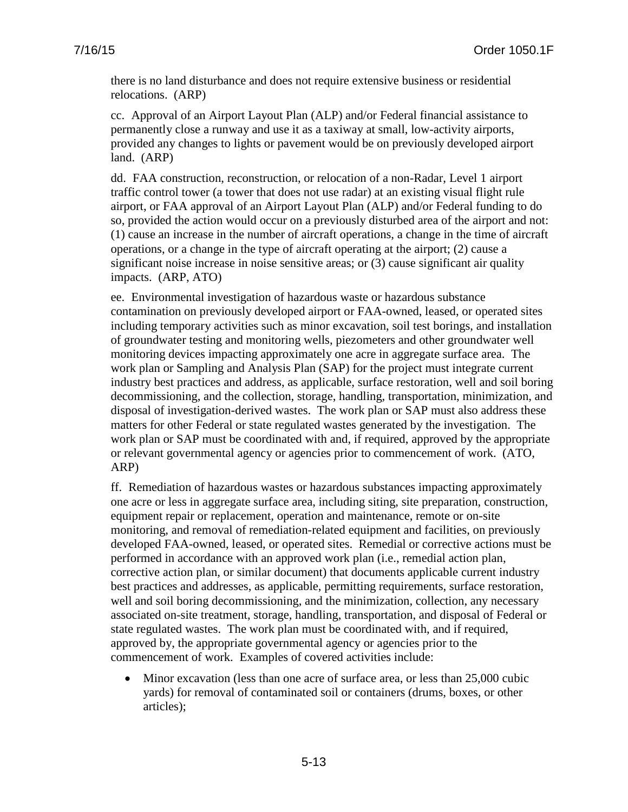there is no land disturbance and does not require extensive business or residential relocations. (ARP)

cc. Approval of an Airport Layout Plan (ALP) and/or Federal financial assistance to permanently close a runway and use it as a taxiway at small, low-activity airports, provided any changes to lights or pavement would be on previously developed airport land. (ARP)

dd. FAA construction, reconstruction, or relocation of a non-Radar, Level 1 airport traffic control tower (a tower that does not use radar) at an existing visual flight rule airport, or FAA approval of an Airport Layout Plan (ALP) and/or Federal funding to do so, provided the action would occur on a previously disturbed area of the airport and not: (1) cause an increase in the number of aircraft operations, a change in the time of aircraft operations, or a change in the type of aircraft operating at the airport; (2) cause a significant noise increase in noise sensitive areas; or (3) cause significant air quality impacts. (ARP, ATO)

ee. Environmental investigation of hazardous waste or hazardous substance contamination on previously developed airport or FAA-owned, leased, or operated sites including temporary activities such as minor excavation, soil test borings, and installation of groundwater testing and monitoring wells, piezometers and other groundwater well monitoring devices impacting approximately one acre in aggregate surface area. The work plan or Sampling and Analysis Plan (SAP) for the project must integrate current industry best practices and address, as applicable, surface restoration, well and soil boring decommissioning, and the collection, storage, handling, transportation, minimization, and disposal of investigation-derived wastes. The work plan or SAP must also address these matters for other Federal or state regulated wastes generated by the investigation. The work plan or SAP must be coordinated with and, if required, approved by the appropriate or relevant governmental agency or agencies prior to commencement of work. (ATO, ARP)

ff. Remediation of hazardous wastes or hazardous substances impacting approximately one acre or less in aggregate surface area, including siting, site preparation, construction, equipment repair or replacement, operation and maintenance, remote or on-site monitoring, and removal of remediation-related equipment and facilities, on previously developed FAA-owned, leased, or operated sites. Remedial or corrective actions must be performed in accordance with an approved work plan (i.e., remedial action plan, corrective action plan, or similar document) that documents applicable current industry best practices and addresses, as applicable, permitting requirements, surface restoration, well and soil boring decommissioning, and the minimization, collection, any necessary associated on-site treatment, storage, handling, transportation, and disposal of Federal or state regulated wastes. The work plan must be coordinated with, and if required, approved by, the appropriate governmental agency or agencies prior to the commencement of work. Examples of covered activities include:

• Minor excavation (less than one acre of surface area, or less than 25,000 cubic yards) for removal of contaminated soil or containers (drums, boxes, or other articles);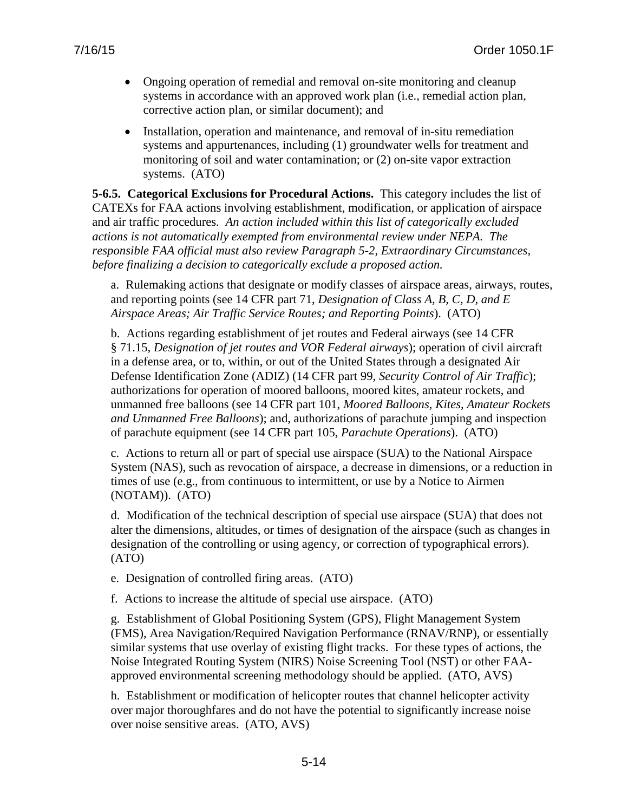- Ongoing operation of remedial and removal on-site monitoring and cleanup systems in accordance with an approved work plan (i.e., remedial action plan, corrective action plan, or similar document); and
- Installation, operation and maintenance, and removal of in-situ remediation systems and appurtenances, including (1) groundwater wells for treatment and monitoring of soil and water contamination; or (2) on-site vapor extraction systems. (ATO)

**5-6.5. Categorical Exclusions for Procedural Actions.** This category includes the list of CATEXs for FAA actions involving establishment, modification, or application of airspace and air traffic procedures*. An action included within this list of categorically excluded actions is not automatically exempted from environmental review under NEPA. The responsible FAA official must also review Paragraph 5-2, Extraordinary Circumstances, before finalizing a decision to categorically exclude a proposed action.*

a. Rulemaking actions that designate or modify classes of airspace areas, airways, routes, and reporting points (see 14 CFR part 71, *Designation of Class A, B, C, D, and E Airspace Areas; Air Traffic Service Routes; and Reporting Points*). (ATO)

b. Actions regarding establishment of jet routes and Federal airways (see 14 CFR § 71.15, *Designation of jet routes and VOR Federal airways*); operation of civil aircraft in a defense area, or to, within, or out of the United States through a designated Air Defense Identification Zone (ADIZ) (14 CFR part 99, *Security Control of Air Traffic*); authorizations for operation of moored balloons, moored kites, amateur rockets, and unmanned free balloons (see 14 CFR part 101, *Moored Balloons, Kites, Amateur Rockets and Unmanned Free Balloons*); and, authorizations of parachute jumping and inspection of parachute equipment (see 14 CFR part 105, *Parachute Operations*). (ATO)

c. Actions to return all or part of special use airspace (SUA) to the National Airspace System (NAS), such as revocation of airspace, a decrease in dimensions, or a reduction in times of use (e.g., from continuous to intermittent, or use by a Notice to Airmen (NOTAM)). (ATO)

d. Modification of the technical description of special use airspace (SUA) that does not alter the dimensions, altitudes, or times of designation of the airspace (such as changes in designation of the controlling or using agency, or correction of typographical errors). (ATO)

- e. Designation of controlled firing areas. (ATO)
- f. Actions to increase the altitude of special use airspace. (ATO)

g. Establishment of Global Positioning System (GPS), Flight Management System (FMS), Area Navigation/Required Navigation Performance (RNAV/RNP), or essentially similar systems that use overlay of existing flight tracks. For these types of actions, the Noise Integrated Routing System (NIRS) Noise Screening Tool (NST) or other FAAapproved environmental screening methodology should be applied. (ATO, AVS)

h. Establishment or modification of helicopter routes that channel helicopter activity over major thoroughfares and do not have the potential to significantly increase noise over noise sensitive areas. (ATO, AVS)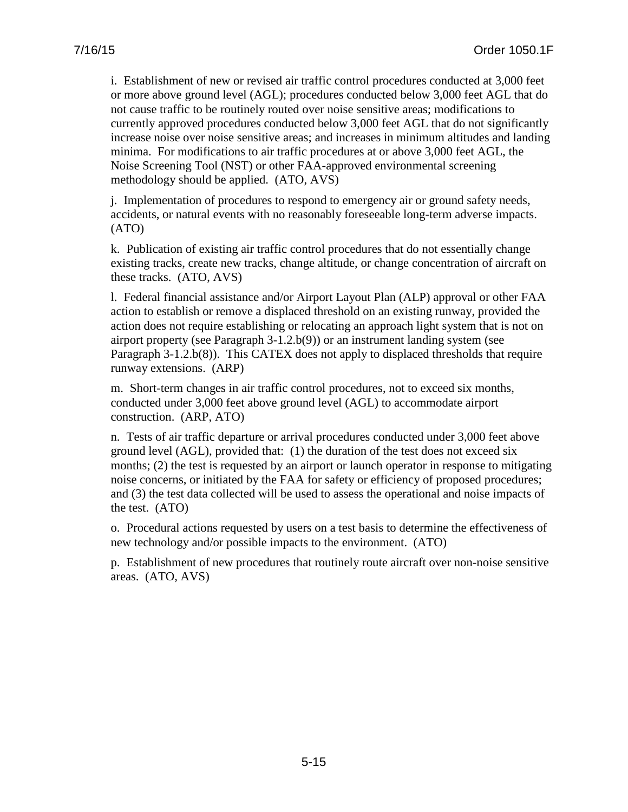i. Establishment of new or revised air traffic control procedures conducted at 3,000 feet or more above ground level (AGL); procedures conducted below 3,000 feet AGL that do not cause traffic to be routinely routed over noise sensitive areas; modifications to currently approved procedures conducted below 3,000 feet AGL that do not significantly increase noise over noise sensitive areas; and increases in minimum altitudes and landing minima. For modifications to air traffic procedures at or above 3,000 feet AGL, the Noise Screening Tool (NST) or other FAA-approved environmental screening methodology should be applied. (ATO, AVS)

j. Implementation of procedures to respond to emergency air or ground safety needs, accidents, or natural events with no reasonably foreseeable long-term adverse impacts. (ATO)

k. Publication of existing air traffic control procedures that do not essentially change existing tracks, create new tracks, change altitude, or change concentration of aircraft on these tracks. (ATO, AVS)

l. Federal financial assistance and/or Airport Layout Plan (ALP) approval or other FAA action to establish or remove a displaced threshold on an existing runway, provided the action does not require establishing or relocating an approach light system that is not on airport property (see Paragraph 3-1.2.b(9)) or an instrument landing system (see Paragraph 3-1.2.b(8)). This CATEX does not apply to displaced thresholds that require runway extensions. (ARP)

m. Short-term changes in air traffic control procedures, not to exceed six months, conducted under 3,000 feet above ground level (AGL) to accommodate airport construction. (ARP, ATO)

n. Tests of air traffic departure or arrival procedures conducted under 3,000 feet above ground level (AGL), provided that: (1) the duration of the test does not exceed six months; (2) the test is requested by an airport or launch operator in response to mitigating noise concerns, or initiated by the FAA for safety or efficiency of proposed procedures; and (3) the test data collected will be used to assess the operational and noise impacts of the test. (ATO)

o. Procedural actions requested by users on a test basis to determine the effectiveness of new technology and/or possible impacts to the environment. (ATO)

p. Establishment of new procedures that routinely route aircraft over non-noise sensitive areas. (ATO, AVS)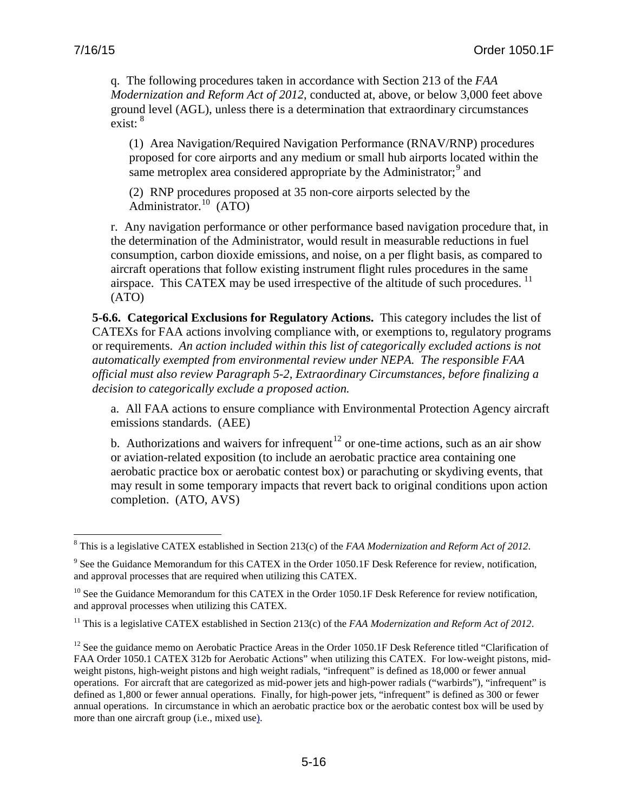$\overline{a}$ 

q. The following procedures taken in accordance with Section 213 of the *FAA Modernization and Reform Act of 2012*, conducted at, above, or below 3,000 feet above ground level (AGL), unless there is a determination that extraordinary circumstances exist: <sup>[8](#page-63-0)</sup>

(1) Area Navigation/Required Navigation Performance (RNAV/RNP) procedures proposed for core airports and any medium or small hub airports located within the same metroplex area considered appropriate by the Administrator; $\frac{9}{2}$  $\frac{9}{2}$  $\frac{9}{2}$  and

(2) RNP procedures proposed at 35 non-core airports selected by the Administrator.[10](#page-63-2) (ATO)

r. Any navigation performance or other performance based navigation procedure that, in the determination of the Administrator, would result in measurable reductions in fuel consumption, carbon dioxide emissions, and noise, on a per flight basis, as compared to aircraft operations that follow existing instrument flight rules procedures in the same airspace. This CATEX may be used irrespective of the altitude of such procedures.<sup>[11](#page-63-3)</sup> (ATO)

**5-6.6. Categorical Exclusions for Regulatory Actions.** This category includes the list of CATEXs for FAA actions involving compliance with, or exemptions to, regulatory programs or requirements. *An action included within this list of categorically excluded actions is not automatically exempted from environmental review under NEPA. The responsible FAA official must also review Paragraph 5-2, Extraordinary Circumstances, before finalizing a decision to categorically exclude a proposed action.* 

a. All FAA actions to ensure compliance with Environmental Protection Agency aircraft emissions standards. (AEE)

b. Authorizations and waivers for infrequent<sup>[12](#page-63-4)</sup> or one-time actions, such as an air show or aviation-related exposition (to include an aerobatic practice area containing one aerobatic practice box or aerobatic contest box) or parachuting or skydiving events, that may result in some temporary impacts that revert back to original conditions upon action completion. (ATO, AVS)

<span id="page-63-0"></span><sup>8</sup> This is a legislative CATEX established in Section 213(c) of the *FAA Modernization and Reform Act of 2012*.

<span id="page-63-1"></span><sup>&</sup>lt;sup>9</sup> See the Guidance Memorandum for this CATEX in the Order 1050.1F Desk Reference for review, notification, and approval processes that are required when utilizing this CATEX.

<span id="page-63-2"></span><sup>&</sup>lt;sup>10</sup> See the Guidance Memorandum for this CATEX in the Order 1050.1F Desk Reference for review notification, and approval processes when utilizing this CATEX.

<span id="page-63-3"></span><sup>&</sup>lt;sup>11</sup> This is a legislative CATEX established in Section 213(c) of the *FAA Modernization and Reform Act of 2012*.

<span id="page-63-4"></span> $12$  See the guidance memo on Aerobatic Practice Areas in the Order 1050.1F Desk Reference titled "Clarification of FAA Order 1050.1 CATEX 312b for Aerobatic Actions" when utilizing this CATEX. For low-weight pistons, midweight pistons, high-weight pistons and high weight radials, "infrequent" is defined as 18,000 or fewer annual operations. For aircraft that are categorized as mid-power jets and high-power radials ("warbirds"), "infrequent" is defined as 1,800 or fewer annual operations. Finally, for high-power jets, "infrequent" is defined as 300 or fewer annual operations. In circumstance in which an aerobatic practice box or the aerobatic contest box will be used by more than one aircraft group (i.e., mixed use).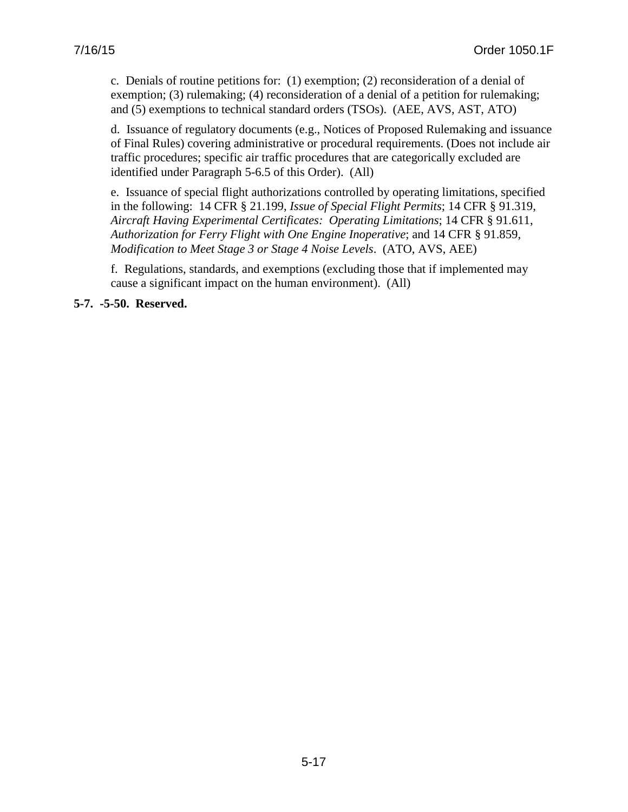c. Denials of routine petitions for: (1) exemption; (2) reconsideration of a denial of exemption; (3) rulemaking; (4) reconsideration of a denial of a petition for rulemaking; and (5) exemptions to technical standard orders (TSOs). (AEE, AVS, AST, ATO)

d. Issuance of regulatory documents (e.g., Notices of Proposed Rulemaking and issuance of Final Rules) covering administrative or procedural requirements. (Does not include air traffic procedures; specific air traffic procedures that are categorically excluded are identified under Paragraph 5-6.5 of this Order). (All)

e. Issuance of special flight authorizations controlled by operating limitations, specified in the following: 14 CFR § 21.199, *Issue of Special Flight Permits*; 14 CFR § 91.319, *Aircraft Having Experimental Certificates: Operating Limitations*; 14 CFR § 91.611, *Authorization for Ferry Flight with One Engine Inoperative*; and 14 CFR § 91.859, *Modification to Meet Stage 3 or Stage 4 Noise Levels*. (ATO, AVS, AEE)

f. Regulations, standards, and exemptions (excluding those that if implemented may cause a significant impact on the human environment). (All)

**5-7. -5-50. Reserved.**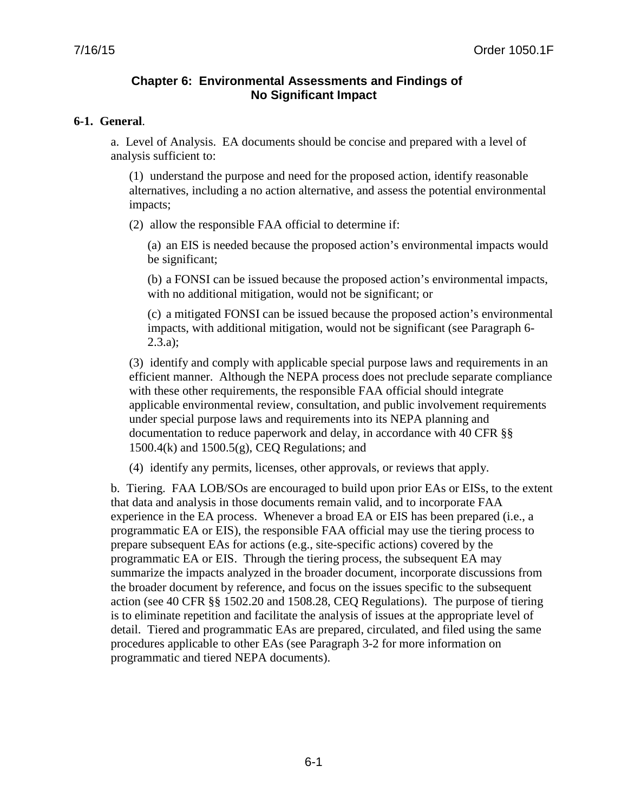## **Chapter 6: Environmental Assessments and Findings of No Significant Impact**

#### **6-1. General**.

a. Level of Analysis. EA documents should be concise and prepared with a level of analysis sufficient to:

(1) understand the purpose and need for the proposed action, identify reasonable alternatives, including a no action alternative, and assess the potential environmental impacts;

(2) allow the responsible FAA official to determine if:

(a) an EIS is needed because the proposed action's environmental impacts would be significant;

(b) a FONSI can be issued because the proposed action's environmental impacts, with no additional mitigation, would not be significant; or

(c) a mitigated FONSI can be issued because the proposed action's environmental impacts, with additional mitigation, would not be significant (see Paragraph 6- 2.3.a);

(3) identify and comply with applicable special purpose laws and requirements in an efficient manner. Although the NEPA process does not preclude separate compliance with these other requirements, the responsible FAA official should integrate applicable environmental review, consultation, and public involvement requirements under special purpose laws and requirements into its NEPA planning and documentation to reduce paperwork and delay, in accordance with 40 CFR §§ 1500.4(k) and 1500.5(g), CEQ Regulations; and

(4) identify any permits, licenses, other approvals, or reviews that apply.

b. Tiering. FAA LOB/SOs are encouraged to build upon prior EAs or EISs, to the extent that data and analysis in those documents remain valid, and to incorporate FAA experience in the EA process. Whenever a broad EA or EIS has been prepared (i.e., a programmatic EA or EIS), the responsible FAA official may use the tiering process to prepare subsequent EAs for actions (e.g., site-specific actions) covered by the programmatic EA or EIS. Through the tiering process, the subsequent EA may summarize the impacts analyzed in the broader document, incorporate discussions from the broader document by reference, and focus on the issues specific to the subsequent action (see 40 CFR §§ 1502.20 and 1508.28, CEQ Regulations). The purpose of tiering is to eliminate repetition and facilitate the analysis of issues at the appropriate level of detail. Tiered and programmatic EAs are prepared, circulated, and filed using the same procedures applicable to other EAs (see Paragraph 3-2 for more information on programmatic and tiered NEPA documents).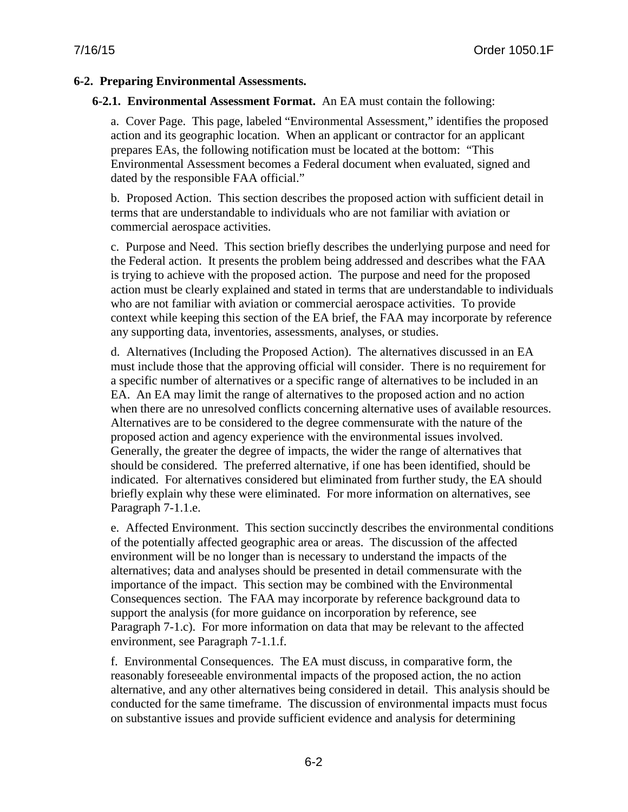## **6-2. Preparing Environmental Assessments.**

#### **6-2.1. Environmental Assessment Format.** An EA must contain the following:

a. Cover Page. This page, labeled "Environmental Assessment," identifies the proposed action and its geographic location. When an applicant or contractor for an applicant prepares EAs, the following notification must be located at the bottom: "This Environmental Assessment becomes a Federal document when evaluated, signed and dated by the responsible FAA official."

b. Proposed Action. This section describes the proposed action with sufficient detail in terms that are understandable to individuals who are not familiar with aviation or commercial aerospace activities.

c. Purpose and Need. This section briefly describes the underlying purpose and need for the Federal action. It presents the problem being addressed and describes what the FAA is trying to achieve with the proposed action. The purpose and need for the proposed action must be clearly explained and stated in terms that are understandable to individuals who are not familiar with aviation or commercial aerospace activities. To provide context while keeping this section of the EA brief, the FAA may incorporate by reference any supporting data, inventories, assessments, analyses, or studies.

d. Alternatives (Including the Proposed Action). The alternatives discussed in an EA must include those that the approving official will consider. There is no requirement for a specific number of alternatives or a specific range of alternatives to be included in an EA. An EA may limit the range of alternatives to the proposed action and no action when there are no unresolved conflicts concerning alternative uses of available resources. Alternatives are to be considered to the degree commensurate with the nature of the proposed action and agency experience with the environmental issues involved. Generally, the greater the degree of impacts, the wider the range of alternatives that should be considered. The preferred alternative, if one has been identified, should be indicated. For alternatives considered but eliminated from further study, the EA should briefly explain why these were eliminated. For more information on alternatives, see Paragraph 7-1.1.e.

e. Affected Environment. This section succinctly describes the environmental conditions of the potentially affected geographic area or areas. The discussion of the affected environment will be no longer than is necessary to understand the impacts of the alternatives; data and analyses should be presented in detail commensurate with the importance of the impact. This section may be combined with the Environmental Consequences section. The FAA may incorporate by reference background data to support the analysis (for more guidance on incorporation by reference, see Paragraph 7-1.c). For more information on data that may be relevant to the affected environment, see Paragraph 7-1.1.f.

f. Environmental Consequences. The EA must discuss, in comparative form, the reasonably foreseeable environmental impacts of the proposed action, the no action alternative, and any other alternatives being considered in detail. This analysis should be conducted for the same timeframe. The discussion of environmental impacts must focus on substantive issues and provide sufficient evidence and analysis for determining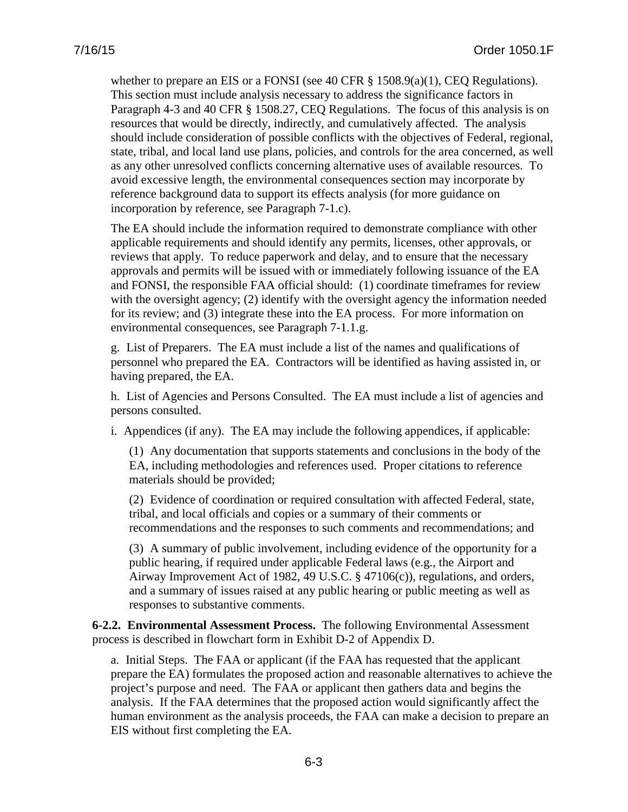whether to prepare an EIS or a FONSI (see 40 CFR  $\S$  1508.9(a)(1), CEQ Regulations). This section must include analysis necessary to address the significance factors in Paragraph 4-3 and 40 CFR § 1508.27, CEQ Regulations. The focus of this analysis is on resources that would be directly, indirectly, and cumulatively affected. The analysis should include consideration of possible conflicts with the objectives of Federal, regional, state, tribal, and local land use plans, policies, and controls for the area concerned, as well as any other unresolved conflicts concerning alternative uses of available resources. To avoid excessive length, the environmental consequences section may incorporate by reference background data to support its effects analysis (for more guidance on incorporation by reference, see Paragraph 7-1.c).

The EA should include the information required to demonstrate compliance with other applicable requirements and should identify any permits, licenses, other approvals, or reviews that apply. To reduce paperwork and delay, and to ensure that the necessary approvals and permits will be issued with or immediately following issuance of the EA and FONSI, the responsible FAA official should: (1) coordinate timeframes for review with the oversight agency; (2) identify with the oversight agency the information needed for its review; and (3) integrate these into the EA process. For more information on environmental consequences, see Paragraph 7-1.1.g.

g. List of Preparers. The EA must include a list of the names and qualifications of personnel who prepared the EA. Contractors will be identified as having assisted in, or having prepared, the EA.

h. List of Agencies and Persons Consulted. The EA must include a list of agencies and persons consulted.

i. Appendices (if any). The EA may include the following appendices, if applicable:

(1) Any documentation that supports statements and conclusions in the body of the EA, including methodologies and references used. Proper citations to reference materials should be provided;

(2) Evidence of coordination or required consultation with affected Federal, state, tribal, and local officials and copies or a summary of their comments or recommendations and the responses to such comments and recommendations; and

(3) A summary of public involvement, including evidence of the opportunity for a public hearing, if required under applicable Federal laws (e.g., the Airport and Airway Improvement Act of 1982, 49 U.S.C. § 47106(c)), regulations, and orders, and a summary of issues raised at any public hearing or public meeting as well as responses to substantive comments.

**6-2.2. Environmental Assessment Process.** The following Environmental Assessment process is described in flowchart form in Exhibit D-2 of Appendix D.

a. Initial Steps. The FAA or applicant (if the FAA has requested that the applicant prepare the EA) formulates the proposed action and reasonable alternatives to achieve the project's purpose and need. The FAA or applicant then gathers data and begins the analysis. If the FAA determines that the proposed action would significantly affect the human environment as the analysis proceeds, the FAA can make a decision to prepare an EIS without first completing the EA.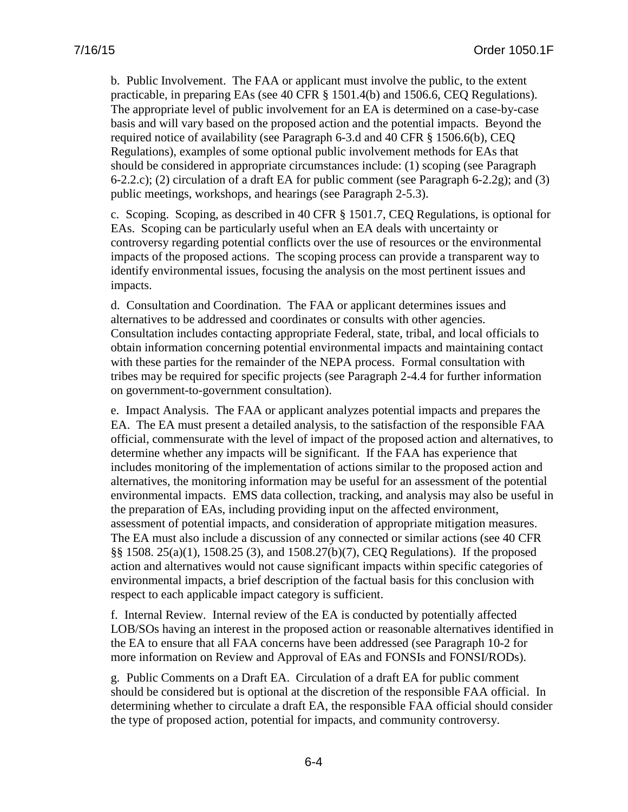b. Public Involvement. The FAA or applicant must involve the public, to the extent practicable, in preparing EAs (see 40 CFR § 1501.4(b) and 1506.6, CEQ Regulations). The appropriate level of public involvement for an EA is determined on a case-by-case basis and will vary based on the proposed action and the potential impacts. Beyond the required notice of availability (see Paragraph 6-3.d and 40 CFR § 1506.6(b), CEQ Regulations), examples of some optional public involvement methods for EAs that should be considered in appropriate circumstances include: (1) scoping (see Paragraph 6-2.2.c); (2) circulation of a draft EA for public comment (see Paragraph 6-2.2g); and (3) public meetings, workshops, and hearings (see Paragraph 2-5.3).

c. Scoping. Scoping, as described in 40 CFR § 1501.7, CEQ Regulations, is optional for EAs. Scoping can be particularly useful when an EA deals with uncertainty or controversy regarding potential conflicts over the use of resources or the environmental impacts of the proposed actions. The scoping process can provide a transparent way to identify environmental issues, focusing the analysis on the most pertinent issues and impacts.

d. Consultation and Coordination. The FAA or applicant determines issues and alternatives to be addressed and coordinates or consults with other agencies. Consultation includes contacting appropriate Federal, state, tribal, and local officials to obtain information concerning potential environmental impacts and maintaining contact with these parties for the remainder of the NEPA process. Formal consultation with tribes may be required for specific projects (see Paragraph 2-4.4 for further information on government-to-government consultation).

e. Impact Analysis. The FAA or applicant analyzes potential impacts and prepares the EA. The EA must present a detailed analysis, to the satisfaction of the responsible FAA official, commensurate with the level of impact of the proposed action and alternatives, to determine whether any impacts will be significant. If the FAA has experience that includes monitoring of the implementation of actions similar to the proposed action and alternatives, the monitoring information may be useful for an assessment of the potential environmental impacts. EMS data collection, tracking, and analysis may also be useful in the preparation of EAs, including providing input on the affected environment, assessment of potential impacts, and consideration of appropriate mitigation measures. The EA must also include a discussion of any connected or similar actions (see 40 CFR §§ 1508. 25(a)(1), 1508.25 (3), and 1508.27(b)(7), CEQ Regulations). If the proposed action and alternatives would not cause significant impacts within specific categories of environmental impacts, a brief description of the factual basis for this conclusion with respect to each applicable impact category is sufficient.

f. Internal Review. Internal review of the EA is conducted by potentially affected LOB/SOs having an interest in the proposed action or reasonable alternatives identified in the EA to ensure that all FAA concerns have been addressed (see Paragraph 10-2 for more information on Review and Approval of EAs and FONSIs and FONSI/RODs).

g. Public Comments on a Draft EA. Circulation of a draft EA for public comment should be considered but is optional at the discretion of the responsible FAA official. In determining whether to circulate a draft EA, the responsible FAA official should consider the type of proposed action, potential for impacts, and community controversy.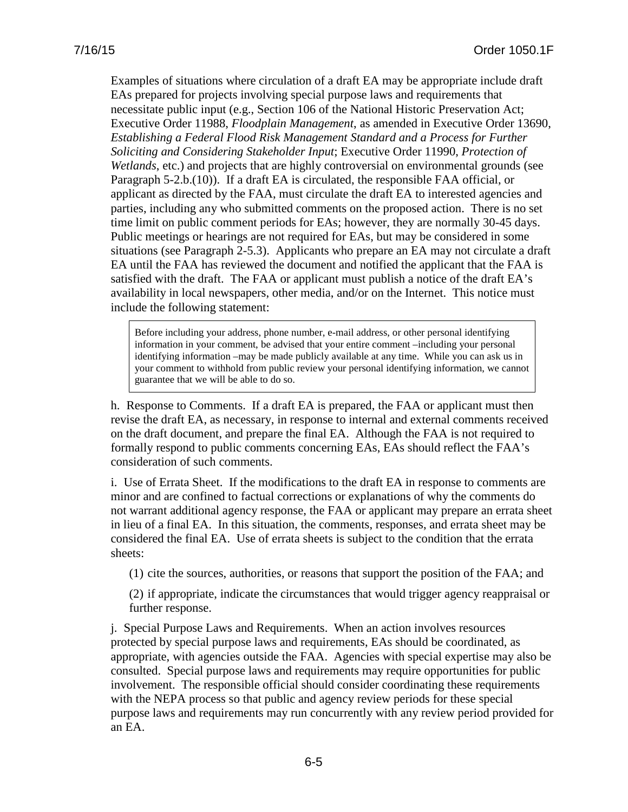Examples of situations where circulation of a draft EA may be appropriate include draft EAs prepared for projects involving special purpose laws and requirements that necessitate public input (e.g., Section 106 of the National Historic Preservation Act; Executive Order 11988, *Floodplain Management*, as amended in Executive Order 13690, *Establishing a Federal Flood Risk Management Standard and a Process for Further Soliciting and Considering Stakeholder Input*; Executive Order 11990, *Protection of Wetlands*, etc.) and projects that are highly controversial on environmental grounds (see Paragraph 5-2.b.(10)). If a draft EA is circulated, the responsible FAA official, or applicant as directed by the FAA, must circulate the draft EA to interested agencies and parties, including any who submitted comments on the proposed action. There is no set time limit on public comment periods for EAs; however, they are normally 30-45 days. Public meetings or hearings are not required for EAs, but may be considered in some situations (see Paragraph 2-5.3). Applicants who prepare an EA may not circulate a draft EA until the FAA has reviewed the document and notified the applicant that the FAA is satisfied with the draft. The FAA or applicant must publish a notice of the draft EA's availability in local newspapers, other media, and/or on the Internet. This notice must include the following statement:

Before including your address, phone number, e-mail address, or other personal identifying information in your comment, be advised that your entire comment –including your personal identifying information –may be made publicly available at any time. While you can ask us in your comment to withhold from public review your personal identifying information, we cannot guarantee that we will be able to do so.

h. Response to Comments. If a draft EA is prepared, the FAA or applicant must then revise the draft EA, as necessary, in response to internal and external comments received on the draft document, and prepare the final EA. Although the FAA is not required to formally respond to public comments concerning EAs, EAs should reflect the FAA's consideration of such comments.

i. Use of Errata Sheet. If the modifications to the draft EA in response to comments are minor and are confined to factual corrections or explanations of why the comments do not warrant additional agency response, the FAA or applicant may prepare an errata sheet in lieu of a final EA. In this situation, the comments, responses, and errata sheet may be considered the final EA. Use of errata sheets is subject to the condition that the errata sheets:

(1) cite the sources, authorities, or reasons that support the position of the FAA; and

(2) if appropriate, indicate the circumstances that would trigger agency reappraisal or further response.

j. Special Purpose Laws and Requirements. When an action involves resources protected by special purpose laws and requirements, EAs should be coordinated, as appropriate, with agencies outside the FAA. Agencies with special expertise may also be consulted. Special purpose laws and requirements may require opportunities for public involvement. The responsible official should consider coordinating these requirements with the NEPA process so that public and agency review periods for these special purpose laws and requirements may run concurrently with any review period provided for an EA.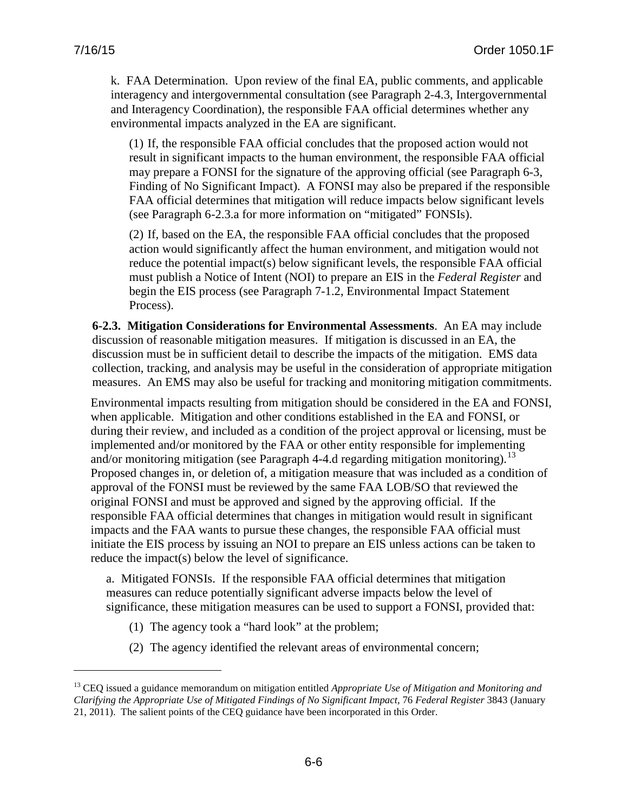$\overline{a}$ 

k. FAA Determination. Upon review of the final EA, public comments, and applicable interagency and intergovernmental consultation (see Paragraph 2-4.3, Intergovernmental and Interagency Coordination), the responsible FAA official determines whether any environmental impacts analyzed in the EA are significant.

(1) If, the responsible FAA official concludes that the proposed action would not result in significant impacts to the human environment, the responsible FAA official may prepare a FONSI for the signature of the approving official (see Paragraph 6-3, Finding of No Significant Impact). A FONSI may also be prepared if the responsible FAA official determines that mitigation will reduce impacts below significant levels (see Paragraph 6-2.3.a for more information on "mitigated" FONSIs).

(2) If, based on the EA, the responsible FAA official concludes that the proposed action would significantly affect the human environment, and mitigation would not reduce the potential impact(s) below significant levels, the responsible FAA official must publish a Notice of Intent (NOI) to prepare an EIS in the *Federal Register* and begin the EIS process (see Paragraph 7-1.2, Environmental Impact Statement Process).

**6-2.3. Mitigation Considerations for Environmental Assessments**. An EA may include discussion of reasonable mitigation measures. If mitigation is discussed in an EA, the discussion must be in sufficient detail to describe the impacts of the mitigation. EMS data collection, tracking, and analysis may be useful in the consideration of appropriate mitigation measures. An EMS may also be useful for tracking and monitoring mitigation commitments.

Environmental impacts resulting from mitigation should be considered in the EA and FONSI, when applicable. Mitigation and other conditions established in the EA and FONSI, or during their review, and included as a condition of the project approval or licensing, must be implemented and/or monitored by the FAA or other entity responsible for implementing and/or monitoring mitigation (see Paragraph 4-4.d regarding mitigation monitoring).<sup>[13](#page-70-0)</sup> Proposed changes in, or deletion of, a mitigation measure that was included as a condition of approval of the FONSI must be reviewed by the same FAA LOB/SO that reviewed the original FONSI and must be approved and signed by the approving official. If the responsible FAA official determines that changes in mitigation would result in significant impacts and the FAA wants to pursue these changes, the responsible FAA official must initiate the EIS process by issuing an NOI to prepare an EIS unless actions can be taken to reduce the impact(s) below the level of significance.

a. Mitigated FONSIs. If the responsible FAA official determines that mitigation measures can reduce potentially significant adverse impacts below the level of significance, these mitigation measures can be used to support a FONSI, provided that:

- (1) The agency took a "hard look" at the problem;
- (2) The agency identified the relevant areas of environmental concern;

<span id="page-70-0"></span><sup>13</sup> CEQ issued a guidance memorandum on mitigation entitled *Appropriate Use of Mitigation and Monitoring and Clarifying the Appropriate Use of Mitigated Findings of No Significant Impact*, 76 *Federal Register* 3843 (January 21, 2011). The salient points of the CEQ guidance have been incorporated in this Order.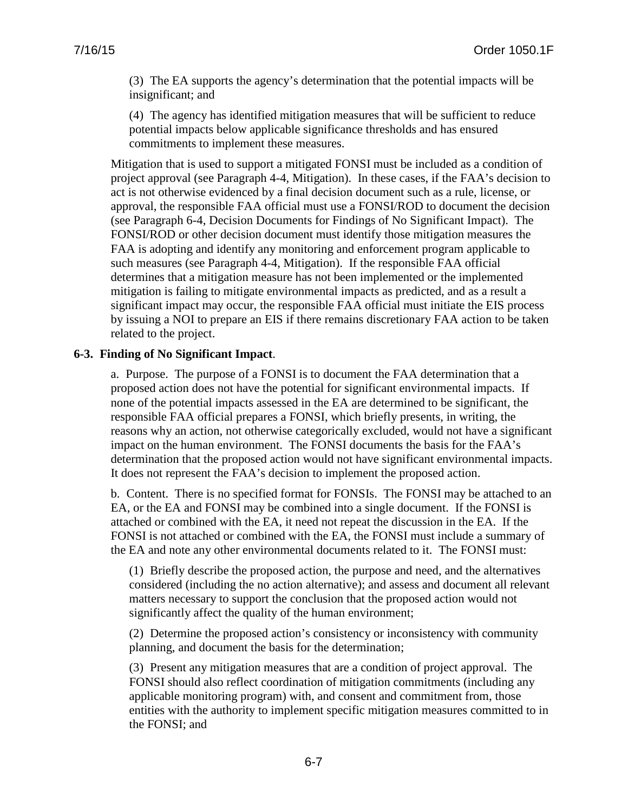(3) The EA supports the agency's determination that the potential impacts will be insignificant; and

(4) The agency has identified mitigation measures that will be sufficient to reduce potential impacts below applicable significance thresholds and has ensured commitments to implement these measures.

Mitigation that is used to support a mitigated FONSI must be included as a condition of project approval (see Paragraph 4-4, Mitigation). In these cases, if the FAA's decision to act is not otherwise evidenced by a final decision document such as a rule, license, or approval, the responsible FAA official must use a FONSI/ROD to document the decision (see Paragraph 6-4, Decision Documents for Findings of No Significant Impact). The FONSI/ROD or other decision document must identify those mitigation measures the FAA is adopting and identify any monitoring and enforcement program applicable to such measures (see Paragraph 4-4, Mitigation). If the responsible FAA official determines that a mitigation measure has not been implemented or the implemented mitigation is failing to mitigate environmental impacts as predicted, and as a result a significant impact may occur, the responsible FAA official must initiate the EIS process by issuing a NOI to prepare an EIS if there remains discretionary FAA action to be taken related to the project.

#### **6-3. Finding of No Significant Impact**.

a. Purpose. The purpose of a FONSI is to document the FAA determination that a proposed action does not have the potential for significant environmental impacts. If none of the potential impacts assessed in the EA are determined to be significant, the responsible FAA official prepares a FONSI, which briefly presents, in writing, the reasons why an action, not otherwise categorically excluded, would not have a significant impact on the human environment. The FONSI documents the basis for the FAA's determination that the proposed action would not have significant environmental impacts. It does not represent the FAA's decision to implement the proposed action.

b. Content.There is no specified format for FONSIs. The FONSI may be attached to an EA, or the EA and FONSI may be combined into a single document. If the FONSI is attached or combined with the EA, it need not repeat the discussion in the EA. If the FONSI is not attached or combined with the EA, the FONSI must include a summary of the EA and note any other environmental documents related to it. The FONSI must:

(1) Briefly describe the proposed action, the purpose and need, and the alternatives considered (including the no action alternative); and assess and document all relevant matters necessary to support the conclusion that the proposed action would not significantly affect the quality of the human environment;

(2) Determine the proposed action's consistency or inconsistency with community planning, and document the basis for the determination;

(3) Present any mitigation measures that are a condition of project approval. The FONSI should also reflect coordination of mitigation commitments (including any applicable monitoring program) with, and consent and commitment from, those entities with the authority to implement specific mitigation measures committed to in the FONSI; and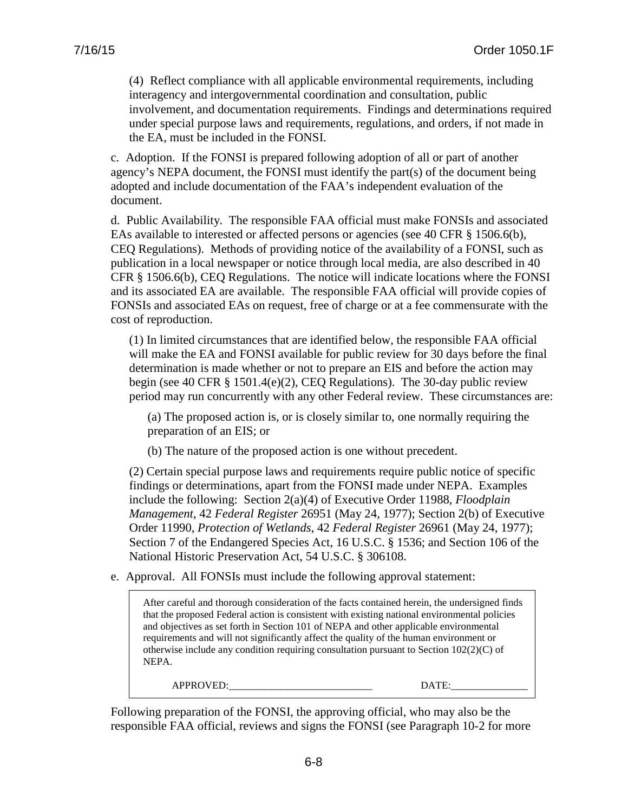(4) Reflect compliance with all applicable environmental requirements, including interagency and intergovernmental coordination and consultation, public involvement, and documentation requirements. Findings and determinations required under special purpose laws and requirements, regulations, and orders, if not made in the EA, must be included in the FONSI.

c. Adoption.If the FONSI is prepared following adoption of all or part of another agency's NEPA document, the FONSI must identify the part(s) of the document being adopted and include documentation of the FAA's independent evaluation of the document.

d. Public Availability. The responsible FAA official must make FONSIs and associated EAs available to interested or affected persons or agencies (see 40 CFR § 1506.6(b), CEQ Regulations). Methods of providing notice of the availability of a FONSI, such as publication in a local newspaper or notice through local media, are also described in 40 CFR § 1506.6(b), CEQ Regulations. The notice will indicate locations where the FONSI and its associated EA are available. The responsible FAA official will provide copies of FONSIs and associated EAs on request, free of charge or at a fee commensurate with the cost of reproduction.

(1) In limited circumstances that are identified below, the responsible FAA official will make the EA and FONSI available for public review for 30 days before the final determination is made whether or not to prepare an EIS and before the action may begin (see 40 CFR § 1501.4(e)(2), CEQ Regulations). The 30-day public review period may run concurrently with any other Federal review. These circumstances are:

(a) The proposed action is, or is closely similar to, one normally requiring the preparation of an EIS; or

(b) The nature of the proposed action is one without precedent.

(2) Certain special purpose laws and requirements require public notice of specific findings or determinations, apart from the FONSI made under NEPA. Examples include the following: Section 2(a)(4) of Executive Order 11988, *Floodplain Management*, 42 *Federal Register* 26951 (May 24, 1977); Section 2(b) of Executive Order 11990, *Protection of Wetlands*, 42 *Federal Register* 26961 (May 24, 1977); Section 7 of the Endangered Species Act, 16 U.S.C. § 1536; and Section 106 of the National Historic Preservation Act, 54 U.S.C. § 306108.

e. Approval. All FONSIs must include the following approval statement:

After careful and thorough consideration of the facts contained herein, the undersigned finds that the proposed Federal action is consistent with existing national environmental policies and objectives as set forth in Section 101 of NEPA and other applicable environmental requirements and will not significantly affect the quality of the human environment or otherwise include any condition requiring consultation pursuant to Section  $102(2)(C)$  of NEPA.

APPROVED: \_\_\_\_\_\_\_\_\_\_\_\_\_\_\_\_\_\_\_\_\_\_\_\_\_\_\_\_\_\_\_\_\_\_ DATE:\_

Following preparation of the FONSI, the approving official, who may also be the responsible FAA official, reviews and signs the FONSI (see Paragraph 10-2 for more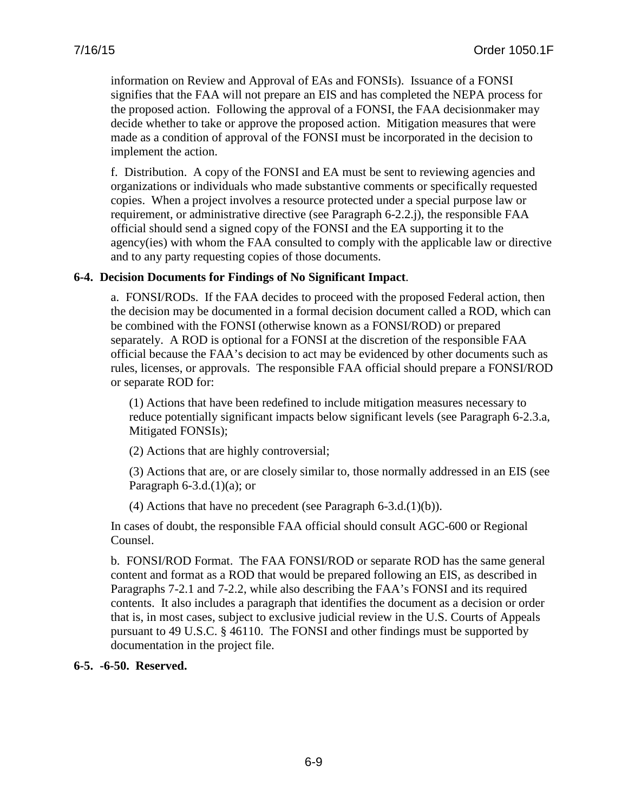information on Review and Approval of EAs and FONSIs). Issuance of a FONSI signifies that the FAA will not prepare an EIS and has completed the NEPA process for the proposed action. Following the approval of a FONSI, the FAA decisionmaker may decide whether to take or approve the proposed action. Mitigation measures that were made as a condition of approval of the FONSI must be incorporated in the decision to implement the action.

f. Distribution. A copy of the FONSI and EA must be sent to reviewing agencies and organizations or individuals who made substantive comments or specifically requested copies. When a project involves a resource protected under a special purpose law or requirement, or administrative directive (see Paragraph 6-2.2.j), the responsible FAA official should send a signed copy of the FONSI and the EA supporting it to the agency(ies) with whom the FAA consulted to comply with the applicable law or directive and to any party requesting copies of those documents.

# **6-4. Decision Documents for Findings of No Significant Impact**.

a. FONSI/RODs. If the FAA decides to proceed with the proposed Federal action, then the decision may be documented in a formal decision document called a ROD, which can be combined with the FONSI (otherwise known as a FONSI/ROD) or prepared separately. A ROD is optional for a FONSI at the discretion of the responsible FAA official because the FAA's decision to act may be evidenced by other documents such as rules, licenses, or approvals. The responsible FAA official should prepare a FONSI/ROD or separate ROD for:

(1) Actions that have been redefined to include mitigation measures necessary to reduce potentially significant impacts below significant levels (see Paragraph 6-2.3.a, Mitigated FONSIs);

(2) Actions that are highly controversial;

(3) Actions that are, or are closely similar to, those normally addressed in an EIS (see Paragraph  $6-3.d.(1)(a)$ ; or

(4) Actions that have no precedent (see Paragraph  $6-3.d.(1)(b)$ ).

In cases of doubt, the responsible FAA official should consult AGC-600 or Regional Counsel.

b. FONSI/ROD Format. The FAA FONSI/ROD or separate ROD has the same general content and format as a ROD that would be prepared following an EIS, as described in Paragraphs 7-2.1 and 7-2.2, while also describing the FAA's FONSI and its required contents. It also includes a paragraph that identifies the document as a decision or order that is, in most cases, subject to exclusive judicial review in the U.S. Courts of Appeals pursuant to 49 U.S.C. § 46110. The FONSI and other findings must be supported by documentation in the project file.

# **6-5. -6-50. Reserved.**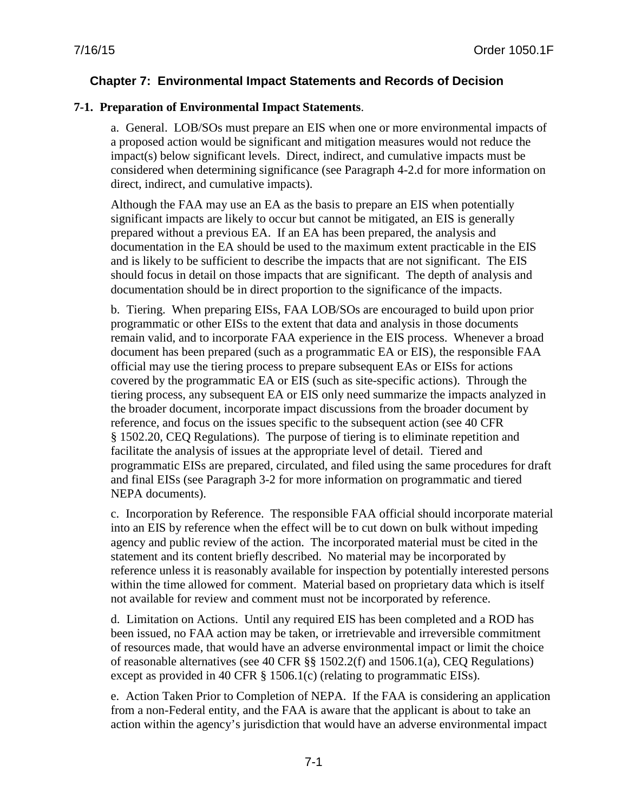# **Chapter 7: Environmental Impact Statements and Records of Decision**

# **7-1. Preparation of Environmental Impact Statements**.

a. General. LOB/SOs must prepare an EIS when one or more environmental impacts of a proposed action would be significant and mitigation measures would not reduce the impact(s) below significant levels.Direct, indirect, and cumulative impacts must be considered when determining significance (see Paragraph 4-2.d for more information on direct, indirect, and cumulative impacts).

Although the FAA may use an EA as the basis to prepare an EIS when potentially significant impacts are likely to occur but cannot be mitigated, an EIS is generally prepared without a previous EA. If an EA has been prepared, the analysis and documentation in the EA should be used to the maximum extent practicable in the EIS and is likely to be sufficient to describe the impacts that are not significant. The EIS should focus in detail on those impacts that are significant. The depth of analysis and documentation should be in direct proportion to the significance of the impacts.

b. Tiering. When preparing EISs, FAA LOB/SOs are encouraged to build upon prior programmatic or other EISs to the extent that data and analysis in those documents remain valid, and to incorporate FAA experience in the EIS process. Whenever a broad document has been prepared (such as a programmatic EA or EIS), the responsible FAA official may use the tiering process to prepare subsequent EAs or EISs for actions covered by the programmatic EA or EIS (such as site-specific actions). Through the tiering process, any subsequent EA or EIS only need summarize the impacts analyzed in the broader document, incorporate impact discussions from the broader document by reference, and focus on the issues specific to the subsequent action (see 40 CFR § 1502.20, CEQ Regulations). The purpose of tiering is to eliminate repetition and facilitate the analysis of issues at the appropriate level of detail. Tiered and programmatic EISs are prepared, circulated, and filed using the same procedures for draft and final EISs (see Paragraph 3-2 for more information on programmatic and tiered NEPA documents).

c. Incorporation by Reference. The responsible FAA official should incorporate material into an EIS by reference when the effect will be to cut down on bulk without impeding agency and public review of the action. The incorporated material must be cited in the statement and its content briefly described. No material may be incorporated by reference unless it is reasonably available for inspection by potentially interested persons within the time allowed for comment. Material based on proprietary data which is itself not available for review and comment must not be incorporated by reference.

d. Limitation on Actions. Until any required EIS has been completed and a ROD has been issued, no FAA action may be taken, or irretrievable and irreversible commitment of resources made, that would have an adverse environmental impact or limit the choice of reasonable alternatives (see 40 CFR §§ 1502.2(f) and 1506.1(a), CEQ Regulations) except as provided in 40 CFR § 1506.1(c) (relating to programmatic EISs).

e. Action Taken Prior to Completion of NEPA. If the FAA is considering an application from a non-Federal entity, and the FAA is aware that the applicant is about to take an action within the agency's jurisdiction that would have an adverse environmental impact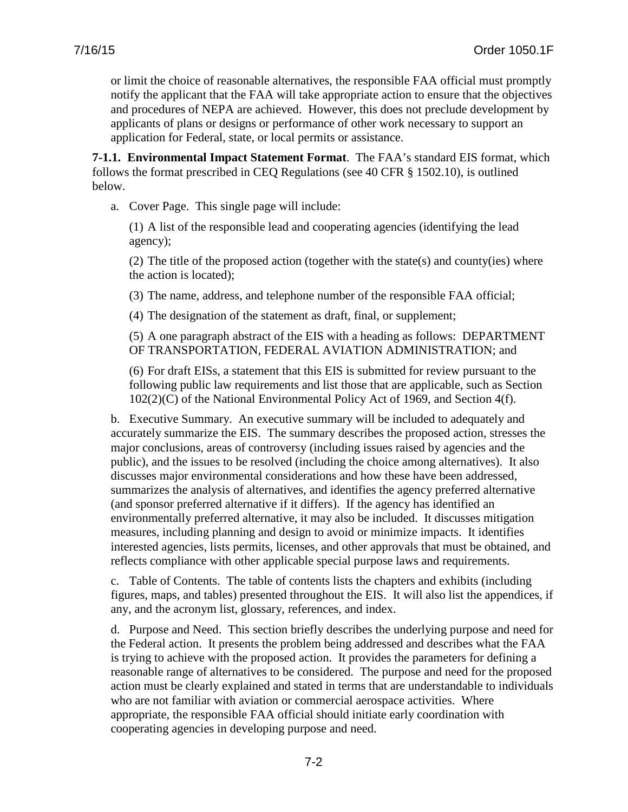or limit the choice of reasonable alternatives, the responsible FAA official must promptly notify the applicant that the FAA will take appropriate action to ensure that the objectives and procedures of NEPA are achieved. However, this does not preclude development by applicants of plans or designs or performance of other work necessary to support an application for Federal, state, or local permits or assistance.

**7-1.1. Environmental Impact Statement Format**. The FAA's standard EIS format, which follows the format prescribed in CEQ Regulations (see 40 CFR § 1502.10), is outlined below.

a. Cover Page. This single page will include:

(1) A list of the responsible lead and cooperating agencies (identifying the lead agency);

(2) The title of the proposed action (together with the state(s) and county(ies) where the action is located);

(3) The name, address, and telephone number of the responsible FAA official;

(4) The designation of the statement as draft, final, or supplement;

(5) A one paragraph abstract of the EIS with a heading as follows: DEPARTMENT OF TRANSPORTATION, FEDERAL AVIATION ADMINISTRATION; and

(6) For draft EISs, a statement that this EIS is submitted for review pursuant to the following public law requirements and list those that are applicable, such as Section 102(2)(C) of the National Environmental Policy Act of 1969, and Section 4(f).

b. Executive Summary. An executive summary will be included to adequately and accurately summarize the EIS. The summary describes the proposed action, stresses the major conclusions, areas of controversy (including issues raised by agencies and the public), and the issues to be resolved (including the choice among alternatives). It also discusses major environmental considerations and how these have been addressed, summarizes the analysis of alternatives, and identifies the agency preferred alternative (and sponsor preferred alternative if it differs). If the agency has identified an environmentally preferred alternative, it may also be included. It discusses mitigation measures, including planning and design to avoid or minimize impacts. It identifies interested agencies, lists permits, licenses, and other approvals that must be obtained, and reflects compliance with other applicable special purpose laws and requirements.

c. Table of Contents. The table of contents lists the chapters and exhibits (including figures, maps, and tables) presented throughout the EIS. It will also list the appendices, if any, and the acronym list, glossary, references, and index.

d. Purpose and Need. This section briefly describes the underlying purpose and need for the Federal action. It presents the problem being addressed and describes what the FAA is trying to achieve with the proposed action. It provides the parameters for defining a reasonable range of alternatives to be considered. The purpose and need for the proposed action must be clearly explained and stated in terms that are understandable to individuals who are not familiar with aviation or commercial aerospace activities. Where appropriate, the responsible FAA official should initiate early coordination with cooperating agencies in developing purpose and need.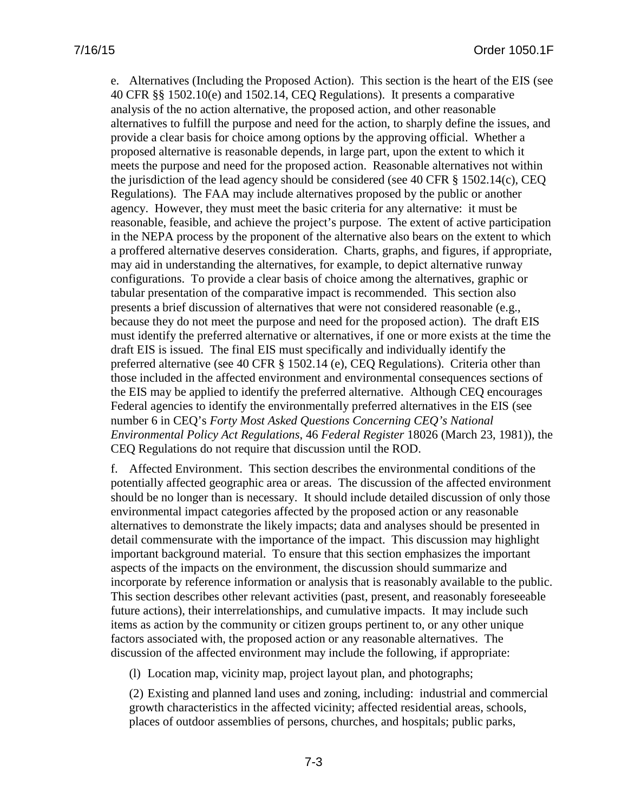e. Alternatives (Including the Proposed Action). This section is the heart of the EIS (see 40 CFR §§ 1502.10(e) and 1502.14, CEQ Regulations). It presents a comparative analysis of the no action alternative, the proposed action, and other reasonable alternatives to fulfill the purpose and need for the action, to sharply define the issues, and provide a clear basis for choice among options by the approving official. Whether a proposed alternative is reasonable depends, in large part, upon the extent to which it meets the purpose and need for the proposed action. Reasonable alternatives not within the jurisdiction of the lead agency should be considered (see 40 CFR § 1502.14(c), CEQ Regulations). The FAA may include alternatives proposed by the public or another agency. However, they must meet the basic criteria for any alternative: it must be reasonable, feasible, and achieve the project's purpose. The extent of active participation in the NEPA process by the proponent of the alternative also bears on the extent to which a proffered alternative deserves consideration. Charts, graphs, and figures, if appropriate, may aid in understanding the alternatives, for example, to depict alternative runway configurations. To provide a clear basis of choice among the alternatives, graphic or tabular presentation of the comparative impact is recommended. This section also presents a brief discussion of alternatives that were not considered reasonable (e.g., because they do not meet the purpose and need for the proposed action). The draft EIS must identify the preferred alternative or alternatives, if one or more exists at the time the draft EIS is issued. The final EIS must specifically and individually identify the preferred alternative (see 40 CFR § 1502.14 (e), CEQ Regulations). Criteria other than those included in the affected environment and environmental consequences sections of the EIS may be applied to identify the preferred alternative. Although CEQ encourages Federal agencies to identify the environmentally preferred alternatives in the EIS (see number 6 in CEQ's *Forty Most Asked Questions Concerning CEQ's National Environmental Policy Act Regulations*, 46 *Federal Register* 18026 (March 23, 1981)), the CEQ Regulations do not require that discussion until the ROD.

f. Affected Environment. This section describes the environmental conditions of the potentially affected geographic area or areas. The discussion of the affected environment should be no longer than is necessary. It should include detailed discussion of only those environmental impact categories affected by the proposed action or any reasonable alternatives to demonstrate the likely impacts; data and analyses should be presented in detail commensurate with the importance of the impact. This discussion may highlight important background material. To ensure that this section emphasizes the important aspects of the impacts on the environment, the discussion should summarize and incorporate by reference information or analysis that is reasonably available to the public. This section describes other relevant activities (past, present, and reasonably foreseeable future actions), their interrelationships, and cumulative impacts. It may include such items as action by the community or citizen groups pertinent to, or any other unique factors associated with, the proposed action or any reasonable alternatives. The discussion of the affected environment may include the following, if appropriate:

(l) Location map, vicinity map, project layout plan, and photographs;

(2) Existing and planned land uses and zoning, including: industrial and commercial growth characteristics in the affected vicinity; affected residential areas, schools, places of outdoor assemblies of persons, churches, and hospitals; public parks,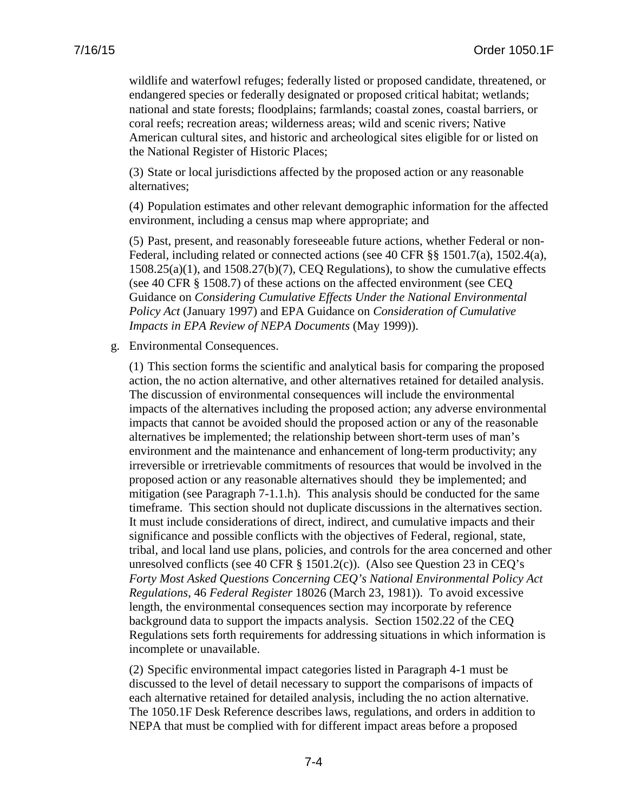wildlife and waterfowl refuges; federally listed or proposed candidate, threatened, or endangered species or federally designated or proposed critical habitat; wetlands; national and state forests; floodplains; farmlands; coastal zones, coastal barriers, or coral reefs; recreation areas; wilderness areas; wild and scenic rivers; Native American cultural sites, and historic and archeological sites eligible for or listed on the National Register of Historic Places;

(3) State or local jurisdictions affected by the proposed action or any reasonable alternatives;

(4) Population estimates and other relevant demographic information for the affected environment, including a census map where appropriate; and

(5) Past, present, and reasonably foreseeable future actions, whether Federal or non-Federal, including related or connected actions (see 40 CFR §§ 1501.7(a), 1502.4(a), 1508.25(a)(1), and 1508.27(b)(7), CEQ Regulations), to show the cumulative effects (see 40 CFR § 1508.7) of these actions on the affected environment (see CEQ Guidance on *Considering Cumulative Effects Under the National Environmental Policy Act* (January 1997) and EPA Guidance on *Consideration of Cumulative Impacts in EPA Review of NEPA Documents* (May 1999)).

g. Environmental Consequences.

(1) This section forms the scientific and analytical basis for comparing the proposed action, the no action alternative, and other alternatives retained for detailed analysis. The discussion of environmental consequences will include the environmental impacts of the alternatives including the proposed action; any adverse environmental impacts that cannot be avoided should the proposed action or any of the reasonable alternatives be implemented; the relationship between short-term uses of man's environment and the maintenance and enhancement of long-term productivity; any irreversible or irretrievable commitments of resources that would be involved in the proposed action or any reasonable alternatives should they be implemented; and mitigation (see Paragraph 7-1.1.h). This analysis should be conducted for the same timeframe. This section should not duplicate discussions in the alternatives section. It must include considerations of direct, indirect, and cumulative impacts and their significance and possible conflicts with the objectives of Federal, regional, state, tribal, and local land use plans, policies, and controls for the area concerned and other unresolved conflicts (see 40 CFR  $\S$  1501.2(c)). (Also see Question 23 in CEQ's *Forty Most Asked Questions Concerning CEQ's National Environmental Policy Act Regulations*, 46 *Federal Register* 18026 (March 23, 1981)). To avoid excessive length, the environmental consequences section may incorporate by reference background data to support the impacts analysis. Section 1502.22 of the CEQ Regulations sets forth requirements for addressing situations in which information is incomplete or unavailable.

(2) Specific environmental impact categories listed in Paragraph 4-1 must be discussed to the level of detail necessary to support the comparisons of impacts of each alternative retained for detailed analysis, including the no action alternative. The 1050.1F Desk Reference describes laws, regulations, and orders in addition to NEPA that must be complied with for different impact areas before a proposed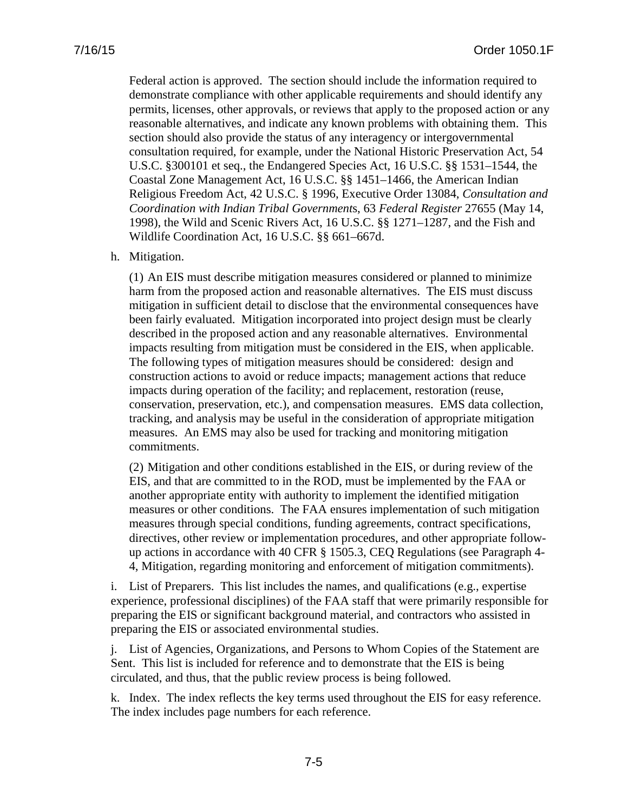Federal action is approved. The section should include the information required to demonstrate compliance with other applicable requirements and should identify any permits, licenses, other approvals, or reviews that apply to the proposed action or any reasonable alternatives, and indicate any known problems with obtaining them. This section should also provide the status of any interagency or intergovernmental consultation required, for example, under the National Historic Preservation Act, 54 U.S.C. §300101 et seq., the Endangered Species Act, 16 U.S.C. §§ 1531–1544, the Coastal Zone Management Act, 16 U.S.C. §§ 1451–1466, the American Indian Religious Freedom Act, 42 U.S.C. § 1996, Executive Order 13084, *Consultation and Coordination with Indian Tribal Government*s, 63 *Federal Register* 27655 (May 14, 1998), the Wild and Scenic Rivers Act, 16 U.S.C. §§ 1271–1287, and the Fish and Wildlife Coordination Act, 16 U.S.C. §§ 661–667d.

#### h. Mitigation.

(1) An EIS must describe mitigation measures considered or planned to minimize harm from the proposed action and reasonable alternatives. The EIS must discuss mitigation in sufficient detail to disclose that the environmental consequences have been fairly evaluated. Mitigation incorporated into project design must be clearly described in the proposed action and any reasonable alternatives. Environmental impacts resulting from mitigation must be considered in the EIS, when applicable. The following types of mitigation measures should be considered: design and construction actions to avoid or reduce impacts; management actions that reduce impacts during operation of the facility; and replacement, restoration (reuse, conservation, preservation, etc.), and compensation measures. EMS data collection, tracking, and analysis may be useful in the consideration of appropriate mitigation measures. An EMS may also be used for tracking and monitoring mitigation commitments.

(2) Mitigation and other conditions established in the EIS, or during review of the EIS, and that are committed to in the ROD, must be implemented by the FAA or another appropriate entity with authority to implement the identified mitigation measures or other conditions. The FAA ensures implementation of such mitigation measures through special conditions, funding agreements, contract specifications, directives, other review or implementation procedures, and other appropriate followup actions in accordance with 40 CFR § 1505.3, CEQ Regulations (see Paragraph 4- 4, Mitigation, regarding monitoring and enforcement of mitigation commitments).

i. List of Preparers. This list includes the names, and qualifications (e.g., expertise experience, professional disciplines) of the FAA staff that were primarily responsible for preparing the EIS or significant background material, and contractors who assisted in preparing the EIS or associated environmental studies.

j. List of Agencies, Organizations, and Persons to Whom Copies of the Statement are Sent. This list is included for reference and to demonstrate that the EIS is being circulated, and thus, that the public review process is being followed.

k. Index. The index reflects the key terms used throughout the EIS for easy reference. The index includes page numbers for each reference.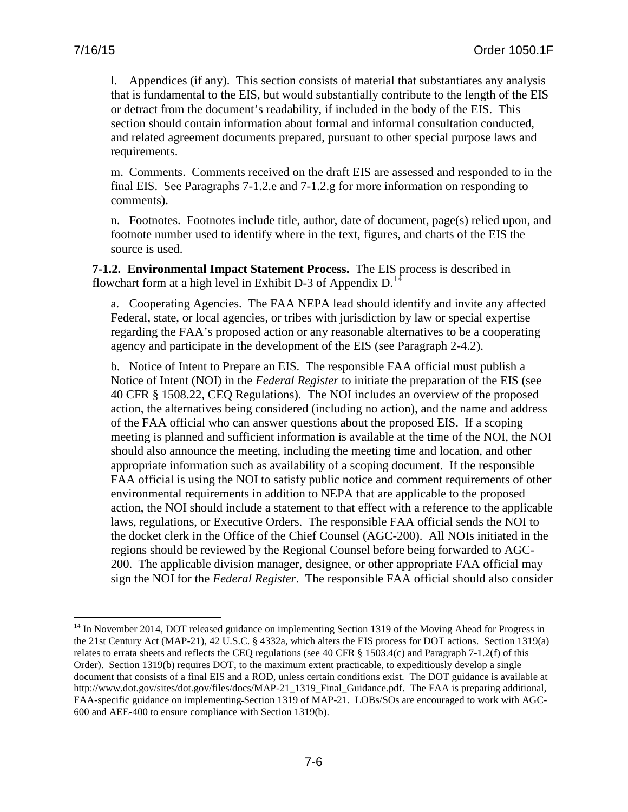l. Appendices (if any). This section consists of material that substantiates any analysis that is fundamental to the EIS, but would substantially contribute to the length of the EIS or detract from the document's readability, if included in the body of the EIS. This section should contain information about formal and informal consultation conducted, and related agreement documents prepared, pursuant to other special purpose laws and requirements.

m. Comments. Comments received on the draft EIS are assessed and responded to in the final EIS. See Paragraphs 7-1.2.e and 7-1.2.g for more information on responding to comments).

n. Footnotes. Footnotes include title, author, date of document, page(s) relied upon, and footnote number used to identify where in the text, figures, and charts of the EIS the source is used.

**7-1.2. Environmental Impact Statement Process.** The EIS process is described in flowchart form at a high level in Exhibit D-3 of Appendix D.<sup>[14](#page-79-0)</sup>

a. Cooperating Agencies. The FAA NEPA lead should identify and invite any affected Federal, state, or local agencies, or tribes with jurisdiction by law or special expertise regarding the FAA's proposed action or any reasonable alternatives to be a cooperating agency and participate in the development of the EIS (see Paragraph 2-4.2).

b. Notice of Intent to Prepare an EIS. The responsible FAA official must publish a Notice of Intent (NOI) in the *Federal Register* to initiate the preparation of the EIS (see 40 CFR § 1508.22, CEQ Regulations). The NOI includes an overview of the proposed action, the alternatives being considered (including no action), and the name and address of the FAA official who can answer questions about the proposed EIS. If a scoping meeting is planned and sufficient information is available at the time of the NOI, the NOI should also announce the meeting, including the meeting time and location, and other appropriate information such as availability of a scoping document. If the responsible FAA official is using the NOI to satisfy public notice and comment requirements of other environmental requirements in addition to NEPA that are applicable to the proposed action, the NOI should include a statement to that effect with a reference to the applicable laws, regulations, or Executive Orders. The responsible FAA official sends the NOI to the docket clerk in the Office of the Chief Counsel (AGC-200). All NOIs initiated in the regions should be reviewed by the Regional Counsel before being forwarded to AGC-200. The applicable division manager, designee, or other appropriate FAA official may sign the NOI for the *Federal Register*. The responsible FAA official should also consider

<span id="page-79-0"></span><sup>&</sup>lt;sup>14</sup> In November 2014, DOT released guidance on implementing Section 1319 of the Moving Ahead for Progress in the 21st Century Act (MAP-21), 42 U.S.C. § 4332a, which alters the EIS process for DOT actions. Section 1319(a) relates to errata sheets and reflects the CEQ regulations (see 40 CFR § 1503.4(c) and Paragraph 7-1.2(f) of this Order). Section 1319(b) requires DOT, to the maximum extent practicable, to expeditiously develop a single document that consists of a final EIS and a ROD, unless certain conditions exist. The DOT guidance is available at [http://www.dot.gov/sites/dot.gov/files/docs/MAP-21\\_1319\\_Final\\_Guidance.pdf.](http://www.dot.gov/sites/dot.gov/files/docs/MAP-21_1319_Final_Guidance.pdf) The FAA is preparing additional, FAA-specific guidance on implementing Section 1319 of MAP-21. LOBs/SOs are encouraged to work with AGC-600 and AEE-400 to ensure compliance with Section 1319(b).  $\overline{a}$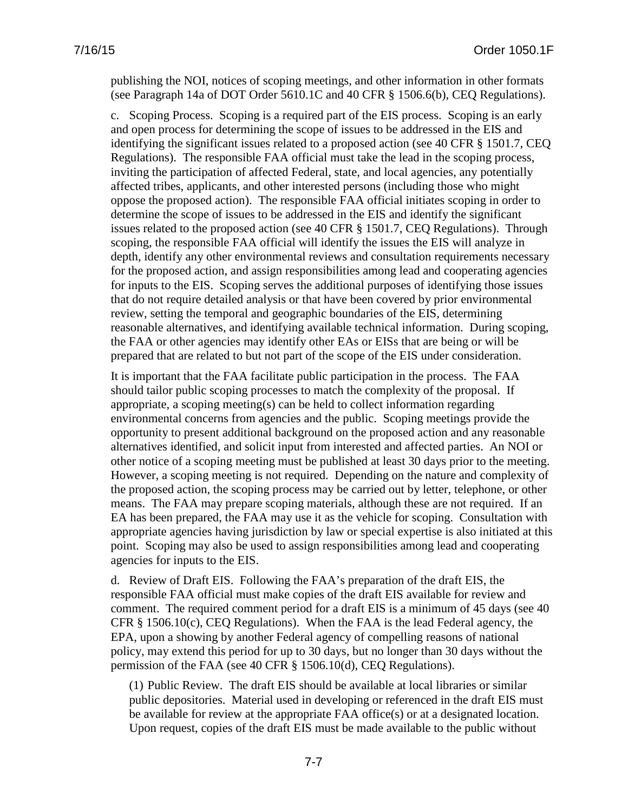publishing the NOI, notices of scoping meetings, and other information in other formats (see Paragraph 14a of DOT Order 5610.1C and 40 CFR § 1506.6(b), CEQ Regulations).

c. Scoping Process. Scoping is a required part of the EIS process. Scoping is an early and open process for determining the scope of issues to be addressed in the EIS and identifying the significant issues related to a proposed action (see 40 CFR § 1501.7, CEQ Regulations). The responsible FAA official must take the lead in the scoping process, inviting the participation of affected Federal, state, and local agencies, any potentially affected tribes, applicants, and other interested persons (including those who might oppose the proposed action). The responsible FAA official initiates scoping in order to determine the scope of issues to be addressed in the EIS and identify the significant issues related to the proposed action (see 40 CFR § 1501.7, CEQ Regulations). Through scoping, the responsible FAA official will identify the issues the EIS will analyze in depth, identify any other environmental reviews and consultation requirements necessary for the proposed action, and assign responsibilities among lead and cooperating agencies for inputs to the EIS. Scoping serves the additional purposes of identifying those issues that do not require detailed analysis or that have been covered by prior environmental review, setting the temporal and geographic boundaries of the EIS, determining reasonable alternatives, and identifying available technical information. During scoping, the FAA or other agencies may identify other EAs or EISs that are being or will be prepared that are related to but not part of the scope of the EIS under consideration.

It is important that the FAA facilitate public participation in the process. The FAA should tailor public scoping processes to match the complexity of the proposal. If appropriate, a scoping meeting(s) can be held to collect information regarding environmental concerns from agencies and the public. Scoping meetings provide the opportunity to present additional background on the proposed action and any reasonable alternatives identified, and solicit input from interested and affected parties. An NOI or other notice of a scoping meeting must be published at least 30 days prior to the meeting. However, a scoping meeting is not required. Depending on the nature and complexity of the proposed action, the scoping process may be carried out by letter, telephone, or other means. The FAA may prepare scoping materials, although these are not required. If an EA has been prepared, the FAA may use it as the vehicle for scoping. Consultation with appropriate agencies having jurisdiction by law or special expertise is also initiated at this point. Scoping may also be used to assign responsibilities among lead and cooperating agencies for inputs to the EIS.

d. Review of Draft EIS. Following the FAA's preparation of the draft EIS, the responsible FAA official must make copies of the draft EIS available for review and comment. The required comment period for a draft EIS is a minimum of 45 days (see 40 CFR § 1506.10(c), CEQ Regulations). When the FAA is the lead Federal agency, the EPA, upon a showing by another Federal agency of compelling reasons of national policy, may extend this period for up to 30 days, but no longer than 30 days without the permission of the FAA (see 40 CFR § 1506.10(d), CEQ Regulations).

(1) Public Review. The draft EIS should be available at local libraries or similar public depositories. Material used in developing or referenced in the draft EIS must be available for review at the appropriate FAA office(s) or at a designated location. Upon request, copies of the draft EIS must be made available to the public without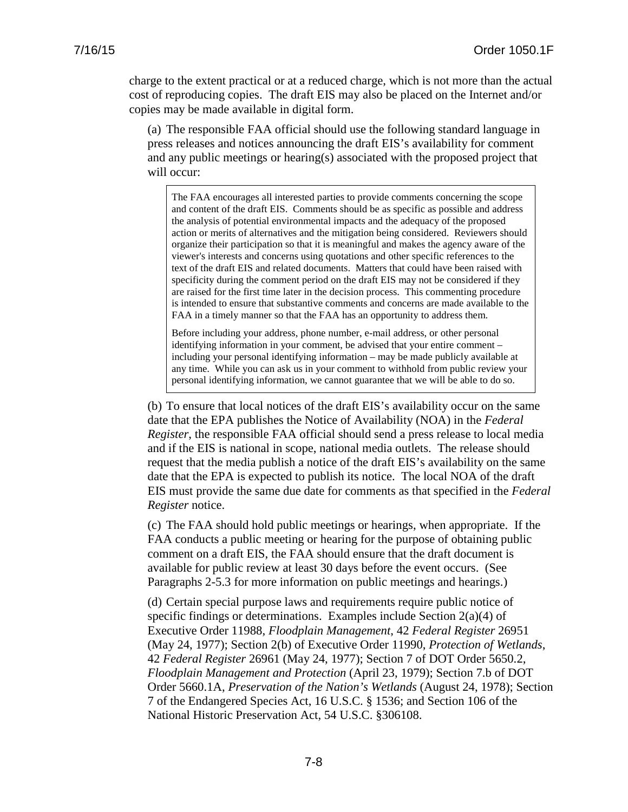charge to the extent practical or at a reduced charge, which is not more than the actual cost of reproducing copies. The draft EIS may also be placed on the Internet and/or copies may be made available in digital form.

(a) The responsible FAA official should use the following standard language in press releases and notices announcing the draft EIS's availability for comment and any public meetings or hearing(s) associated with the proposed project that will occur:

The FAA encourages all interested parties to provide comments concerning the scope and content of the draft EIS. Comments should be as specific as possible and address the analysis of potential environmental impacts and the adequacy of the proposed action or merits of alternatives and the mitigation being considered. Reviewers should organize their participation so that it is meaningful and makes the agency aware of the viewer's interests and concerns using quotations and other specific references to the text of the draft EIS and related documents. Matters that could have been raised with specificity during the comment period on the draft EIS may not be considered if they are raised for the first time later in the decision process. This commenting procedure is intended to ensure that substantive comments and concerns are made available to the FAA in a timely manner so that the FAA has an opportunity to address them.

Before including your address, phone number, e-mail address, or other personal identifying information in your comment, be advised that your entire comment – including your personal identifying information – may be made publicly available at any time. While you can ask us in your comment to withhold from public review your personal identifying information, we cannot guarantee that we will be able to do so.

(b) To ensure that local notices of the draft EIS's availability occur on the same date that the EPA publishes the Notice of Availability (NOA) in the *Federal Register*, the responsible FAA official should send a press release to local media and if the EIS is national in scope, national media outlets. The release should request that the media publish a notice of the draft EIS's availability on the same date that the EPA is expected to publish its notice. The local NOA of the draft EIS must provide the same due date for comments as that specified in the *Federal Register* notice.

(c) The FAA should hold public meetings or hearings, when appropriate. If the FAA conducts a public meeting or hearing for the purpose of obtaining public comment on a draft EIS, the FAA should ensure that the draft document is available for public review at least 30 days before the event occurs. (See Paragraphs 2-5.3 for more information on public meetings and hearings.)

(d) Certain special purpose laws and requirements require public notice of specific findings or determinations. Examples include Section  $2(a)(4)$  of Executive Order 11988, *Floodplain Management*, 42 *Federal Register* 26951 (May 24, 1977); Section 2(b) of Executive Order 11990, *Protection of Wetlands*, 42 *Federal Register* 26961 (May 24, 1977); Section 7 of DOT Order 5650.2, *Floodplain Management and Protection* (April 23, 1979); Section 7.b of DOT Order 5660.1A, *Preservation of the Nation's Wetlands* (August 24, 1978); Section 7 of the Endangered Species Act, 16 U.S.C. § 1536; and Section 106 of the National Historic Preservation Act, 54 U.S.C. §306108.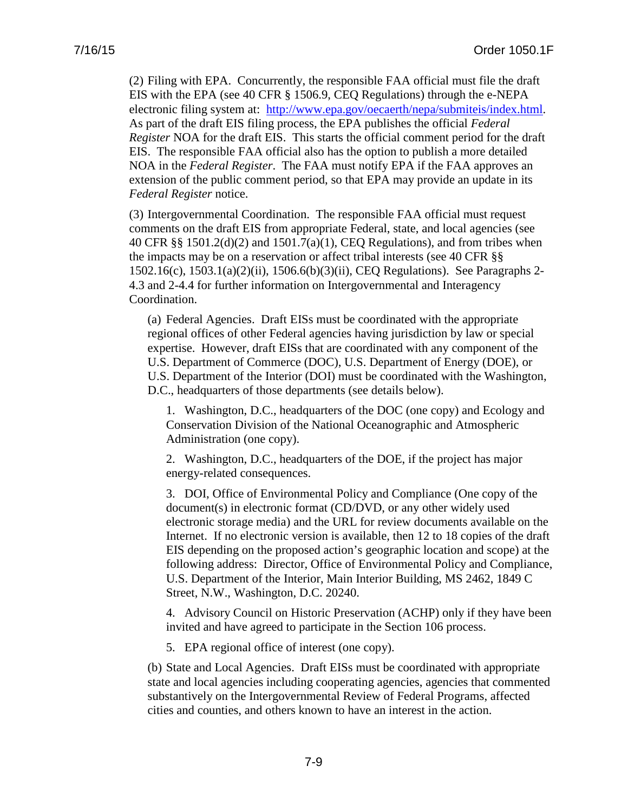(2) Filing with EPA. Concurrently, the responsible FAA official must file the draft EIS with the EPA (see 40 CFR § 1506.9, CEQ Regulations) through the e-NEPA electronic filing system at: [http://www.epa.gov/oecaerth/nepa/submiteis/index.html.](http://www.epa.gov/oecaerth/nepa/submiteis/index.html) As part of the draft EIS filing process, the EPA publishes the official *Federal Register* NOA for the draft EIS. This starts the official comment period for the draft EIS. The responsible FAA official also has the option to publish a more detailed NOA in the *Federal Register*. The FAA must notify EPA if the FAA approves an extension of the public comment period, so that EPA may provide an update in its *Federal Register* notice.

(3) Intergovernmental Coordination. The responsible FAA official must request comments on the draft EIS from appropriate Federal, state, and local agencies (see 40 CFR §§ 1501.2(d)(2) and 1501.7(a)(1), CEQ Regulations), and from tribes when the impacts may be on a reservation or affect tribal interests (see 40 CFR §§ 1502.16(c), 1503.1(a)(2)(ii), 1506.6(b)(3)(ii), CEQ Regulations). See Paragraphs 2- 4.3 and 2-4.4 for further information on Intergovernmental and Interagency Coordination.

(a) Federal Agencies. Draft EISs must be coordinated with the appropriate regional offices of other Federal agencies having jurisdiction by law or special expertise. However, draft EISs that are coordinated with any component of the U.S. Department of Commerce (DOC), U.S. Department of Energy (DOE), or U.S. Department of the Interior (DOI) must be coordinated with the Washington, D.C., headquarters of those departments (see details below).

1. Washington, D.C., headquarters of the DOC (one copy) and Ecology and Conservation Division of the National Oceanographic and Atmospheric Administration (one copy).

2. Washington, D.C., headquarters of the DOE, if the project has major energy-related consequences.

3. DOI, Office of Environmental Policy and Compliance (One copy of the document(s) in electronic format (CD/DVD, or any other widely used electronic storage media) and the URL for review documents available on the Internet. If no electronic version is available, then 12 to 18 copies of the draft EIS depending on the proposed action's geographic location and scope) at the following address: Director, Office of Environmental Policy and Compliance, U.S. Department of the Interior, Main Interior Building, MS 2462, 1849 C Street, N.W., Washington, D.C. 20240.

4. Advisory Council on Historic Preservation (ACHP) only if they have been invited and have agreed to participate in the Section 106 process.

5. EPA regional office of interest (one copy).

(b) State and Local Agencies. Draft EISs must be coordinated with appropriate state and local agencies including cooperating agencies, agencies that commented substantively on the Intergovernmental Review of Federal Programs, affected cities and counties, and others known to have an interest in the action.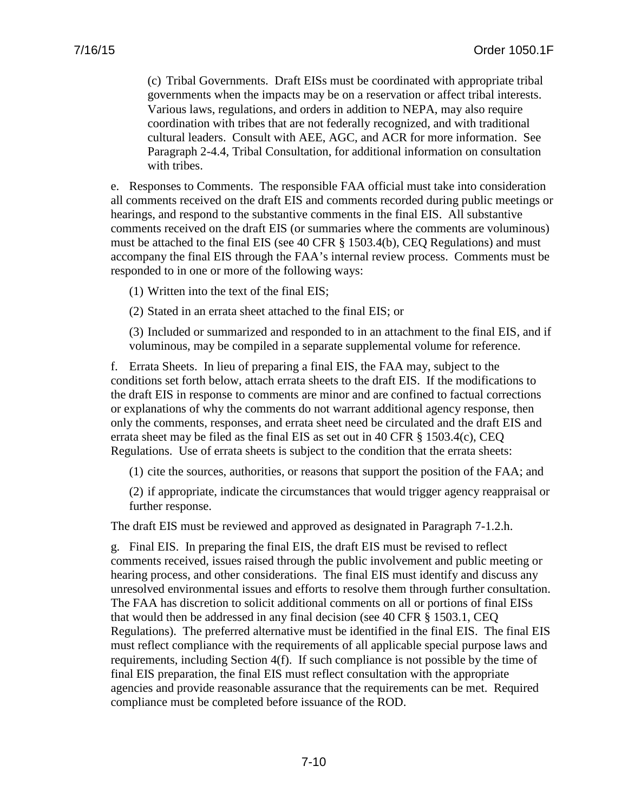(c) Tribal Governments. Draft EISs must be coordinated with appropriate tribal governments when the impacts may be on a reservation or affect tribal interests. Various laws, regulations, and orders in addition to NEPA, may also require coordination with tribes that are not federally recognized, and with traditional cultural leaders. Consult with AEE, AGC, and ACR for more information. See Paragraph 2-4.4, Tribal Consultation, for additional information on consultation with tribes.

e. Responses to Comments. The responsible FAA official must take into consideration all comments received on the draft EIS and comments recorded during public meetings or hearings, and respond to the substantive comments in the final EIS. All substantive comments received on the draft EIS (or summaries where the comments are voluminous) must be attached to the final EIS (see 40 CFR § 1503.4(b), CEQ Regulations) and must accompany the final EIS through the FAA's internal review process. Comments must be responded to in one or more of the following ways:

(1) Written into the text of the final EIS;

(2) Stated in an errata sheet attached to the final EIS; or

(3) Included or summarized and responded to in an attachment to the final EIS, and if voluminous, may be compiled in a separate supplemental volume for reference.

f. Errata Sheets. In lieu of preparing a final EIS, the FAA may, subject to the conditions set forth below, attach errata sheets to the draft EIS. If the modifications to the draft EIS in response to comments are minor and are confined to factual corrections or explanations of why the comments do not warrant additional agency response, then only the comments, responses, and errata sheet need be circulated and the draft EIS and errata sheet may be filed as the final EIS as set out in 40 CFR § 1503.4(c), CEQ Regulations. Use of errata sheets is subject to the condition that the errata sheets:

(1) cite the sources, authorities, or reasons that support the position of the FAA; and

(2) if appropriate, indicate the circumstances that would trigger agency reappraisal or further response.

The draft EIS must be reviewed and approved as designated in Paragraph 7-1.2.h.

g. Final EIS. In preparing the final EIS, the draft EIS must be revised to reflect comments received, issues raised through the public involvement and public meeting or hearing process, and other considerations. The final EIS must identify and discuss any unresolved environmental issues and efforts to resolve them through further consultation. The FAA has discretion to solicit additional comments on all or portions of final EISs that would then be addressed in any final decision (see 40 CFR § 1503.1, CEQ Regulations). The preferred alternative must be identified in the final EIS. The final EIS must reflect compliance with the requirements of all applicable special purpose laws and requirements, including Section 4(f). If such compliance is not possible by the time of final EIS preparation, the final EIS must reflect consultation with the appropriate agencies and provide reasonable assurance that the requirements can be met. Required compliance must be completed before issuance of the ROD.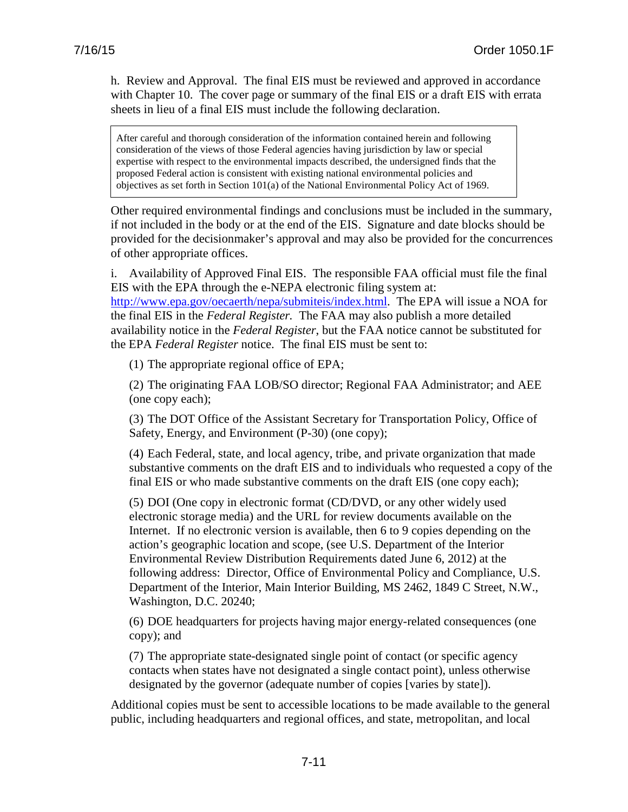h. Review and Approval. The final EIS must be reviewed and approved in accordance with Chapter 10. The cover page or summary of the final EIS or a draft EIS with errata sheets in lieu of a final EIS must include the following declaration.

After careful and thorough consideration of the information contained herein and following consideration of the views of those Federal agencies having jurisdiction by law or special expertise with respect to the environmental impacts described, the undersigned finds that the proposed Federal action is consistent with existing national environmental policies and objectives as set forth in Section 101(a) of the National Environmental Policy Act of 1969.

Other required environmental findings and conclusions must be included in the summary, if not included in the body or at the end of the EIS. Signature and date blocks should be provided for the decisionmaker's approval and may also be provided for the concurrences of other appropriate offices.

i. Availability of Approved Final EIS. The responsible FAA official must file the final EIS with the EPA through the e-NEPA electronic filing system at: [http://www.epa.gov/oecaerth/nepa/submiteis/index.html.](http://www.epa.gov/oecaerth/nepa/submiteis/index.html) The EPA will issue a NOA for the final EIS in the *Federal Register.* The FAA may also publish a more detailed availability notice in the *Federal Register*, but the FAA notice cannot be substituted for the EPA *Federal Register* notice. The final EIS must be sent to:

(1) The appropriate regional office of EPA;

(2) The originating FAA LOB/SO director; Regional FAA Administrator; and AEE (one copy each);

(3) The DOT Office of the Assistant Secretary for Transportation Policy, Office of Safety, Energy, and Environment (P-30) (one copy);

(4) Each Federal, state, and local agency, tribe, and private organization that made substantive comments on the draft EIS and to individuals who requested a copy of the final EIS or who made substantive comments on the draft EIS (one copy each);

(5) DOI (One copy in electronic format (CD/DVD, or any other widely used electronic storage media) and the URL for review documents available on the Internet. If no electronic version is available, then 6 to 9 copies depending on the action's geographic location and scope, (see U.S. Department of the Interior Environmental Review Distribution Requirements dated June 6, 2012) at the following address: Director, Office of Environmental Policy and Compliance, U.S. Department of the Interior, Main Interior Building, MS 2462, 1849 C Street, N.W., Washington, D.C. 20240;

(6) DOE headquarters for projects having major energy-related consequences (one copy); and

(7) The appropriate state-designated single point of contact (or specific agency contacts when states have not designated a single contact point), unless otherwise designated by the governor (adequate number of copies [varies by state]).

Additional copies must be sent to accessible locations to be made available to the general public, including headquarters and regional offices, and state, metropolitan, and local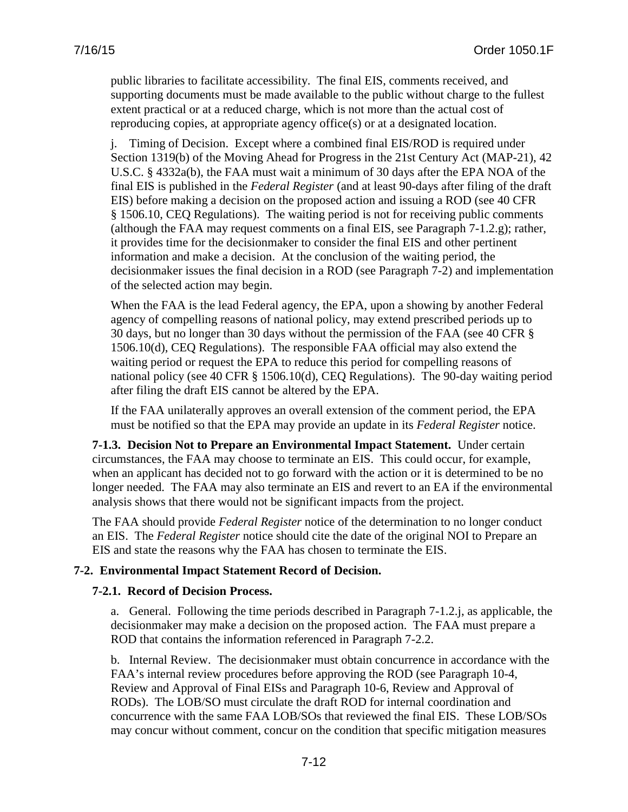public libraries to facilitate accessibility. The final EIS, comments received, and supporting documents must be made available to the public without charge to the fullest extent practical or at a reduced charge, which is not more than the actual cost of reproducing copies, at appropriate agency office(s) or at a designated location.

j. Timing of Decision. Except where a combined final EIS/ROD is required under Section 1319(b) of the Moving Ahead for Progress in the 21st Century Act (MAP-21), 42 U.S.C. § 4332a(b), the FAA must wait a minimum of 30 days after the EPA NOA of the final EIS is published in the *Federal Register* (and at least 90-days after filing of the draft EIS) before making a decision on the proposed action and issuing a ROD (see 40 CFR § 1506.10, CEQ Regulations). The waiting period is not for receiving public comments (although the FAA may request comments on a final EIS, see Paragraph 7-1.2.g); rather, it provides time for the decisionmaker to consider the final EIS and other pertinent information and make a decision. At the conclusion of the waiting period, the decisionmaker issues the final decision in a ROD (see Paragraph 7-2) and implementation of the selected action may begin.

When the FAA is the lead Federal agency, the EPA, upon a showing by another Federal agency of compelling reasons of national policy, may extend prescribed periods up to 30 days, but no longer than 30 days without the permission of the FAA (see 40 CFR § 1506.10(d), CEQ Regulations). The responsible FAA official may also extend the waiting period or request the EPA to reduce this period for compelling reasons of national policy (see 40 CFR § 1506.10(d), CEQ Regulations). The 90-day waiting period after filing the draft EIS cannot be altered by the EPA.

If the FAA unilaterally approves an overall extension of the comment period, the EPA must be notified so that the EPA may provide an update in its *Federal Register* notice.

**7-1.3. Decision Not to Prepare an Environmental Impact Statement.** Under certain circumstances, the FAA may choose to terminate an EIS. This could occur, for example, when an applicant has decided not to go forward with the action or it is determined to be no longer needed. The FAA may also terminate an EIS and revert to an EA if the environmental analysis shows that there would not be significant impacts from the project.

The FAA should provide *Federal Register* notice of the determination to no longer conduct an EIS. The *Federal Register* notice should cite the date of the original NOI to Prepare an EIS and state the reasons why the FAA has chosen to terminate the EIS.

## **7-2. Environmental Impact Statement Record of Decision.**

## **7-2.1. Record of Decision Process.**

a. General. Following the time periods described in Paragraph 7-1.2.j, as applicable, the decisionmaker may make a decision on the proposed action. The FAA must prepare a ROD that contains the information referenced in Paragraph 7-2.2.

b. Internal Review. The decisionmaker must obtain concurrence in accordance with the FAA's internal review procedures before approving the ROD (see Paragraph 10-4, Review and Approval of Final EISs and Paragraph 10-6, Review and Approval of RODs). The LOB/SO must circulate the draft ROD for internal coordination and concurrence with the same FAA LOB/SOs that reviewed the final EIS. These LOB/SOs may concur without comment, concur on the condition that specific mitigation measures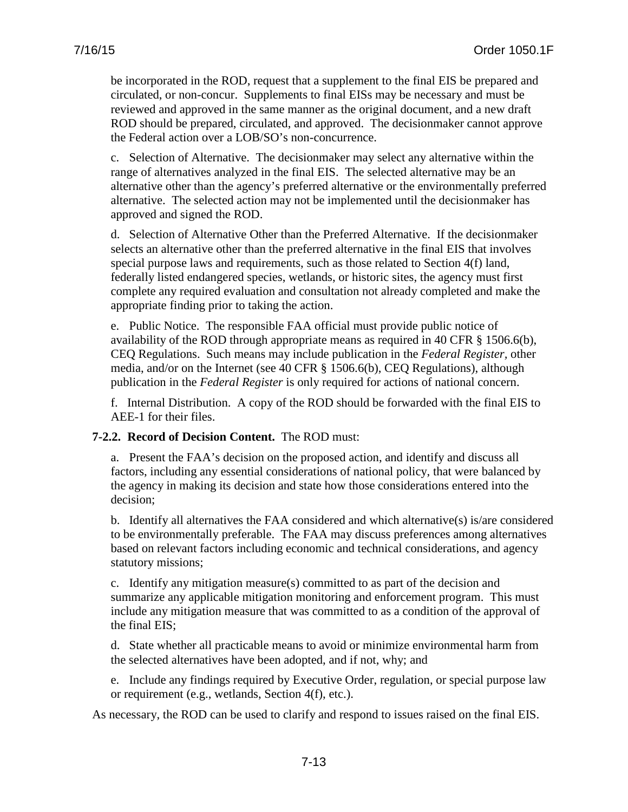be incorporated in the ROD, request that a supplement to the final EIS be prepared and circulated, or non-concur. Supplements to final EISs may be necessary and must be reviewed and approved in the same manner as the original document, and a new draft ROD should be prepared, circulated, and approved. The decisionmaker cannot approve the Federal action over a LOB/SO's non-concurrence.

c. Selection of Alternative. The decisionmaker may select any alternative within the range of alternatives analyzed in the final EIS. The selected alternative may be an alternative other than the agency's preferred alternative or the environmentally preferred alternative. The selected action may not be implemented until the decisionmaker has approved and signed the ROD.

d. Selection of Alternative Other than the Preferred Alternative. If the decisionmaker selects an alternative other than the preferred alternative in the final EIS that involves special purpose laws and requirements, such as those related to Section 4(f) land, federally listed endangered species, wetlands, or historic sites, the agency must first complete any required evaluation and consultation not already completed and make the appropriate finding prior to taking the action.

e. Public Notice. The responsible FAA official must provide public notice of availability of the ROD through appropriate means as required in 40 CFR § 1506.6(b), CEQ Regulations. Such means may include publication in the *Federal Register,* other media, and/or on the Internet (see 40 CFR § 1506.6(b), CEQ Regulations), although publication in the *Federal Register* is only required for actions of national concern.

f. Internal Distribution. A copy of the ROD should be forwarded with the final EIS to AEE-1 for their files.

## **7-2.2. Record of Decision Content.** The ROD must:

a. Present the FAA's decision on the proposed action, and identify and discuss all factors, including any essential considerations of national policy, that were balanced by the agency in making its decision and state how those considerations entered into the decision;

b. Identify all alternatives the FAA considered and which alternative(s) is/are considered to be environmentally preferable. The FAA may discuss preferences among alternatives based on relevant factors including economic and technical considerations, and agency statutory missions;

c. Identify any mitigation measure(s) committed to as part of the decision and summarize any applicable mitigation monitoring and enforcement program. This must include any mitigation measure that was committed to as a condition of the approval of the final EIS;

d. State whether all practicable means to avoid or minimize environmental harm from the selected alternatives have been adopted, and if not, why; and

e. Include any findings required by Executive Order, regulation, or special purpose law or requirement (e.g., wetlands, Section 4(f), etc.).

As necessary, the ROD can be used to clarify and respond to issues raised on the final EIS.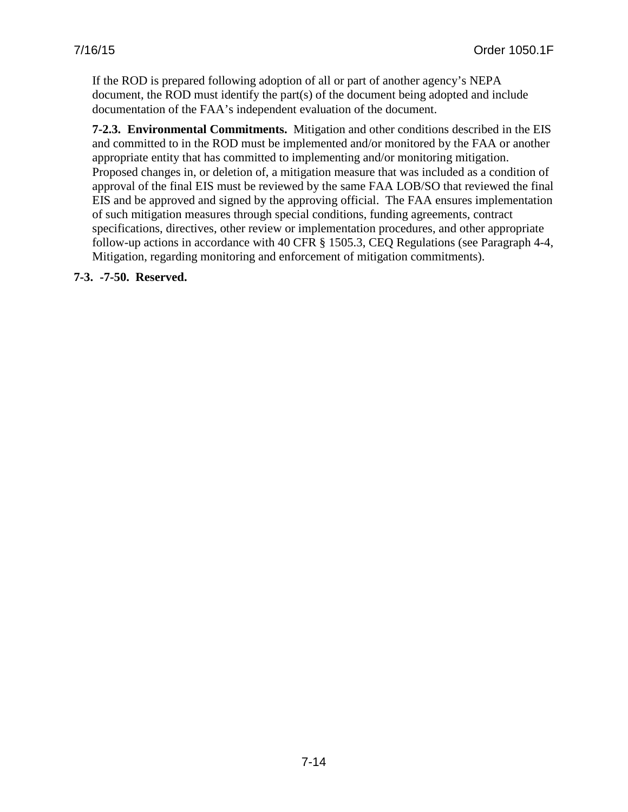If the ROD is prepared following adoption of all or part of another agency's NEPA document, the ROD must identify the part(s) of the document being adopted and include documentation of the FAA's independent evaluation of the document.

**7-2.3. Environmental Commitments.** Mitigation and other conditions described in the EIS and committed to in the ROD must be implemented and/or monitored by the FAA or another appropriate entity that has committed to implementing and/or monitoring mitigation. Proposed changes in, or deletion of, a mitigation measure that was included as a condition of approval of the final EIS must be reviewed by the same FAA LOB/SO that reviewed the final EIS and be approved and signed by the approving official. The FAA ensures implementation of such mitigation measures through special conditions, funding agreements, contract specifications, directives, other review or implementation procedures, and other appropriate follow-up actions in accordance with 40 CFR § 1505.3, CEQ Regulations (see Paragraph 4-4, Mitigation, regarding monitoring and enforcement of mitigation commitments).

**7-3. -7-50. Reserved.**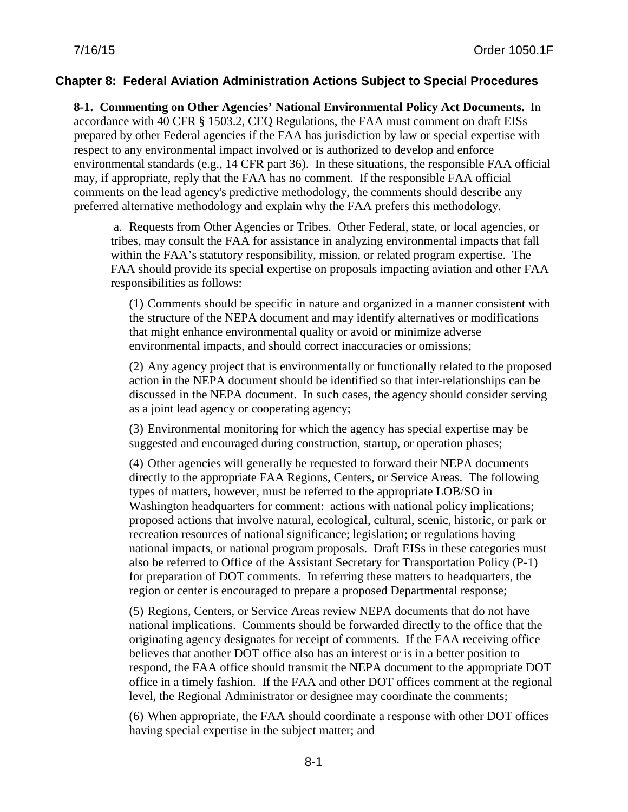## **Chapter 8: Federal Aviation Administration Actions Subject to Special Procedures**

**8-1. Commenting on Other Agencies' National Environmental Policy Act Documents.** In accordance with 40 CFR § 1503.2, CEQ Regulations, the FAA must comment on draft EISs prepared by other Federal agencies if the FAA has jurisdiction by law or special expertise with respect to any environmental impact involved or is authorized to develop and enforce environmental standards (e.g., 14 CFR part 36). In these situations, the responsible FAA official may, if appropriate, reply that the FAA has no comment. If the responsible FAA official comments on the lead agency's predictive methodology, the comments should describe any preferred alternative methodology and explain why the FAA prefers this methodology.

a. Requests from Other Agencies or Tribes. Other Federal, state, or local agencies, or tribes, may consult the FAA for assistance in analyzing environmental impacts that fall within the FAA's statutory responsibility, mission, or related program expertise. The FAA should provide its special expertise on proposals impacting aviation and other FAA responsibilities as follows:

(1) Comments should be specific in nature and organized in a manner consistent with the structure of the NEPA document and may identify alternatives or modifications that might enhance environmental quality or avoid or minimize adverse environmental impacts, and should correct inaccuracies or omissions;

(2) Any agency project that is environmentally or functionally related to the proposed action in the NEPA document should be identified so that inter-relationships can be discussed in the NEPA document. In such cases, the agency should consider serving as a joint lead agency or cooperating agency;

(3) Environmental monitoring for which the agency has special expertise may be suggested and encouraged during construction, startup, or operation phases;

(4) Other agencies will generally be requested to forward their NEPA documents directly to the appropriate FAA Regions, Centers, or Service Areas. The following types of matters, however, must be referred to the appropriate LOB/SO in Washington headquarters for comment: actions with national policy implications; proposed actions that involve natural, ecological, cultural, scenic, historic, or park or recreation resources of national significance; legislation; or regulations having national impacts, or national program proposals. Draft EISs in these categories must also be referred to Office of the Assistant Secretary for Transportation Policy (P-1) for preparation of DOT comments. In referring these matters to headquarters, the region or center is encouraged to prepare a proposed Departmental response;

(5) Regions, Centers, or Service Areas review NEPA documents that do not have national implications. Comments should be forwarded directly to the office that the originating agency designates for receipt of comments. If the FAA receiving office believes that another DOT office also has an interest or is in a better position to respond, the FAA office should transmit the NEPA document to the appropriate DOT office in a timely fashion. If the FAA and other DOT offices comment at the regional level, the Regional Administrator or designee may coordinate the comments;

(6) When appropriate, the FAA should coordinate a response with other DOT offices having special expertise in the subject matter; and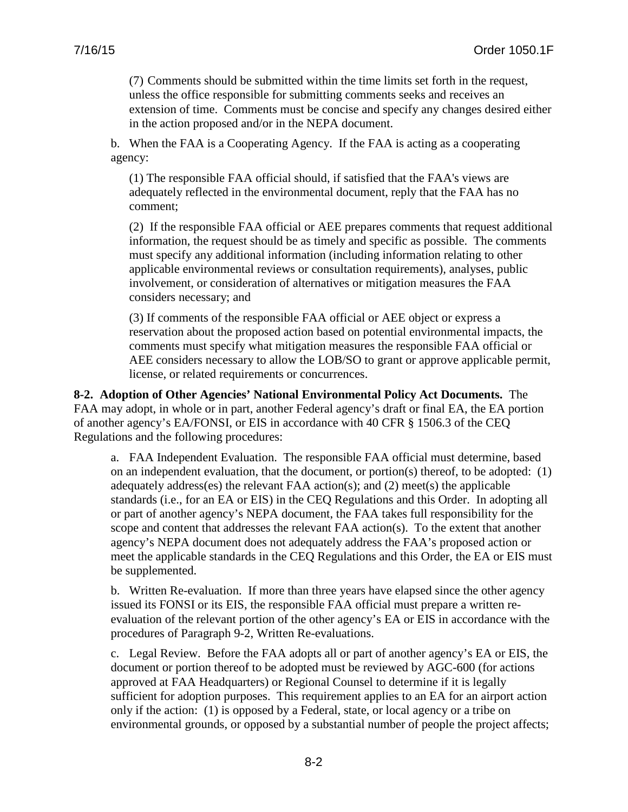(7) Comments should be submitted within the time limits set forth in the request, unless the office responsible for submitting comments seeks and receives an extension of time. Comments must be concise and specify any changes desired either in the action proposed and/or in the NEPA document.

b. When the FAA is a Cooperating Agency. If the FAA is acting as a cooperating agency:

(1) The responsible FAA official should, if satisfied that the FAA's views are adequately reflected in the environmental document, reply that the FAA has no comment;

(2) If the responsible FAA official or AEE prepares comments that request additional information, the request should be as timely and specific as possible. The comments must specify any additional information (including information relating to other applicable environmental reviews or consultation requirements), analyses, public involvement, or consideration of alternatives or mitigation measures the FAA considers necessary; and

(3) If comments of the responsible FAA official or AEE object or express a reservation about the proposed action based on potential environmental impacts, the comments must specify what mitigation measures the responsible FAA official or AEE considers necessary to allow the LOB/SO to grant or approve applicable permit, license, or related requirements or concurrences.

**8-2. Adoption of Other Agencies' National Environmental Policy Act Documents.** The FAA may adopt, in whole or in part, another Federal agency's draft or final EA, the EA portion of another agency's EA/FONSI, or EIS in accordance with 40 CFR § 1506.3 of the CEQ Regulations and the following procedures:

a. FAA Independent Evaluation. The responsible FAA official must determine, based on an independent evaluation, that the document, or portion(s) thereof, to be adopted: (1) adequately address(es) the relevant FAA action(s); and (2) meet(s) the applicable standards (i.e., for an EA or EIS) in the CEQ Regulations and this Order. In adopting all or part of another agency's NEPA document, the FAA takes full responsibility for the scope and content that addresses the relevant FAA action(s). To the extent that another agency's NEPA document does not adequately address the FAA's proposed action or meet the applicable standards in the CEQ Regulations and this Order, the EA or EIS must be supplemented.

b. Written Re-evaluation. If more than three years have elapsed since the other agency issued its FONSI or its EIS, the responsible FAA official must prepare a written reevaluation of the relevant portion of the other agency's EA or EIS in accordance with the procedures of Paragraph 9-2, Written Re-evaluations.

c. Legal Review. Before the FAA adopts all or part of another agency's EA or EIS, the document or portion thereof to be adopted must be reviewed by AGC-600 (for actions approved at FAA Headquarters) or Regional Counsel to determine if it is legally sufficient for adoption purposes. This requirement applies to an EA for an airport action only if the action: (1) is opposed by a Federal, state, or local agency or a tribe on environmental grounds, or opposed by a substantial number of people the project affects;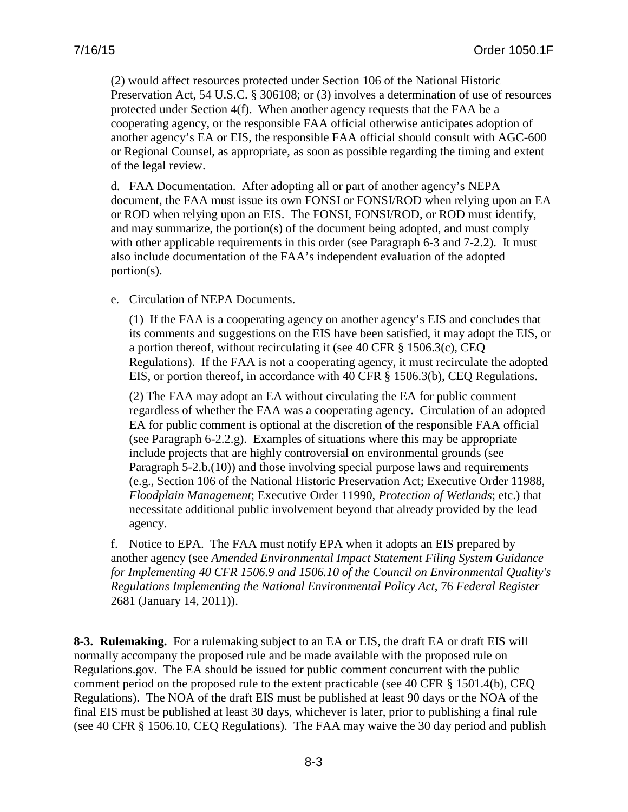(2) would affect resources protected under Section 106 of the National Historic Preservation Act, 54 U.S.C. § 306108; or (3) involves a determination of use of resources protected under Section 4(f). When another agency requests that the FAA be a cooperating agency, or the responsible FAA official otherwise anticipates adoption of another agency's EA or EIS, the responsible FAA official should consult with AGC-600 or Regional Counsel, as appropriate, as soon as possible regarding the timing and extent of the legal review.

d. FAA Documentation. After adopting all or part of another agency's NEPA document, the FAA must issue its own FONSI or FONSI/ROD when relying upon an EA or ROD when relying upon an EIS. The FONSI, FONSI/ROD, or ROD must identify, and may summarize, the portion(s) of the document being adopted, and must comply with other applicable requirements in this order (see Paragraph 6-3 and 7-2.2). It must also include documentation of the FAA's independent evaluation of the adopted portion(s).

e. Circulation of NEPA Documents.

(1) If the FAA is a cooperating agency on another agency's EIS and concludes that its comments and suggestions on the EIS have been satisfied, it may adopt the EIS, or a portion thereof, without recirculating it (see 40 CFR § 1506.3(c), CEQ Regulations). If the FAA is not a cooperating agency, it must recirculate the adopted EIS, or portion thereof, in accordance with 40 CFR § 1506.3(b), CEQ Regulations.

(2) The FAA may adopt an EA without circulating the EA for public comment regardless of whether the FAA was a cooperating agency. Circulation of an adopted EA for public comment is optional at the discretion of the responsible FAA official (see Paragraph 6-2.2.g). Examples of situations where this may be appropriate include projects that are highly controversial on environmental grounds (see Paragraph 5-2.b.(10)) and those involving special purpose laws and requirements (e.g., Section 106 of the National Historic Preservation Act; Executive Order 11988, *Floodplain Management*; Executive Order 11990, *Protection of Wetlands*; etc.) that necessitate additional public involvement beyond that already provided by the lead agency.

f. Notice to EPA. The FAA must notify EPA when it adopts an EIS prepared by another agency (see *Amended Environmental Impact Statement Filing System Guidance for Implementing 40 CFR 1506.9 and 1506.10 of the Council on Environmental Quality's Regulations Implementing the National Environmental Policy Act*, 76 *Federal Register*  2681 (January 14, 2011)).

**8-3. Rulemaking.** For a rulemaking subject to an EA or EIS, the draft EA or draft EIS will normally accompany the proposed rule and be made available with the proposed rule on Regulations.gov. The EA should be issued for public comment concurrent with the public comment period on the proposed rule to the extent practicable (see 40 CFR § 1501.4(b), CEQ Regulations). The NOA of the draft EIS must be published at least 90 days or the NOA of the final EIS must be published at least 30 days, whichever is later, prior to publishing a final rule (see 40 CFR § 1506.10, CEQ Regulations). The FAA may waive the 30 day period and publish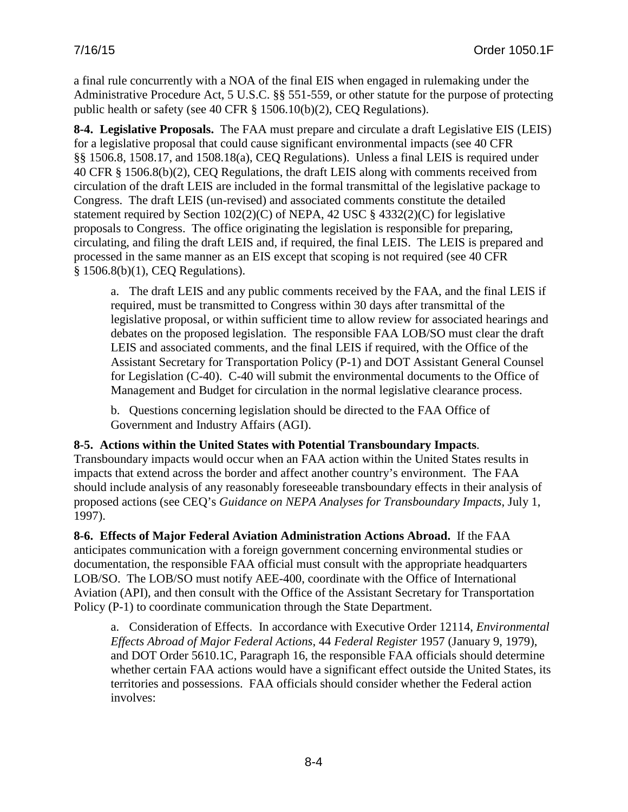a final rule concurrently with a NOA of the final EIS when engaged in rulemaking under the Administrative Procedure Act, 5 U.S.C. §§ 551-559, or other statute for the purpose of protecting public health or safety (see 40 CFR § 1506.10(b)(2), CEQ Regulations).

**8-4. Legislative Proposals.** The FAA must prepare and circulate a draft Legislative EIS (LEIS) for a legislative proposal that could cause significant environmental impacts (see 40 CFR §§ 1506.8, 1508.17, and 1508.18(a), CEQ Regulations). Unless a final LEIS is required under 40 CFR § 1506.8(b)(2), CEQ Regulations, the draft LEIS along with comments received from circulation of the draft LEIS are included in the formal transmittal of the legislative package to Congress. The draft LEIS (un-revised) and associated comments constitute the detailed statement required by Section 102(2)(C) of NEPA, 42 USC § 4332(2)(C) for legislative proposals to Congress. The office originating the legislation is responsible for preparing, circulating, and filing the draft LEIS and, if required, the final LEIS. The LEIS is prepared and processed in the same manner as an EIS except that scoping is not required (see 40 CFR § 1506.8(b)(1), CEQ Regulations).

a. The draft LEIS and any public comments received by the FAA, and the final LEIS if required, must be transmitted to Congress within 30 days after transmittal of the legislative proposal, or within sufficient time to allow review for associated hearings and debates on the proposed legislation. The responsible FAA LOB/SO must clear the draft LEIS and associated comments, and the final LEIS if required, with the Office of the Assistant Secretary for Transportation Policy (P-1) and DOT Assistant General Counsel for Legislation (C-40). C-40 will submit the environmental documents to the Office of Management and Budget for circulation in the normal legislative clearance process.

b. Questions concerning legislation should be directed to the FAA Office of Government and Industry Affairs (AGI).

## **8-5. Actions within the United States with Potential Transboundary Impacts**.

Transboundary impacts would occur when an FAA action within the United States results in impacts that extend across the border and affect another country's environment. The FAA should include analysis of any reasonably foreseeable transboundary effects in their analysis of proposed actions (see CEQ's *Guidance on NEPA Analyses for Transboundary Impacts*, July 1, 1997).

**8-6. Effects of Major Federal Aviation Administration Actions Abroad.** If the FAA anticipates communication with a foreign government concerning environmental studies or documentation, the responsible FAA official must consult with the appropriate headquarters LOB/SO. The LOB/SO must notify AEE-400, coordinate with the Office of International Aviation (API), and then consult with the Office of the Assistant Secretary for Transportation Policy (P-1) to coordinate communication through the State Department.

a. Consideration of Effects. In accordance with Executive Order 12114, *Environmental Effects Abroad of Major Federal Actions*, 44 *Federal Register* 1957 (January 9, 1979), and DOT Order 5610.1C, Paragraph 16, the responsible FAA officials should determine whether certain FAA actions would have a significant effect outside the United States, its territories and possessions. FAA officials should consider whether the Federal action involves: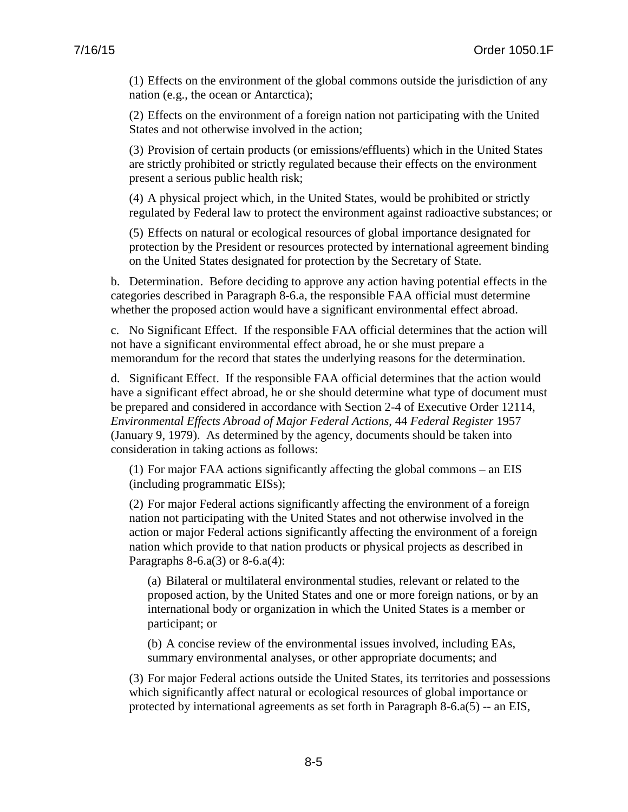(1) Effects on the environment of the global commons outside the jurisdiction of any nation (e.g., the ocean or Antarctica);

(2) Effects on the environment of a foreign nation not participating with the United States and not otherwise involved in the action;

(3) Provision of certain products (or emissions/effluents) which in the United States are strictly prohibited or strictly regulated because their effects on the environment present a serious public health risk;

(4) A physical project which, in the United States, would be prohibited or strictly regulated by Federal law to protect the environment against radioactive substances; or

(5) Effects on natural or ecological resources of global importance designated for protection by the President or resources protected by international agreement binding on the United States designated for protection by the Secretary of State.

b. Determination. Before deciding to approve any action having potential effects in the categories described in Paragraph 8-6.a, the responsible FAA official must determine whether the proposed action would have a significant environmental effect abroad.

c. No Significant Effect. If the responsible FAA official determines that the action will not have a significant environmental effect abroad, he or she must prepare a memorandum for the record that states the underlying reasons for the determination.

d. Significant Effect. If the responsible FAA official determines that the action would have a significant effect abroad, he or she should determine what type of document must be prepared and considered in accordance with Section 2-4 of Executive Order 12114, *Environmental Effects Abroad of Major Federal Actions*, 44 *Federal Register* 1957 (January 9, 1979). As determined by the agency, documents should be taken into consideration in taking actions as follows:

(1) For major FAA actions significantly affecting the global commons – an EIS (including programmatic EISs);

(2) For major Federal actions significantly affecting the environment of a foreign nation not participating with the United States and not otherwise involved in the action or major Federal actions significantly affecting the environment of a foreign nation which provide to that nation products or physical projects as described in Paragraphs  $8-6.a(3)$  or  $8-6.a(4)$ :

(a) Bilateral or multilateral environmental studies, relevant or related to the proposed action, by the United States and one or more foreign nations, or by an international body or organization in which the United States is a member or participant; or

(b) A concise review of the environmental issues involved, including EAs, summary environmental analyses, or other appropriate documents; and

(3) For major Federal actions outside the United States, its territories and possessions which significantly affect natural or ecological resources of global importance or protected by international agreements as set forth in Paragraph 8-6.a(5) -- an EIS,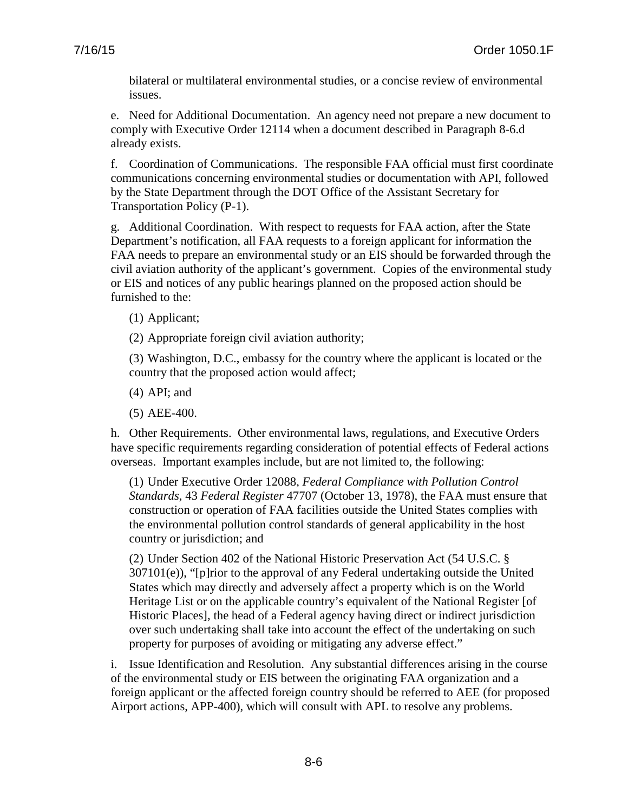bilateral or multilateral environmental studies, or a concise review of environmental issues.

e. Need for Additional Documentation. An agency need not prepare a new document to comply with Executive Order 12114 when a document described in Paragraph 8-6.d already exists.

f. Coordination of Communications. The responsible FAA official must first coordinate communications concerning environmental studies or documentation with API, followed by the State Department through the DOT Office of the Assistant Secretary for Transportation Policy (P-1).

g. Additional Coordination. With respect to requests for FAA action, after the State Department's notification, all FAA requests to a foreign applicant for information the FAA needs to prepare an environmental study or an EIS should be forwarded through the civil aviation authority of the applicant's government. Copies of the environmental study or EIS and notices of any public hearings planned on the proposed action should be furnished to the:

(1) Applicant;

(2) Appropriate foreign civil aviation authority;

(3) Washington, D.C., embassy for the country where the applicant is located or the country that the proposed action would affect;

(4) API; and

(5) AEE-400.

h. Other Requirements. Other environmental laws, regulations, and Executive Orders have specific requirements regarding consideration of potential effects of Federal actions overseas. Important examples include, but are not limited to, the following:

(1) Under Executive Order 12088, *Federal Compliance with Pollution Control Standards*, 43 *Federal Register* 47707 (October 13, 1978), the FAA must ensure that construction or operation of FAA facilities outside the United States complies with the environmental pollution control standards of general applicability in the host country or jurisdiction; and

(2) Under Section 402 of the National Historic Preservation Act (54 U.S.C. § 307101(e)), "[p]rior to the approval of any Federal undertaking outside the United States which may directly and adversely affect a property which is on the World Heritage List or on the applicable country's equivalent of the National Register [of Historic Places], the head of a Federal agency having direct or indirect jurisdiction over such undertaking shall take into account the effect of the undertaking on such property for purposes of avoiding or mitigating any adverse effect."

i. Issue Identification and Resolution. Any substantial differences arising in the course of the environmental study or EIS between the originating FAA organization and a foreign applicant or the affected foreign country should be referred to AEE (for proposed Airport actions, APP-400), which will consult with APL to resolve any problems.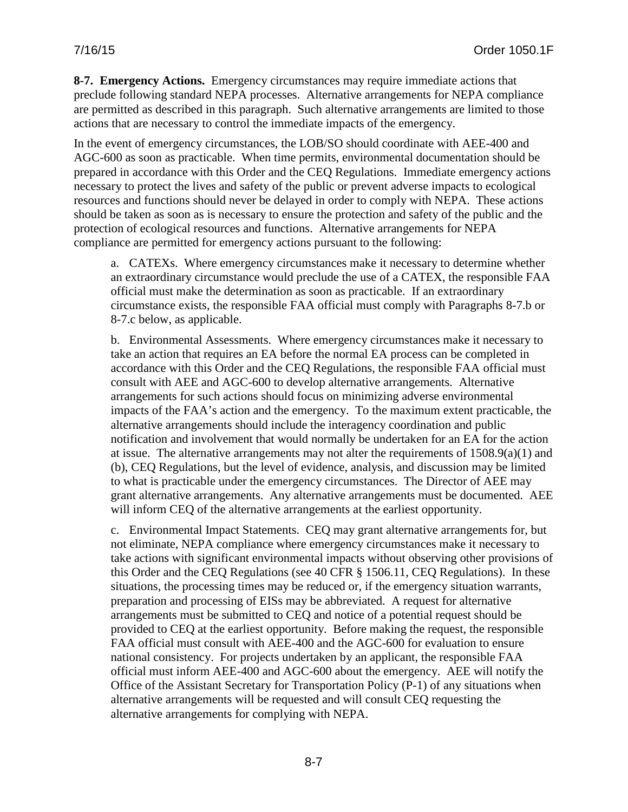**8-7. Emergency Actions.** Emergency circumstances may require immediate actions that preclude following standard NEPA processes. Alternative arrangements for NEPA compliance are permitted as described in this paragraph. Such alternative arrangements are limited to those actions that are necessary to control the immediate impacts of the emergency.

In the event of emergency circumstances, the LOB/SO should coordinate with AEE-400 and AGC-600 as soon as practicable. When time permits, environmental documentation should be prepared in accordance with this Order and the CEQ Regulations. Immediate emergency actions necessary to protect the lives and safety of the public or prevent adverse impacts to ecological resources and functions should never be delayed in order to comply with NEPA.These actions should be taken as soon as is necessary to ensure the protection and safety of the public and the protection of ecological resources and functions. Alternative arrangements for NEPA compliance are permitted for emergency actions pursuant to the following:

a. CATEXs. Where emergency circumstances make it necessary to determine whether an extraordinary circumstance would preclude the use of a CATEX, the responsible FAA official must make the determination as soon as practicable. If an extraordinary circumstance exists, the responsible FAA official must comply with Paragraphs 8-7.b or 8-7.c below, as applicable.

b. Environmental Assessments. Where emergency circumstances make it necessary to take an action that requires an EA before the normal EA process can be completed in accordance with this Order and the CEQ Regulations, the responsible FAA official must consult with AEE and AGC-600 to develop alternative arrangements. Alternative arrangements for such actions should focus on minimizing adverse environmental impacts of the FAA's action and the emergency. To the maximum extent practicable, the alternative arrangements should include the interagency coordination and public notification and involvement that would normally be undertaken for an EA for the action at issue. The alternative arrangements may not alter the requirements of 1508.9(a)(1) and (b), CEQ Regulations, but the level of evidence, analysis, and discussion may be limited to what is practicable under the emergency circumstances. The Director of AEE may grant alternative arrangements. Any alternative arrangements must be documented. AEE will inform CEQ of the alternative arrangements at the earliest opportunity.

c. Environmental Impact Statements. CEQ may grant alternative arrangements for, but not eliminate, NEPA compliance where emergency circumstances make it necessary to take actions with significant environmental impacts without observing other provisions of this Order and the CEQ Regulations (see 40 CFR § 1506.11, CEQ Regulations). In these situations, the processing times may be reduced or, if the emergency situation warrants, preparation and processing of EISs may be abbreviated. A request for alternative arrangements must be submitted to CEQ and notice of a potential request should be provided to CEQ at the earliest opportunity. Before making the request, the responsible FAA official must consult with AEE-400 and the AGC-600 for evaluation to ensure national consistency. For projects undertaken by an applicant, the responsible FAA official must inform AEE-400 and AGC-600 about the emergency. AEE will notify the Office of the Assistant Secretary for Transportation Policy (P-1) of any situations when alternative arrangements will be requested and will consult CEQ requesting the alternative arrangements for complying with NEPA.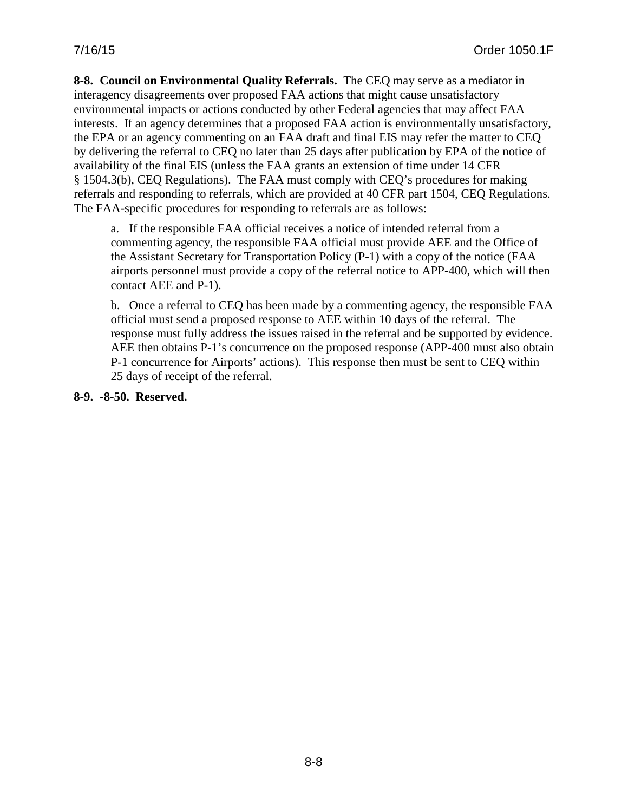**8-8. Council on Environmental Quality Referrals.** The CEQ may serve as a mediator in interagency disagreements over proposed FAA actions that might cause unsatisfactory environmental impacts or actions conducted by other Federal agencies that may affect FAA interests. If an agency determines that a proposed FAA action is environmentally unsatisfactory, the EPA or an agency commenting on an FAA draft and final EIS may refer the matter to CEQ by delivering the referral to CEQ no later than 25 days after publication by EPA of the notice of availability of the final EIS (unless the FAA grants an extension of time under 14 CFR § 1504.3(b), CEQ Regulations). The FAA must comply with CEQ's procedures for making referrals and responding to referrals, which are provided at 40 CFR part 1504, CEQ Regulations. The FAA-specific procedures for responding to referrals are as follows:

a. If the responsible FAA official receives a notice of intended referral from a commenting agency, the responsible FAA official must provide AEE and the Office of the Assistant Secretary for Transportation Policy (P-1) with a copy of the notice (FAA airports personnel must provide a copy of the referral notice to APP-400, which will then contact AEE and P-1).

b. Once a referral to CEQ has been made by a commenting agency, the responsible FAA official must send a proposed response to AEE within 10 days of the referral. The response must fully address the issues raised in the referral and be supported by evidence. AEE then obtains P-1's concurrence on the proposed response (APP-400 must also obtain P-1 concurrence for Airports' actions). This response then must be sent to CEQ within 25 days of receipt of the referral.

**8-9. -8-50. Reserved.**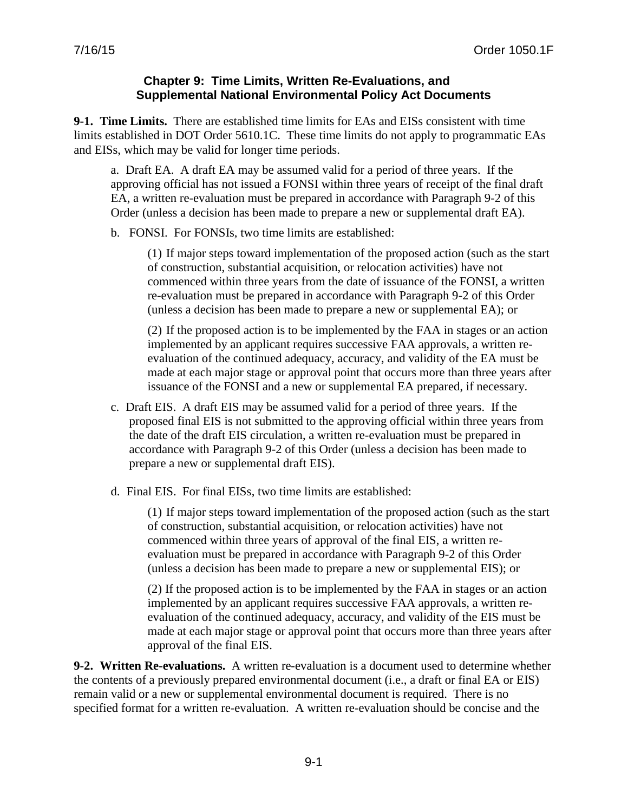### **Chapter 9: Time Limits, Written Re-Evaluations, and Supplemental National Environmental Policy Act Documents**

**9-1. Time Limits.** There are established time limits for EAs and EISs consistent with time limits established in DOT Order 5610.1C. These time limits do not apply to programmatic EAs and EISs, which may be valid for longer time periods.

a. Draft EA. A draft EA may be assumed valid for a period of three years. If the approving official has not issued a FONSI within three years of receipt of the final draft EA, a written re-evaluation must be prepared in accordance with Paragraph 9-2 of this Order (unless a decision has been made to prepare a new or supplemental draft EA).

b. FONSI. For FONSIs, two time limits are established:

(1) If major steps toward implementation of the proposed action (such as the start of construction, substantial acquisition, or relocation activities) have not commenced within three years from the date of issuance of the FONSI, a written re-evaluation must be prepared in accordance with Paragraph 9-2 of this Order (unless a decision has been made to prepare a new or supplemental EA); or

(2) If the proposed action is to be implemented by the FAA in stages or an action implemented by an applicant requires successive FAA approvals, a written reevaluation of the continued adequacy, accuracy, and validity of the EA must be made at each major stage or approval point that occurs more than three years after issuance of the FONSI and a new or supplemental EA prepared, if necessary.

- c. Draft EIS. A draft EIS may be assumed valid for a period of three years. If the proposed final EIS is not submitted to the approving official within three years from the date of the draft EIS circulation, a written re-evaluation must be prepared in accordance with Paragraph 9-2 of this Order (unless a decision has been made to prepare a new or supplemental draft EIS).
- d. Final EIS. For final EISs, two time limits are established:

(1) If major steps toward implementation of the proposed action (such as the start of construction, substantial acquisition, or relocation activities) have not commenced within three years of approval of the final EIS, a written reevaluation must be prepared in accordance with Paragraph 9-2 of this Order (unless a decision has been made to prepare a new or supplemental EIS); or

(2) If the proposed action is to be implemented by the FAA in stages or an action implemented by an applicant requires successive FAA approvals, a written reevaluation of the continued adequacy, accuracy, and validity of the EIS must be made at each major stage or approval point that occurs more than three years after approval of the final EIS.

**9-2. Written Re-evaluations.** A written re-evaluation is a document used to determine whether the contents of a previously prepared environmental document (i.e., a draft or final EA or EIS) remain valid or a new or supplemental environmental document is required. There is no specified format for a written re-evaluation. A written re-evaluation should be concise and the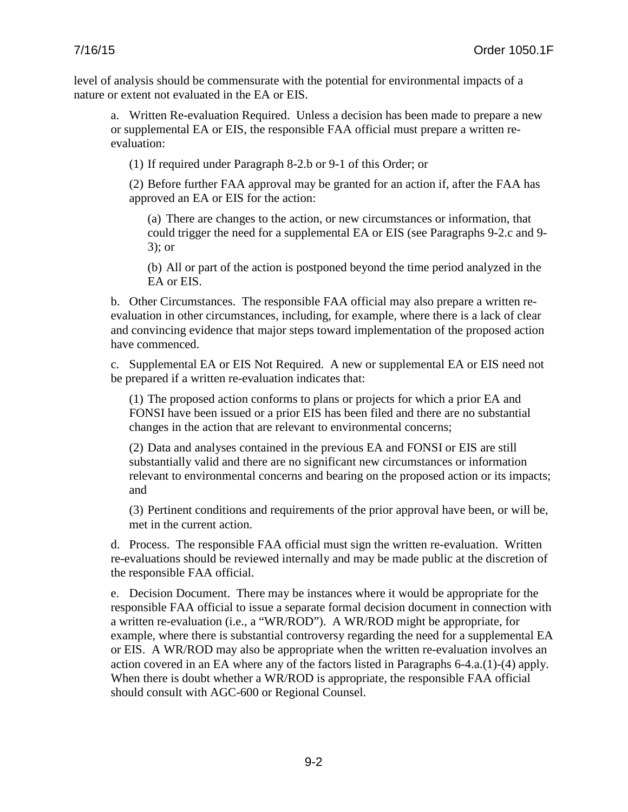level of analysis should be commensurate with the potential for environmental impacts of a nature or extent not evaluated in the EA or EIS.

a. Written Re-evaluation Required. Unless a decision has been made to prepare a new or supplemental EA or EIS, the responsible FAA official must prepare a written reevaluation:

(1) If required under Paragraph 8-2.b or 9-1 of this Order; or

(2) Before further FAA approval may be granted for an action if, after the FAA has approved an EA or EIS for the action:

(a) There are changes to the action, or new circumstances or information, that could trigger the need for a supplemental EA or EIS (see Paragraphs 9-2.c and 9- 3); or

(b) All or part of the action is postponed beyond the time period analyzed in the EA or EIS.

b. Other Circumstances. The responsible FAA official may also prepare a written reevaluation in other circumstances, including, for example, where there is a lack of clear and convincing evidence that major steps toward implementation of the proposed action have commenced.

c. Supplemental EA or EIS Not Required. A new or supplemental EA or EIS need not be prepared if a written re-evaluation indicates that:

(1) The proposed action conforms to plans or projects for which a prior EA and FONSI have been issued or a prior EIS has been filed and there are no substantial changes in the action that are relevant to environmental concerns;

(2) Data and analyses contained in the previous EA and FONSI or EIS are still substantially valid and there are no significant new circumstances or information relevant to environmental concerns and bearing on the proposed action or its impacts; and

(3) Pertinent conditions and requirements of the prior approval have been, or will be, met in the current action.

d. Process. The responsible FAA official must sign the written re-evaluation. Written re-evaluations should be reviewed internally and may be made public at the discretion of the responsible FAA official.

e. Decision Document. There may be instances where it would be appropriate for the responsible FAA official to issue a separate formal decision document in connection with a written re-evaluation (i.e., a "WR/ROD"). A WR/ROD might be appropriate, for example, where there is substantial controversy regarding the need for a supplemental EA or EIS. A WR/ROD may also be appropriate when the written re-evaluation involves an action covered in an EA where any of the factors listed in Paragraphs 6-4.a.(1)-(4) apply. When there is doubt whether a WR/ROD is appropriate, the responsible FAA official should consult with AGC-600 or Regional Counsel.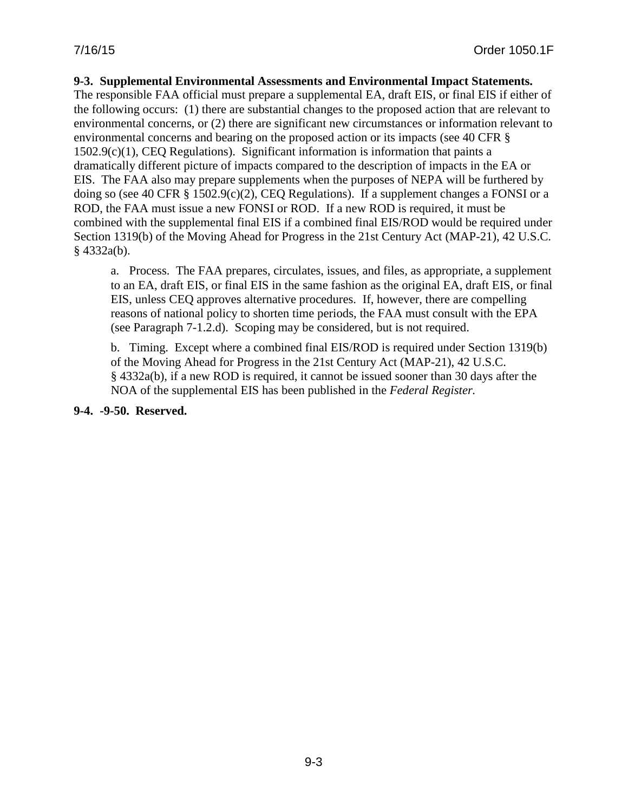#### **9-3. Supplemental Environmental Assessments and Environmental Impact Statements.**

The responsible FAA official must prepare a supplemental EA, draft EIS, or final EIS if either of the following occurs: (1) there are substantial changes to the proposed action that are relevant to environmental concerns, or (2) there are significant new circumstances or information relevant to environmental concerns and bearing on the proposed action or its impacts (see 40 CFR § 1502.9(c)(1), CEQ Regulations). Significant information is information that paints a dramatically different picture of impacts compared to the description of impacts in the EA or EIS. The FAA also may prepare supplements when the purposes of NEPA will be furthered by doing so (see 40 CFR § 1502.9(c)(2), CEO Regulations). If a supplement changes a FONSI or a ROD, the FAA must issue a new FONSI or ROD. If a new ROD is required, it must be combined with the supplemental final EIS if a combined final EIS/ROD would be required under Section 1319(b) of the Moving Ahead for Progress in the 21st Century Act (MAP-21), 42 U.S.C. § 4332a(b).

a. Process. The FAA prepares, circulates, issues, and files, as appropriate, a supplement to an EA, draft EIS, or final EIS in the same fashion as the original EA, draft EIS, or final EIS, unless CEQ approves alternative procedures. If, however, there are compelling reasons of national policy to shorten time periods, the FAA must consult with the EPA (see Paragraph 7-1.2.d). Scoping may be considered, but is not required.

b. Timing. Except where a combined final EIS/ROD is required under Section 1319(b) of the Moving Ahead for Progress in the 21st Century Act (MAP-21), 42 U.S.C. § 4332a(b), if a new ROD is required, it cannot be issued sooner than 30 days after the NOA of the supplemental EIS has been published in the *Federal Register.*

**9-4. -9-50. Reserved.**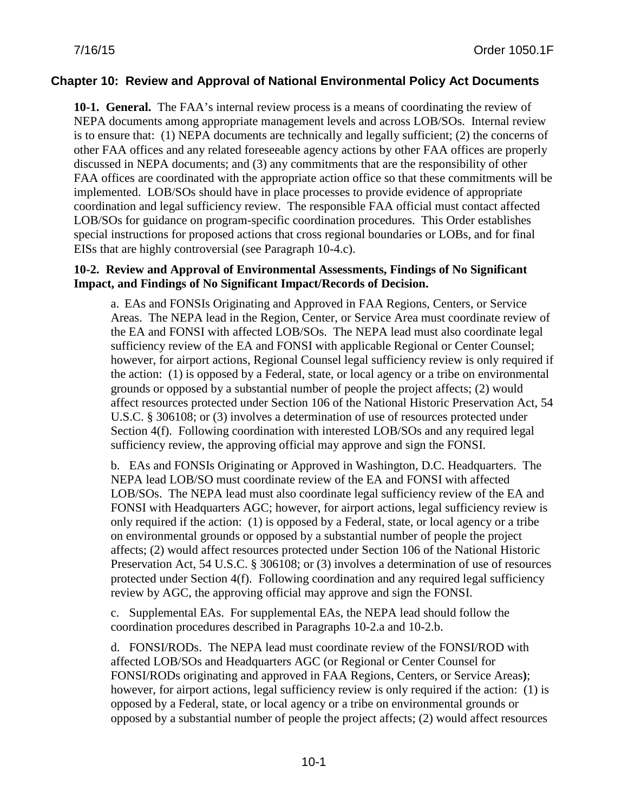## **Chapter 10: Review and Approval of National Environmental Policy Act Documents**

**10-1. General.** The FAA's internal review process is a means of coordinating the review of NEPA documents among appropriate management levels and across LOB/SOs. Internal review is to ensure that: (1) NEPA documents are technically and legally sufficient; (2) the concerns of other FAA offices and any related foreseeable agency actions by other FAA offices are properly discussed in NEPA documents; and (3) any commitments that are the responsibility of other FAA offices are coordinated with the appropriate action office so that these commitments will be implemented. LOB/SOs should have in place processes to provide evidence of appropriate coordination and legal sufficiency review. The responsible FAA official must contact affected LOB/SOs for guidance on program-specific coordination procedures. This Order establishes special instructions for proposed actions that cross regional boundaries or LOBs, and for final EISs that are highly controversial (see Paragraph 10-4.c).

#### **10-2. Review and Approval of Environmental Assessments, Findings of No Significant Impact, and Findings of No Significant Impact/Records of Decision.**

a. EAs and FONSIs Originating and Approved in FAA Regions, Centers, or Service Areas.The NEPA lead in the Region, Center, or Service Area must coordinate review of the EA and FONSI with affected LOB/SOs. The NEPA lead must also coordinate legal sufficiency review of the EA and FONSI with applicable Regional or Center Counsel; however, for airport actions, Regional Counsel legal sufficiency review is only required if the action: (1) is opposed by a Federal, state, or local agency or a tribe on environmental grounds or opposed by a substantial number of people the project affects; (2) would affect resources protected under Section 106 of the National Historic Preservation Act, 54 U.S.C. § 306108; or (3) involves a determination of use of resources protected under Section 4(f). Following coordination with interested LOB/SOs and any required legal sufficiency review, the approving official may approve and sign the FONSI.

b. EAs and FONSIs Originating or Approved in Washington, D.C. Headquarters.The NEPA lead LOB/SO must coordinate review of the EA and FONSI with affected LOB/SOs. The NEPA lead must also coordinate legal sufficiency review of the EA and FONSI with Headquarters AGC; however, for airport actions, legal sufficiency review is only required if the action: (1) is opposed by a Federal, state, or local agency or a tribe on environmental grounds or opposed by a substantial number of people the project affects; (2) would affect resources protected under Section 106 of the National Historic Preservation Act, 54 U.S.C. § 306108; or (3) involves a determination of use of resources protected under Section 4(f). Following coordination and any required legal sufficiency review by AGC, the approving official may approve and sign the FONSI.

c. Supplemental EAs. For supplemental EAs, the NEPA lead should follow the coordination procedures described in Paragraphs 10-2.a and 10-2.b.

d. FONSI/RODs.The NEPA lead must coordinate review of the FONSI/ROD with affected LOB/SOs and Headquarters AGC (or Regional or Center Counsel for FONSI/RODs originating and approved in FAA Regions, Centers, or Service Areas**)**; however, for airport actions, legal sufficiency review is only required if the action: (1) is opposed by a Federal, state, or local agency or a tribe on environmental grounds or opposed by a substantial number of people the project affects; (2) would affect resources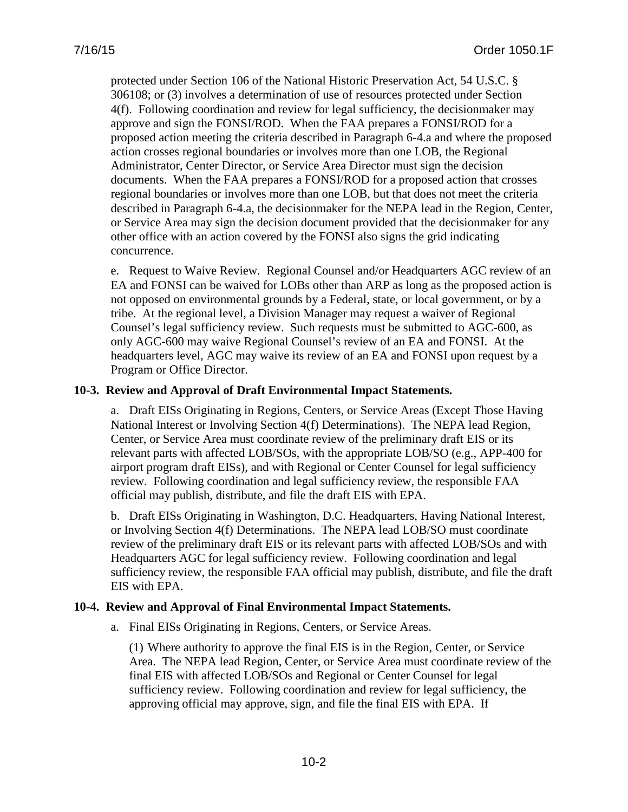protected under Section 106 of the National Historic Preservation Act, 54 U.S.C. § 306108; or (3) involves a determination of use of resources protected under Section 4(f). Following coordination and review for legal sufficiency, the decisionmaker may approve and sign the FONSI/ROD. When the FAA prepares a FONSI/ROD for a proposed action meeting the criteria described in Paragraph 6-4.a and where the proposed action crosses regional boundaries or involves more than one LOB, the Regional Administrator, Center Director, or Service Area Director must sign the decision documents. When the FAA prepares a FONSI/ROD for a proposed action that crosses regional boundaries or involves more than one LOB, but that does not meet the criteria described in Paragraph 6-4.a, the decisionmaker for the NEPA lead in the Region, Center, or Service Area may sign the decision document provided that the decisionmaker for any other office with an action covered by the FONSI also signs the grid indicating concurrence.

e. Request to Waive Review.Regional Counsel and/or Headquarters AGC review of an EA and FONSI can be waived for LOBs other than ARP as long as the proposed action is not opposed on environmental grounds by a Federal, state, or local government, or by a tribe. At the regional level, a Division Manager may request a waiver of Regional Counsel's legal sufficiency review. Such requests must be submitted to AGC-600, as only AGC-600 may waive Regional Counsel's review of an EA and FONSI. At the headquarters level, AGC may waive its review of an EA and FONSI upon request by a Program or Office Director.

## **10-3. Review and Approval of Draft Environmental Impact Statements.**

a. Draft EISs Originating in Regions, Centers, or Service Areas (Except Those Having National Interest or Involving Section 4(f) Determinations).The NEPA lead Region, Center, or Service Area must coordinate review of the preliminary draft EIS or its relevant parts with affected LOB/SOs, with the appropriate LOB/SO (e.g., APP-400 for airport program draft EISs), and with Regional or Center Counsel for legal sufficiency review. Following coordination and legal sufficiency review, the responsible FAA official may publish, distribute, and file the draft EIS with EPA.

b. Draft EISs Originating in Washington, D.C. Headquarters, Having National Interest, or Involving Section 4(f) Determinations.The NEPA lead LOB/SO must coordinate review of the preliminary draft EIS or its relevant parts with affected LOB/SOs and with Headquarters AGC for legal sufficiency review. Following coordination and legal sufficiency review, the responsible FAA official may publish, distribute, and file the draft EIS with EPA.

#### **10-4. Review and Approval of Final Environmental Impact Statements.**

a. Final EISs Originating in Regions, Centers, or Service Areas.

(1) Where authority to approve the final EIS is in the Region, Center, or Service Area. The NEPA lead Region, Center, or Service Area must coordinate review of the final EIS with affected LOB/SOs and Regional or Center Counsel for legal sufficiency review. Following coordination and review for legal sufficiency, the approving official may approve, sign, and file the final EIS with EPA. If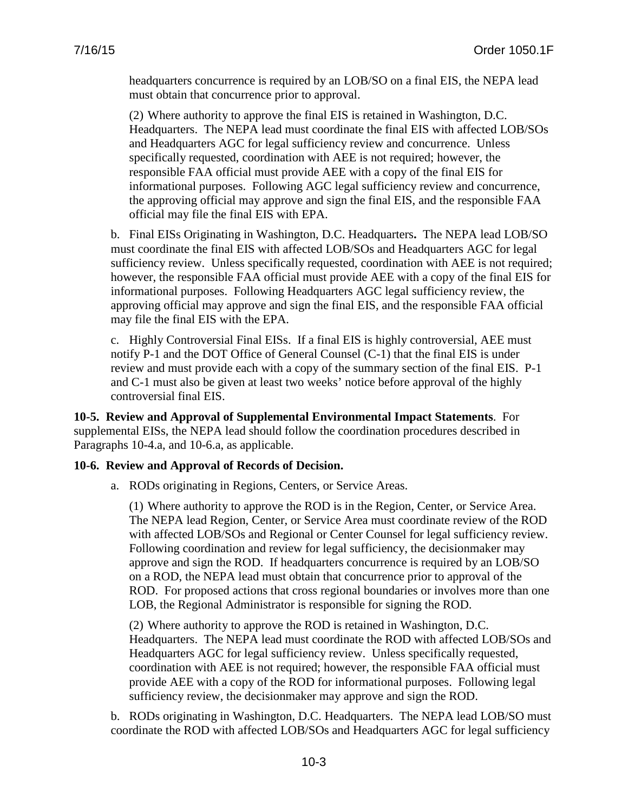headquarters concurrence is required by an LOB/SO on a final EIS, the NEPA lead must obtain that concurrence prior to approval.

(2) Where authority to approve the final EIS is retained in Washington, D.C. Headquarters. The NEPA lead must coordinate the final EIS with affected LOB/SOs and Headquarters AGC for legal sufficiency review and concurrence. Unless specifically requested, coordination with AEE is not required; however, the responsible FAA official must provide AEE with a copy of the final EIS for informational purposes. Following AGC legal sufficiency review and concurrence, the approving official may approve and sign the final EIS, and the responsible FAA official may file the final EIS with EPA.

b. Final EISs Originating in Washington, D.C. Headquarters**.** The NEPA lead LOB/SO must coordinate the final EIS with affected LOB/SOs and Headquarters AGC for legal sufficiency review. Unless specifically requested, coordination with AEE is not required; however, the responsible FAA official must provide AEE with a copy of the final EIS for informational purposes. Following Headquarters AGC legal sufficiency review, the approving official may approve and sign the final EIS, and the responsible FAA official may file the final EIS with the EPA.

c. Highly Controversial Final EISs.If a final EIS is highly controversial, AEE must notify P-1 and the DOT Office of General Counsel (C-1) that the final EIS is under review and must provide each with a copy of the summary section of the final EIS. P-1 and C-1 must also be given at least two weeks' notice before approval of the highly controversial final EIS.

**10-5. Review and Approval of Supplemental Environmental Impact Statements**. For supplemental EISs, the NEPA lead should follow the coordination procedures described in Paragraphs 10-4.a, and 10-6.a, as applicable.

#### **10-6. Review and Approval of Records of Decision.**

a. RODs originating in Regions, Centers, or Service Areas.

(1) Where authority to approve the ROD is in the Region, Center, or Service Area. The NEPA lead Region, Center, or Service Area must coordinate review of the ROD with affected LOB/SOs and Regional or Center Counsel for legal sufficiency review. Following coordination and review for legal sufficiency, the decisionmaker may approve and sign the ROD. If headquarters concurrence is required by an LOB/SO on a ROD, the NEPA lead must obtain that concurrence prior to approval of the ROD. For proposed actions that cross regional boundaries or involves more than one LOB, the Regional Administrator is responsible for signing the ROD.

(2) Where authority to approve the ROD is retained in Washington, D.C. Headquarters. The NEPA lead must coordinate the ROD with affected LOB/SOs and Headquarters AGC for legal sufficiency review. Unless specifically requested, coordination with AEE is not required; however, the responsible FAA official must provide AEE with a copy of the ROD for informational purposes. Following legal sufficiency review, the decisionmaker may approve and sign the ROD.

b. RODs originating in Washington, D.C. Headquarters. The NEPA lead LOB/SO must coordinate the ROD with affected LOB/SOs and Headquarters AGC for legal sufficiency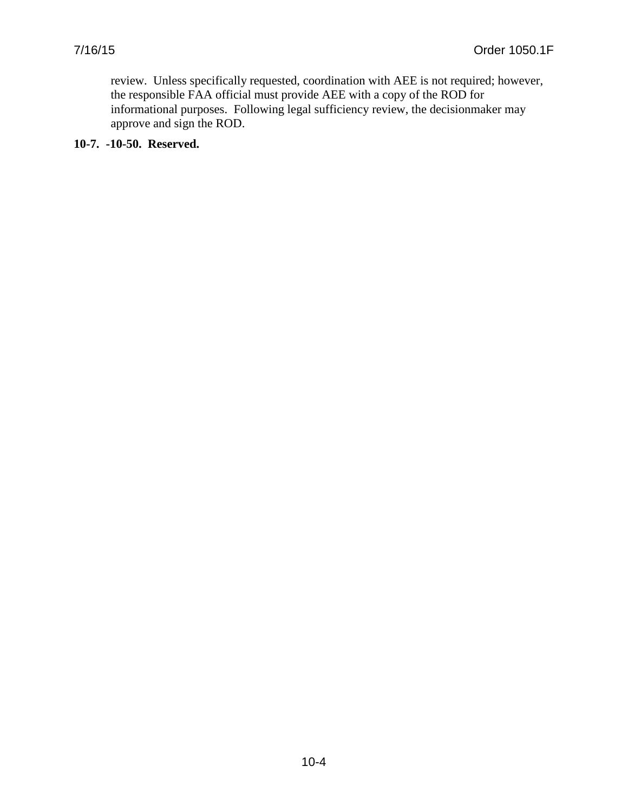review. Unless specifically requested, coordination with AEE is not required; however, the responsible FAA official must provide AEE with a copy of the ROD for informational purposes. Following legal sufficiency review, the decisionmaker may approve and sign the ROD.

**10-7. -10-50. Reserved.**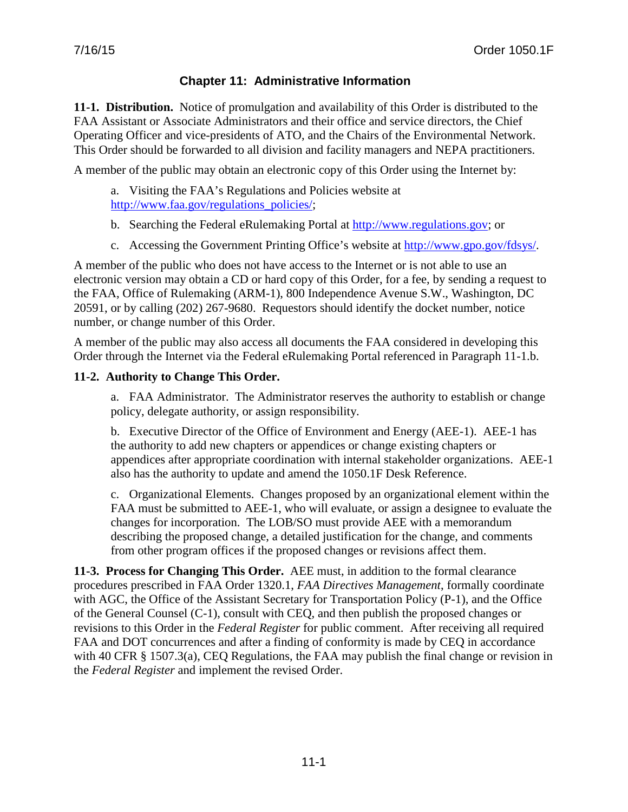# **Chapter 11: Administrative Information**

**11-1. Distribution.** Notice of promulgation and availability of this Order is distributed to the FAA Assistant or Associate Administrators and their office and service directors, the Chief Operating Officer and vice-presidents of ATO, and the Chairs of the Environmental Network. This Order should be forwarded to all division and facility managers and NEPA practitioners.

A member of the public may obtain an electronic copy of this Order using the Internet by:

a. Visiting the FAA's Regulations and Policies website at [http://www.faa.gov/regulations\\_policies/;](http://www.faa.gov/regulations_policies/)

- b. Searching the Federal eRulemaking Portal at [http://www.regulations.gov;](http://www.regulations.gov/) or
- c. Accessing the Government Printing Office's website at [http://www.gpo.gov/fdsys/.](http://www.gpo.gov/fdsys/)

A member of the public who does not have access to the Internet or is not able to use an electronic version may obtain a CD or hard copy of this Order, for a fee, by sending a request to the FAA, Office of Rulemaking (ARM-1), 800 Independence Avenue S.W., Washington, DC 20591, or by calling (202) 267-9680. Requestors should identify the docket number, notice number, or change number of this Order.

A member of the public may also access all documents the FAA considered in developing this Order through the Internet via the Federal eRulemaking Portal referenced in Paragraph 11-1.b.

# **11-2. Authority to Change This Order.**

a. FAA Administrator. The Administrator reserves the authority to establish or change policy, delegate authority, or assign responsibility.

b. Executive Director of the Office of Environment and Energy (AEE-1). AEE-1 has the authority to add new chapters or appendices or change existing chapters or appendices after appropriate coordination with internal stakeholder organizations. AEE-1 also has the authority to update and amend the 1050.1F Desk Reference.

c. Organizational Elements. Changes proposed by an organizational element within the FAA must be submitted to AEE-1, who will evaluate, or assign a designee to evaluate the changes for incorporation. The LOB/SO must provide AEE with a memorandum describing the proposed change, a detailed justification for the change, and comments from other program offices if the proposed changes or revisions affect them.

**11-3. Process for Changing This Order.** AEE must, in addition to the formal clearance procedures prescribed in FAA Order 1320.1, *FAA Directives Management*, formally coordinate with AGC, the Office of the Assistant Secretary for Transportation Policy (P-1), and the Office of the General Counsel (C-1), consult with CEQ, and then publish the proposed changes or revisions to this Order in the *Federal Register* for public comment. After receiving all required FAA and DOT concurrences and after a finding of conformity is made by CEQ in accordance with 40 CFR § 1507.3(a), CEQ Regulations, the FAA may publish the final change or revision in the *Federal Register* and implement the revised Order.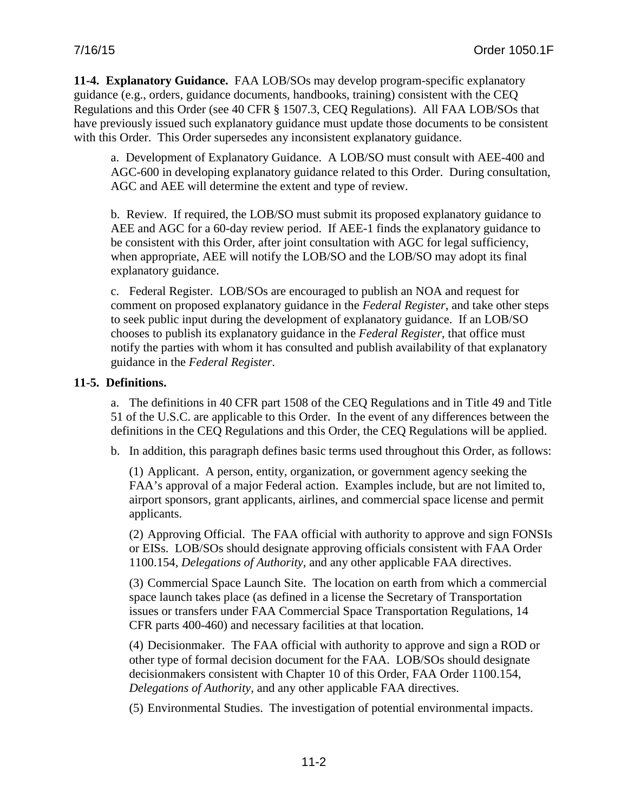**11-4. Explanatory Guidance.** FAA LOB/SOs may develop program-specific explanatory guidance (e.g., orders, guidance documents, handbooks, training) consistent with the CEQ Regulations and this Order (see 40 CFR § 1507.3, CEQ Regulations). All FAA LOB/SOs that have previously issued such explanatory guidance must update those documents to be consistent with this Order. This Order supersedes any inconsistent explanatory guidance.

a. Development of Explanatory Guidance. A LOB/SO must consult with AEE-400 and AGC-600 in developing explanatory guidance related to this Order. During consultation, AGC and AEE will determine the extent and type of review.

b. Review. If required, the LOB/SO must submit its proposed explanatory guidance to AEE and AGC for a 60-day review period. If AEE-1 finds the explanatory guidance to be consistent with this Order, after joint consultation with AGC for legal sufficiency, when appropriate, AEE will notify the LOB/SO and the LOB/SO may adopt its final explanatory guidance.

c. Federal Register. LOB/SOs are encouraged to publish an NOA and request for comment on proposed explanatory guidance in the *Federal Register*, and take other steps to seek public input during the development of explanatory guidance. If an LOB/SO chooses to publish its explanatory guidance in the *Federal Register*, that office must notify the parties with whom it has consulted and publish availability of that explanatory guidance in the *Federal Register*.

# **11-5. Definitions.**

a. The definitions in 40 CFR part 1508 of the CEQ Regulations and in Title 49 and Title 51 of the U.S.C. are applicable to this Order. In the event of any differences between the definitions in the CEQ Regulations and this Order, the CEQ Regulations will be applied.

b. In addition, this paragraph defines basic terms used throughout this Order, as follows:

(1) Applicant. A person, entity, organization, or government agency seeking the FAA's approval of a major Federal action. Examples include, but are not limited to, airport sponsors, grant applicants, airlines, and commercial space license and permit applicants.

(2) Approving Official. The FAA official with authority to approve and sign FONSIs or EISs. LOB/SOs should designate approving officials consistent with [FAA Order](http://rgl.faa.gov/REGULATORY_AND_GUIDANCE_LIBRARY/RGORDERS.NSF/0/5b3290986c1763598625717f0051c024/$FILE/1100.154a.pdf)  1100.154, *[Delegations of Authority,](http://rgl.faa.gov/REGULATORY_AND_GUIDANCE_LIBRARY/RGORDERS.NSF/0/5b3290986c1763598625717f0051c024/$FILE/1100.154a.pdf)* and any other applicable FAA directives.

(3) Commercial Space Launch Site. The location on earth from which a commercial space launch takes place (as defined in a license the Secretary of Transportation issues or transfers under FAA Commercial Space Transportation Regulations, 14 CFR parts 400-460) and necessary facilities at that location.

(4) Decisionmaker. The FAA official with authority to approve and sign a ROD or other type of formal decision document for the FAA. LOB/SOs should designate decisionmakers consistent with Chapter 10 of this Order, [FAA Order 1100.154,](http://rgl.faa.gov/REGULATORY_AND_GUIDANCE_LIBRARY/RGORDERS.NSF/0/5b3290986c1763598625717f0051c024/$FILE/1100.154a.pdf)  *[Delegations of Authority,](http://rgl.faa.gov/REGULATORY_AND_GUIDANCE_LIBRARY/RGORDERS.NSF/0/5b3290986c1763598625717f0051c024/$FILE/1100.154a.pdf)* and any other applicable FAA directives.

(5) Environmental Studies.The investigation of potential environmental impacts.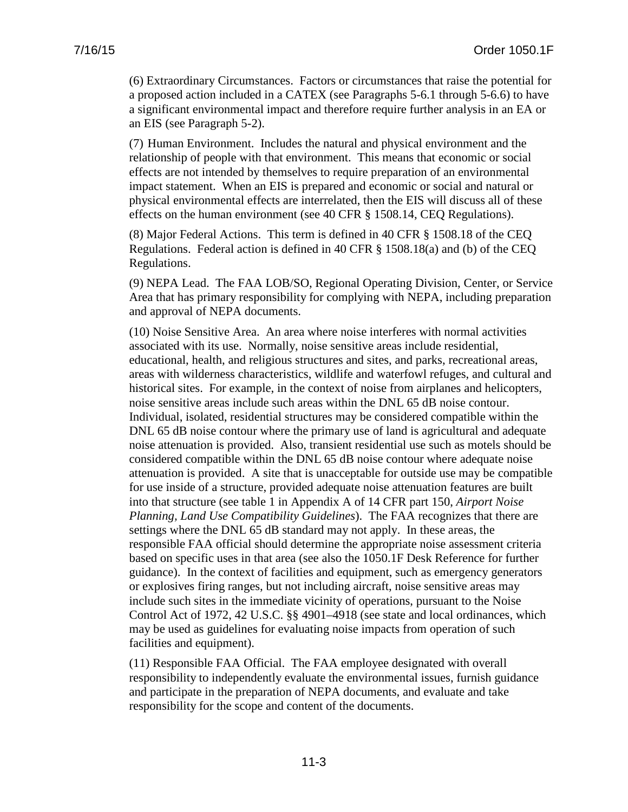(6) Extraordinary Circumstances. Factors or circumstances that raise the potential for a proposed action included in a CATEX (see Paragraphs 5-6.1 through 5-6.6) to have a significant environmental impact and therefore require further analysis in an EA or an EIS (see Paragraph 5-2).

(7) Human Environment. Includes the natural and physical environment and the relationship of people with that environment. This means that economic or social effects are not intended by themselves to require preparation of an environmental impact statement. When an EIS is prepared and economic or social and natural or physical environmental effects are interrelated, then the EIS will discuss all of these effects on the human environment (see 40 CFR § 1508.14, CEQ Regulations).

(8) Major Federal Actions. This term is defined in 40 CFR § 1508.18 of the CEQ Regulations. Federal action is defined in 40 CFR § 1508.18(a) and (b) of the CEQ Regulations.

(9) NEPA Lead. The FAA LOB/SO, Regional Operating Division, Center, or Service Area that has primary responsibility for complying with NEPA, including preparation and approval of NEPA documents.

(10) Noise Sensitive Area. An area where noise interferes with normal activities associated with its use. Normally, noise sensitive areas include residential, educational, health, and religious structures and sites, and parks, recreational areas, areas with wilderness characteristics, wildlife and waterfowl refuges, and cultural and historical sites. For example, in the context of noise from airplanes and helicopters, noise sensitive areas include such areas within the DNL 65 dB noise contour. Individual, isolated, residential structures may be considered compatible within the DNL 65 dB noise contour where the primary use of land is agricultural and adequate noise attenuation is provided. Also, transient residential use such as motels should be considered compatible within the DNL 65 dB noise contour where adequate noise attenuation is provided. A site that is unacceptable for outside use may be compatible for use inside of a structure, provided adequate noise attenuation features are built into that structure (see table 1 in Appendix A of 14 CFR part 150, *Airport Noise Planning, Land Use Compatibility Guidelines*). The FAA recognizes that there are settings where the DNL 65 dB standard may not apply. In these areas, the responsible FAA official should determine the appropriate noise assessment criteria based on specific uses in that area (see also the 1050.1F Desk Reference for further guidance). In the context of facilities and equipment, such as emergency generators or explosives firing ranges, but not including aircraft, noise sensitive areas may include such sites in the immediate vicinity of operations, pursuant to the Noise Control Act of 1972, 42 U.S.C. §§ 4901–4918 (see state and local ordinances, which may be used as guidelines for evaluating noise impacts from operation of such facilities and equipment).

(11) Responsible FAA Official. The FAA employee designated with overall responsibility to independently evaluate the environmental issues, furnish guidance and participate in the preparation of NEPA documents, and evaluate and take responsibility for the scope and content of the documents.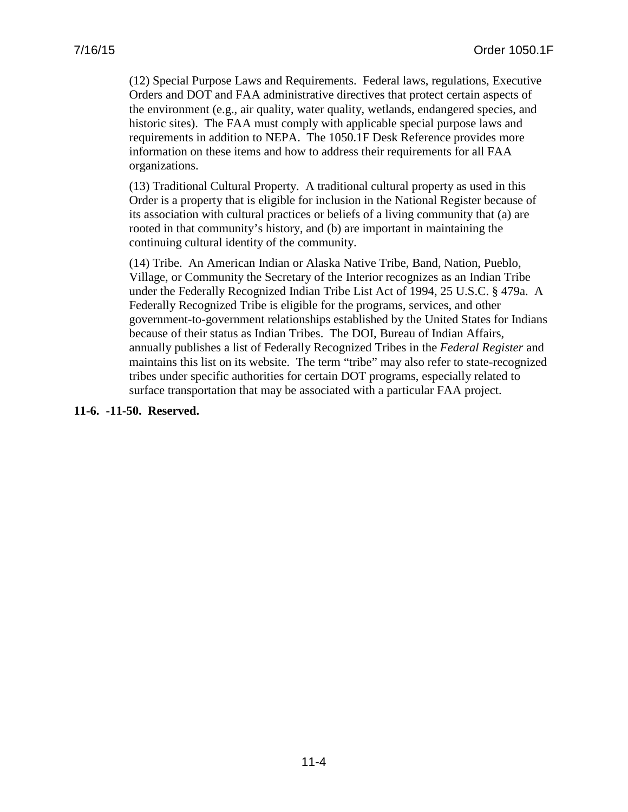(12) Special Purpose Laws and Requirements. Federal laws, regulations, Executive Orders and DOT and FAA administrative directives that protect certain aspects of the environment (e.g., air quality, water quality, wetlands, endangered species, and historic sites). The FAA must comply with applicable special purpose laws and requirements in addition to NEPA. The 1050.1F Desk Reference provides more information on these items and how to address their requirements for all FAA organizations.

(13) Traditional Cultural Property. A traditional cultural property as used in this Order is a property that is eligible for inclusion in the National Register because of its association with cultural practices or beliefs of a living community that (a) are rooted in that community's history, and (b) are important in maintaining the continuing cultural identity of the community.

(14) Tribe. An American Indian or Alaska Native Tribe, Band, Nation, Pueblo, Village, or Community the Secretary of the Interior recognizes as an Indian Tribe under the Federally Recognized Indian Tribe List Act of 1994, 25 U.S.C. § 479a. A Federally Recognized Tribe is eligible for the programs, services, and other government-to-government relationships established by the United States for Indians because of their status as Indian Tribes. The DOI, Bureau of Indian Affairs, annually publishes a list of Federally Recognized Tribes in the *Federal Register* and maintains this list on its website. The term "tribe" may also refer to state-recognized tribes under specific authorities for certain DOT programs, especially related to surface transportation that may be associated with a particular FAA project.

**11-6. -11-50. Reserved.**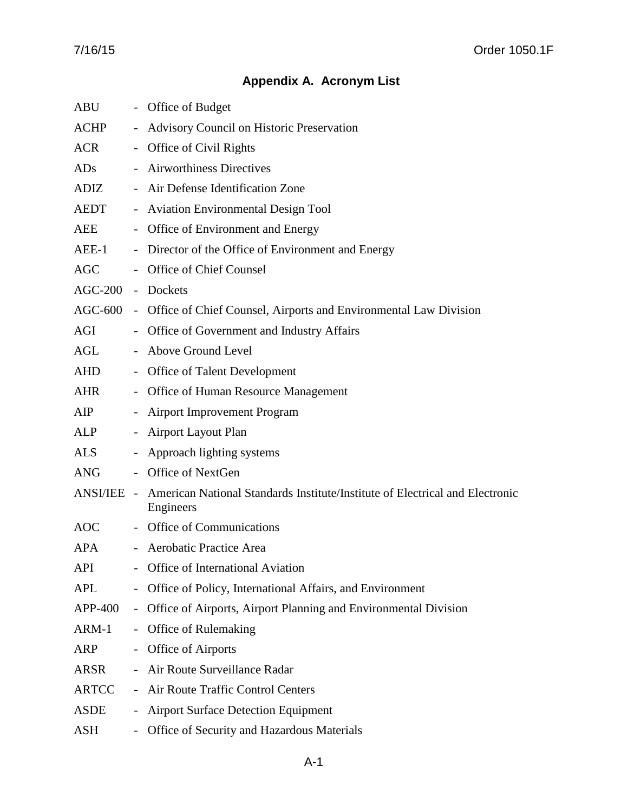# **Appendix A. Acronym List**

| <b>ABU</b>   |                          | - Office of Budget                                                                        |
|--------------|--------------------------|-------------------------------------------------------------------------------------------|
| ACHP         |                          | - Advisory Council on Historic Preservation                                               |
| ACR          |                          | - Office of Civil Rights                                                                  |
| ADs          |                          | - Airworthiness Directives                                                                |
| ADIZ         |                          | - Air Defense Identification Zone                                                         |
| AEDT         |                          | - Aviation Environmental Design Tool                                                      |
| AEE          |                          | - Office of Environment and Energy                                                        |
| $AEE-1$      |                          | - Director of the Office of Environment and Energy                                        |
| <b>AGC</b>   |                          | Office of Chief Counsel                                                                   |
| $AGC-200$    |                          | - Dockets                                                                                 |
|              |                          | AGC-600 - Office of Chief Counsel, Airports and Environmental Law Division                |
| AGI          |                          | - Office of Government and Industry Affairs                                               |
| AGL          |                          | - Above Ground Level                                                                      |
| AHD          |                          | - Office of Talent Development                                                            |
| AHR          |                          | - Office of Human Resource Management                                                     |
| AIP          |                          | - Airport Improvement Program                                                             |
| ALP          |                          | - Airport Layout Plan                                                                     |
| <b>ALS</b>   |                          | - Approach lighting systems                                                               |
| <b>ANG</b>   |                          | Office of NextGen                                                                         |
| ANSI/IEE -   |                          | American National Standards Institute/Institute of Electrical and Electronic<br>Engineers |
| AOC          |                          | - Office of Communications                                                                |
| <b>APA</b>   |                          | - Aerobatic Practice Area                                                                 |
| <b>API</b>   |                          | Office of International Aviation                                                          |
| <b>APL</b>   |                          | Office of Policy, International Affairs, and Environment                                  |
| APP-400      | $\overline{\phantom{0}}$ | Office of Airports, Airport Planning and Environmental Division                           |
| $ARM-1$      | $\overline{\phantom{0}}$ | Office of Rulemaking                                                                      |
| <b>ARP</b>   |                          | Office of Airports                                                                        |
| ARSR         | $\overline{\phantom{0}}$ | Air Route Surveillance Radar                                                              |
| <b>ARTCC</b> | $\sim$                   | Air Route Traffic Control Centers                                                         |
| <b>ASDE</b>  | $\overline{\phantom{0}}$ | <b>Airport Surface Detection Equipment</b>                                                |
| ASH          | $\sim$                   | Office of Security and Hazardous Materials                                                |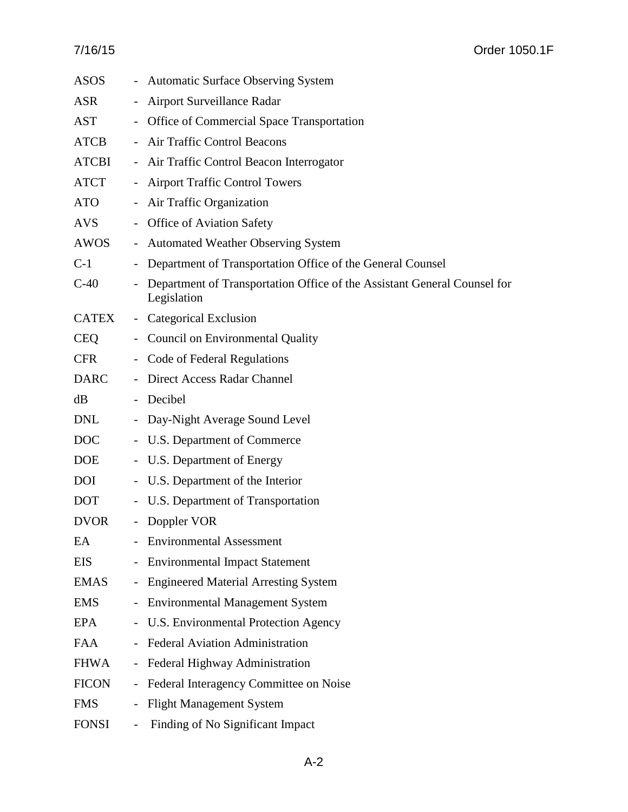| <b>ASOS</b>  |                          | - Automatic Surface Observing System                                                    |
|--------------|--------------------------|-----------------------------------------------------------------------------------------|
| <b>ASR</b>   |                          | Airport Surveillance Radar                                                              |
| <b>AST</b>   |                          | - Office of Commercial Space Transportation                                             |
| ATCB         |                          | - Air Traffic Control Beacons                                                           |
| <b>ATCBI</b> |                          | - Air Traffic Control Beacon Interrogator                                               |
| ATCT         |                          | - Airport Traffic Control Towers                                                        |
| <b>ATO</b>   |                          | - Air Traffic Organization                                                              |
| <b>AVS</b>   |                          | - Office of Aviation Safety                                                             |
| AWOS         |                          | - Automated Weather Observing System                                                    |
| $C-1$        |                          | Department of Transportation Office of the General Counsel                              |
| $C-40$       | $\overline{\phantom{a}}$ | Department of Transportation Office of the Assistant General Counsel for<br>Legislation |
| <b>CATEX</b> |                          | - Categorical Exclusion                                                                 |
| <b>CEQ</b>   |                          | - Council on Environmental Quality                                                      |
| <b>CFR</b>   |                          | - Code of Federal Regulations                                                           |
| <b>DARC</b>  |                          | - Direct Access Radar Channel                                                           |
| dB           |                          | - Decibel                                                                               |
| <b>DNL</b>   |                          | - Day-Night Average Sound Level                                                         |
| <b>DOC</b>   |                          | - U.S. Department of Commerce                                                           |
| <b>DOE</b>   |                          | - U.S. Department of Energy                                                             |
| <b>DOI</b>   |                          | - U.S. Department of the Interior                                                       |
| <b>DOT</b>   |                          | - U.S. Department of Transportation                                                     |
| <b>DVOR</b>  |                          | - Doppler VOR                                                                           |
| EA           |                          | <b>Environmental Assessment</b>                                                         |
| <b>EIS</b>   | $\blacksquare$           | <b>Environmental Impact Statement</b>                                                   |
| <b>EMAS</b>  | $\overline{\phantom{0}}$ | <b>Engineered Material Arresting System</b>                                             |
| <b>EMS</b>   | $\overline{\phantom{0}}$ | <b>Environmental Management System</b>                                                  |
| <b>EPA</b>   |                          | - U.S. Environmental Protection Agency                                                  |
| <b>FAA</b>   |                          | - Federal Aviation Administration                                                       |
| <b>FHWA</b>  | $\overline{\phantom{0}}$ | Federal Highway Administration                                                          |
| <b>FICON</b> | $\equiv$                 | Federal Interagency Committee on Noise                                                  |
| <b>FMS</b>   |                          | <b>Flight Management System</b>                                                         |
| <b>FONSI</b> |                          | Finding of No Significant Impact                                                        |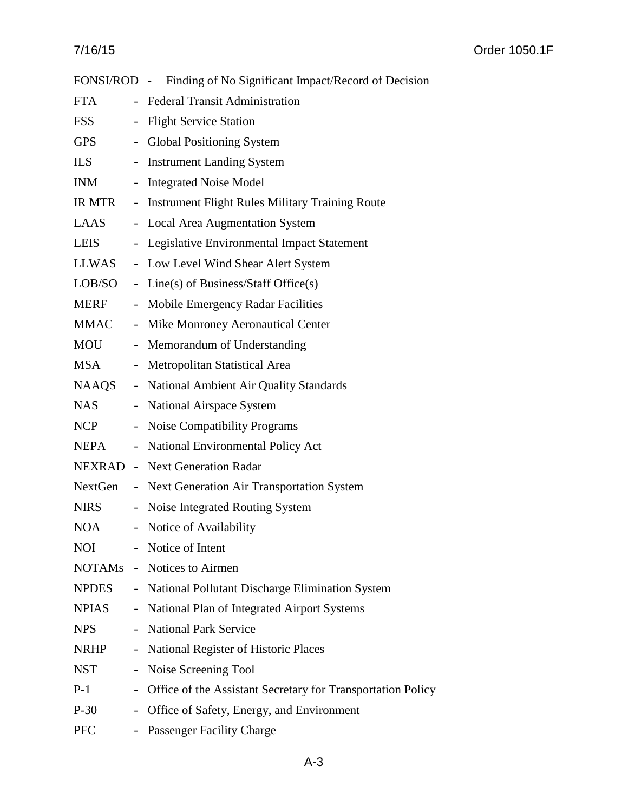|               |                           | FONSI/ROD - Finding of No Significant Impact/Record of Decision |
|---------------|---------------------------|-----------------------------------------------------------------|
| <b>FTA</b>    |                           | - Federal Transit Administration                                |
| <b>FSS</b>    |                           | - Flight Service Station                                        |
| <b>GPS</b>    | $\sim$                    | Global Positioning System                                       |
| ILS           |                           | - Instrument Landing System                                     |
| <b>INM</b>    | $\sim$                    | <b>Integrated Noise Model</b>                                   |
| <b>IR MTR</b> | $\pm$                     | <b>Instrument Flight Rules Military Training Route</b>          |
| LAAS          |                           | - Local Area Augmentation System                                |
| <b>LEIS</b>   | $\overline{\phantom{a}}$  | Legislative Environmental Impact Statement                      |
| LLWAS         |                           | - Low Level Wind Shear Alert System                             |
| LOB/SO        | $\mathbb{L}^{\mathbb{N}}$ | $Line(s)$ of Business/Staff Office $(s)$                        |
| <b>MERF</b>   | $\overline{\phantom{0}}$  | Mobile Emergency Radar Facilities                               |
| MMAC          |                           | - Mike Monroney Aeronautical Center                             |
| MOU           |                           | - Memorandum of Understanding                                   |
| <b>MSA</b>    |                           | - Metropolitan Statistical Area                                 |
| NAAQS         |                           | - National Ambient Air Quality Standards                        |
| <b>NAS</b>    | $\equiv$                  | National Airspace System                                        |
| NCP NC        |                           | - Noise Compatibility Programs                                  |
| <b>NEPA</b>   |                           | - National Environmental Policy Act                             |
|               |                           | NEXRAD - Next Generation Radar                                  |
| NextGen       |                           | - Next Generation Air Transportation System                     |
| <b>NIRS</b>   |                           | - Noise Integrated Routing System                               |
| <b>NOA</b>    |                           | - Notice of Availability                                        |
| <b>NOI</b>    |                           | Notice of Intent                                                |
| NOTAMs        |                           | - Notices to Airmen                                             |
| <b>NPDES</b>  |                           | - National Pollutant Discharge Elimination System               |
| <b>NPIAS</b>  | $\overline{\phantom{0}}$  | National Plan of Integrated Airport Systems                     |
| <b>NPS</b>    |                           | <b>National Park Service</b>                                    |
| NRHP          | $\blacksquare$            | National Register of Historic Places                            |
| <b>NST</b>    | $\blacksquare$            | Noise Screening Tool                                            |
| $P-1$         |                           | Office of the Assistant Secretary for Transportation Policy     |
| $P-30$        | $\overline{\phantom{0}}$  | Office of Safety, Energy, and Environment                       |
| <b>PFC</b>    |                           | Passenger Facility Charge                                       |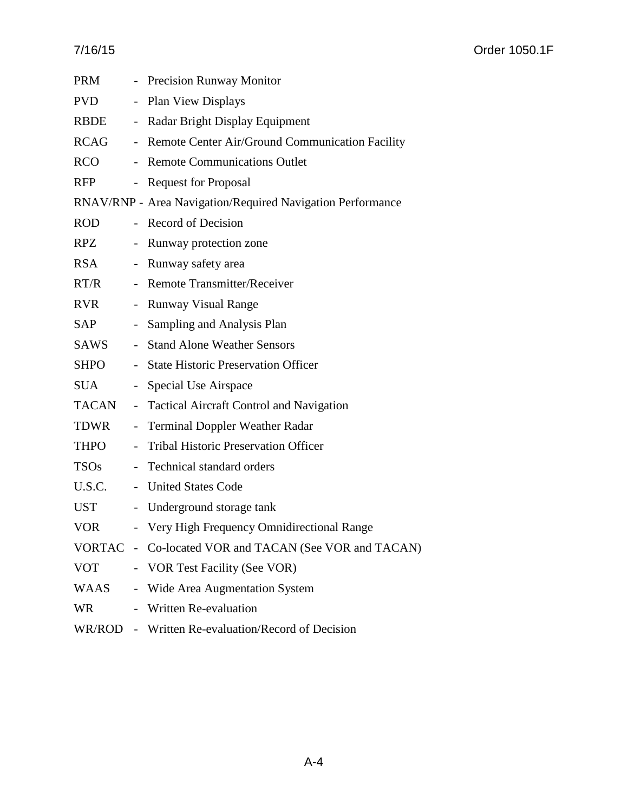| PRM        |                     | - Precision Runway Monitor                                 |
|------------|---------------------|------------------------------------------------------------|
| <b>PVD</b> | $\sim$              | <b>Plan View Displays</b>                                  |
| RBDE       |                     | - Radar Bright Display Equipment                           |
| RCAG       |                     | - Remote Center Air/Ground Communication Facility          |
| <b>RCO</b> | $\sim$              | <b>Remote Communications Outlet</b>                        |
| <b>RFP</b> |                     | - Request for Proposal                                     |
|            |                     | RNAV/RNP - Area Navigation/Required Navigation Performance |
| <b>ROD</b> |                     | - Record of Decision                                       |
| RPZ        |                     | Runway protection zone                                     |
| <b>RSA</b> |                     | Runway safety area                                         |
| RT/R       | $\mathcal{L}^{\pm}$ | <b>Remote Transmitter/Receiver</b>                         |
| RVR        | $\sim$              | <b>Runway Visual Range</b>                                 |
| SAP        | $\sim$              | Sampling and Analysis Plan                                 |
| SAWS       | $\sim$              | <b>Stand Alone Weather Sensors</b>                         |
| SHPO       | $\sim$              | <b>State Historic Preservation Officer</b>                 |
| <b>SUA</b> | $\sim$              | Special Use Airspace                                       |
| TACAN      | $\sim$              | <b>Tactical Aircraft Control and Navigation</b>            |
| TDWR       | $\pm$ .             | <b>Terminal Doppler Weather Radar</b>                      |
| THPO       | $\overline{a}$      | <b>Tribal Historic Preservation Officer</b>                |
| TSOs       |                     | Technical standard orders                                  |
| U.S.C.     |                     | - United States Code                                       |
| <b>UST</b> |                     | - Underground storage tank                                 |
| <b>VOR</b> |                     | - Very High Frequency Omnidirectional Range                |
|            |                     | VORTAC - Co-located VOR and TACAN (See VOR and TACAN)      |
| <b>VOT</b> |                     | - VOR Test Facility (See VOR)                              |
| WAAS       |                     | - Wide Area Augmentation System                            |
| WR.        |                     | - Written Re-evaluation                                    |
|            |                     | WR/ROD - Written Re-evaluation/Record of Decision          |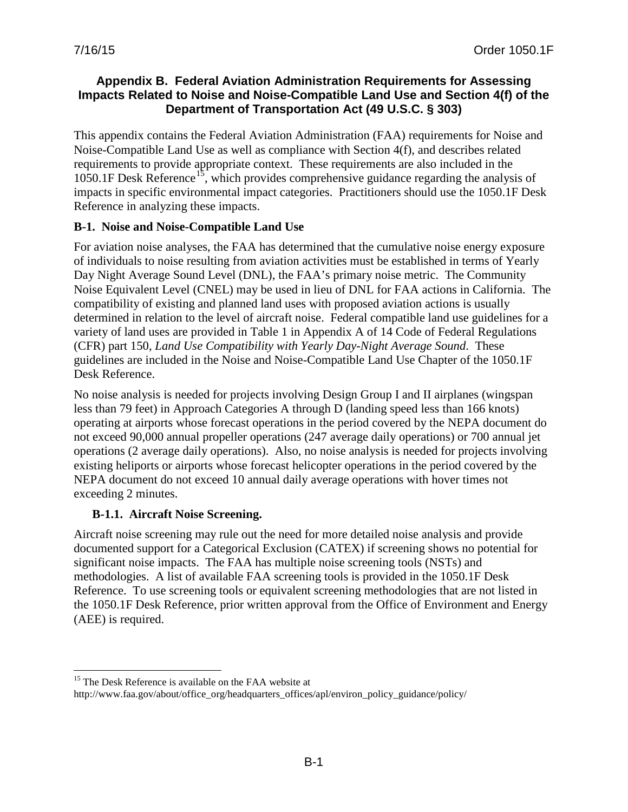#### **Appendix B. Federal Aviation Administration Requirements for Assessing Impacts Related to Noise and Noise-Compatible Land Use and Section 4(f) of the Department of Transportation Act (49 U.S.C. § 303)**

This appendix contains the Federal Aviation Administration (FAA) requirements for Noise and Noise-Compatible Land Use as well as compliance with Section 4(f), and describes related requirements to provide appropriate context. These requirements are also included in the 1050.1F Desk Reference<sup>15</sup>, which provides comprehensive guidance regarding the analysis of impacts in specific environmental impact categories. Practitioners should use the 1050.1F Desk Reference in analyzing these impacts.

### **B-1. Noise and Noise-Compatible Land Use**

For aviation noise analyses, the FAA has determined that the cumulative noise energy exposure of individuals to noise resulting from aviation activities must be established in terms of Yearly Day Night Average Sound Level (DNL), the FAA's primary noise metric. The Community Noise Equivalent Level (CNEL) may be used in lieu of DNL for FAA actions in California. The compatibility of existing and planned land uses with proposed aviation actions is usually determined in relation to the level of aircraft noise. Federal compatible land use guidelines for a variety of land uses are provided in Table 1 in Appendix A of 14 Code of Federal Regulations (CFR) part 150, *Land Use Compatibility with Yearly Day-Night Average Sound*. These guidelines are included in the Noise and Noise-Compatible Land Use Chapter of the 1050.1F Desk Reference.

No noise analysis is needed for projects involving Design Group I and II airplanes (wingspan less than 79 feet) in Approach Categories A through D (landing speed less than 166 knots) operating at airports whose forecast operations in the period covered by the NEPA document do not exceed 90,000 annual propeller operations (247 average daily operations) or 700 annual jet operations (2 average daily operations). Also, no noise analysis is needed for projects involving existing heliports or airports whose forecast helicopter operations in the period covered by the NEPA document do not exceed 10 annual daily average operations with hover times not exceeding 2 minutes.

## **B-1.1. Aircraft Noise Screening.**

Aircraft noise screening may rule out the need for more detailed noise analysis and provide documented support for a Categorical Exclusion (CATEX) if screening shows no potential for significant noise impacts. The FAA has multiple noise screening tools (NSTs) and methodologies. A list of available FAA screening tools is provided in the 1050.1F Desk Reference. To use screening tools or equivalent screening methodologies that are not listed in the 1050.1F Desk Reference, prior written approval from the Office of Environment and Energy (AEE) is required.

<sup>&</sup>lt;sup>15</sup> The Desk Reference is available on the FAA website at  $\overline{a}$ 

<span id="page-111-0"></span>http://www.faa.gov/about/office\_org/headquarters\_offices/apl/environ\_policy\_guidance/policy/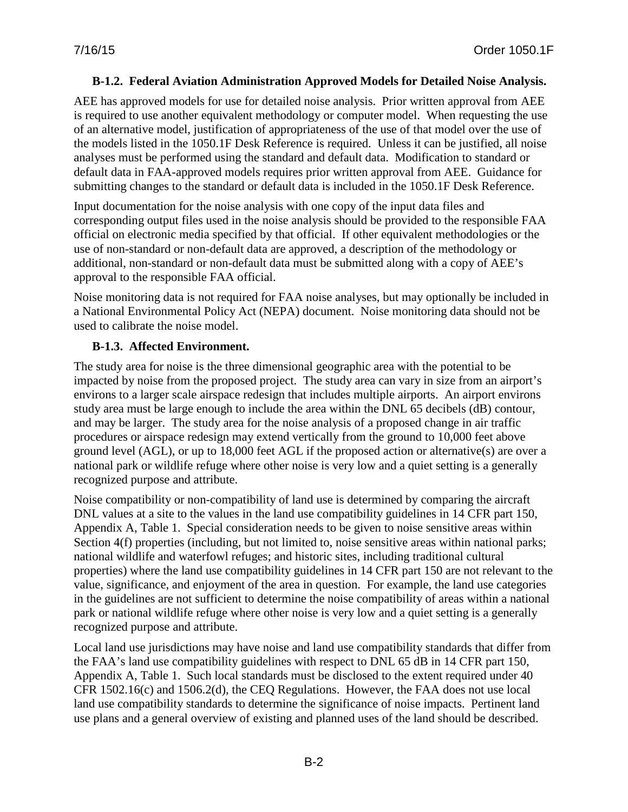#### **B-1.2. Federal Aviation Administration Approved Models for Detailed Noise Analysis.**

AEE has approved models for use for detailed noise analysis. Prior written approval from AEE is required to use another equivalent methodology or computer model. When requesting the use of an alternative model, justification of appropriateness of the use of that model over the use of the models listed in the 1050.1F Desk Reference is required. Unless it can be justified, all noise analyses must be performed using the standard and default data. Modification to standard or default data in FAA-approved models requires prior written approval from AEE. Guidance for submitting changes to the standard or default data is included in the 1050.1F Desk Reference.

Input documentation for the noise analysis with one copy of the input data files and corresponding output files used in the noise analysis should be provided to the responsible FAA official on electronic media specified by that official. If other equivalent methodologies or the use of non-standard or non-default data are approved, a description of the methodology or additional, non-standard or non-default data must be submitted along with a copy of AEE's approval to the responsible FAA official.

Noise monitoring data is not required for FAA noise analyses, but may optionally be included in a National Environmental Policy Act (NEPA) document. Noise monitoring data should not be used to calibrate the noise model.

#### **B-1.3. Affected Environment.**

The study area for noise is the three dimensional geographic area with the potential to be impacted by noise from the proposed project. The study area can vary in size from an airport's environs to a larger scale airspace redesign that includes multiple airports. An airport environs study area must be large enough to include the area within the DNL 65 decibels (dB) contour, and may be larger. The study area for the noise analysis of a proposed change in air traffic procedures or airspace redesign may extend vertically from the ground to 10,000 feet above ground level (AGL), or up to 18,000 feet AGL if the proposed action or alternative(s) are over a national park or wildlife refuge where other noise is very low and a quiet setting is a generally recognized purpose and attribute.

Noise compatibility or non-compatibility of land use is determined by comparing the aircraft DNL values at a site to the values in the land use compatibility guidelines in 14 CFR part 150, Appendix A, Table 1. Special consideration needs to be given to noise sensitive areas within Section 4(f) properties (including, but not limited to, noise sensitive areas within national parks; national wildlife and waterfowl refuges; and historic sites, including traditional cultural properties) where the land use compatibility guidelines in 14 CFR part 150 are not relevant to the value, significance, and enjoyment of the area in question. For example, the land use categories in the guidelines are not sufficient to determine the noise compatibility of areas within a national park or national wildlife refuge where other noise is very low and a quiet setting is a generally recognized purpose and attribute.

Local land use jurisdictions may have noise and land use compatibility standards that differ from the FAA's land use compatibility guidelines with respect to DNL 65 dB in 14 CFR part 150, Appendix A, Table 1. Such local standards must be disclosed to the extent required under 40 CFR 1502.16(c) and 1506.2(d), the CEQ Regulations. However, the FAA does not use local land use compatibility standards to determine the significance of noise impacts. Pertinent land use plans and a general overview of existing and planned uses of the land should be described.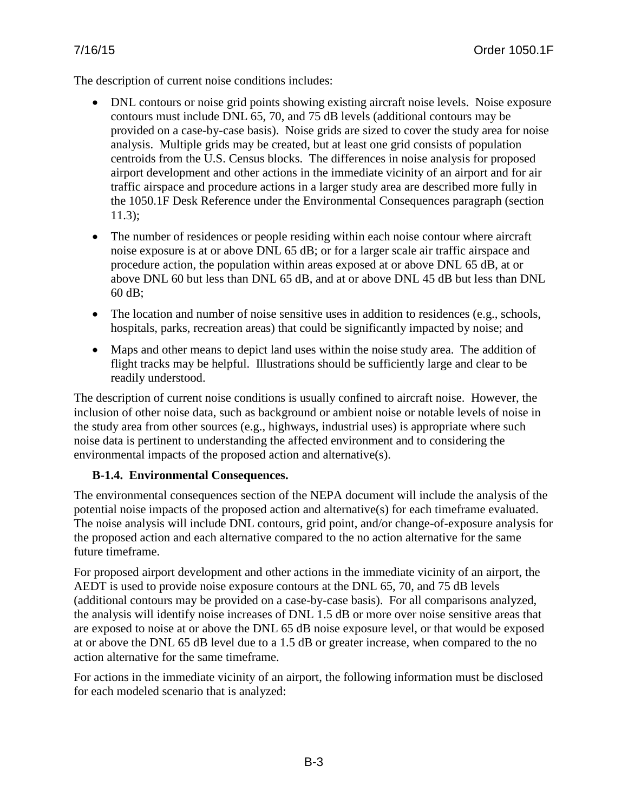The description of current noise conditions includes:

- DNL contours or noise grid points showing existing aircraft noise levels. Noise exposure contours must include DNL 65, 70, and 75 dB levels (additional contours may be provided on a case-by-case basis). Noise grids are sized to cover the study area for noise analysis. Multiple grids may be created, but at least one grid consists of population centroids from the U.S. Census blocks. The differences in noise analysis for proposed airport development and other actions in the immediate vicinity of an airport and for air traffic airspace and procedure actions in a larger study area are described more fully in the 1050.1F Desk Reference under the Environmental Consequences paragraph (section 11.3);
- The number of residences or people residing within each noise contour where aircraft noise exposure is at or above DNL 65 dB; or for a larger scale air traffic airspace and procedure action, the population within areas exposed at or above DNL 65 dB, at or above DNL 60 but less than DNL 65 dB, and at or above DNL 45 dB but less than DNL 60 dB;
- The location and number of noise sensitive uses in addition to residences (e.g., schools, hospitals, parks, recreation areas) that could be significantly impacted by noise; and
- Maps and other means to depict land uses within the noise study area. The addition of flight tracks may be helpful. Illustrations should be sufficiently large and clear to be readily understood.

The description of current noise conditions is usually confined to aircraft noise. However, the inclusion of other noise data, such as background or ambient noise or notable levels of noise in the study area from other sources (e.g., highways, industrial uses) is appropriate where such noise data is pertinent to understanding the affected environment and to considering the environmental impacts of the proposed action and alternative(s).

#### **B-1.4. Environmental Consequences.**

The environmental consequences section of the NEPA document will include the analysis of the potential noise impacts of the proposed action and alternative(s) for each timeframe evaluated. The noise analysis will include DNL contours, grid point, and/or change-of-exposure analysis for the proposed action and each alternative compared to the no action alternative for the same future timeframe.

For proposed airport development and other actions in the immediate vicinity of an airport, the AEDT is used to provide noise exposure contours at the DNL 65, 70, and 75 dB levels (additional contours may be provided on a case-by-case basis). For all comparisons analyzed, the analysis will identify noise increases of DNL 1.5 dB or more over noise sensitive areas that are exposed to noise at or above the DNL 65 dB noise exposure level, or that would be exposed at or above the DNL 65 dB level due to a 1.5 dB or greater increase, when compared to the no action alternative for the same timeframe.

For actions in the immediate vicinity of an airport, the following information must be disclosed for each modeled scenario that is analyzed: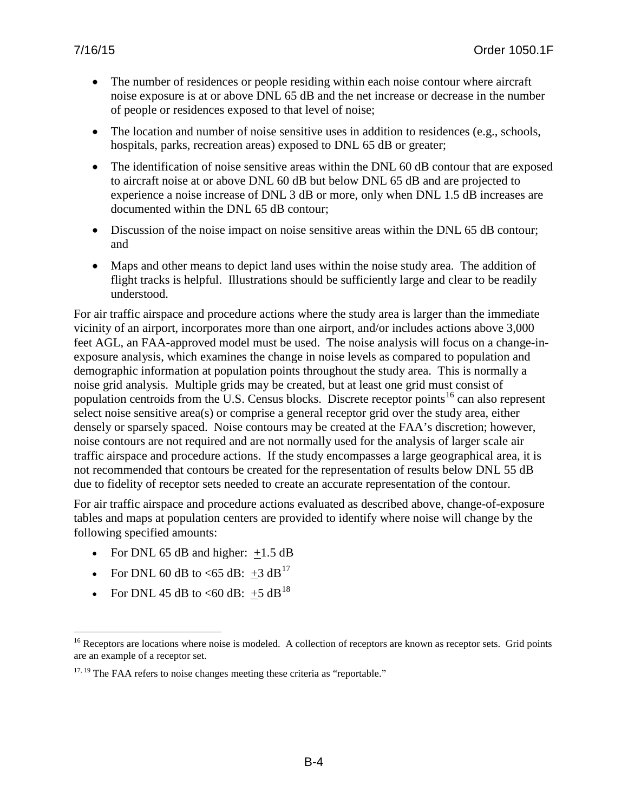- The number of residences or people residing within each noise contour where aircraft noise exposure is at or above DNL 65 dB and the net increase or decrease in the number of people or residences exposed to that level of noise;
- The location and number of noise sensitive uses in addition to residences (e.g., schools, hospitals, parks, recreation areas) exposed to DNL 65 dB or greater;
- The identification of noise sensitive areas within the DNL 60 dB contour that are exposed to aircraft noise at or above DNL 60 dB but below DNL 65 dB and are projected to experience a noise increase of DNL 3 dB or more, only when DNL 1.5 dB increases are documented within the DNL 65 dB contour;
- Discussion of the noise impact on noise sensitive areas within the DNL 65 dB contour; and
- Maps and other means to depict land uses within the noise study area. The addition of flight tracks is helpful. Illustrations should be sufficiently large and clear to be readily understood.

For air traffic airspace and procedure actions where the study area is larger than the immediate vicinity of an airport, incorporates more than one airport, and/or includes actions above 3,000 feet AGL, an FAA-approved model must be used. The noise analysis will focus on a change-inexposure analysis, which examines the change in noise levels as compared to population and demographic information at population points throughout the study area. This is normally a noise grid analysis. Multiple grids may be created, but at least one grid must consist of population centroids from the U.S. Census blocks. Discrete receptor points<sup>[16](#page-114-0)</sup> can also represent select noise sensitive area(s) or comprise a general receptor grid over the study area, either densely or sparsely spaced. Noise contours may be created at the FAA's discretion; however, noise contours are not required and are not normally used for the analysis of larger scale air traffic airspace and procedure actions. If the study encompasses a large geographical area, it is not recommended that contours be created for the representation of results below DNL 55 dB due to fidelity of receptor sets needed to create an accurate representation of the contour.

For air traffic airspace and procedure actions evaluated as described above, change-of-exposure tables and maps at population centers are provided to identify where noise will change by the following specified amounts:

- For DNL 65 dB and higher:  $+1.5$  dB
- For DNL 60 dB to <65 dB:  $\pm 3$  dB<sup>[17](#page-114-1)</sup>
- For DNL 45 dB to <60 dB:  $+5$  dB<sup>[18](#page-114-2)</sup>

<span id="page-114-0"></span><sup>&</sup>lt;sup>16</sup> Receptors are locations where noise is modeled. A collection of receptors are known as receptor sets. Grid points are an example of a receptor set.  $\overline{a}$ 

<span id="page-114-2"></span><span id="page-114-1"></span> $17, 19$  The FAA refers to noise changes meeting these criteria as "reportable."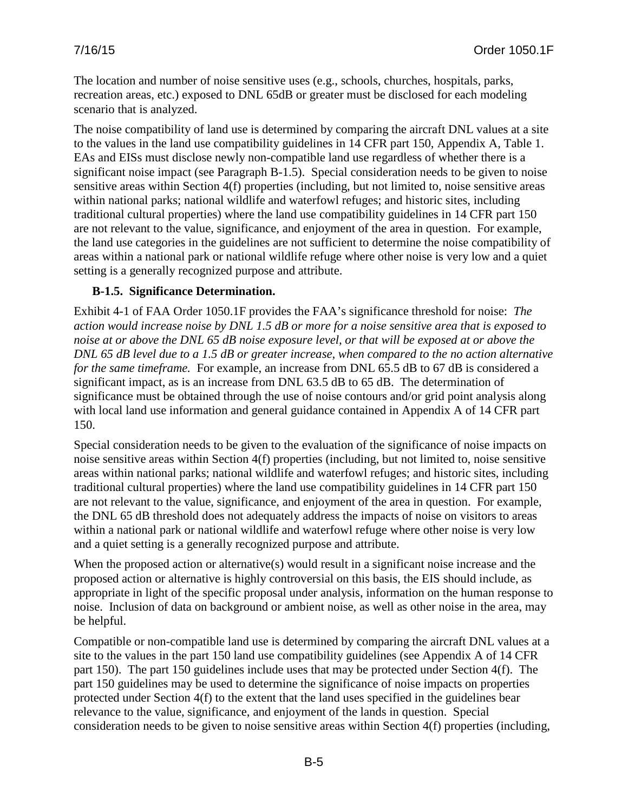The location and number of noise sensitive uses (e.g., schools, churches, hospitals, parks, recreation areas, etc.) exposed to DNL 65dB or greater must be disclosed for each modeling scenario that is analyzed.

The noise compatibility of land use is determined by comparing the aircraft DNL values at a site to the values in the land use compatibility guidelines in 14 CFR part 150, Appendix A, Table 1. EAs and EISs must disclose newly non-compatible land use regardless of whether there is a significant noise impact (see Paragraph B-1.5). Special consideration needs to be given to noise sensitive areas within Section 4(f) properties (including, but not limited to, noise sensitive areas within national parks; national wildlife and waterfowl refuges; and historic sites, including traditional cultural properties) where the land use compatibility guidelines in 14 CFR part 150 are not relevant to the value, significance, and enjoyment of the area in question. For example, the land use categories in the guidelines are not sufficient to determine the noise compatibility of areas within a national park or national wildlife refuge where other noise is very low and a quiet setting is a generally recognized purpose and attribute.

### **B-1.5. Significance Determination.**

Exhibit 4-1 of FAA Order 1050.1F provides the FAA's significance threshold for noise: *The action would increase noise by DNL 1.5 dB or more for a noise sensitive area that is exposed to noise at or above the DNL 65 dB noise exposure level, or that will be exposed at or above the DNL 65 dB level due to a 1.5 dB or greater increase, when compared to the no action alternative for the same timeframe.* For example, an increase from DNL 65.5 dB to 67 dB is considered a significant impact, as is an increase from DNL 63.5 dB to 65 dB. The determination of significance must be obtained through the use of noise contours and/or grid point analysis along with local land use information and general guidance contained in Appendix A of 14 CFR part 150.

Special consideration needs to be given to the evaluation of the significance of noise impacts on noise sensitive areas within Section 4(f) properties (including, but not limited to, noise sensitive areas within national parks; national wildlife and waterfowl refuges; and historic sites, including traditional cultural properties) where the land use compatibility guidelines in 14 CFR part 150 are not relevant to the value, significance, and enjoyment of the area in question. For example, the DNL 65 dB threshold does not adequately address the impacts of noise on visitors to areas within a national park or national wildlife and waterfowl refuge where other noise is very low and a quiet setting is a generally recognized purpose and attribute.

When the proposed action or alternative(s) would result in a significant noise increase and the proposed action or alternative is highly controversial on this basis, the EIS should include, as appropriate in light of the specific proposal under analysis, information on the human response to noise. Inclusion of data on background or ambient noise, as well as other noise in the area, may be helpful.

Compatible or non-compatible land use is determined by comparing the aircraft DNL values at a site to the values in the part 150 land use compatibility guidelines (see Appendix A of 14 CFR part 150). The part 150 guidelines include uses that may be protected under Section 4(f). The part 150 guidelines may be used to determine the significance of noise impacts on properties protected under Section 4(f) to the extent that the land uses specified in the guidelines bear relevance to the value, significance, and enjoyment of the lands in question. Special consideration needs to be given to noise sensitive areas within Section 4(f) properties (including,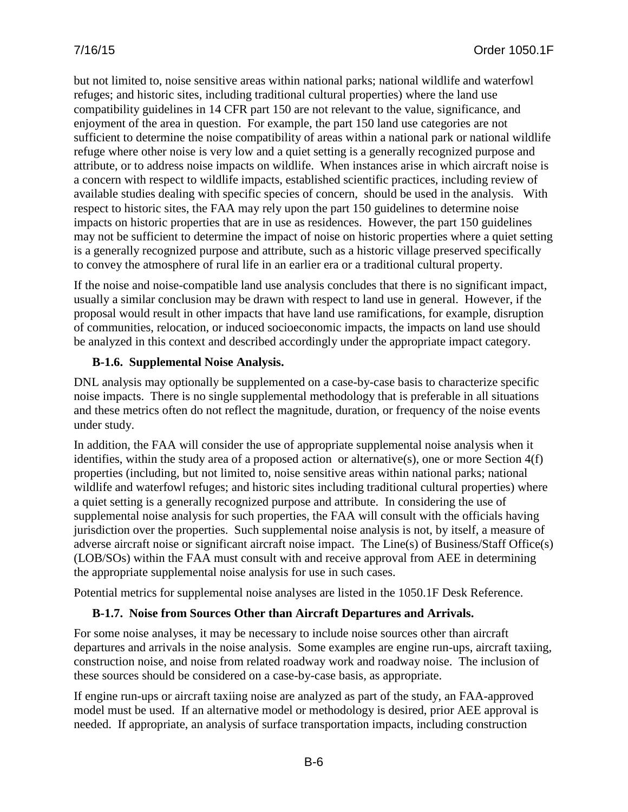but not limited to, noise sensitive areas within national parks; national wildlife and waterfowl refuges; and historic sites, including traditional cultural properties) where the land use compatibility guidelines in 14 CFR part 150 are not relevant to the value, significance, and enjoyment of the area in question. For example, the part 150 land use categories are not sufficient to determine the noise compatibility of areas within a national park or national wildlife refuge where other noise is very low and a quiet setting is a generally recognized purpose and attribute, or to address noise impacts on wildlife. When instances arise in which aircraft noise is a concern with respect to wildlife impacts, established scientific practices, including review of available studies dealing with specific species of concern, should be used in the analysis. With respect to historic sites, the FAA may rely upon the part 150 guidelines to determine noise impacts on historic properties that are in use as residences. However, the part 150 guidelines may not be sufficient to determine the impact of noise on historic properties where a quiet setting is a generally recognized purpose and attribute, such as a historic village preserved specifically to convey the atmosphere of rural life in an earlier era or a traditional cultural property.

If the noise and noise-compatible land use analysis concludes that there is no significant impact, usually a similar conclusion may be drawn with respect to land use in general. However, if the proposal would result in other impacts that have land use ramifications, for example, disruption of communities, relocation, or induced socioeconomic impacts, the impacts on land use should be analyzed in this context and described accordingly under the appropriate impact category.

### **B-1.6. Supplemental Noise Analysis.**

DNL analysis may optionally be supplemented on a case-by-case basis to characterize specific noise impacts. There is no single supplemental methodology that is preferable in all situations and these metrics often do not reflect the magnitude, duration, or frequency of the noise events under study.

In addition, the FAA will consider the use of appropriate supplemental noise analysis when it identifies, within the study area of a proposed action or alternative(s), one or more Section 4(f) properties (including, but not limited to, noise sensitive areas within national parks; national wildlife and waterfowl refuges; and historic sites including traditional cultural properties) where a quiet setting is a generally recognized purpose and attribute. In considering the use of supplemental noise analysis for such properties, the FAA will consult with the officials having jurisdiction over the properties. Such supplemental noise analysis is not, by itself, a measure of adverse aircraft noise or significant aircraft noise impact. The Line(s) of Business/Staff Office(s) (LOB/SOs) within the FAA must consult with and receive approval from AEE in determining the appropriate supplemental noise analysis for use in such cases.

Potential metrics for supplemental noise analyses are listed in the 1050.1F Desk Reference.

## **B-1.7. Noise from Sources Other than Aircraft Departures and Arrivals.**

For some noise analyses, it may be necessary to include noise sources other than aircraft departures and arrivals in the noise analysis. Some examples are engine run-ups, aircraft taxiing, construction noise, and noise from related roadway work and roadway noise. The inclusion of these sources should be considered on a case-by-case basis, as appropriate.

If engine run-ups or aircraft taxiing noise are analyzed as part of the study, an FAA-approved model must be used. If an alternative model or methodology is desired, prior AEE approval is needed. If appropriate, an analysis of surface transportation impacts, including construction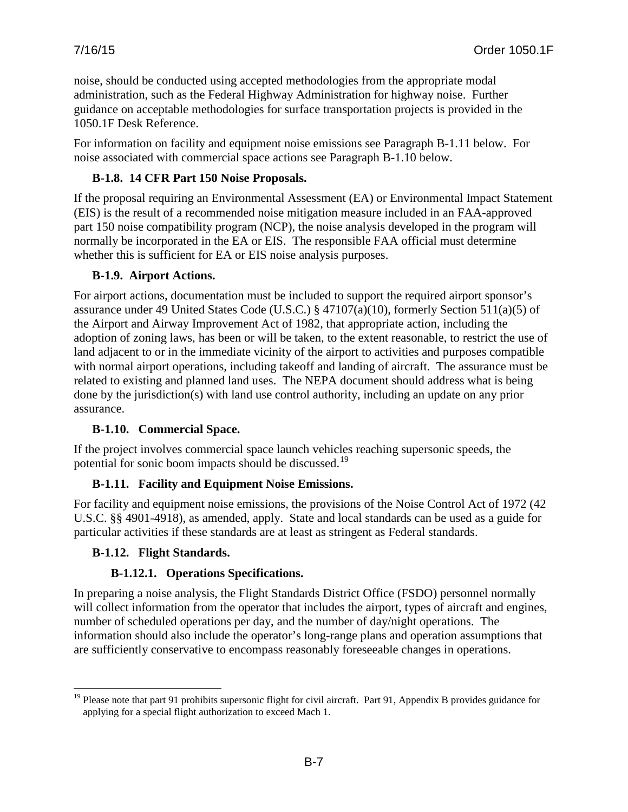noise, should be conducted using accepted methodologies from the appropriate modal administration, such as the Federal Highway Administration for highway noise. Further guidance on acceptable methodologies for surface transportation projects is provided in the 1050.1F Desk Reference.

For information on facility and equipment noise emissions see Paragraph B-1.11 below. For noise associated with commercial space actions see Paragraph B-1.10 below.

## **B-1.8. 14 CFR Part 150 Noise Proposals.**

If the proposal requiring an Environmental Assessment (EA) or Environmental Impact Statement (EIS) is the result of a recommended noise mitigation measure included in an FAA-approved part 150 noise compatibility program (NCP), the noise analysis developed in the program will normally be incorporated in the EA or EIS. The responsible FAA official must determine whether this is sufficient for EA or EIS noise analysis purposes.

## **B-1.9. Airport Actions.**

For airport actions, documentation must be included to support the required airport sponsor's assurance under 49 United States Code (U.S.C.) § 47107(a)(10), formerly Section 511(a)(5) of the Airport and Airway Improvement Act of 1982, that appropriate action, including the adoption of zoning laws, has been or will be taken, to the extent reasonable, to restrict the use of land adjacent to or in the immediate vicinity of the airport to activities and purposes compatible with normal airport operations, including takeoff and landing of aircraft. The assurance must be related to existing and planned land uses. The NEPA document should address what is being done by the jurisdiction(s) with land use control authority, including an update on any prior assurance.

## **B-1.10. Commercial Space.**

If the project involves commercial space launch vehicles reaching supersonic speeds, the potential for sonic boom impacts should be discussed.<sup>[19](#page-117-0)</sup>

## **B-1.11. Facility and Equipment Noise Emissions.**

For facility and equipment noise emissions, the provisions of the Noise Control Act of 1972 (42 U.S.C. §§ 4901-4918), as amended, apply. State and local standards can be used as a guide for particular activities if these standards are at least as stringent as Federal standards.

#### **B-1.12. Flight Standards.**

## **B-1.12.1. Operations Specifications.**

In preparing a noise analysis, the Flight Standards District Office (FSDO) personnel normally will collect information from the operator that includes the airport, types of aircraft and engines, number of scheduled operations per day, and the number of day/night operations. The information should also include the operator's long-range plans and operation assumptions that are sufficiently conservative to encompass reasonably foreseeable changes in operations.

<span id="page-117-0"></span><sup>&</sup>lt;sup>19</sup> Please note that part 91 prohibits supersonic flight for civil aircraft. Part 91, Appendix B provides guidance for applying for a special flight authorization to exceed Mach 1.  $\overline{a}$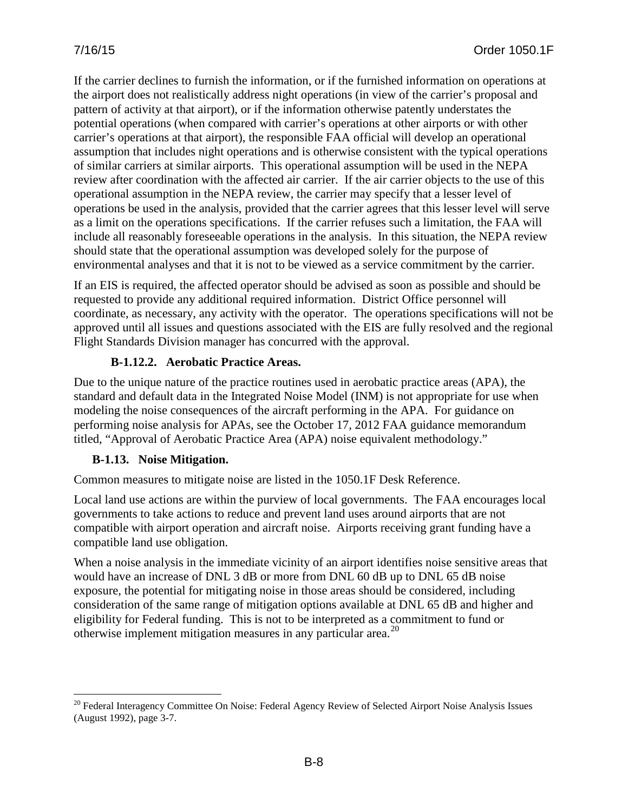If the carrier declines to furnish the information, or if the furnished information on operations at the airport does not realistically address night operations (in view of the carrier's proposal and pattern of activity at that airport), or if the information otherwise patently understates the potential operations (when compared with carrier's operations at other airports or with other carrier's operations at that airport), the responsible FAA official will develop an operational assumption that includes night operations and is otherwise consistent with the typical operations of similar carriers at similar airports. This operational assumption will be used in the NEPA review after coordination with the affected air carrier. If the air carrier objects to the use of this operational assumption in the NEPA review, the carrier may specify that a lesser level of operations be used in the analysis, provided that the carrier agrees that this lesser level will serve as a limit on the operations specifications. If the carrier refuses such a limitation, the FAA will include all reasonably foreseeable operations in the analysis. In this situation, the NEPA review should state that the operational assumption was developed solely for the purpose of environmental analyses and that it is not to be viewed as a service commitment by the carrier.

If an EIS is required, the affected operator should be advised as soon as possible and should be requested to provide any additional required information. District Office personnel will coordinate, as necessary, any activity with the operator. The operations specifications will not be approved until all issues and questions associated with the EIS are fully resolved and the regional Flight Standards Division manager has concurred with the approval.

### **B-1.12.2. Aerobatic Practice Areas.**

Due to the unique nature of the practice routines used in aerobatic practice areas (APA), the standard and default data in the Integrated Noise Model (INM) is not appropriate for use when modeling the noise consequences of the aircraft performing in the APA. For guidance on performing noise analysis for APAs, see the October 17, 2012 FAA guidance memorandum titled, "Approval of Aerobatic Practice Area (APA) noise equivalent methodology."

## **B-1.13. Noise Mitigation.**

 $\overline{a}$ 

Common measures to mitigate noise are listed in the 1050.1F Desk Reference.

Local land use actions are within the purview of local governments. The FAA encourages local governments to take actions to reduce and prevent land uses around airports that are not compatible with airport operation and aircraft noise. Airports receiving grant funding have a compatible land use obligation.

When a noise analysis in the immediate vicinity of an airport identifies noise sensitive areas that would have an increase of DNL 3 dB or more from DNL 60 dB up to DNL 65 dB noise exposure, the potential for mitigating noise in those areas should be considered, including consideration of the same range of mitigation options available at DNL 65 dB and higher and eligibility for Federal funding. This is not to be interpreted as a commitment to fund or otherwise implement mitigation measures in any particular area.<sup>[20](#page-118-0)</sup>

<span id="page-118-0"></span><sup>&</sup>lt;sup>20</sup> Federal Interagency Committee On Noise: Federal Agency Review of Selected Airport Noise Analysis Issues (August 1992), page 3-7.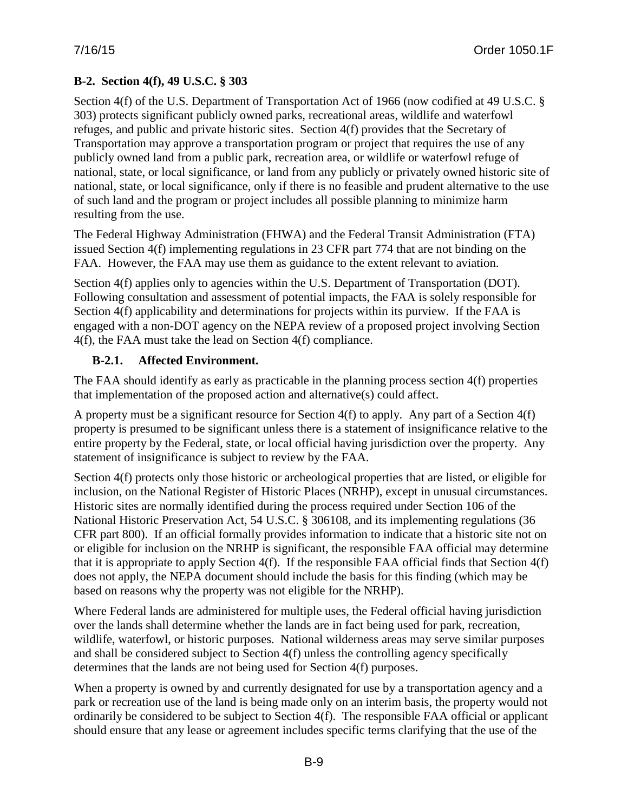# **B-2. Section 4(f), 49 U.S.C. § 303**

Section 4(f) of the U.S. Department of Transportation Act of 1966 (now codified at 49 U.S.C. § 303) protects significant publicly owned parks, recreational areas, wildlife and waterfowl refuges, and public and private historic sites. Section 4(f) provides that the Secretary of Transportation may approve a transportation program or project that requires the use of any publicly owned land from a public park, recreation area, or wildlife or waterfowl refuge of national, state, or local significance, or land from any publicly or privately owned historic site of national, state, or local significance, only if there is no feasible and prudent alternative to the use of such land and the program or project includes all possible planning to minimize harm resulting from the use.

The Federal Highway Administration (FHWA) and the Federal Transit Administration (FTA) issued Section 4(f) implementing regulations in 23 CFR part 774 that are not binding on the FAA. However, the FAA may use them as guidance to the extent relevant to aviation.

Section 4(f) applies only to agencies within the U.S. Department of Transportation (DOT). Following consultation and assessment of potential impacts, the FAA is solely responsible for Section 4(f) applicability and determinations for projects within its purview. If the FAA is engaged with a non-DOT agency on the NEPA review of a proposed project involving Section 4(f), the FAA must take the lead on Section 4(f) compliance.

## **B-2.1. Affected Environment.**

The FAA should identify as early as practicable in the planning process section 4(f) properties that implementation of the proposed action and alternative(s) could affect.

A property must be a significant resource for Section 4(f) to apply. Any part of a Section 4(f) property is presumed to be significant unless there is a statement of insignificance relative to the entire property by the Federal, state, or local official having jurisdiction over the property. Any statement of insignificance is subject to review by the FAA.

Section 4(f) protects only those historic or archeological properties that are listed, or eligible for inclusion, on the National Register of Historic Places (NRHP), except in unusual circumstances. Historic sites are normally identified during the process required under Section 106 of the National Historic Preservation Act, 54 U.S.C. § 306108, and its implementing regulations (36 CFR part 800). If an official formally provides information to indicate that a historic site not on or eligible for inclusion on the NRHP is significant, the responsible FAA official may determine that it is appropriate to apply Section 4(f). If the responsible FAA official finds that Section 4(f) does not apply, the NEPA document should include the basis for this finding (which may be based on reasons why the property was not eligible for the NRHP).

Where Federal lands are administered for multiple uses, the Federal official having jurisdiction over the lands shall determine whether the lands are in fact being used for park, recreation, wildlife, waterfowl, or historic purposes. National wilderness areas may serve similar purposes and shall be considered subject to Section 4(f) unless the controlling agency specifically determines that the lands are not being used for Section 4(f) purposes.

When a property is owned by and currently designated for use by a transportation agency and a park or recreation use of the land is being made only on an interim basis, the property would not ordinarily be considered to be subject to Section 4(f). The responsible FAA official or applicant should ensure that any lease or agreement includes specific terms clarifying that the use of the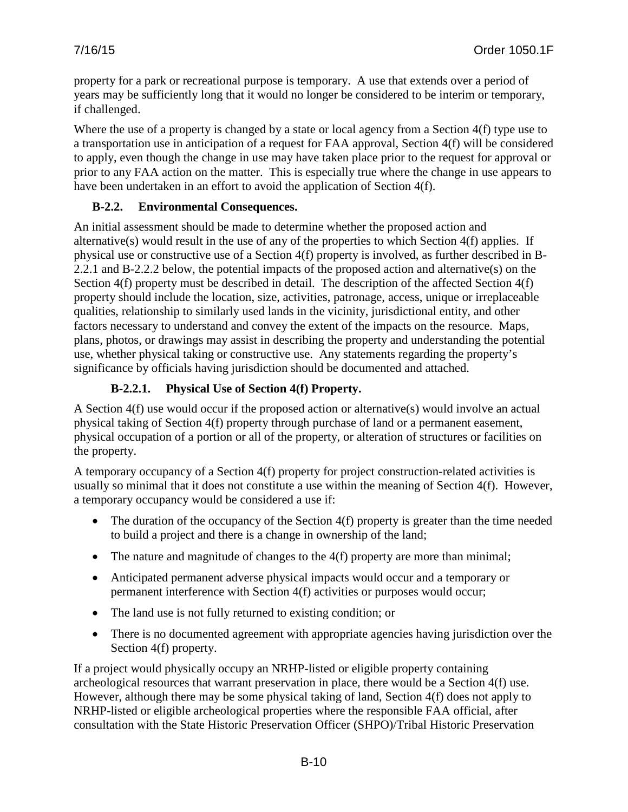property for a park or recreational purpose is temporary. A use that extends over a period of years may be sufficiently long that it would no longer be considered to be interim or temporary, if challenged.

Where the use of a property is changed by a state or local agency from a Section 4(f) type use to a transportation use in anticipation of a request for FAA approval, Section 4(f) will be considered to apply, even though the change in use may have taken place prior to the request for approval or prior to any FAA action on the matter. This is especially true where the change in use appears to have been undertaken in an effort to avoid the application of Section 4(f).

### **B-2.2. Environmental Consequences.**

An initial assessment should be made to determine whether the proposed action and alternative(s) would result in the use of any of the properties to which Section 4(f) applies. If physical use or constructive use of a Section 4(f) property is involved, as further described in B-2.2.1 and B-2.2.2 below, the potential impacts of the proposed action and alternative(s) on the Section 4(f) property must be described in detail. The description of the affected Section 4(f) property should include the location, size, activities, patronage, access, unique or irreplaceable qualities, relationship to similarly used lands in the vicinity, jurisdictional entity, and other factors necessary to understand and convey the extent of the impacts on the resource. Maps, plans, photos, or drawings may assist in describing the property and understanding the potential use, whether physical taking or constructive use. Any statements regarding the property's significance by officials having jurisdiction should be documented and attached.

## **B-2.2.1. Physical Use of Section 4(f) Property.**

A Section 4(f) use would occur if the proposed action or alternative(s) would involve an actual physical taking of Section 4(f) property through purchase of land or a permanent easement, physical occupation of a portion or all of the property, or alteration of structures or facilities on the property.

A temporary occupancy of a Section 4(f) property for project construction-related activities is usually so minimal that it does not constitute a use within the meaning of Section 4(f). However, a temporary occupancy would be considered a use if:

- The duration of the occupancy of the Section  $4(f)$  property is greater than the time needed to build a project and there is a change in ownership of the land;
- The nature and magnitude of changes to the 4(f) property are more than minimal;
- Anticipated permanent adverse physical impacts would occur and a temporary or permanent interference with Section 4(f) activities or purposes would occur;
- The land use is not fully returned to existing condition; or
- There is no documented agreement with appropriate agencies having jurisdiction over the Section 4(f) property.

If a project would physically occupy an NRHP-listed or eligible property containing archeological resources that warrant preservation in place, there would be a Section 4(f) use. However, although there may be some physical taking of land, Section 4(f) does not apply to NRHP-listed or eligible archeological properties where the responsible FAA official, after consultation with the State Historic Preservation Officer (SHPO)/Tribal Historic Preservation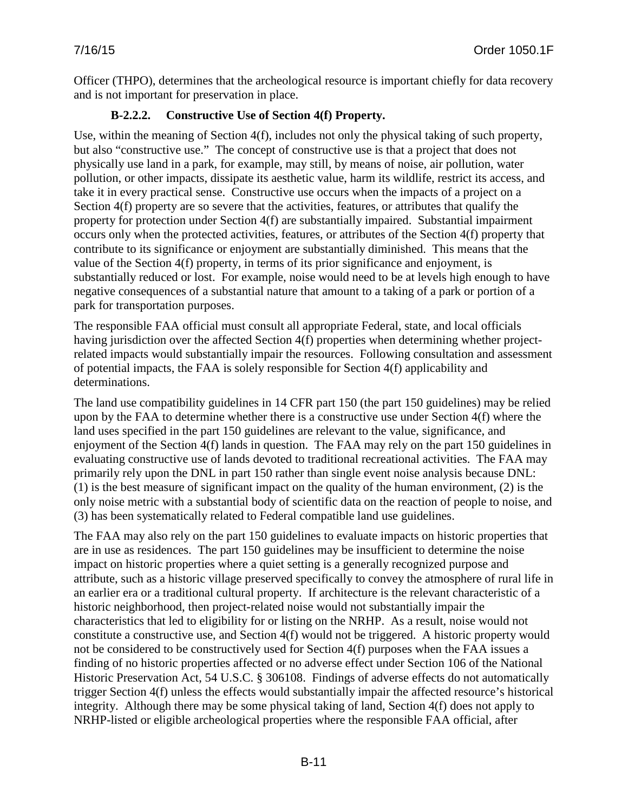Officer (THPO), determines that the archeological resource is important chiefly for data recovery and is not important for preservation in place.

## **B-2.2.2. Constructive Use of Section 4(f) Property.**

Use, within the meaning of Section 4(f), includes not only the physical taking of such property, but also "constructive use." The concept of constructive use is that a project that does not physically use land in a park, for example, may still, by means of noise, air pollution, water pollution, or other impacts, dissipate its aesthetic value, harm its wildlife, restrict its access, and take it in every practical sense. Constructive use occurs when the impacts of a project on a Section 4(f) property are so severe that the activities, features, or attributes that qualify the property for protection under Section 4(f) are substantially impaired. Substantial impairment occurs only when the protected activities, features, or attributes of the Section 4(f) property that contribute to its significance or enjoyment are substantially diminished. This means that the value of the Section 4(f) property, in terms of its prior significance and enjoyment, is substantially reduced or lost. For example, noise would need to be at levels high enough to have negative consequences of a substantial nature that amount to a taking of a park or portion of a park for transportation purposes.

The responsible FAA official must consult all appropriate Federal, state, and local officials having jurisdiction over the affected Section 4(f) properties when determining whether projectrelated impacts would substantially impair the resources. Following consultation and assessment of potential impacts, the FAA is solely responsible for Section 4(f) applicability and determinations.

The land use compatibility guidelines in 14 CFR part 150 (the part 150 guidelines) may be relied upon by the FAA to determine whether there is a constructive use under Section 4(f) where the land uses specified in the part 150 guidelines are relevant to the value, significance, and enjoyment of the Section 4(f) lands in question. The FAA may rely on the part 150 guidelines in evaluating constructive use of lands devoted to traditional recreational activities. The FAA may primarily rely upon the DNL in part 150 rather than single event noise analysis because DNL: (1) is the best measure of significant impact on the quality of the human environment, (2) is the only noise metric with a substantial body of scientific data on the reaction of people to noise, and (3) has been systematically related to Federal compatible land use guidelines.

The FAA may also rely on the part 150 guidelines to evaluate impacts on historic properties that are in use as residences. The part 150 guidelines may be insufficient to determine the noise impact on historic properties where a quiet setting is a generally recognized purpose and attribute, such as a historic village preserved specifically to convey the atmosphere of rural life in an earlier era or a traditional cultural property. If architecture is the relevant characteristic of a historic neighborhood, then project-related noise would not substantially impair the characteristics that led to eligibility for or listing on the NRHP. As a result, noise would not constitute a constructive use, and Section 4(f) would not be triggered. A historic property would not be considered to be constructively used for Section 4(f) purposes when the FAA issues a finding of no historic properties affected or no adverse effect under Section 106 of the National Historic Preservation Act, 54 U.S.C. § 306108. Findings of adverse effects do not automatically trigger Section 4(f) unless the effects would substantially impair the affected resource's historical integrity. Although there may be some physical taking of land, Section 4(f) does not apply to NRHP-listed or eligible archeological properties where the responsible FAA official, after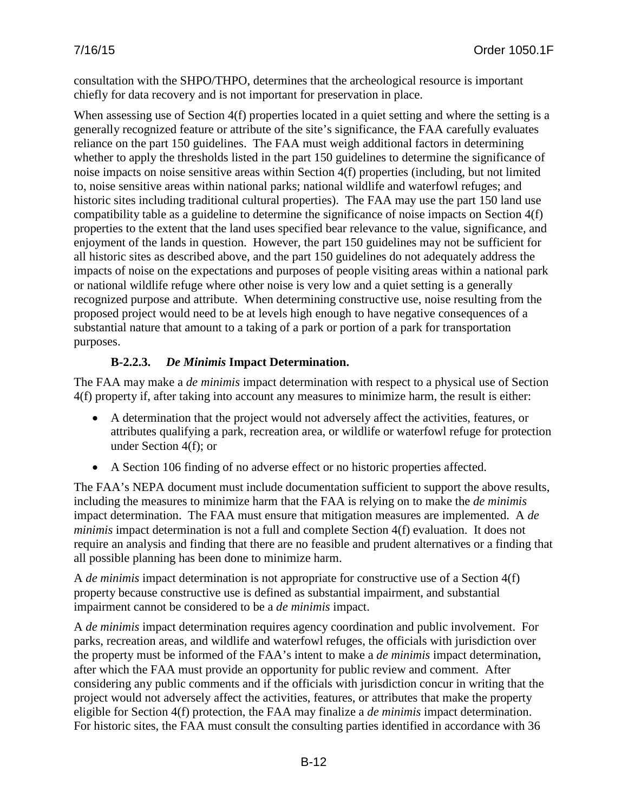consultation with the SHPO/THPO, determines that the archeological resource is important chiefly for data recovery and is not important for preservation in place.

When assessing use of Section 4(f) properties located in a quiet setting and where the setting is a generally recognized feature or attribute of the site's significance, the FAA carefully evaluates reliance on the part 150 guidelines. The FAA must weigh additional factors in determining whether to apply the thresholds listed in the part 150 guidelines to determine the significance of noise impacts on noise sensitive areas within Section 4(f) properties (including, but not limited to, noise sensitive areas within national parks; national wildlife and waterfowl refuges; and historic sites including traditional cultural properties). The FAA may use the part 150 land use compatibility table as a guideline to determine the significance of noise impacts on Section 4(f) properties to the extent that the land uses specified bear relevance to the value, significance, and enjoyment of the lands in question. However, the part 150 guidelines may not be sufficient for all historic sites as described above, and the part 150 guidelines do not adequately address the impacts of noise on the expectations and purposes of people visiting areas within a national park or national wildlife refuge where other noise is very low and a quiet setting is a generally recognized purpose and attribute. When determining constructive use, noise resulting from the proposed project would need to be at levels high enough to have negative consequences of a substantial nature that amount to a taking of a park or portion of a park for transportation purposes.

## **B-2.2.3.** *De Minimis* **Impact Determination.**

The FAA may make a *de minimis* impact determination with respect to a physical use of Section 4(f) property if, after taking into account any measures to minimize harm, the result is either:

- A determination that the project would not adversely affect the activities, features, or attributes qualifying a park, recreation area, or wildlife or waterfowl refuge for protection under Section 4(f); or
- A Section 106 finding of no adverse effect or no historic properties affected.

The FAA's NEPA document must include documentation sufficient to support the above results, including the measures to minimize harm that the FAA is relying on to make the *de minimis*  impact determination. The FAA must ensure that mitigation measures are implemented. A *de minimis* impact determination is not a full and complete Section 4(f) evaluation. It does not require an analysis and finding that there are no feasible and prudent alternatives or a finding that all possible planning has been done to minimize harm.

A *de minimis* impact determination is not appropriate for constructive use of a Section 4(f) property because constructive use is defined as substantial impairment, and substantial impairment cannot be considered to be a *de minimis* impact.

A *de minimis* impact determination requires agency coordination and public involvement. For parks, recreation areas, and wildlife and waterfowl refuges, the officials with jurisdiction over the property must be informed of the FAA's intent to make a *de minimis* impact determination, after which the FAA must provide an opportunity for public review and comment. After considering any public comments and if the officials with jurisdiction concur in writing that the project would not adversely affect the activities, features, or attributes that make the property eligible for Section 4(f) protection, the FAA may finalize a *de minimis* impact determination. For historic sites, the FAA must consult the consulting parties identified in accordance with 36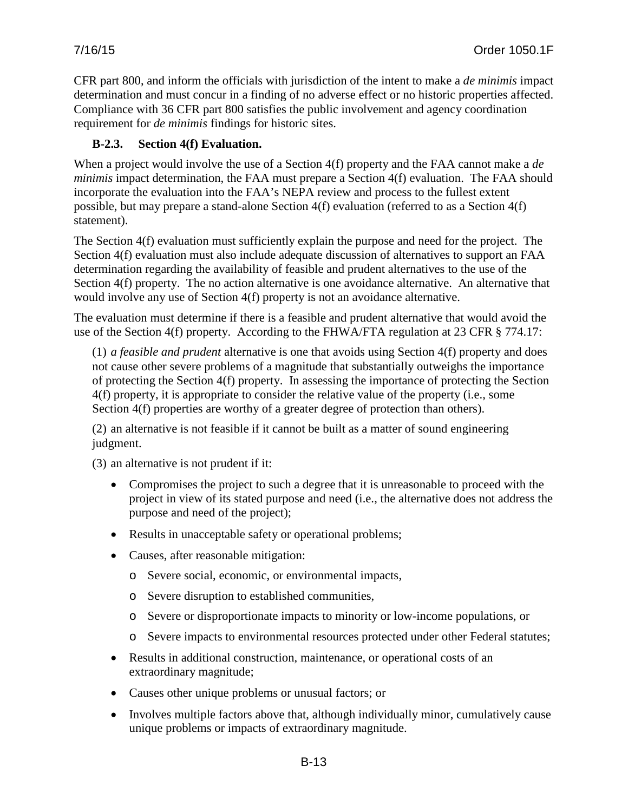CFR part 800, and inform the officials with jurisdiction of the intent to make a *de minimis* impact determination and must concur in a finding of no adverse effect or no historic properties affected. Compliance with 36 CFR part 800 satisfies the public involvement and agency coordination requirement for *de minimis* findings for historic sites.

### **B-2.3. Section 4(f) Evaluation.**

When a project would involve the use of a Section 4(f) property and the FAA cannot make a *de minimis* impact determination, the FAA must prepare a Section 4(f) evaluation. The FAA should incorporate the evaluation into the FAA's NEPA review and process to the fullest extent possible, but may prepare a stand-alone Section 4(f) evaluation (referred to as a Section 4(f) statement).

The Section 4(f) evaluation must sufficiently explain the purpose and need for the project. The Section 4(f) evaluation must also include adequate discussion of alternatives to support an FAA determination regarding the availability of feasible and prudent alternatives to the use of the Section 4(f) property. The no action alternative is one avoidance alternative. An alternative that would involve any use of Section 4(f) property is not an avoidance alternative.

The evaluation must determine if there is a feasible and prudent alternative that would avoid the use of the Section 4(f) property. According to the FHWA/FTA regulation at 23 CFR § 774.17:

(1) *a feasible and prudent* alternative is one that avoids using Section 4(f) property and does not cause other severe problems of a magnitude that substantially outweighs the importance of protecting the Section 4(f) property. In assessing the importance of protecting the Section 4(f) property, it is appropriate to consider the relative value of the property (i.e., some Section 4(f) properties are worthy of a greater degree of protection than others).

(2) an alternative is not feasible if it cannot be built as a matter of sound engineering judgment.

(3) an alternative is not prudent if it:

- Compromises the project to such a degree that it is unreasonable to proceed with the project in view of its stated purpose and need (i.e., the alternative does not address the purpose and need of the project);
- Results in unacceptable safety or operational problems;
- Causes, after reasonable mitigation:
	- o Severe social, economic, or environmental impacts,
	- o Severe disruption to established communities,
	- o Severe or disproportionate impacts to minority or low-income populations, or
	- o Severe impacts to environmental resources protected under other Federal statutes;
- Results in additional construction, maintenance, or operational costs of an extraordinary magnitude;
- Causes other unique problems or unusual factors; or
- Involves multiple factors above that, although individually minor, cumulatively cause unique problems or impacts of extraordinary magnitude.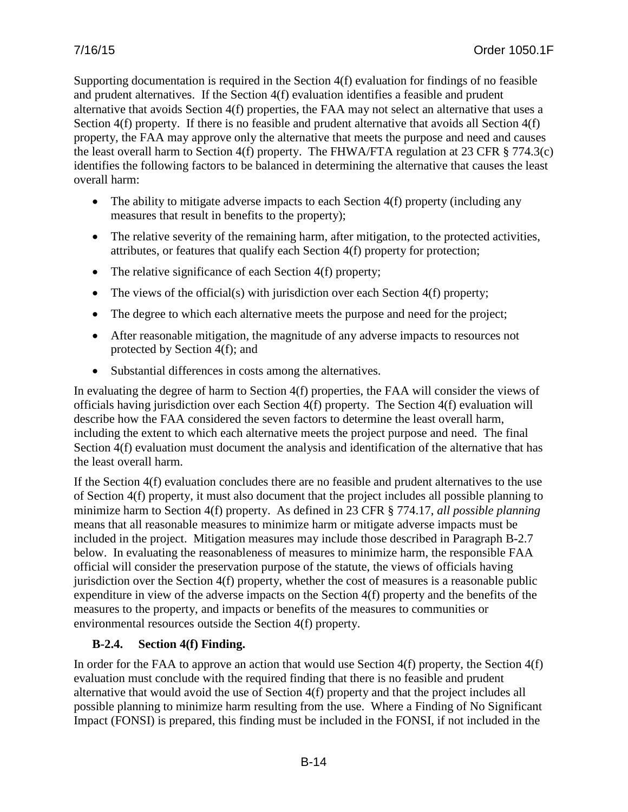Supporting documentation is required in the Section 4(f) evaluation for findings of no feasible and prudent alternatives. If the Section 4(f) evaluation identifies a feasible and prudent alternative that avoids Section 4(f) properties, the FAA may not select an alternative that uses a Section 4(f) property. If there is no feasible and prudent alternative that avoids all Section 4(f) property, the FAA may approve only the alternative that meets the purpose and need and causes the least overall harm to Section 4(f) property. The FHWA/FTA regulation at 23 CFR § 774.3(c) identifies the following factors to be balanced in determining the alternative that causes the least overall harm:

- The ability to mitigate adverse impacts to each Section 4(f) property (including any measures that result in benefits to the property);
- The relative severity of the remaining harm, after mitigation, to the protected activities, attributes, or features that qualify each Section 4(f) property for protection;
- The relative significance of each Section 4(f) property;
- The views of the official(s) with jurisdiction over each Section  $4(f)$  property;
- The degree to which each alternative meets the purpose and need for the project;
- After reasonable mitigation, the magnitude of any adverse impacts to resources not protected by Section 4(f); and
- Substantial differences in costs among the alternatives.

In evaluating the degree of harm to Section 4(f) properties, the FAA will consider the views of officials having jurisdiction over each Section 4(f) property. The Section 4(f) evaluation will describe how the FAA considered the seven factors to determine the least overall harm, including the extent to which each alternative meets the project purpose and need. The final Section 4(f) evaluation must document the analysis and identification of the alternative that has the least overall harm.

If the Section 4(f) evaluation concludes there are no feasible and prudent alternatives to the use of Section 4(f) property, it must also document that the project includes all possible planning to minimize harm to Section 4(f) property. As defined in 23 CFR § 774.17, *all possible planning* means that all reasonable measures to minimize harm or mitigate adverse impacts must be included in the project. Mitigation measures may include those described in Paragraph B-2.7 below. In evaluating the reasonableness of measures to minimize harm, the responsible FAA official will consider the preservation purpose of the statute, the views of officials having jurisdiction over the Section 4(f) property, whether the cost of measures is a reasonable public expenditure in view of the adverse impacts on the Section 4(f) property and the benefits of the measures to the property, and impacts or benefits of the measures to communities or environmental resources outside the Section 4(f) property.

# **B-2.4. Section 4(f) Finding.**

In order for the FAA to approve an action that would use Section 4(f) property, the Section 4(f) evaluation must conclude with the required finding that there is no feasible and prudent alternative that would avoid the use of Section 4(f) property and that the project includes all possible planning to minimize harm resulting from the use. Where a Finding of No Significant Impact (FONSI) is prepared, this finding must be included in the FONSI, if not included in the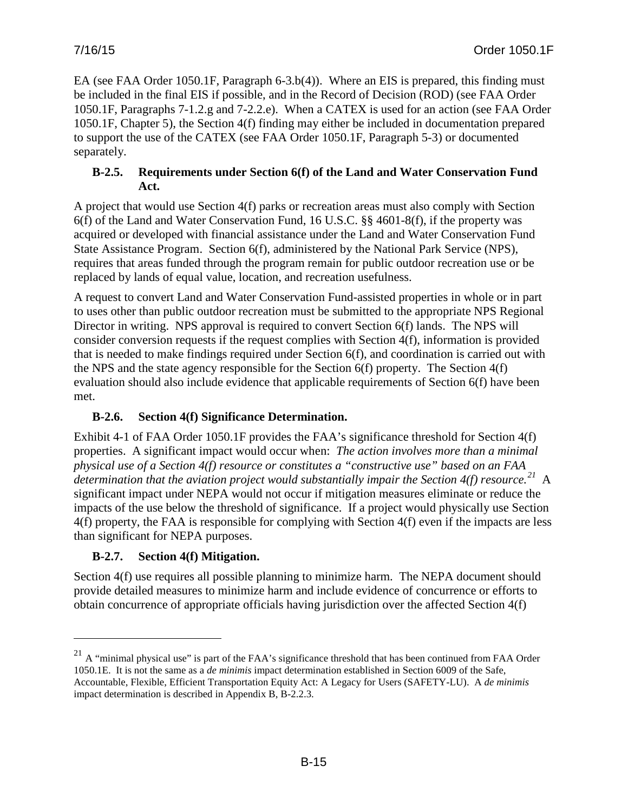EA (see FAA Order 1050.1F, Paragraph 6-3.b(4)). Where an EIS is prepared, this finding must be included in the final EIS if possible, and in the Record of Decision (ROD) (see FAA Order 1050.1F, Paragraphs 7-1.2.g and 7-2.2.e). When a CATEX is used for an action (see FAA Order 1050.1F, Chapter 5), the Section 4(f) finding may either be included in documentation prepared to support the use of the CATEX (see FAA Order 1050.1F, Paragraph 5-3) or documented separately.

### **B-2.5. Requirements under Section 6(f) of the Land and Water Conservation Fund Act.**

A project that would use Section 4(f) parks or recreation areas must also comply with Section 6(f) of the Land and Water Conservation Fund, 16 U.S.C. §§ 4601-8(f), if the property was acquired or developed with financial assistance under the Land and Water Conservation Fund State Assistance Program. Section 6(f), administered by the National Park Service (NPS), requires that areas funded through the program remain for public outdoor recreation use or be replaced by lands of equal value, location, and recreation usefulness.

A request to convert Land and Water Conservation Fund-assisted properties in whole or in part to uses other than public outdoor recreation must be submitted to the appropriate NPS Regional Director in writing. NPS approval is required to convert Section 6(f) lands. The NPS will consider conversion requests if the request complies with Section 4(f), information is provided that is needed to make findings required under Section 6(f), and coordination is carried out with the NPS and the state agency responsible for the Section 6(f) property. The Section 4(f) evaluation should also include evidence that applicable requirements of Section 6(f) have been met.

# **B-2.6. Section 4(f) Significance Determination.**

Exhibit 4-1 of FAA Order 1050.1F provides the FAA's significance threshold for Section 4(f) properties. A significant impact would occur when: *The action involves more than a minimal physical use of a Section 4(f) resource or constitutes a "constructive use" based on an FAA determination that the aviation project would substantially impair the Section 4(f) resource. [21](#page-125-0)* A significant impact under NEPA would not occur if mitigation measures eliminate or reduce the impacts of the use below the threshold of significance. If a project would physically use Section 4(f) property, the FAA is responsible for complying with Section 4(f) even if the impacts are less than significant for NEPA purposes.

# **B-2.7. Section 4(f) Mitigation.**

 $\overline{a}$ 

Section 4(f) use requires all possible planning to minimize harm. The NEPA document should provide detailed measures to minimize harm and include evidence of concurrence or efforts to obtain concurrence of appropriate officials having jurisdiction over the affected Section 4(f)

<span id="page-125-0"></span> $^{21}$  A "minimal physical use" is part of the FAA's significance threshold that has been continued from FAA Order 1050.1E. It is not the same as a *de minimis* impact determination established in Section 6009 of the Safe, Accountable, Flexible, Efficient Transportation Equity Act: A Legacy for Users (SAFETY-LU). A *de minimis* impact determination is described in Appendix B, B-2.2.3.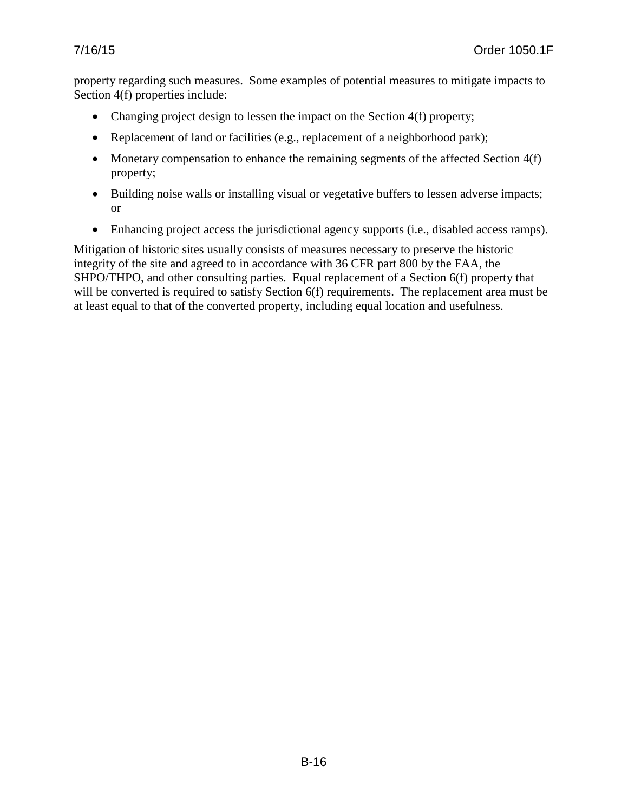property regarding such measures. Some examples of potential measures to mitigate impacts to Section 4(f) properties include:

- Changing project design to lessen the impact on the Section 4(f) property;
- Replacement of land or facilities (e.g., replacement of a neighborhood park);
- Monetary compensation to enhance the remaining segments of the affected Section 4(f) property;
- Building noise walls or installing visual or vegetative buffers to lessen adverse impacts; or
- Enhancing project access the jurisdictional agency supports (i.e., disabled access ramps).

Mitigation of historic sites usually consists of measures necessary to preserve the historic integrity of the site and agreed to in accordance with 36 CFR part 800 by the FAA, the SHPO/THPO, and other consulting parties. Equal replacement of a Section 6(f) property that will be converted is required to satisfy Section 6(f) requirements. The replacement area must be at least equal to that of the converted property, including equal location and usefulness.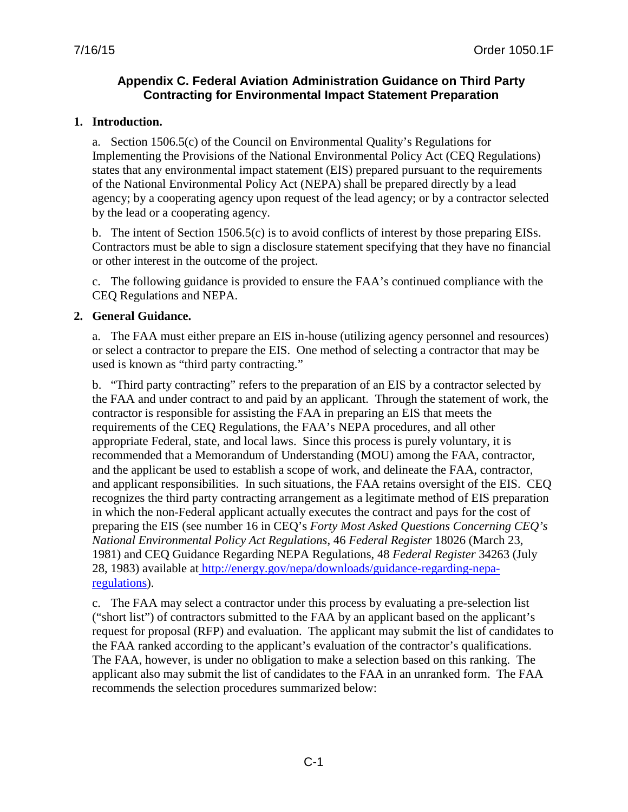### **Appendix C. Federal Aviation Administration Guidance on Third Party Contracting for Environmental Impact Statement Preparation**

#### **1. Introduction.**

a. Section 1506.5(c) of the Council on Environmental Quality's Regulations for Implementing the Provisions of the National Environmental Policy Act (CEQ Regulations) states that any environmental impact statement (EIS) prepared pursuant to the requirements of the National Environmental Policy Act (NEPA) shall be prepared directly by a lead agency; by a cooperating agency upon request of the lead agency; or by a contractor selected by the lead or a cooperating agency.

b. The intent of Section 1506.5(c) is to avoid conflicts of interest by those preparing EISs. Contractors must be able to sign a disclosure statement specifying that they have no financial or other interest in the outcome of the project.

c. The following guidance is provided to ensure the FAA's continued compliance with the CEQ Regulations and NEPA.

#### **2. General Guidance.**

a. The FAA must either prepare an EIS in-house (utilizing agency personnel and resources) or select a contractor to prepare the EIS. One method of selecting a contractor that may be used is known as "third party contracting."

b. "Third party contracting" refers to the preparation of an EIS by a contractor selected by the FAA and under contract to and paid by an applicant. Through the statement of work, the contractor is responsible for assisting the FAA in preparing an EIS that meets the requirements of the CEQ Regulations, the FAA's NEPA procedures, and all other appropriate Federal, state, and local laws. Since this process is purely voluntary, it is recommended that a Memorandum of Understanding (MOU) among the FAA, contractor, and the applicant be used to establish a scope of work, and delineate the FAA, contractor, and applicant responsibilities. In such situations, the FAA retains oversight of the EIS. CEQ recognizes the third party contracting arrangement as a legitimate method of EIS preparation in which the non-Federal applicant actually executes the contract and pays for the cost of preparing the EIS (see number 16 in CEQ's *Forty Most Asked Questions Concerning CEQ's National Environmental Policy Act Regulations*, 46 *Federal Register* 18026 (March 23, 1981) and CEQ Guidance Regarding NEPA Regulations, 48 *Federal Register* 34263 (July 28, 1983) available at [http://energy.gov/nepa/downloads/guidance-regarding-nepa](http://energy.gov/nepa/downloads/guidance-regarding-nepa-regulations)[regulations\)](http://energy.gov/nepa/downloads/guidance-regarding-nepa-regulations).

c. The FAA may select a contractor under this process by evaluating a pre-selection list ("short list") of contractors submitted to the FAA by an applicant based on the applicant's request for proposal (RFP) and evaluation. The applicant may submit the list of candidates to the FAA ranked according to the applicant's evaluation of the contractor's qualifications. The FAA, however, is under no obligation to make a selection based on this ranking. The applicant also may submit the list of candidates to the FAA in an unranked form. The FAA recommends the selection procedures summarized below: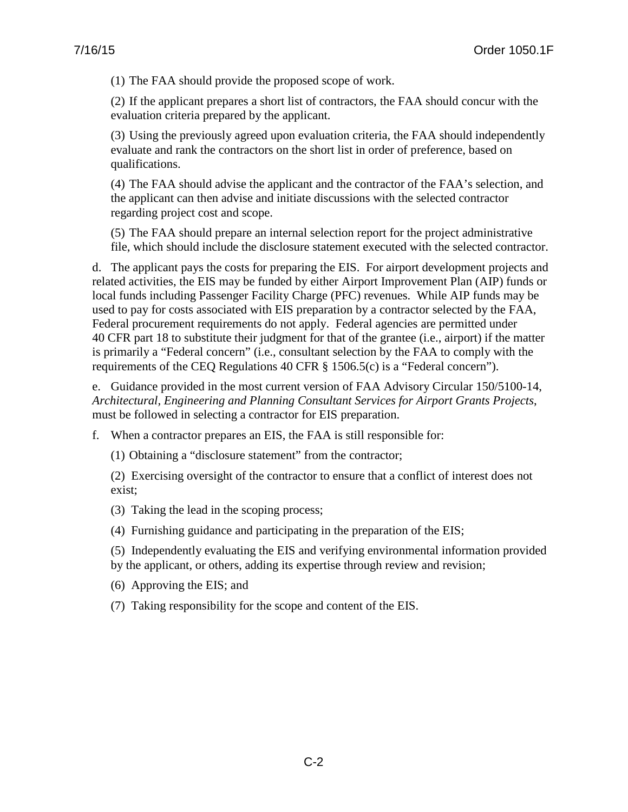(1) The FAA should provide the proposed scope of work.

(2) If the applicant prepares a short list of contractors, the FAA should concur with the evaluation criteria prepared by the applicant.

(3) Using the previously agreed upon evaluation criteria, the FAA should independently evaluate and rank the contractors on the short list in order of preference, based on qualifications.

(4) The FAA should advise the applicant and the contractor of the FAA's selection, and the applicant can then advise and initiate discussions with the selected contractor regarding project cost and scope.

(5) The FAA should prepare an internal selection report for the project administrative file, which should include the disclosure statement executed with the selected contractor.

d. The applicant pays the costs for preparing the EIS. For airport development projects and related activities, the EIS may be funded by either Airport Improvement Plan (AIP) funds or local funds including Passenger Facility Charge (PFC) revenues. While AIP funds may be used to pay for costs associated with EIS preparation by a contractor selected by the FAA, Federal procurement requirements do not apply. Federal agencies are permitted under 40 CFR part 18 to substitute their judgment for that of the grantee (i.e., airport) if the matter is primarily a "Federal concern" (i.e., consultant selection by the FAA to comply with the requirements of the CEQ Regulations 40 CFR § 1506.5(c) is a "Federal concern").

e. Guidance provided in the most current version of FAA Advisory Circular 150/5100-14, *Architectural, Engineering and Planning Consultant Services for Airport Grants Projects*, must be followed in selecting a contractor for EIS preparation.

f. When a contractor prepares an EIS, the FAA is still responsible for:

(1) Obtaining a "disclosure statement" from the contractor;

(2) Exercising oversight of the contractor to ensure that a conflict of interest does not exist;

(3) Taking the lead in the scoping process;

(4) Furnishing guidance and participating in the preparation of the EIS;

(5) Independently evaluating the EIS and verifying environmental information provided by the applicant, or others, adding its expertise through review and revision;

(6) Approving the EIS; and

(7) Taking responsibility for the scope and content of the EIS.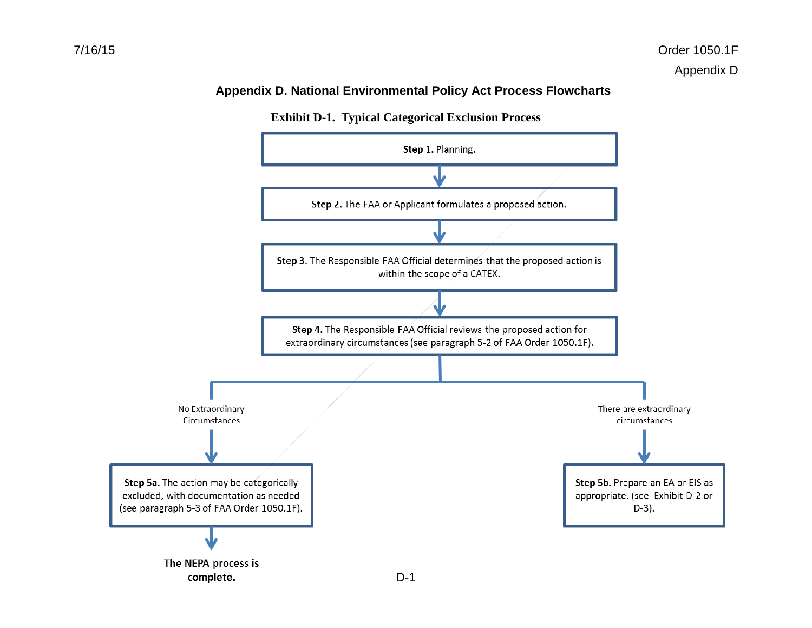### **Appendix D. National Environmental Policy Act Process Flowcharts**



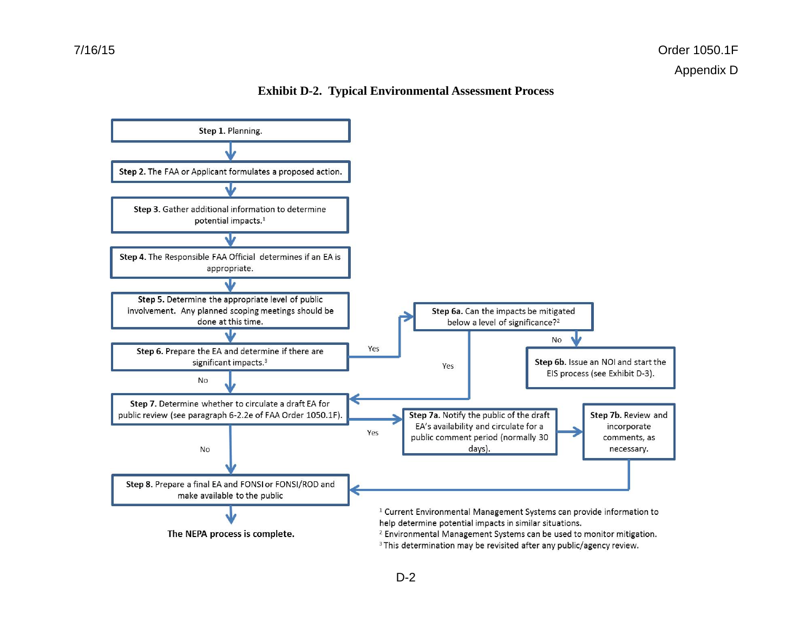